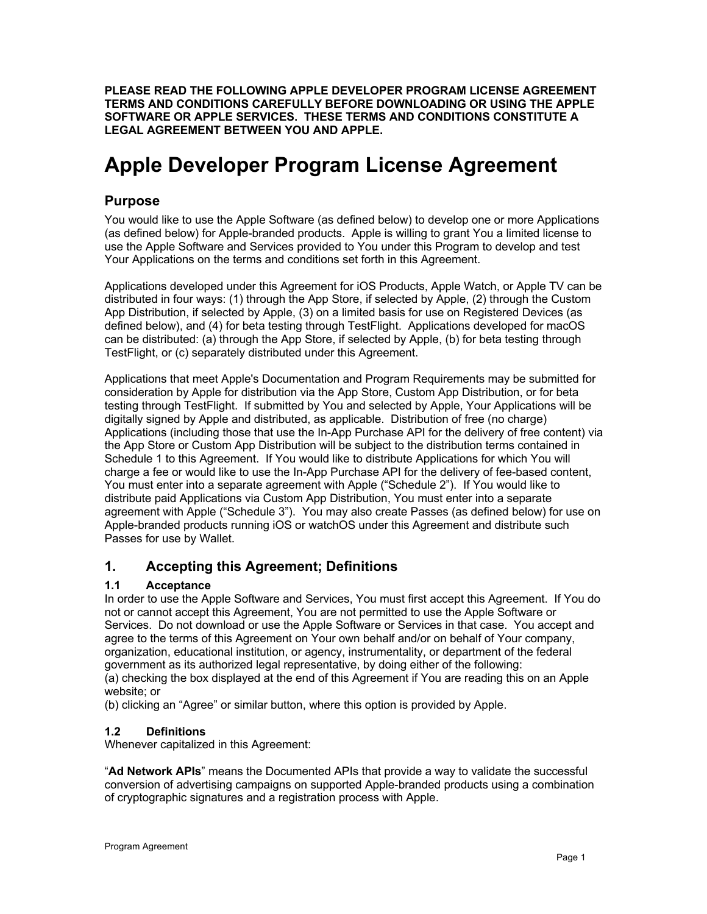**PLEASE READ THE FOLLOWING APPLE DEVELOPER PROGRAM LICENSE AGREEMENT TERMS AND CONDITIONS CAREFULLY BEFORE DOWNLOADING OR USING THE APPLE SOFTWARE OR APPLE SERVICES. THESE TERMS AND CONDITIONS CONSTITUTE A LEGAL AGREEMENT BETWEEN YOU AND APPLE.** 

# **Apple Developer Program License Agreement**

# **Purpose**

You would like to use the Apple Software (as defined below) to develop one or more Applications (as defined below) for Apple-branded products. Apple is willing to grant You a limited license to use the Apple Software and Services provided to You under this Program to develop and test Your Applications on the terms and conditions set forth in this Agreement.

Applications developed under this Agreement for iOS Products, Apple Watch, or Apple TV can be distributed in four ways: (1) through the App Store, if selected by Apple, (2) through the Custom App Distribution, if selected by Apple, (3) on a limited basis for use on Registered Devices (as defined below), and (4) for beta testing through TestFlight. Applications developed for macOS can be distributed: (a) through the App Store, if selected by Apple, (b) for beta testing through TestFlight, or (c) separately distributed under this Agreement.

Applications that meet Apple's Documentation and Program Requirements may be submitted for consideration by Apple for distribution via the App Store, Custom App Distribution, or for beta testing through TestFlight. If submitted by You and selected by Apple, Your Applications will be digitally signed by Apple and distributed, as applicable. Distribution of free (no charge) Applications (including those that use the In-App Purchase API for the delivery of free content) via the App Store or Custom App Distribution will be subject to the distribution terms contained in Schedule 1 to this Agreement. If You would like to distribute Applications for which You will charge a fee or would like to use the In-App Purchase API for the delivery of fee-based content, You must enter into a separate agreement with Apple ("Schedule 2"). If You would like to distribute paid Applications via Custom App Distribution, You must enter into a separate agreement with Apple ("Schedule 3"). You may also create Passes (as defined below) for use on Apple-branded products running iOS or watchOS under this Agreement and distribute such Passes for use by Wallet.

# **1. Accepting this Agreement; Definitions**

## **1.1 Acceptance**

In order to use the Apple Software and Services, You must first accept this Agreement. If You do not or cannot accept this Agreement, You are not permitted to use the Apple Software or Services. Do not download or use the Apple Software or Services in that case. You accept and agree to the terms of this Agreement on Your own behalf and/or on behalf of Your company, organization, educational institution, or agency, instrumentality, or department of the federal government as its authorized legal representative, by doing either of the following: (a) checking the box displayed at the end of this Agreement if You are reading this on an Apple website; or

(b) clicking an "Agree" or similar button, where this option is provided by Apple.

## **1.2 Definitions**

Whenever capitalized in this Agreement:

"**Ad Network APIs**" means the Documented APIs that provide a way to validate the successful conversion of advertising campaigns on supported Apple-branded products using a combination of cryptographic signatures and a registration process with Apple.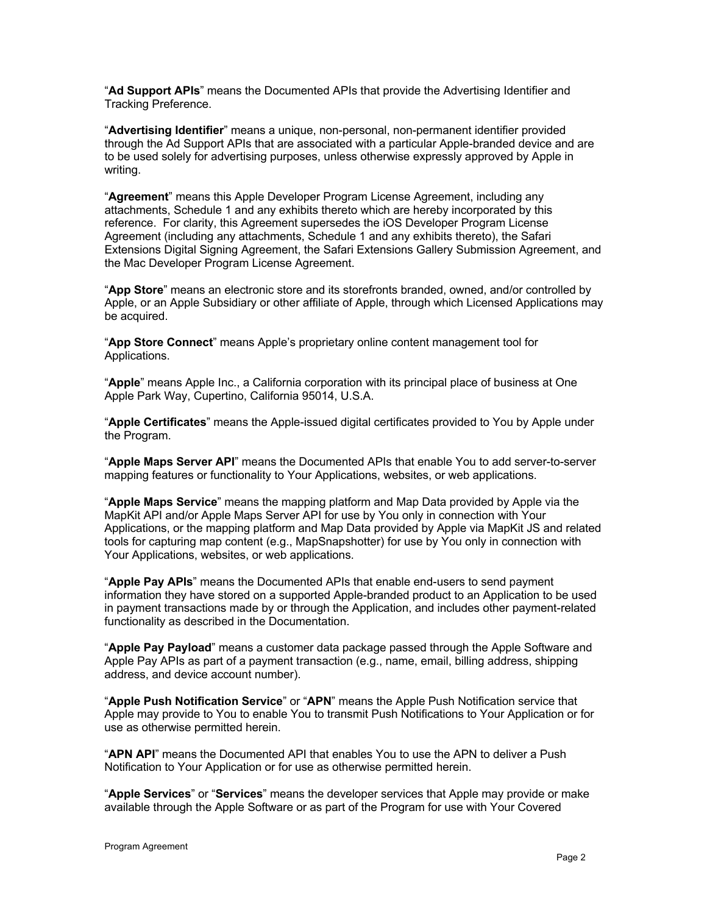"**Ad Support APIs**" means the Documented APIs that provide the Advertising Identifier and Tracking Preference.

"**Advertising Identifier**" means a unique, non-personal, non-permanent identifier provided through the Ad Support APIs that are associated with a particular Apple-branded device and are to be used solely for advertising purposes, unless otherwise expressly approved by Apple in writing.

"**Agreement**" means this Apple Developer Program License Agreement, including any attachments, Schedule 1 and any exhibits thereto which are hereby incorporated by this reference. For clarity, this Agreement supersedes the iOS Developer Program License Agreement (including any attachments, Schedule 1 and any exhibits thereto), the Safari Extensions Digital Signing Agreement, the Safari Extensions Gallery Submission Agreement, and the Mac Developer Program License Agreement.

"**App Store**" means an electronic store and its storefronts branded, owned, and/or controlled by Apple, or an Apple Subsidiary or other affiliate of Apple, through which Licensed Applications may be acquired.

"**App Store Connect**" means Apple's proprietary online content management tool for Applications.

"**Apple**" means Apple Inc., a California corporation with its principal place of business at One Apple Park Way, Cupertino, California 95014, U.S.A.

"**Apple Certificates**" means the Apple-issued digital certificates provided to You by Apple under the Program.

"**Apple Maps Server API**" means the Documented APIs that enable You to add server-to-server mapping features or functionality to Your Applications, websites, or web applications.

"**Apple Maps Service**" means the mapping platform and Map Data provided by Apple via the MapKit API and/or Apple Maps Server API for use by You only in connection with Your Applications, or the mapping platform and Map Data provided by Apple via MapKit JS and related tools for capturing map content (e.g., MapSnapshotter) for use by You only in connection with Your Applications, websites, or web applications.

"**Apple Pay APIs**" means the Documented APIs that enable end-users to send payment information they have stored on a supported Apple-branded product to an Application to be used in payment transactions made by or through the Application, and includes other payment-related functionality as described in the Documentation.

"**Apple Pay Payload**" means a customer data package passed through the Apple Software and Apple Pay APIs as part of a payment transaction (e.g., name, email, billing address, shipping address, and device account number).

"**Apple Push Notification Service**" or "**APN**" means the Apple Push Notification service that Apple may provide to You to enable You to transmit Push Notifications to Your Application or for use as otherwise permitted herein.

"**APN API**" means the Documented API that enables You to use the APN to deliver a Push Notification to Your Application or for use as otherwise permitted herein.

"**Apple Services**" or "**Services**" means the developer services that Apple may provide or make available through the Apple Software or as part of the Program for use with Your Covered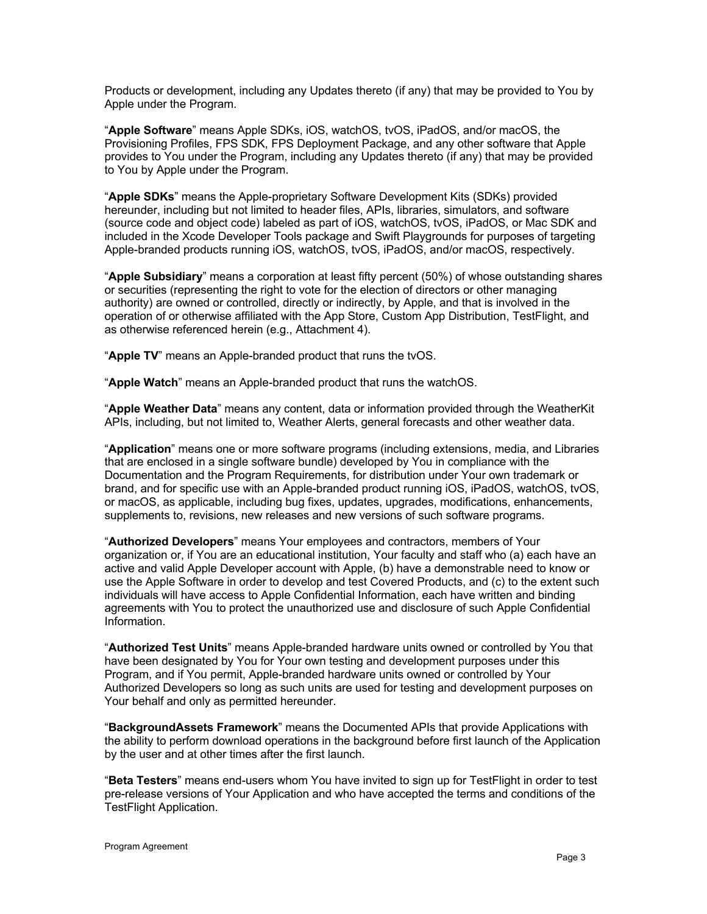Products or development, including any Updates thereto (if any) that may be provided to You by Apple under the Program.

"**Apple Software**" means Apple SDKs, iOS, watchOS, tvOS, iPadOS, and/or macOS, the Provisioning Profiles, FPS SDK, FPS Deployment Package, and any other software that Apple provides to You under the Program, including any Updates thereto (if any) that may be provided to You by Apple under the Program.

"**Apple SDKs**" means the Apple-proprietary Software Development Kits (SDKs) provided hereunder, including but not limited to header files, APIs, libraries, simulators, and software (source code and object code) labeled as part of iOS, watchOS, tvOS, iPadOS, or Mac SDK and included in the Xcode Developer Tools package and Swift Playgrounds for purposes of targeting Apple-branded products running iOS, watchOS, tvOS, iPadOS, and/or macOS, respectively.

"**Apple Subsidiary**" means a corporation at least fifty percent (50%) of whose outstanding shares or securities (representing the right to vote for the election of directors or other managing authority) are owned or controlled, directly or indirectly, by Apple, and that is involved in the operation of or otherwise affiliated with the App Store, Custom App Distribution, TestFlight, and as otherwise referenced herein (e.g., Attachment 4).

"**Apple TV**" means an Apple-branded product that runs the tvOS.

"**Apple Watch**" means an Apple-branded product that runs the watchOS.

"**Apple Weather Data**" means any content, data or information provided through the WeatherKit APIs, including, but not limited to, Weather Alerts, general forecasts and other weather data.

"**Application**" means one or more software programs (including extensions, media, and Libraries that are enclosed in a single software bundle) developed by You in compliance with the Documentation and the Program Requirements, for distribution under Your own trademark or brand, and for specific use with an Apple-branded product running iOS, iPadOS, watchOS, tvOS, or macOS, as applicable, including bug fixes, updates, upgrades, modifications, enhancements, supplements to, revisions, new releases and new versions of such software programs.

"**Authorized Developers**" means Your employees and contractors, members of Your organization or, if You are an educational institution, Your faculty and staff who (a) each have an active and valid Apple Developer account with Apple, (b) have a demonstrable need to know or use the Apple Software in order to develop and test Covered Products, and (c) to the extent such individuals will have access to Apple Confidential Information, each have written and binding agreements with You to protect the unauthorized use and disclosure of such Apple Confidential Information.

"**Authorized Test Units**" means Apple-branded hardware units owned or controlled by You that have been designated by You for Your own testing and development purposes under this Program, and if You permit, Apple-branded hardware units owned or controlled by Your Authorized Developers so long as such units are used for testing and development purposes on Your behalf and only as permitted hereunder.

"**BackgroundAssets Framework**" means the Documented APIs that provide Applications with the ability to perform download operations in the background before first launch of the Application by the user and at other times after the first launch.

"**Beta Testers**" means end-users whom You have invited to sign up for TestFlight in order to test pre-release versions of Your Application and who have accepted the terms and conditions of the TestFlight Application.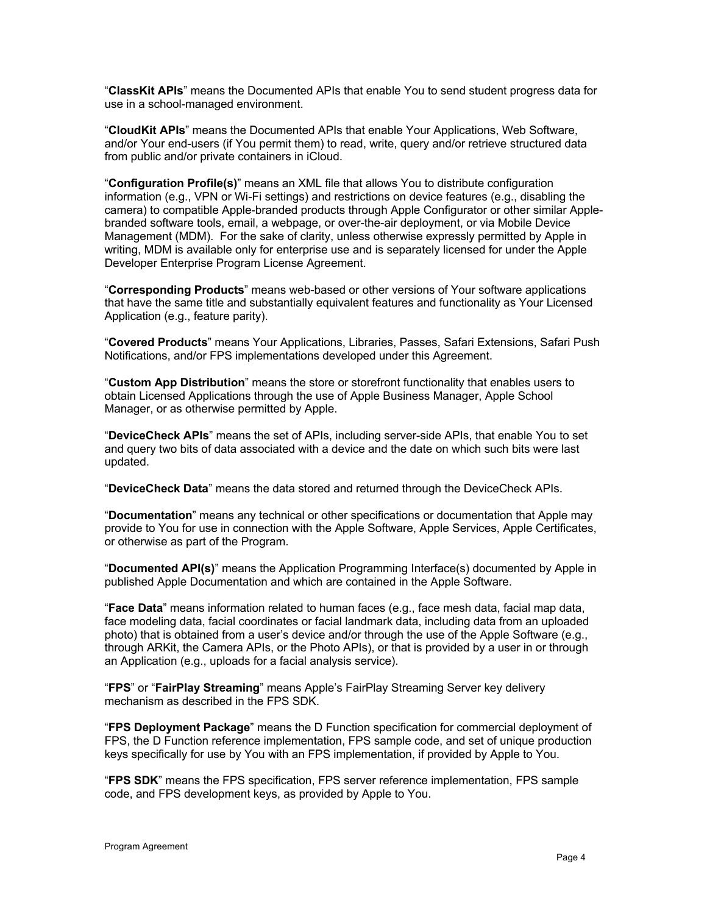"**ClassKit APIs**" means the Documented APIs that enable You to send student progress data for use in a school-managed environment.

"**CloudKit APIs**" means the Documented APIs that enable Your Applications, Web Software, and/or Your end-users (if You permit them) to read, write, query and/or retrieve structured data from public and/or private containers in iCloud.

"**Configuration Profile(s)**" means an XML file that allows You to distribute configuration information (e.g., VPN or Wi-Fi settings) and restrictions on device features (e.g., disabling the camera) to compatible Apple-branded products through Apple Configurator or other similar Applebranded software tools, email, a webpage, or over-the-air deployment, or via Mobile Device Management (MDM). For the sake of clarity, unless otherwise expressly permitted by Apple in writing, MDM is available only for enterprise use and is separately licensed for under the Apple Developer Enterprise Program License Agreement.

"**Corresponding Products**" means web-based or other versions of Your software applications that have the same title and substantially equivalent features and functionality as Your Licensed Application (e.g., feature parity).

"**Covered Products**" means Your Applications, Libraries, Passes, Safari Extensions, Safari Push Notifications, and/or FPS implementations developed under this Agreement.

"**Custom App Distribution**" means the store or storefront functionality that enables users to obtain Licensed Applications through the use of Apple Business Manager, Apple School Manager, or as otherwise permitted by Apple.

"**DeviceCheck APIs**" means the set of APIs, including server-side APIs, that enable You to set and query two bits of data associated with a device and the date on which such bits were last updated.

"**DeviceCheck Data**" means the data stored and returned through the DeviceCheck APIs.

"**Documentation**" means any technical or other specifications or documentation that Apple may provide to You for use in connection with the Apple Software, Apple Services, Apple Certificates, or otherwise as part of the Program.

"**Documented API(s)**" means the Application Programming Interface(s) documented by Apple in published Apple Documentation and which are contained in the Apple Software.

"**Face Data**" means information related to human faces (e.g., face mesh data, facial map data, face modeling data, facial coordinates or facial landmark data, including data from an uploaded photo) that is obtained from a user's device and/or through the use of the Apple Software (e.g., through ARKit, the Camera APIs, or the Photo APIs), or that is provided by a user in or through an Application (e.g., uploads for a facial analysis service).

"**FPS**" or "**FairPlay Streaming**" means Apple's FairPlay Streaming Server key delivery mechanism as described in the FPS SDK.

"**FPS Deployment Package**" means the D Function specification for commercial deployment of FPS, the D Function reference implementation, FPS sample code, and set of unique production keys specifically for use by You with an FPS implementation, if provided by Apple to You.

"**FPS SDK**" means the FPS specification, FPS server reference implementation, FPS sample code, and FPS development keys, as provided by Apple to You.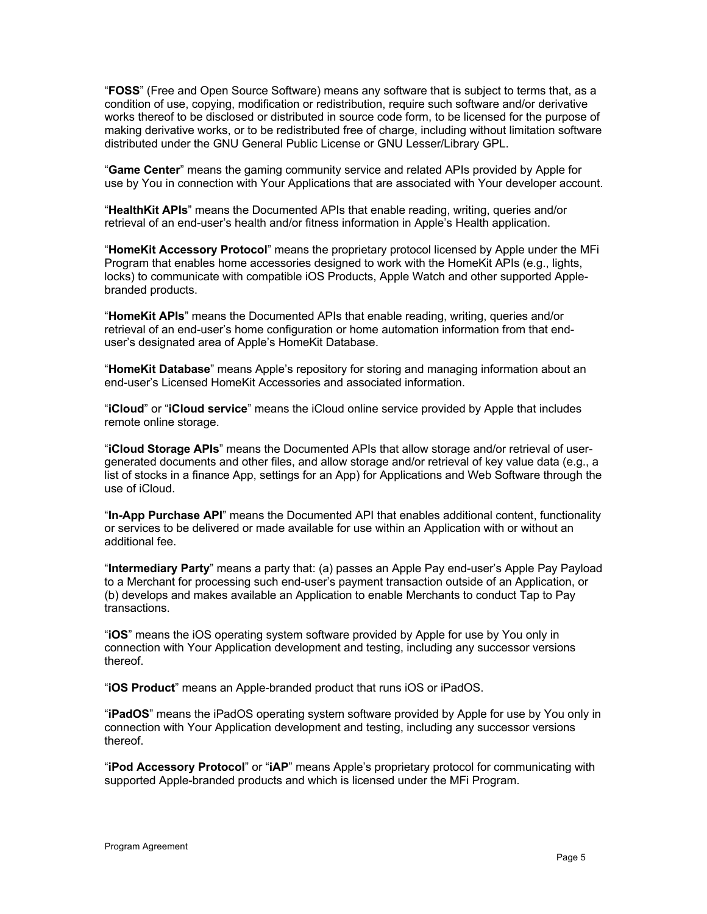"**FOSS**" (Free and Open Source Software) means any software that is subject to terms that, as a condition of use, copying, modification or redistribution, require such software and/or derivative works thereof to be disclosed or distributed in source code form, to be licensed for the purpose of making derivative works, or to be redistributed free of charge, including without limitation software distributed under the GNU General Public License or GNU Lesser/Library GPL.

"**Game Center**" means the gaming community service and related APIs provided by Apple for use by You in connection with Your Applications that are associated with Your developer account.

"**HealthKit APIs**" means the Documented APIs that enable reading, writing, queries and/or retrieval of an end-user's health and/or fitness information in Apple's Health application.

"**HomeKit Accessory Protocol**" means the proprietary protocol licensed by Apple under the MFi Program that enables home accessories designed to work with the HomeKit APIs (e.g., lights, locks) to communicate with compatible iOS Products, Apple Watch and other supported Applebranded products.

"**HomeKit APIs**" means the Documented APIs that enable reading, writing, queries and/or retrieval of an end-user's home configuration or home automation information from that enduser's designated area of Apple's HomeKit Database.

"**HomeKit Database**" means Apple's repository for storing and managing information about an end-user's Licensed HomeKit Accessories and associated information.

"**iCloud**" or "**iCloud service**" means the iCloud online service provided by Apple that includes remote online storage.

"**iCloud Storage APIs**" means the Documented APIs that allow storage and/or retrieval of usergenerated documents and other files, and allow storage and/or retrieval of key value data (e.g., a list of stocks in a finance App, settings for an App) for Applications and Web Software through the use of iCloud.

"**In-App Purchase API**" means the Documented API that enables additional content, functionality or services to be delivered or made available for use within an Application with or without an additional fee.

"**Intermediary Party**" means a party that: (a) passes an Apple Pay end-user's Apple Pay Payload to a Merchant for processing such end-user's payment transaction outside of an Application, or (b) develops and makes available an Application to enable Merchants to conduct Tap to Pay transactions.

"**iOS**" means the iOS operating system software provided by Apple for use by You only in connection with Your Application development and testing, including any successor versions thereof.

"**iOS Product**" means an Apple-branded product that runs iOS or iPadOS.

"**iPadOS**" means the iPadOS operating system software provided by Apple for use by You only in connection with Your Application development and testing, including any successor versions thereof.

"**iPod Accessory Protocol**" or "**iAP**" means Apple's proprietary protocol for communicating with supported Apple-branded products and which is licensed under the MFi Program.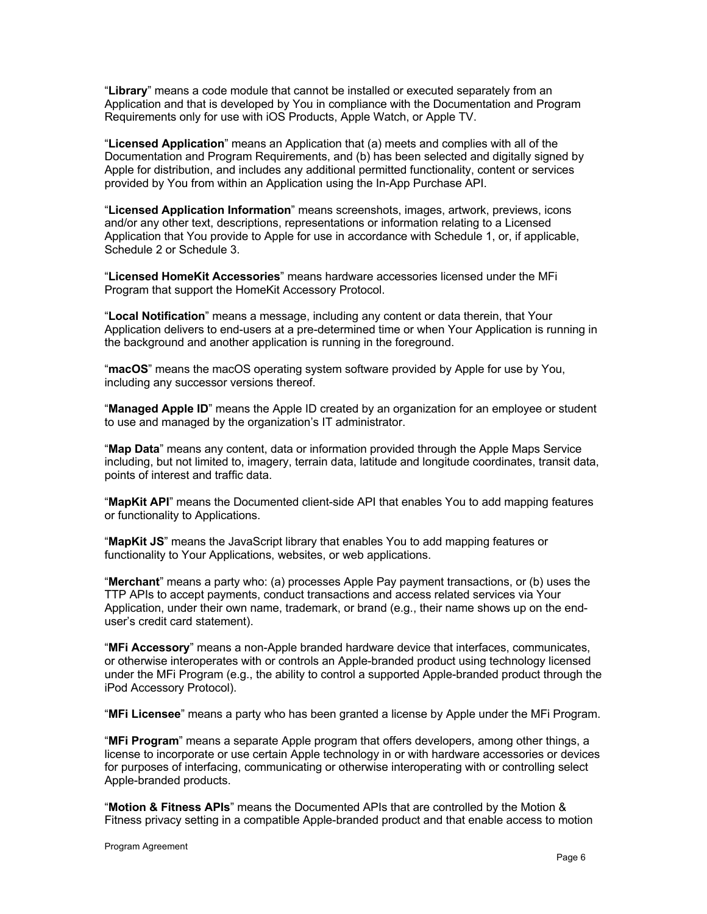"**Library**" means a code module that cannot be installed or executed separately from an Application and that is developed by You in compliance with the Documentation and Program Requirements only for use with iOS Products, Apple Watch, or Apple TV.

"**Licensed Application**" means an Application that (a) meets and complies with all of the Documentation and Program Requirements, and (b) has been selected and digitally signed by Apple for distribution, and includes any additional permitted functionality, content or services provided by You from within an Application using the In-App Purchase API.

"**Licensed Application Information**" means screenshots, images, artwork, previews, icons and/or any other text, descriptions, representations or information relating to a Licensed Application that You provide to Apple for use in accordance with Schedule 1, or, if applicable, Schedule 2 or Schedule 3.

"**Licensed HomeKit Accessories**" means hardware accessories licensed under the MFi Program that support the HomeKit Accessory Protocol.

"**Local Notification**" means a message, including any content or data therein, that Your Application delivers to end-users at a pre-determined time or when Your Application is running in the background and another application is running in the foreground.

"**macOS**" means the macOS operating system software provided by Apple for use by You, including any successor versions thereof.

"**Managed Apple ID**" means the Apple ID created by an organization for an employee or student to use and managed by the organization's IT administrator.

"**Map Data**" means any content, data or information provided through the Apple Maps Service including, but not limited to, imagery, terrain data, latitude and longitude coordinates, transit data, points of interest and traffic data.

"**MapKit API**" means the Documented client-side API that enables You to add mapping features or functionality to Applications.

"**MapKit JS**" means the JavaScript library that enables You to add mapping features or functionality to Your Applications, websites, or web applications.

"**Merchant**" means a party who: (a) processes Apple Pay payment transactions, or (b) uses the TTP APIs to accept payments, conduct transactions and access related services via Your Application, under their own name, trademark, or brand (e.g., their name shows up on the enduser's credit card statement).

"**MFi Accessory**" means a non-Apple branded hardware device that interfaces, communicates, or otherwise interoperates with or controls an Apple-branded product using technology licensed under the MFi Program (e.g., the ability to control a supported Apple-branded product through the iPod Accessory Protocol).

"**MFi Licensee**" means a party who has been granted a license by Apple under the MFi Program.

"**MFi Program**" means a separate Apple program that offers developers, among other things, a license to incorporate or use certain Apple technology in or with hardware accessories or devices for purposes of interfacing, communicating or otherwise interoperating with or controlling select Apple-branded products.

"**Motion & Fitness APIs**" means the Documented APIs that are controlled by the Motion & Fitness privacy setting in a compatible Apple-branded product and that enable access to motion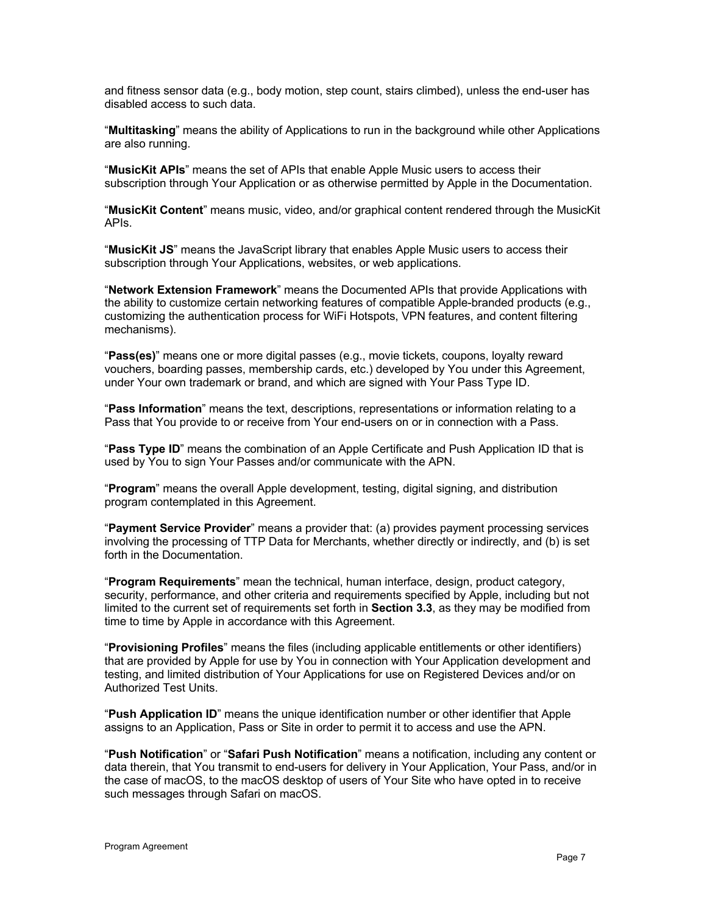and fitness sensor data (e.g., body motion, step count, stairs climbed), unless the end-user has disabled access to such data.

"**Multitasking**" means the ability of Applications to run in the background while other Applications are also running.

"**MusicKit APIs**" means the set of APIs that enable Apple Music users to access their subscription through Your Application or as otherwise permitted by Apple in the Documentation.

"**MusicKit Content**" means music, video, and/or graphical content rendered through the MusicKit APIs.

"**MusicKit JS**" means the JavaScript library that enables Apple Music users to access their subscription through Your Applications, websites, or web applications.

"**Network Extension Framework**" means the Documented APIs that provide Applications with the ability to customize certain networking features of compatible Apple-branded products (e.g., customizing the authentication process for WiFi Hotspots, VPN features, and content filtering mechanisms).

"**Pass(es)**" means one or more digital passes (e.g., movie tickets, coupons, loyalty reward vouchers, boarding passes, membership cards, etc.) developed by You under this Agreement, under Your own trademark or brand, and which are signed with Your Pass Type ID.

"**Pass Information**" means the text, descriptions, representations or information relating to a Pass that You provide to or receive from Your end-users on or in connection with a Pass.

"**Pass Type ID**" means the combination of an Apple Certificate and Push Application ID that is used by You to sign Your Passes and/or communicate with the APN.

"**Program**" means the overall Apple development, testing, digital signing, and distribution program contemplated in this Agreement.

"**Payment Service Provider**" means a provider that: (a) provides payment processing services involving the processing of TTP Data for Merchants, whether directly or indirectly, and (b) is set forth in the Documentation.

"**Program Requirements**" mean the technical, human interface, design, product category, security, performance, and other criteria and requirements specified by Apple, including but not limited to the current set of requirements set forth in **Section 3.3**, as they may be modified from time to time by Apple in accordance with this Agreement.

"**Provisioning Profiles**" means the files (including applicable entitlements or other identifiers) that are provided by Apple for use by You in connection with Your Application development and testing, and limited distribution of Your Applications for use on Registered Devices and/or on Authorized Test Units.

"**Push Application ID**" means the unique identification number or other identifier that Apple assigns to an Application, Pass or Site in order to permit it to access and use the APN.

"**Push Notification**" or "**Safari Push Notification**" means a notification, including any content or data therein, that You transmit to end-users for delivery in Your Application, Your Pass, and/or in the case of macOS, to the macOS desktop of users of Your Site who have opted in to receive such messages through Safari on macOS.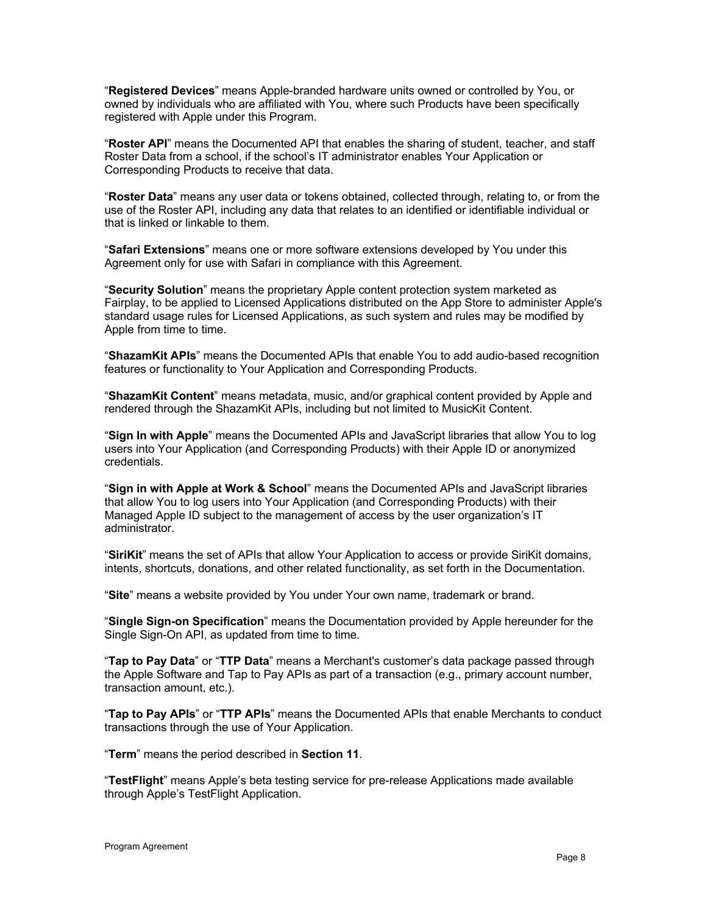"**Registered Devices**" means Apple-branded hardware units owned or controlled by You, or owned by individuals who are affiliated with You, where such Products have been specifically registered with Apple under this Program.

"**Roster API**" means the Documented API that enables the sharing of student, teacher, and staff Roster Data from a school, if the school's IT administrator enables Your Application or Corresponding Products to receive that data.

"**Roster Data**" means any user data or tokens obtained, collected through, relating to, or from the use of the Roster API, including any data that relates to an identified or identifiable individual or that is linked or linkable to them.

"**Safari Extensions**" means one or more software extensions developed by You under this Agreement only for use with Safari in compliance with this Agreement.

"**Security Solution**" means the proprietary Apple content protection system marketed as Fairplay, to be applied to Licensed Applications distributed on the App Store to administer Apple's standard usage rules for Licensed Applications, as such system and rules may be modified by Apple from time to time.

"**ShazamKit APIs**" means the Documented APIs that enable You to add audio-based recognition features or functionality to Your Application and Corresponding Products.

"**ShazamKit Content**" means metadata, music, and/or graphical content provided by Apple and rendered through the ShazamKit APIs, including but not limited to MusicKit Content.

"**Sign In with Apple**" means the Documented APIs and JavaScript libraries that allow You to log users into Your Application (and Corresponding Products) with their Apple ID or anonymized credentials.

"**Sign in with Apple at Work & School**" means the Documented APIs and JavaScript libraries that allow You to log users into Your Application (and Corresponding Products) with their Managed Apple ID subject to the management of access by the user organization's IT administrator.

"**SiriKit**" means the set of APIs that allow Your Application to access or provide SiriKit domains, intents, shortcuts, donations, and other related functionality, as set forth in the Documentation.

"**Site**" means a website provided by You under Your own name, trademark or brand.

"**Single Sign-on Specification**" means the Documentation provided by Apple hereunder for the Single Sign-On API, as updated from time to time.

"**Tap to Pay Data**" or "**TTP Data**" means a Merchant's customer's data package passed through the Apple Software and Tap to Pay APIs as part of a transaction (e.g., primary account number, transaction amount, etc.).

"**Tap to Pay APIs**" or "**TTP APIs**" means the Documented APIs that enable Merchants to conduct transactions through the use of Your Application.

"**Term**" means the period described in **Section 11**.

"**TestFlight**" means Apple's beta testing service for pre-release Applications made available through Apple's TestFlight Application.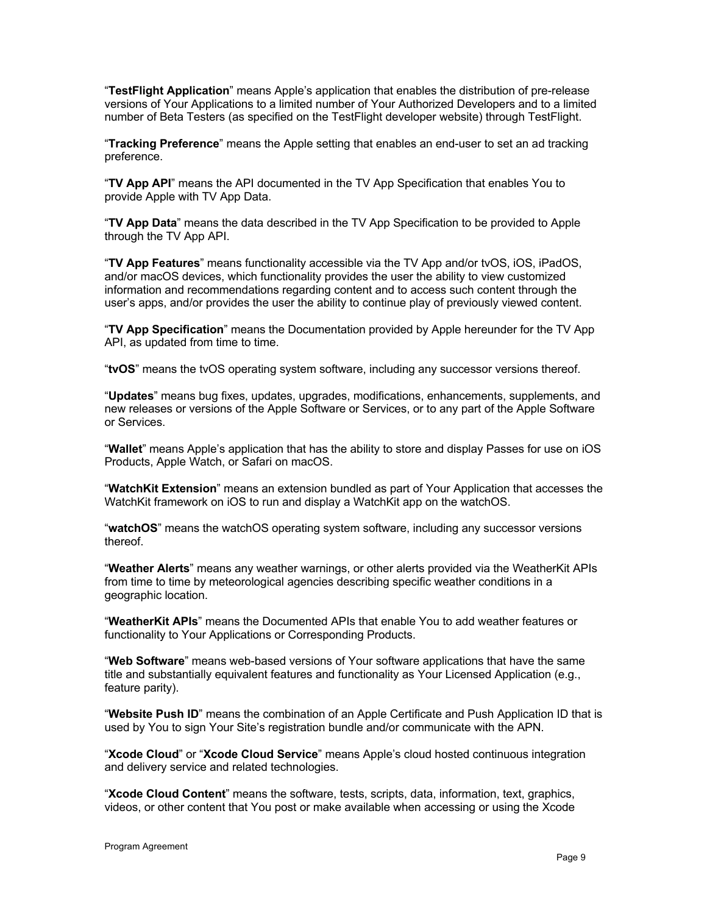"**TestFlight Application**" means Apple's application that enables the distribution of pre-release versions of Your Applications to a limited number of Your Authorized Developers and to a limited number of Beta Testers (as specified on the TestFlight developer website) through TestFlight.

"**Tracking Preference**" means the Apple setting that enables an end-user to set an ad tracking preference.

"**TV App API**" means the API documented in the TV App Specification that enables You to provide Apple with TV App Data.

"**TV App Data**" means the data described in the TV App Specification to be provided to Apple through the TV App API.

"**TV App Features**" means functionality accessible via the TV App and/or tvOS, iOS, iPadOS, and/or macOS devices, which functionality provides the user the ability to view customized information and recommendations regarding content and to access such content through the user's apps, and/or provides the user the ability to continue play of previously viewed content.

"**TV App Specification**" means the Documentation provided by Apple hereunder for the TV App API, as updated from time to time.

"**tvOS**" means the tvOS operating system software, including any successor versions thereof.

"**Updates**" means bug fixes, updates, upgrades, modifications, enhancements, supplements, and new releases or versions of the Apple Software or Services, or to any part of the Apple Software or Services.

"**Wallet**" means Apple's application that has the ability to store and display Passes for use on iOS Products, Apple Watch, or Safari on macOS.

"**WatchKit Extension**" means an extension bundled as part of Your Application that accesses the WatchKit framework on iOS to run and display a WatchKit app on the watchOS.

"**watchOS**" means the watchOS operating system software, including any successor versions thereof.

"**Weather Alerts**" means any weather warnings, or other alerts provided via the WeatherKit APIs from time to time by meteorological agencies describing specific weather conditions in a geographic location.

"**WeatherKit APIs**" means the Documented APIs that enable You to add weather features or functionality to Your Applications or Corresponding Products.

"**Web Software**" means web-based versions of Your software applications that have the same title and substantially equivalent features and functionality as Your Licensed Application (e.g., feature parity).

"**Website Push ID**" means the combination of an Apple Certificate and Push Application ID that is used by You to sign Your Site's registration bundle and/or communicate with the APN.

"**Xcode Cloud**" or "**Xcode Cloud Service**" means Apple's cloud hosted continuous integration and delivery service and related technologies.

"**Xcode Cloud Content**" means the software, tests, scripts, data, information, text, graphics, videos, or other content that You post or make available when accessing or using the Xcode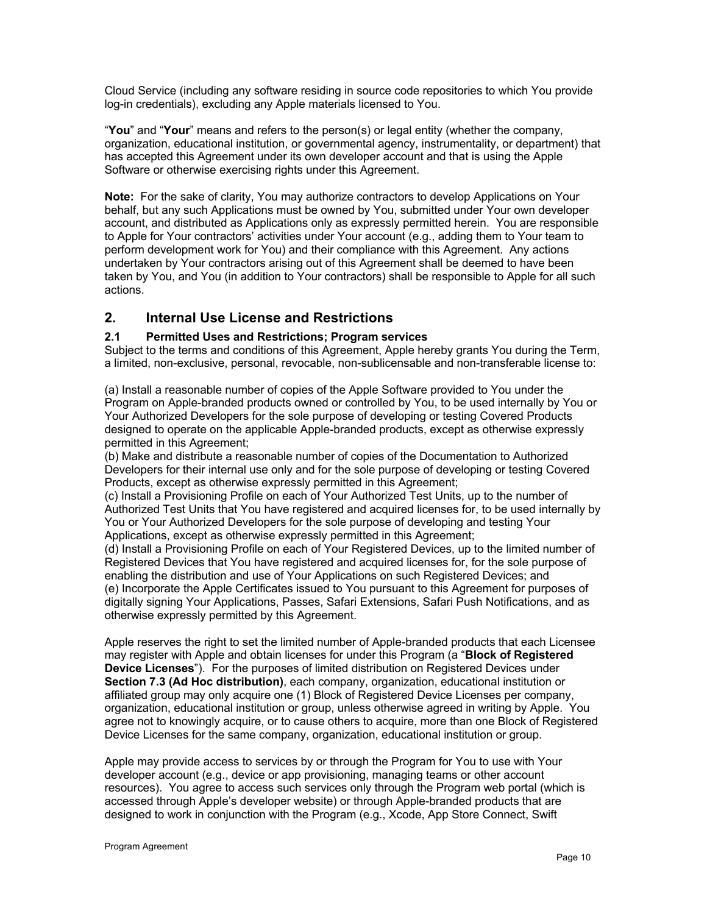Cloud Service (including any software residing in source code repositories to which You provide log-in credentials), excluding any Apple materials licensed to You.

"**You**" and "**Your**" means and refers to the person(s) or legal entity (whether the company, organization, educational institution, or governmental agency, instrumentality, or department) that has accepted this Agreement under its own developer account and that is using the Apple Software or otherwise exercising rights under this Agreement.

**Note:** For the sake of clarity, You may authorize contractors to develop Applications on Your behalf, but any such Applications must be owned by You, submitted under Your own developer account, and distributed as Applications only as expressly permitted herein. You are responsible to Apple for Your contractors' activities under Your account (e.g., adding them to Your team to perform development work for You) and their compliance with this Agreement. Any actions undertaken by Your contractors arising out of this Agreement shall be deemed to have been taken by You, and You (in addition to Your contractors) shall be responsible to Apple for all such actions.

# **2. Internal Use License and Restrictions**

## **2.1 Permitted Uses and Restrictions; Program services**

Subject to the terms and conditions of this Agreement, Apple hereby grants You during the Term, a limited, non-exclusive, personal, revocable, non-sublicensable and non-transferable license to:

(a) Install a reasonable number of copies of the Apple Software provided to You under the Program on Apple-branded products owned or controlled by You, to be used internally by You or Your Authorized Developers for the sole purpose of developing or testing Covered Products designed to operate on the applicable Apple-branded products, except as otherwise expressly permitted in this Agreement;

(b) Make and distribute a reasonable number of copies of the Documentation to Authorized Developers for their internal use only and for the sole purpose of developing or testing Covered Products, except as otherwise expressly permitted in this Agreement;

(c) Install a Provisioning Profile on each of Your Authorized Test Units, up to the number of Authorized Test Units that You have registered and acquired licenses for, to be used internally by You or Your Authorized Developers for the sole purpose of developing and testing Your Applications, except as otherwise expressly permitted in this Agreement;

(d) Install a Provisioning Profile on each of Your Registered Devices, up to the limited number of Registered Devices that You have registered and acquired licenses for, for the sole purpose of enabling the distribution and use of Your Applications on such Registered Devices; and (e) Incorporate the Apple Certificates issued to You pursuant to this Agreement for purposes of digitally signing Your Applications, Passes, Safari Extensions, Safari Push Notifications, and as otherwise expressly permitted by this Agreement.

Apple reserves the right to set the limited number of Apple-branded products that each Licensee may register with Apple and obtain licenses for under this Program (a "**Block of Registered Device Licenses**"). For the purposes of limited distribution on Registered Devices under **Section 7.3 (Ad Hoc distribution)**, each company, organization, educational institution or affiliated group may only acquire one (1) Block of Registered Device Licenses per company, organization, educational institution or group, unless otherwise agreed in writing by Apple. You agree not to knowingly acquire, or to cause others to acquire, more than one Block of Registered Device Licenses for the same company, organization, educational institution or group.

Apple may provide access to services by or through the Program for You to use with Your developer account (e.g., device or app provisioning, managing teams or other account resources). You agree to access such services only through the Program web portal (which is accessed through Apple's developer website) or through Apple-branded products that are designed to work in conjunction with the Program (e.g., Xcode, App Store Connect, Swift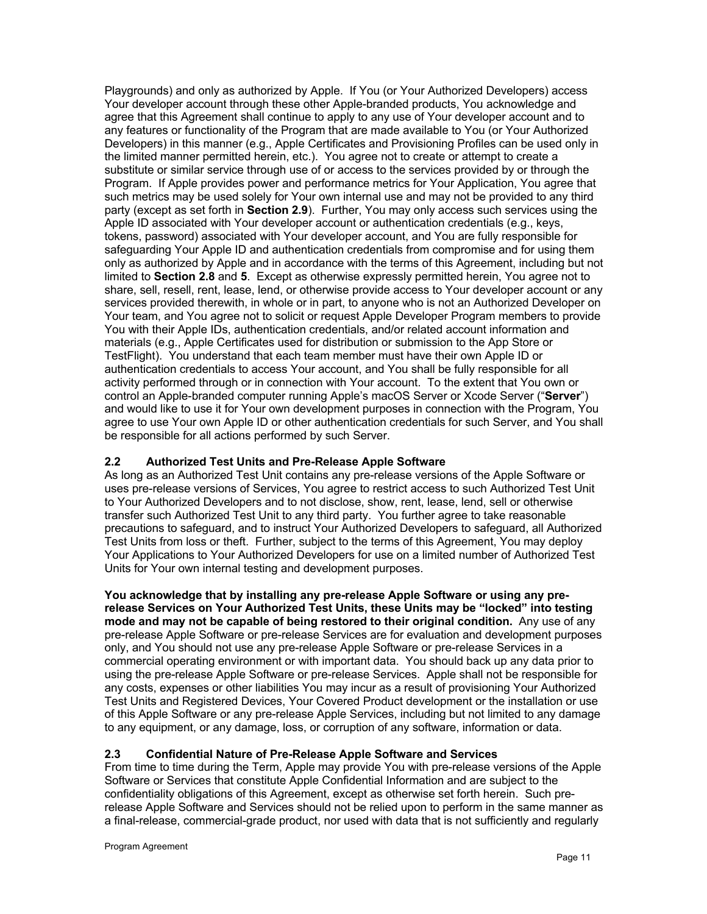Playgrounds) and only as authorized by Apple. If You (or Your Authorized Developers) access Your developer account through these other Apple-branded products, You acknowledge and agree that this Agreement shall continue to apply to any use of Your developer account and to any features or functionality of the Program that are made available to You (or Your Authorized Developers) in this manner (e.g., Apple Certificates and Provisioning Profiles can be used only in the limited manner permitted herein, etc.). You agree not to create or attempt to create a substitute or similar service through use of or access to the services provided by or through the Program. If Apple provides power and performance metrics for Your Application, You agree that such metrics may be used solely for Your own internal use and may not be provided to any third party (except as set forth in **Section 2.9**). Further, You may only access such services using the Apple ID associated with Your developer account or authentication credentials (e.g., keys, tokens, password) associated with Your developer account, and You are fully responsible for safeguarding Your Apple ID and authentication credentials from compromise and for using them only as authorized by Apple and in accordance with the terms of this Agreement, including but not limited to **Section 2.8** and **5**. Except as otherwise expressly permitted herein, You agree not to share, sell, resell, rent, lease, lend, or otherwise provide access to Your developer account or any services provided therewith, in whole or in part, to anyone who is not an Authorized Developer on Your team, and You agree not to solicit or request Apple Developer Program members to provide You with their Apple IDs, authentication credentials, and/or related account information and materials (e.g., Apple Certificates used for distribution or submission to the App Store or TestFlight). You understand that each team member must have their own Apple ID or authentication credentials to access Your account, and You shall be fully responsible for all activity performed through or in connection with Your account. To the extent that You own or control an Apple-branded computer running Apple's macOS Server or Xcode Server ("**Server**") and would like to use it for Your own development purposes in connection with the Program, You agree to use Your own Apple ID or other authentication credentials for such Server, and You shall be responsible for all actions performed by such Server.

## **2.2 Authorized Test Units and Pre-Release Apple Software**

As long as an Authorized Test Unit contains any pre-release versions of the Apple Software or uses pre-release versions of Services, You agree to restrict access to such Authorized Test Unit to Your Authorized Developers and to not disclose, show, rent, lease, lend, sell or otherwise transfer such Authorized Test Unit to any third party. You further agree to take reasonable precautions to safeguard, and to instruct Your Authorized Developers to safeguard, all Authorized Test Units from loss or theft. Further, subject to the terms of this Agreement, You may deploy Your Applications to Your Authorized Developers for use on a limited number of Authorized Test Units for Your own internal testing and development purposes.

**You acknowledge that by installing any pre-release Apple Software or using any prerelease Services on Your Authorized Test Units, these Units may be "locked" into testing mode and may not be capable of being restored to their original condition.** Any use of any pre-release Apple Software or pre-release Services are for evaluation and development purposes only, and You should not use any pre-release Apple Software or pre-release Services in a commercial operating environment or with important data. You should back up any data prior to using the pre-release Apple Software or pre-release Services. Apple shall not be responsible for any costs, expenses or other liabilities You may incur as a result of provisioning Your Authorized Test Units and Registered Devices, Your Covered Product development or the installation or use of this Apple Software or any pre-release Apple Services, including but not limited to any damage to any equipment, or any damage, loss, or corruption of any software, information or data.

# **2.3 Confidential Nature of Pre-Release Apple Software and Services**

From time to time during the Term, Apple may provide You with pre-release versions of the Apple Software or Services that constitute Apple Confidential Information and are subject to the confidentiality obligations of this Agreement, except as otherwise set forth herein. Such prerelease Apple Software and Services should not be relied upon to perform in the same manner as a final-release, commercial-grade product, nor used with data that is not sufficiently and regularly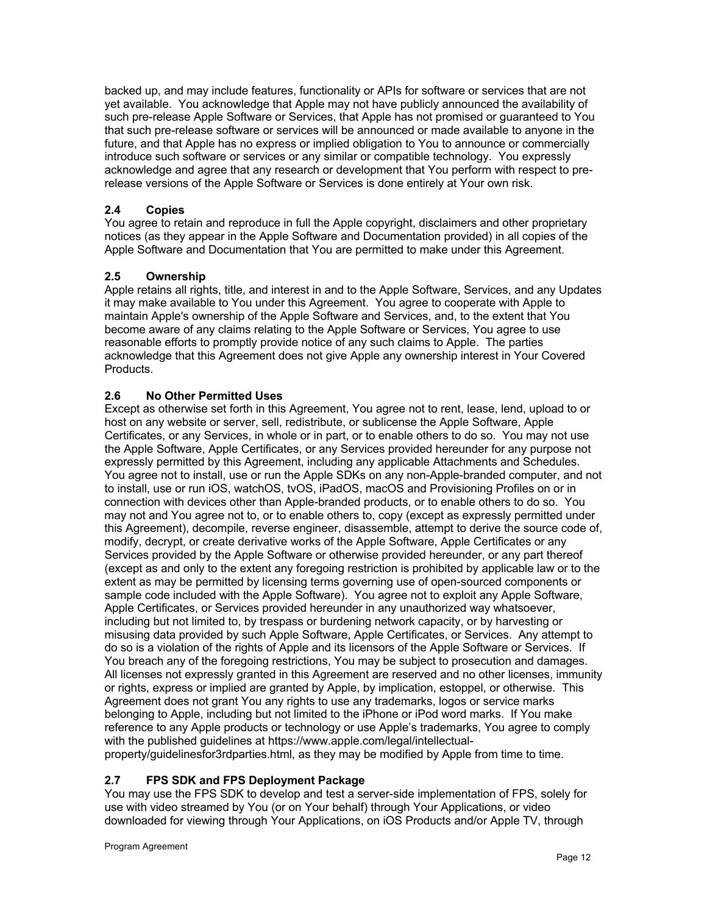backed up, and may include features, functionality or APIs for software or services that are not yet available. You acknowledge that Apple may not have publicly announced the availability of such pre-release Apple Software or Services, that Apple has not promised or guaranteed to You that such pre-release software or services will be announced or made available to anyone in the future, and that Apple has no express or implied obligation to You to announce or commercially introduce such software or services or any similar or compatible technology. You expressly acknowledge and agree that any research or development that You perform with respect to prerelease versions of the Apple Software or Services is done entirely at Your own risk.

## **2.4 Copies**

You agree to retain and reproduce in full the Apple copyright, disclaimers and other proprietary notices (as they appear in the Apple Software and Documentation provided) in all copies of the Apple Software and Documentation that You are permitted to make under this Agreement.

## **2.5 Ownership**

Apple retains all rights, title, and interest in and to the Apple Software, Services, and any Updates it may make available to You under this Agreement. You agree to cooperate with Apple to maintain Apple's ownership of the Apple Software and Services, and, to the extent that You become aware of any claims relating to the Apple Software or Services, You agree to use reasonable efforts to promptly provide notice of any such claims to Apple. The parties acknowledge that this Agreement does not give Apple any ownership interest in Your Covered Products.

## **2.6 No Other Permitted Uses**

Except as otherwise set forth in this Agreement, You agree not to rent, lease, lend, upload to or host on any website or server, sell, redistribute, or sublicense the Apple Software, Apple Certificates, or any Services, in whole or in part, or to enable others to do so. You may not use the Apple Software, Apple Certificates, or any Services provided hereunder for any purpose not expressly permitted by this Agreement, including any applicable Attachments and Schedules. You agree not to install, use or run the Apple SDKs on any non-Apple-branded computer, and not to install, use or run iOS, watchOS, tvOS, iPadOS, macOS and Provisioning Profiles on or in connection with devices other than Apple-branded products, or to enable others to do so. You may not and You agree not to, or to enable others to, copy (except as expressly permitted under this Agreement), decompile, reverse engineer, disassemble, attempt to derive the source code of, modify, decrypt, or create derivative works of the Apple Software, Apple Certificates or any Services provided by the Apple Software or otherwise provided hereunder, or any part thereof (except as and only to the extent any foregoing restriction is prohibited by applicable law or to the extent as may be permitted by licensing terms governing use of open-sourced components or sample code included with the Apple Software). You agree not to exploit any Apple Software, Apple Certificates, or Services provided hereunder in any unauthorized way whatsoever, including but not limited to, by trespass or burdening network capacity, or by harvesting or misusing data provided by such Apple Software, Apple Certificates, or Services. Any attempt to do so is a violation of the rights of Apple and its licensors of the Apple Software or Services. If You breach any of the foregoing restrictions, You may be subject to prosecution and damages. All licenses not expressly granted in this Agreement are reserved and no other licenses, immunity or rights, express or implied are granted by Apple, by implication, estoppel, or otherwise. This Agreement does not grant You any rights to use any trademarks, logos or service marks belonging to Apple, including but not limited to the iPhone or iPod word marks. If You make reference to any Apple products or technology or use Apple's trademarks, You agree to comply with the published guidelines at https://www.apple.com/legal/intellectualproperty/guidelinesfor3rdparties.html, as they may be modified by Apple from time to time.

## **2.7 FPS SDK and FPS Deployment Package**

You may use the FPS SDK to develop and test a server-side implementation of FPS, solely for use with video streamed by You (or on Your behalf) through Your Applications, or video downloaded for viewing through Your Applications, on iOS Products and/or Apple TV, through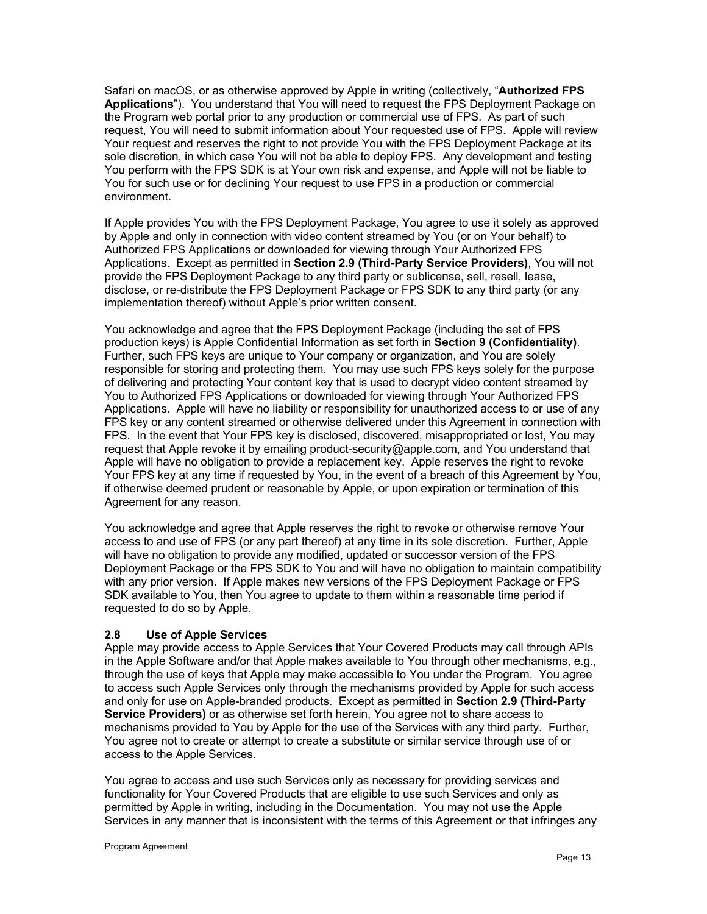Safari on macOS, or as otherwise approved by Apple in writing (collectively, "**Authorized FPS Applications**"). You understand that You will need to request the FPS Deployment Package on the Program web portal prior to any production or commercial use of FPS. As part of such request, You will need to submit information about Your requested use of FPS. Apple will review Your request and reserves the right to not provide You with the FPS Deployment Package at its sole discretion, in which case You will not be able to deploy FPS. Any development and testing You perform with the FPS SDK is at Your own risk and expense, and Apple will not be liable to You for such use or for declining Your request to use FPS in a production or commercial environment.

If Apple provides You with the FPS Deployment Package, You agree to use it solely as approved by Apple and only in connection with video content streamed by You (or on Your behalf) to Authorized FPS Applications or downloaded for viewing through Your Authorized FPS Applications. Except as permitted in **Section 2.9 (Third-Party Service Providers)**, You will not provide the FPS Deployment Package to any third party or sublicense, sell, resell, lease, disclose, or re-distribute the FPS Deployment Package or FPS SDK to any third party (or any implementation thereof) without Apple's prior written consent.

You acknowledge and agree that the FPS Deployment Package (including the set of FPS production keys) is Apple Confidential Information as set forth in **Section 9 (Confidentiality)**. Further, such FPS keys are unique to Your company or organization, and You are solely responsible for storing and protecting them. You may use such FPS keys solely for the purpose of delivering and protecting Your content key that is used to decrypt video content streamed by You to Authorized FPS Applications or downloaded for viewing through Your Authorized FPS Applications. Apple will have no liability or responsibility for unauthorized access to or use of any FPS key or any content streamed or otherwise delivered under this Agreement in connection with FPS. In the event that Your FPS key is disclosed, discovered, misappropriated or lost, You may request that Apple revoke it by emailing product-security@apple.com, and You understand that Apple will have no obligation to provide a replacement key. Apple reserves the right to revoke Your FPS key at any time if requested by You, in the event of a breach of this Agreement by You, if otherwise deemed prudent or reasonable by Apple, or upon expiration or termination of this Agreement for any reason.

You acknowledge and agree that Apple reserves the right to revoke or otherwise remove Your access to and use of FPS (or any part thereof) at any time in its sole discretion. Further, Apple will have no obligation to provide any modified, updated or successor version of the FPS Deployment Package or the FPS SDK to You and will have no obligation to maintain compatibility with any prior version. If Apple makes new versions of the FPS Deployment Package or FPS SDK available to You, then You agree to update to them within a reasonable time period if requested to do so by Apple.

## **2.8 Use of Apple Services**

Apple may provide access to Apple Services that Your Covered Products may call through APIs in the Apple Software and/or that Apple makes available to You through other mechanisms, e.g., through the use of keys that Apple may make accessible to You under the Program. You agree to access such Apple Services only through the mechanisms provided by Apple for such access and only for use on Apple-branded products. Except as permitted in **Section 2.9 (Third-Party Service Providers)** or as otherwise set forth herein, You agree not to share access to mechanisms provided to You by Apple for the use of the Services with any third party. Further, You agree not to create or attempt to create a substitute or similar service through use of or access to the Apple Services.

You agree to access and use such Services only as necessary for providing services and functionality for Your Covered Products that are eligible to use such Services and only as permitted by Apple in writing, including in the Documentation. You may not use the Apple Services in any manner that is inconsistent with the terms of this Agreement or that infringes any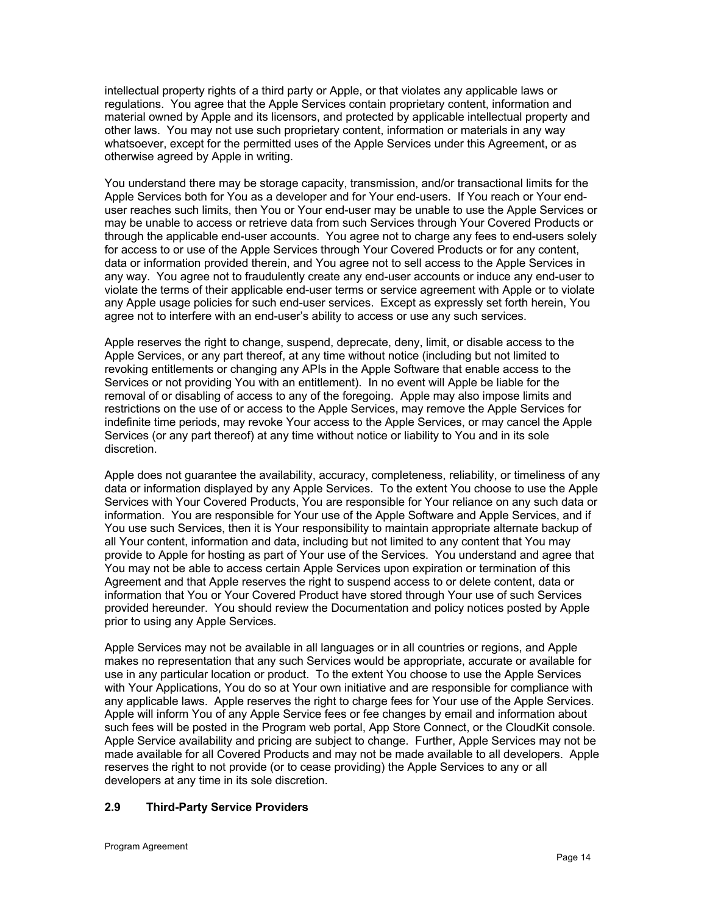intellectual property rights of a third party or Apple, or that violates any applicable laws or regulations. You agree that the Apple Services contain proprietary content, information and material owned by Apple and its licensors, and protected by applicable intellectual property and other laws. You may not use such proprietary content, information or materials in any way whatsoever, except for the permitted uses of the Apple Services under this Agreement, or as otherwise agreed by Apple in writing.

You understand there may be storage capacity, transmission, and/or transactional limits for the Apple Services both for You as a developer and for Your end-users. If You reach or Your enduser reaches such limits, then You or Your end-user may be unable to use the Apple Services or may be unable to access or retrieve data from such Services through Your Covered Products or through the applicable end-user accounts. You agree not to charge any fees to end-users solely for access to or use of the Apple Services through Your Covered Products or for any content, data or information provided therein, and You agree not to sell access to the Apple Services in any way. You agree not to fraudulently create any end-user accounts or induce any end-user to violate the terms of their applicable end-user terms or service agreement with Apple or to violate any Apple usage policies for such end-user services. Except as expressly set forth herein, You agree not to interfere with an end-user's ability to access or use any such services.

Apple reserves the right to change, suspend, deprecate, deny, limit, or disable access to the Apple Services, or any part thereof, at any time without notice (including but not limited to revoking entitlements or changing any APIs in the Apple Software that enable access to the Services or not providing You with an entitlement). In no event will Apple be liable for the removal of or disabling of access to any of the foregoing. Apple may also impose limits and restrictions on the use of or access to the Apple Services, may remove the Apple Services for indefinite time periods, may revoke Your access to the Apple Services, or may cancel the Apple Services (or any part thereof) at any time without notice or liability to You and in its sole discretion.

Apple does not guarantee the availability, accuracy, completeness, reliability, or timeliness of any data or information displayed by any Apple Services. To the extent You choose to use the Apple Services with Your Covered Products, You are responsible for Your reliance on any such data or information. You are responsible for Your use of the Apple Software and Apple Services, and if You use such Services, then it is Your responsibility to maintain appropriate alternate backup of all Your content, information and data, including but not limited to any content that You may provide to Apple for hosting as part of Your use of the Services. You understand and agree that You may not be able to access certain Apple Services upon expiration or termination of this Agreement and that Apple reserves the right to suspend access to or delete content, data or information that You or Your Covered Product have stored through Your use of such Services provided hereunder. You should review the Documentation and policy notices posted by Apple prior to using any Apple Services.

Apple Services may not be available in all languages or in all countries or regions, and Apple makes no representation that any such Services would be appropriate, accurate or available for use in any particular location or product. To the extent You choose to use the Apple Services with Your Applications, You do so at Your own initiative and are responsible for compliance with any applicable laws. Apple reserves the right to charge fees for Your use of the Apple Services. Apple will inform You of any Apple Service fees or fee changes by email and information about such fees will be posted in the Program web portal, App Store Connect, or the CloudKit console. Apple Service availability and pricing are subject to change. Further, Apple Services may not be made available for all Covered Products and may not be made available to all developers. Apple reserves the right to not provide (or to cease providing) the Apple Services to any or all developers at any time in its sole discretion.

## **2.9 Third-Party Service Providers**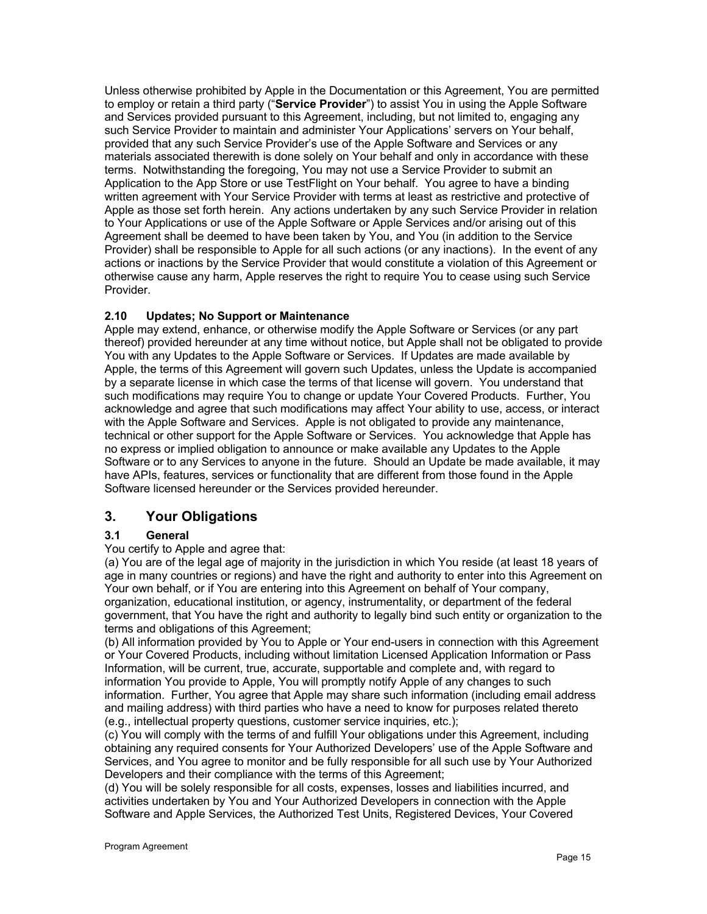Unless otherwise prohibited by Apple in the Documentation or this Agreement, You are permitted to employ or retain a third party ("**Service Provider**") to assist You in using the Apple Software and Services provided pursuant to this Agreement, including, but not limited to, engaging any such Service Provider to maintain and administer Your Applications' servers on Your behalf, provided that any such Service Provider's use of the Apple Software and Services or any materials associated therewith is done solely on Your behalf and only in accordance with these terms. Notwithstanding the foregoing, You may not use a Service Provider to submit an Application to the App Store or use TestFlight on Your behalf. You agree to have a binding written agreement with Your Service Provider with terms at least as restrictive and protective of Apple as those set forth herein. Any actions undertaken by any such Service Provider in relation to Your Applications or use of the Apple Software or Apple Services and/or arising out of this Agreement shall be deemed to have been taken by You, and You (in addition to the Service Provider) shall be responsible to Apple for all such actions (or any inactions). In the event of any actions or inactions by the Service Provider that would constitute a violation of this Agreement or otherwise cause any harm, Apple reserves the right to require You to cease using such Service Provider.

## **2.10 Updates; No Support or Maintenance**

Apple may extend, enhance, or otherwise modify the Apple Software or Services (or any part thereof) provided hereunder at any time without notice, but Apple shall not be obligated to provide You with any Updates to the Apple Software or Services. If Updates are made available by Apple, the terms of this Agreement will govern such Updates, unless the Update is accompanied by a separate license in which case the terms of that license will govern. You understand that such modifications may require You to change or update Your Covered Products. Further, You acknowledge and agree that such modifications may affect Your ability to use, access, or interact with the Apple Software and Services. Apple is not obligated to provide any maintenance, technical or other support for the Apple Software or Services. You acknowledge that Apple has no express or implied obligation to announce or make available any Updates to the Apple Software or to any Services to anyone in the future. Should an Update be made available, it may have APIs, features, services or functionality that are different from those found in the Apple Software licensed hereunder or the Services provided hereunder.

# **3. Your Obligations**

## **3.1 General**

#### You certify to Apple and agree that:

(a) You are of the legal age of majority in the jurisdiction in which You reside (at least 18 years of age in many countries or regions) and have the right and authority to enter into this Agreement on Your own behalf, or if You are entering into this Agreement on behalf of Your company, organization, educational institution, or agency, instrumentality, or department of the federal government, that You have the right and authority to legally bind such entity or organization to the terms and obligations of this Agreement;

(b) All information provided by You to Apple or Your end-users in connection with this Agreement or Your Covered Products, including without limitation Licensed Application Information or Pass Information, will be current, true, accurate, supportable and complete and, with regard to information You provide to Apple, You will promptly notify Apple of any changes to such information. Further, You agree that Apple may share such information (including email address and mailing address) with third parties who have a need to know for purposes related thereto (e.g., intellectual property questions, customer service inquiries, etc.);

(c) You will comply with the terms of and fulfill Your obligations under this Agreement, including obtaining any required consents for Your Authorized Developers' use of the Apple Software and Services, and You agree to monitor and be fully responsible for all such use by Your Authorized Developers and their compliance with the terms of this Agreement;

(d) You will be solely responsible for all costs, expenses, losses and liabilities incurred, and activities undertaken by You and Your Authorized Developers in connection with the Apple Software and Apple Services, the Authorized Test Units, Registered Devices, Your Covered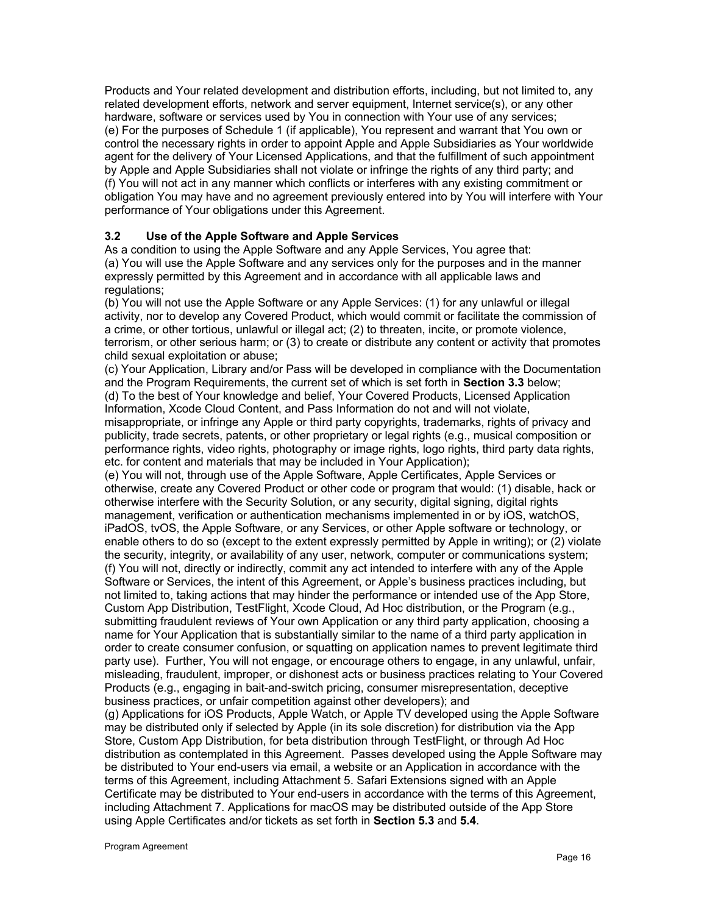Products and Your related development and distribution efforts, including, but not limited to, any related development efforts, network and server equipment, Internet service(s), or any other hardware, software or services used by You in connection with Your use of any services; (e) For the purposes of Schedule 1 (if applicable), You represent and warrant that You own or control the necessary rights in order to appoint Apple and Apple Subsidiaries as Your worldwide agent for the delivery of Your Licensed Applications, and that the fulfillment of such appointment by Apple and Apple Subsidiaries shall not violate or infringe the rights of any third party; and (f) You will not act in any manner which conflicts or interferes with any existing commitment or obligation You may have and no agreement previously entered into by You will interfere with Your performance of Your obligations under this Agreement.

## **3.2 Use of the Apple Software and Apple Services**

As a condition to using the Apple Software and any Apple Services, You agree that: (a) You will use the Apple Software and any services only for the purposes and in the manner expressly permitted by this Agreement and in accordance with all applicable laws and regulations:

(b) You will not use the Apple Software or any Apple Services: (1) for any unlawful or illegal activity, nor to develop any Covered Product, which would commit or facilitate the commission of a crime, or other tortious, unlawful or illegal act; (2) to threaten, incite, or promote violence, terrorism, or other serious harm; or (3) to create or distribute any content or activity that promotes child sexual exploitation or abuse;

(c) Your Application, Library and/or Pass will be developed in compliance with the Documentation and the Program Requirements, the current set of which is set forth in **Section 3.3** below; (d) To the best of Your knowledge and belief, Your Covered Products, Licensed Application Information, Xcode Cloud Content, and Pass Information do not and will not violate, misappropriate, or infringe any Apple or third party copyrights, trademarks, rights of privacy and publicity, trade secrets, patents, or other proprietary or legal rights (e.g., musical composition or performance rights, video rights, photography or image rights, logo rights, third party data rights, etc. for content and materials that may be included in Your Application);

(e) You will not, through use of the Apple Software, Apple Certificates, Apple Services or otherwise, create any Covered Product or other code or program that would: (1) disable, hack or otherwise interfere with the Security Solution, or any security, digital signing, digital rights management, verification or authentication mechanisms implemented in or by iOS, watchOS, iPadOS, tvOS, the Apple Software, or any Services, or other Apple software or technology, or enable others to do so (except to the extent expressly permitted by Apple in writing); or (2) violate the security, integrity, or availability of any user, network, computer or communications system; (f) You will not, directly or indirectly, commit any act intended to interfere with any of the Apple Software or Services, the intent of this Agreement, or Apple's business practices including, but not limited to, taking actions that may hinder the performance or intended use of the App Store, Custom App Distribution, TestFlight, Xcode Cloud, Ad Hoc distribution, or the Program (e.g., submitting fraudulent reviews of Your own Application or any third party application, choosing a name for Your Application that is substantially similar to the name of a third party application in order to create consumer confusion, or squatting on application names to prevent legitimate third party use). Further, You will not engage, or encourage others to engage, in any unlawful, unfair, misleading, fraudulent, improper, or dishonest acts or business practices relating to Your Covered Products (e.g., engaging in bait-and-switch pricing, consumer misrepresentation, deceptive business practices, or unfair competition against other developers); and

(g) Applications for iOS Products, Apple Watch, or Apple TV developed using the Apple Software may be distributed only if selected by Apple (in its sole discretion) for distribution via the App Store, Custom App Distribution, for beta distribution through TestFlight, or through Ad Hoc distribution as contemplated in this Agreement. Passes developed using the Apple Software may be distributed to Your end-users via email, a website or an Application in accordance with the terms of this Agreement, including Attachment 5. Safari Extensions signed with an Apple Certificate may be distributed to Your end-users in accordance with the terms of this Agreement, including Attachment 7. Applications for macOS may be distributed outside of the App Store using Apple Certificates and/or tickets as set forth in **Section 5.3** and **5.4**.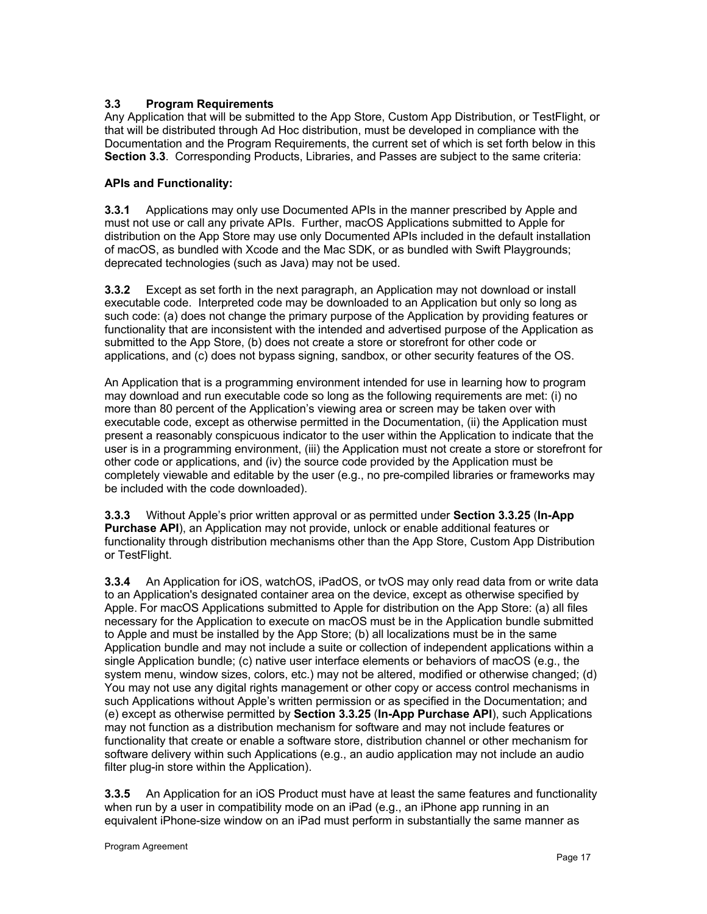## **3.3 Program Requirements**

Any Application that will be submitted to the App Store, Custom App Distribution, or TestFlight, or that will be distributed through Ad Hoc distribution, must be developed in compliance with the Documentation and the Program Requirements, the current set of which is set forth below in this **Section 3.3**. Corresponding Products, Libraries, and Passes are subject to the same criteria:

## **APIs and Functionality:**

**3.3.1** Applications may only use Documented APIs in the manner prescribed by Apple and must not use or call any private APIs. Further, macOS Applications submitted to Apple for distribution on the App Store may use only Documented APIs included in the default installation of macOS, as bundled with Xcode and the Mac SDK, or as bundled with Swift Playgrounds; deprecated technologies (such as Java) may not be used.

**3.3.2** Except as set forth in the next paragraph, an Application may not download or install executable code. Interpreted code may be downloaded to an Application but only so long as such code: (a) does not change the primary purpose of the Application by providing features or functionality that are inconsistent with the intended and advertised purpose of the Application as submitted to the App Store, (b) does not create a store or storefront for other code or applications, and (c) does not bypass signing, sandbox, or other security features of the OS.

An Application that is a programming environment intended for use in learning how to program may download and run executable code so long as the following requirements are met: (i) no more than 80 percent of the Application's viewing area or screen may be taken over with executable code, except as otherwise permitted in the Documentation, (ii) the Application must present a reasonably conspicuous indicator to the user within the Application to indicate that the user is in a programming environment, (iii) the Application must not create a store or storefront for other code or applications, and (iv) the source code provided by the Application must be completely viewable and editable by the user (e.g., no pre-compiled libraries or frameworks may be included with the code downloaded).

**3.3.3** Without Apple's prior written approval or as permitted under **Section 3.3.25** (**In-App Purchase API**), an Application may not provide, unlock or enable additional features or functionality through distribution mechanisms other than the App Store, Custom App Distribution or TestFlight.

**3.3.4** An Application for iOS, watchOS, iPadOS, or tvOS may only read data from or write data to an Application's designated container area on the device, except as otherwise specified by Apple. For macOS Applications submitted to Apple for distribution on the App Store: (a) all files necessary for the Application to execute on macOS must be in the Application bundle submitted to Apple and must be installed by the App Store; (b) all localizations must be in the same Application bundle and may not include a suite or collection of independent applications within a single Application bundle; (c) native user interface elements or behaviors of macOS (e.g., the system menu, window sizes, colors, etc.) may not be altered, modified or otherwise changed; (d) You may not use any digital rights management or other copy or access control mechanisms in such Applications without Apple's written permission or as specified in the Documentation; and (e) except as otherwise permitted by **Section 3.3.25** (**In-App Purchase API**), such Applications may not function as a distribution mechanism for software and may not include features or functionality that create or enable a software store, distribution channel or other mechanism for software delivery within such Applications (e.g., an audio application may not include an audio filter plug-in store within the Application).

**3.3.5** An Application for an iOS Product must have at least the same features and functionality when run by a user in compatibility mode on an iPad (e.g., an iPhone app running in an equivalent iPhone-size window on an iPad must perform in substantially the same manner as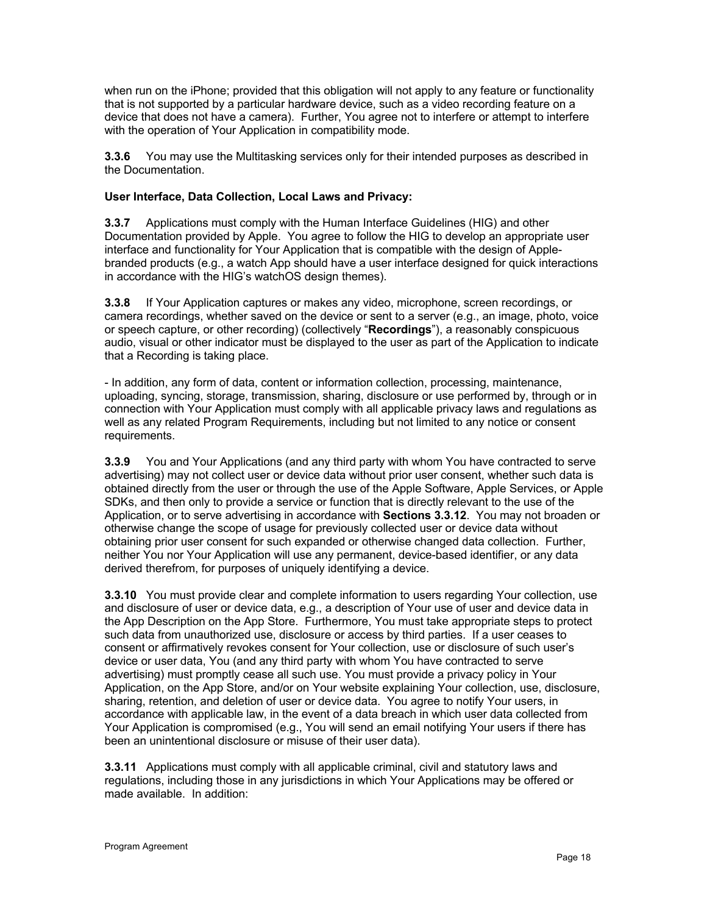when run on the iPhone; provided that this obligation will not apply to any feature or functionality that is not supported by a particular hardware device, such as a video recording feature on a device that does not have a camera). Further, You agree not to interfere or attempt to interfere with the operation of Your Application in compatibility mode.

**3.3.6** You may use the Multitasking services only for their intended purposes as described in the Documentation.

## **User Interface, Data Collection, Local Laws and Privacy:**

**3.3.7** Applications must comply with the Human Interface Guidelines (HIG) and other Documentation provided by Apple. You agree to follow the HIG to develop an appropriate user interface and functionality for Your Application that is compatible with the design of Applebranded products (e.g., a watch App should have a user interface designed for quick interactions in accordance with the HIG's watchOS design themes).

**3.3.8** If Your Application captures or makes any video, microphone, screen recordings, or camera recordings, whether saved on the device or sent to a server (e.g., an image, photo, voice or speech capture, or other recording) (collectively "**Recordings**"), a reasonably conspicuous audio, visual or other indicator must be displayed to the user as part of the Application to indicate that a Recording is taking place.

- In addition, any form of data, content or information collection, processing, maintenance, uploading, syncing, storage, transmission, sharing, disclosure or use performed by, through or in connection with Your Application must comply with all applicable privacy laws and regulations as well as any related Program Requirements, including but not limited to any notice or consent requirements.

**3.3.9** You and Your Applications (and any third party with whom You have contracted to serve advertising) may not collect user or device data without prior user consent, whether such data is obtained directly from the user or through the use of the Apple Software, Apple Services, or Apple SDKs, and then only to provide a service or function that is directly relevant to the use of the Application, or to serve advertising in accordance with **Sections 3.3.12**. You may not broaden or otherwise change the scope of usage for previously collected user or device data without obtaining prior user consent for such expanded or otherwise changed data collection. Further, neither You nor Your Application will use any permanent, device-based identifier, or any data derived therefrom, for purposes of uniquely identifying a device.

**3.3.10** You must provide clear and complete information to users regarding Your collection, use and disclosure of user or device data, e.g., a description of Your use of user and device data in the App Description on the App Store. Furthermore, You must take appropriate steps to protect such data from unauthorized use, disclosure or access by third parties. If a user ceases to consent or affirmatively revokes consent for Your collection, use or disclosure of such user's device or user data, You (and any third party with whom You have contracted to serve advertising) must promptly cease all such use. You must provide a privacy policy in Your Application, on the App Store, and/or on Your website explaining Your collection, use, disclosure, sharing, retention, and deletion of user or device data. You agree to notify Your users, in accordance with applicable law, in the event of a data breach in which user data collected from Your Application is compromised (e.g., You will send an email notifying Your users if there has been an unintentional disclosure or misuse of their user data).

**3.3.11** Applications must comply with all applicable criminal, civil and statutory laws and regulations, including those in any jurisdictions in which Your Applications may be offered or made available. In addition: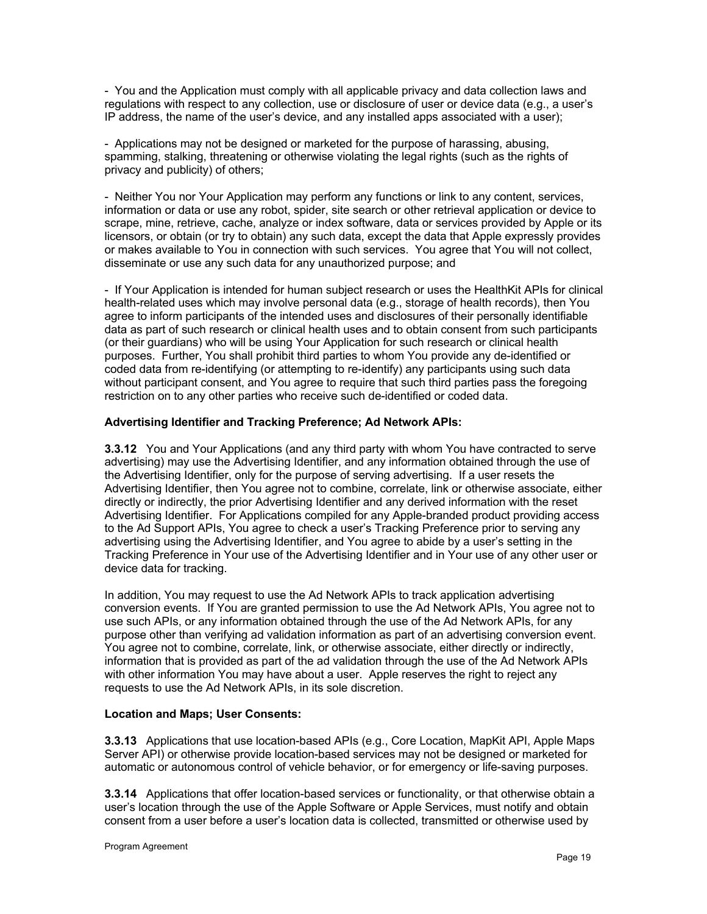- You and the Application must comply with all applicable privacy and data collection laws and regulations with respect to any collection, use or disclosure of user or device data (e.g., a user's IP address, the name of the user's device, and any installed apps associated with a user);

- Applications may not be designed or marketed for the purpose of harassing, abusing, spamming, stalking, threatening or otherwise violating the legal rights (such as the rights of privacy and publicity) of others;

- Neither You nor Your Application may perform any functions or link to any content, services, information or data or use any robot, spider, site search or other retrieval application or device to scrape, mine, retrieve, cache, analyze or index software, data or services provided by Apple or its licensors, or obtain (or try to obtain) any such data, except the data that Apple expressly provides or makes available to You in connection with such services. You agree that You will not collect, disseminate or use any such data for any unauthorized purpose; and

- If Your Application is intended for human subject research or uses the HealthKit APIs for clinical health-related uses which may involve personal data (e.g., storage of health records), then You agree to inform participants of the intended uses and disclosures of their personally identifiable data as part of such research or clinical health uses and to obtain consent from such participants (or their guardians) who will be using Your Application for such research or clinical health purposes. Further, You shall prohibit third parties to whom You provide any de-identified or coded data from re-identifying (or attempting to re-identify) any participants using such data without participant consent, and You agree to require that such third parties pass the foregoing restriction on to any other parties who receive such de-identified or coded data.

## **Advertising Identifier and Tracking Preference; Ad Network APIs:**

**3.3.12** You and Your Applications (and any third party with whom You have contracted to serve advertising) may use the Advertising Identifier, and any information obtained through the use of the Advertising Identifier, only for the purpose of serving advertising. If a user resets the Advertising Identifier, then You agree not to combine, correlate, link or otherwise associate, either directly or indirectly, the prior Advertising Identifier and any derived information with the reset Advertising Identifier. For Applications compiled for any Apple-branded product providing access to the Ad Support APIs, You agree to check a user's Tracking Preference prior to serving any advertising using the Advertising Identifier, and You agree to abide by a user's setting in the Tracking Preference in Your use of the Advertising Identifier and in Your use of any other user or device data for tracking.

In addition, You may request to use the Ad Network APIs to track application advertising conversion events. If You are granted permission to use the Ad Network APIs, You agree not to use such APIs, or any information obtained through the use of the Ad Network APIs, for any purpose other than verifying ad validation information as part of an advertising conversion event. You agree not to combine, correlate, link, or otherwise associate, either directly or indirectly, information that is provided as part of the ad validation through the use of the Ad Network APIs with other information You may have about a user. Apple reserves the right to reject any requests to use the Ad Network APIs, in its sole discretion.

#### **Location and Maps; User Consents:**

**3.3.13** Applications that use location-based APIs (e.g., Core Location, MapKit API, Apple Maps Server API) or otherwise provide location-based services may not be designed or marketed for automatic or autonomous control of vehicle behavior, or for emergency or life-saving purposes.

**3.3.14** Applications that offer location-based services or functionality, or that otherwise obtain a user's location through the use of the Apple Software or Apple Services, must notify and obtain consent from a user before a user's location data is collected, transmitted or otherwise used by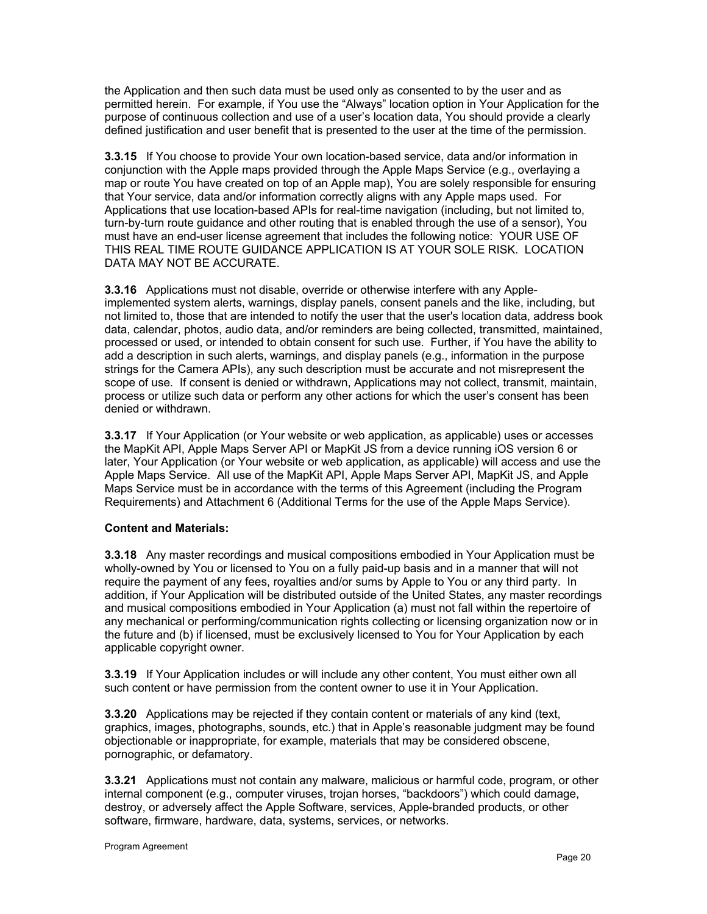the Application and then such data must be used only as consented to by the user and as permitted herein. For example, if You use the "Always" location option in Your Application for the purpose of continuous collection and use of a user's location data, You should provide a clearly defined justification and user benefit that is presented to the user at the time of the permission.

**3.3.15** If You choose to provide Your own location-based service, data and/or information in conjunction with the Apple maps provided through the Apple Maps Service (e.g., overlaying a map or route You have created on top of an Apple map), You are solely responsible for ensuring that Your service, data and/or information correctly aligns with any Apple maps used. For Applications that use location-based APIs for real-time navigation (including, but not limited to, turn-by-turn route guidance and other routing that is enabled through the use of a sensor), You must have an end-user license agreement that includes the following notice: YOUR USE OF THIS REAL TIME ROUTE GUIDANCE APPLICATION IS AT YOUR SOLE RISK. LOCATION DATA MAY NOT BE ACCURATE.

**3.3.16** Applications must not disable, override or otherwise interfere with any Appleimplemented system alerts, warnings, display panels, consent panels and the like, including, but not limited to, those that are intended to notify the user that the user's location data, address book data, calendar, photos, audio data, and/or reminders are being collected, transmitted, maintained, processed or used, or intended to obtain consent for such use. Further, if You have the ability to add a description in such alerts, warnings, and display panels (e.g., information in the purpose strings for the Camera APIs), any such description must be accurate and not misrepresent the scope of use. If consent is denied or withdrawn, Applications may not collect, transmit, maintain, process or utilize such data or perform any other actions for which the user's consent has been denied or withdrawn.

**3.3.17** If Your Application (or Your website or web application, as applicable) uses or accesses the MapKit API, Apple Maps Server API or MapKit JS from a device running iOS version 6 or later, Your Application (or Your website or web application, as applicable) will access and use the Apple Maps Service. All use of the MapKit API, Apple Maps Server API, MapKit JS, and Apple Maps Service must be in accordance with the terms of this Agreement (including the Program Requirements) and Attachment 6 (Additional Terms for the use of the Apple Maps Service).

## **Content and Materials:**

**3.3.18** Any master recordings and musical compositions embodied in Your Application must be wholly-owned by You or licensed to You on a fully paid-up basis and in a manner that will not require the payment of any fees, royalties and/or sums by Apple to You or any third party. In addition, if Your Application will be distributed outside of the United States, any master recordings and musical compositions embodied in Your Application (a) must not fall within the repertoire of any mechanical or performing/communication rights collecting or licensing organization now or in the future and (b) if licensed, must be exclusively licensed to You for Your Application by each applicable copyright owner.

**3.3.19** If Your Application includes or will include any other content, You must either own all such content or have permission from the content owner to use it in Your Application.

**3.3.20** Applications may be rejected if they contain content or materials of any kind (text, graphics, images, photographs, sounds, etc.) that in Apple's reasonable judgment may be found objectionable or inappropriate, for example, materials that may be considered obscene, pornographic, or defamatory.

**3.3.21** Applications must not contain any malware, malicious or harmful code, program, or other internal component (e.g., computer viruses, trojan horses, "backdoors") which could damage, destroy, or adversely affect the Apple Software, services, Apple-branded products, or other software, firmware, hardware, data, systems, services, or networks.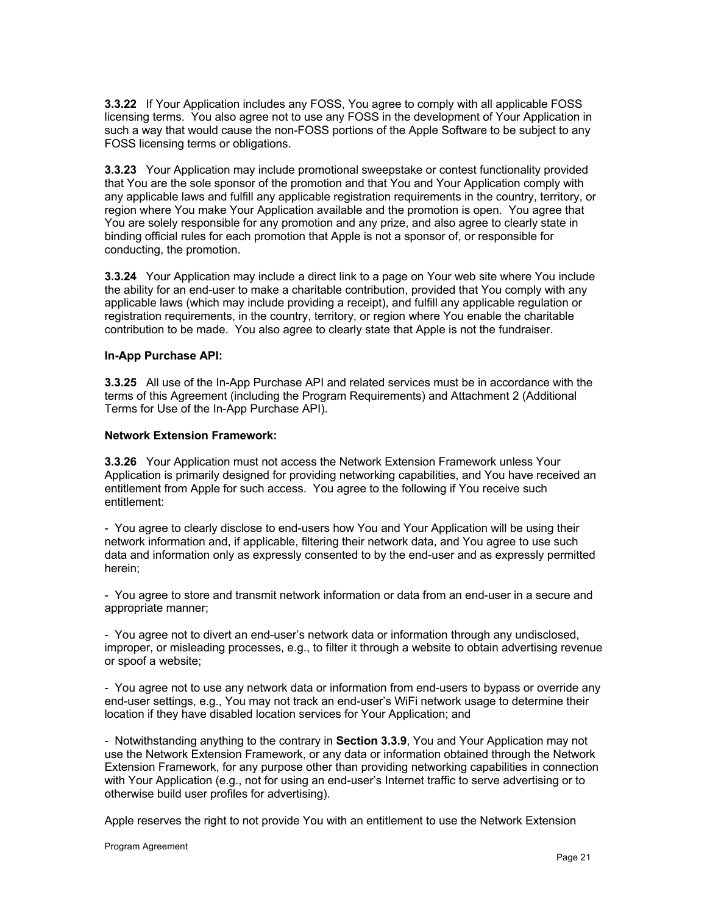**3.3.22** If Your Application includes any FOSS, You agree to comply with all applicable FOSS licensing terms. You also agree not to use any FOSS in the development of Your Application in such a way that would cause the non-FOSS portions of the Apple Software to be subject to any FOSS licensing terms or obligations.

**3.3.23** Your Application may include promotional sweepstake or contest functionality provided that You are the sole sponsor of the promotion and that You and Your Application comply with any applicable laws and fulfill any applicable registration requirements in the country, territory, or region where You make Your Application available and the promotion is open. You agree that You are solely responsible for any promotion and any prize, and also agree to clearly state in binding official rules for each promotion that Apple is not a sponsor of, or responsible for conducting, the promotion.

**3.3.24** Your Application may include a direct link to a page on Your web site where You include the ability for an end-user to make a charitable contribution, provided that You comply with any applicable laws (which may include providing a receipt), and fulfill any applicable regulation or registration requirements, in the country, territory, or region where You enable the charitable contribution to be made. You also agree to clearly state that Apple is not the fundraiser.

#### **In-App Purchase API:**

**3.3.25** All use of the In-App Purchase API and related services must be in accordance with the terms of this Agreement (including the Program Requirements) and Attachment 2 (Additional Terms for Use of the In-App Purchase API).

#### **Network Extension Framework:**

**3.3.26** Your Application must not access the Network Extension Framework unless Your Application is primarily designed for providing networking capabilities, and You have received an entitlement from Apple for such access. You agree to the following if You receive such entitlement:

- You agree to clearly disclose to end-users how You and Your Application will be using their network information and, if applicable, filtering their network data, and You agree to use such data and information only as expressly consented to by the end-user and as expressly permitted herein;

- You agree to store and transmit network information or data from an end-user in a secure and appropriate manner;

- You agree not to divert an end-user's network data or information through any undisclosed, improper, or misleading processes, e.g., to filter it through a website to obtain advertising revenue or spoof a website;

- You agree not to use any network data or information from end-users to bypass or override any end-user settings, e.g., You may not track an end-user's WiFi network usage to determine their location if they have disabled location services for Your Application; and

- Notwithstanding anything to the contrary in **Section 3.3.9**, You and Your Application may not use the Network Extension Framework, or any data or information obtained through the Network Extension Framework, for any purpose other than providing networking capabilities in connection with Your Application (e.g., not for using an end-user's Internet traffic to serve advertising or to otherwise build user profiles for advertising).

Apple reserves the right to not provide You with an entitlement to use the Network Extension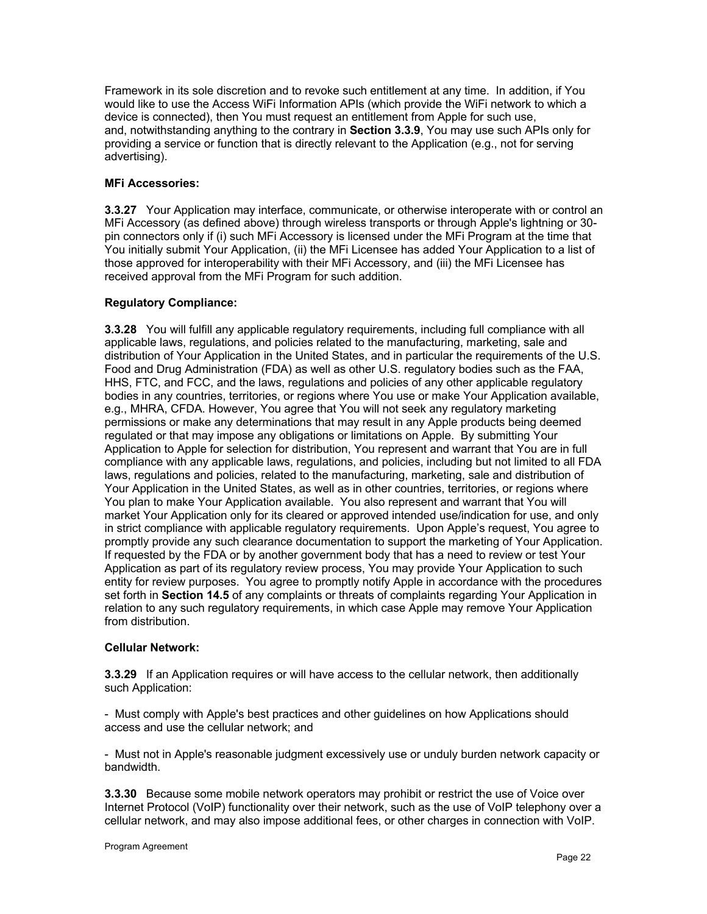Framework in its sole discretion and to revoke such entitlement at any time. In addition, if You would like to use the Access WiFi Information APIs (which provide the WiFi network to which a device is connected), then You must request an entitlement from Apple for such use, and, notwithstanding anything to the contrary in **Section 3.3.9**, You may use such APIs only for providing a service or function that is directly relevant to the Application (e.g., not for serving advertising).

## **MFi Accessories:**

**3.3.27** Your Application may interface, communicate, or otherwise interoperate with or control an MFi Accessory (as defined above) through wireless transports or through Apple's lightning or 30 pin connectors only if (i) such MFi Accessory is licensed under the MFi Program at the time that You initially submit Your Application, (ii) the MFi Licensee has added Your Application to a list of those approved for interoperability with their MFi Accessory, and (iii) the MFi Licensee has received approval from the MFi Program for such addition.

## **Regulatory Compliance:**

**3.3.28** You will fulfill any applicable regulatory requirements, including full compliance with all applicable laws, regulations, and policies related to the manufacturing, marketing, sale and distribution of Your Application in the United States, and in particular the requirements of the U.S. Food and Drug Administration (FDA) as well as other U.S. regulatory bodies such as the FAA, HHS, FTC, and FCC, and the laws, regulations and policies of any other applicable regulatory bodies in any countries, territories, or regions where You use or make Your Application available, e.g., MHRA, CFDA. However, You agree that You will not seek any regulatory marketing permissions or make any determinations that may result in any Apple products being deemed regulated or that may impose any obligations or limitations on Apple. By submitting Your Application to Apple for selection for distribution, You represent and warrant that You are in full compliance with any applicable laws, regulations, and policies, including but not limited to all FDA laws, regulations and policies, related to the manufacturing, marketing, sale and distribution of Your Application in the United States, as well as in other countries, territories, or regions where You plan to make Your Application available. You also represent and warrant that You will market Your Application only for its cleared or approved intended use/indication for use, and only in strict compliance with applicable regulatory requirements. Upon Apple's request, You agree to promptly provide any such clearance documentation to support the marketing of Your Application. If requested by the FDA or by another government body that has a need to review or test Your Application as part of its regulatory review process, You may provide Your Application to such entity for review purposes. You agree to promptly notify Apple in accordance with the procedures set forth in **Section 14.5** of any complaints or threats of complaints regarding Your Application in relation to any such regulatory requirements, in which case Apple may remove Your Application from distribution.

#### **Cellular Network:**

**3.3.29** If an Application requires or will have access to the cellular network, then additionally such Application:

- Must comply with Apple's best practices and other guidelines on how Applications should access and use the cellular network; and

- Must not in Apple's reasonable judgment excessively use or unduly burden network capacity or bandwidth.

**3.3.30** Because some mobile network operators may prohibit or restrict the use of Voice over Internet Protocol (VoIP) functionality over their network, such as the use of VoIP telephony over a cellular network, and may also impose additional fees, or other charges in connection with VoIP.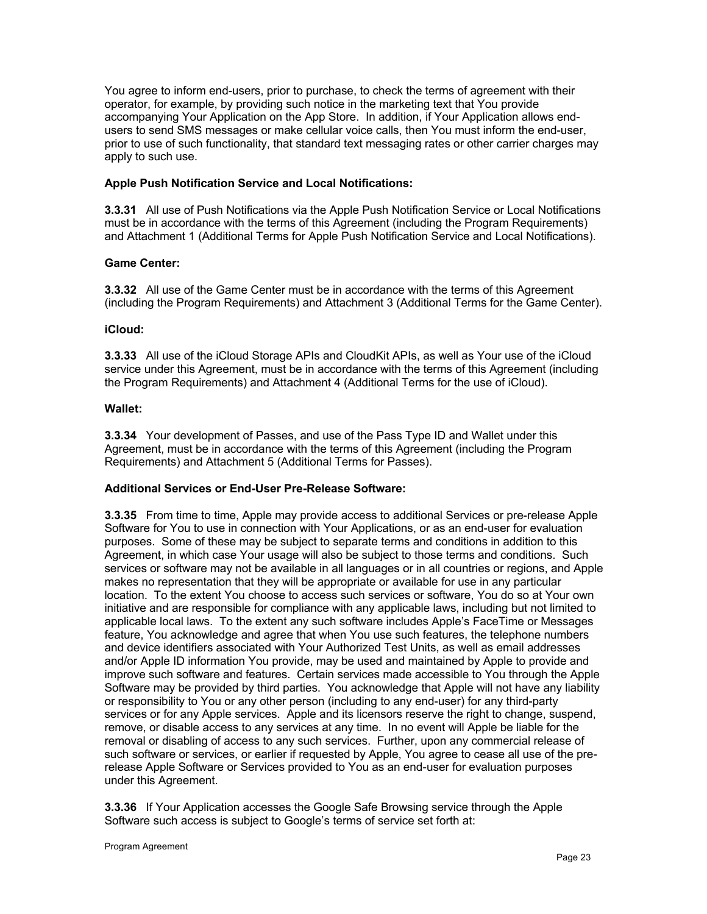You agree to inform end-users, prior to purchase, to check the terms of agreement with their operator, for example, by providing such notice in the marketing text that You provide accompanying Your Application on the App Store. In addition, if Your Application allows endusers to send SMS messages or make cellular voice calls, then You must inform the end-user, prior to use of such functionality, that standard text messaging rates or other carrier charges may apply to such use.

## **Apple Push Notification Service and Local Notifications:**

**3.3.31** All use of Push Notifications via the Apple Push Notification Service or Local Notifications must be in accordance with the terms of this Agreement (including the Program Requirements) and Attachment 1 (Additional Terms for Apple Push Notification Service and Local Notifications).

## **Game Center:**

**3.3.32** All use of the Game Center must be in accordance with the terms of this Agreement (including the Program Requirements) and Attachment 3 (Additional Terms for the Game Center).

## **iCloud:**

**3.3.33** All use of the iCloud Storage APIs and CloudKit APIs, as well as Your use of the iCloud service under this Agreement, must be in accordance with the terms of this Agreement (including the Program Requirements) and Attachment 4 (Additional Terms for the use of iCloud).

## **Wallet:**

**3.3.34** Your development of Passes, and use of the Pass Type ID and Wallet under this Agreement, must be in accordance with the terms of this Agreement (including the Program Requirements) and Attachment 5 (Additional Terms for Passes).

## **Additional Services or End-User Pre-Release Software:**

**3.3.35** From time to time, Apple may provide access to additional Services or pre-release Apple Software for You to use in connection with Your Applications, or as an end-user for evaluation purposes. Some of these may be subject to separate terms and conditions in addition to this Agreement, in which case Your usage will also be subject to those terms and conditions. Such services or software may not be available in all languages or in all countries or regions, and Apple makes no representation that they will be appropriate or available for use in any particular location. To the extent You choose to access such services or software, You do so at Your own initiative and are responsible for compliance with any applicable laws, including but not limited to applicable local laws. To the extent any such software includes Apple's FaceTime or Messages feature, You acknowledge and agree that when You use such features, the telephone numbers and device identifiers associated with Your Authorized Test Units, as well as email addresses and/or Apple ID information You provide, may be used and maintained by Apple to provide and improve such software and features. Certain services made accessible to You through the Apple Software may be provided by third parties. You acknowledge that Apple will not have any liability or responsibility to You or any other person (including to any end-user) for any third-party services or for any Apple services. Apple and its licensors reserve the right to change, suspend, remove, or disable access to any services at any time. In no event will Apple be liable for the removal or disabling of access to any such services. Further, upon any commercial release of such software or services, or earlier if requested by Apple, You agree to cease all use of the prerelease Apple Software or Services provided to You as an end-user for evaluation purposes under this Agreement.

**3.3.36** If Your Application accesses the Google Safe Browsing service through the Apple Software such access is subject to Google's terms of service set forth at: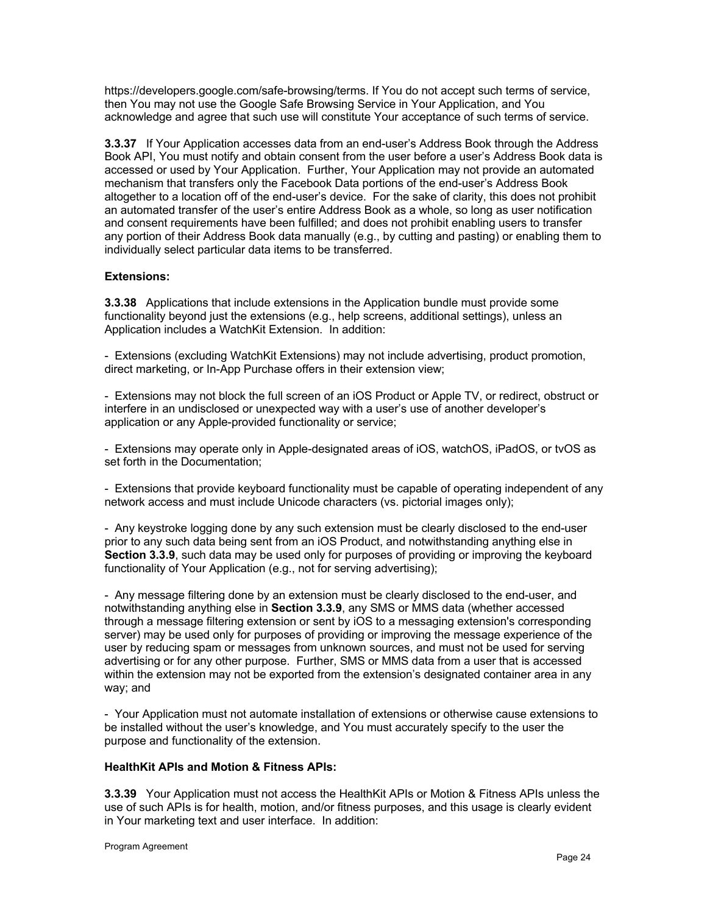https://developers.google.com/safe-browsing/terms. If You do not accept such terms of service, then You may not use the Google Safe Browsing Service in Your Application, and You acknowledge and agree that such use will constitute Your acceptance of such terms of service.

**3.3.37** If Your Application accesses data from an end-user's Address Book through the Address Book API, You must notify and obtain consent from the user before a user's Address Book data is accessed or used by Your Application. Further, Your Application may not provide an automated mechanism that transfers only the Facebook Data portions of the end-user's Address Book altogether to a location off of the end-user's device. For the sake of clarity, this does not prohibit an automated transfer of the user's entire Address Book as a whole, so long as user notification and consent requirements have been fulfilled; and does not prohibit enabling users to transfer any portion of their Address Book data manually (e.g., by cutting and pasting) or enabling them to individually select particular data items to be transferred.

## **Extensions:**

**3.3.38** Applications that include extensions in the Application bundle must provide some functionality beyond just the extensions (e.g., help screens, additional settings), unless an Application includes a WatchKit Extension. In addition:

- Extensions (excluding WatchKit Extensions) may not include advertising, product promotion, direct marketing, or In-App Purchase offers in their extension view;

- Extensions may not block the full screen of an iOS Product or Apple TV, or redirect, obstruct or interfere in an undisclosed or unexpected way with a user's use of another developer's application or any Apple-provided functionality or service;

- Extensions may operate only in Apple-designated areas of iOS, watchOS, iPadOS, or tvOS as set forth in the Documentation;

- Extensions that provide keyboard functionality must be capable of operating independent of any network access and must include Unicode characters (vs. pictorial images only);

- Any keystroke logging done by any such extension must be clearly disclosed to the end-user prior to any such data being sent from an iOS Product, and notwithstanding anything else in **Section 3.3.9**, such data may be used only for purposes of providing or improving the keyboard functionality of Your Application (e.g., not for serving advertising);

- Any message filtering done by an extension must be clearly disclosed to the end-user, and notwithstanding anything else in **Section 3.3.9**, any SMS or MMS data (whether accessed through a message filtering extension or sent by iOS to a messaging extension's corresponding server) may be used only for purposes of providing or improving the message experience of the user by reducing spam or messages from unknown sources, and must not be used for serving advertising or for any other purpose. Further, SMS or MMS data from a user that is accessed within the extension may not be exported from the extension's designated container area in any way; and

- Your Application must not automate installation of extensions or otherwise cause extensions to be installed without the user's knowledge, and You must accurately specify to the user the purpose and functionality of the extension.

#### **HealthKit APIs and Motion & Fitness APIs:**

**3.3.39** Your Application must not access the HealthKit APIs or Motion & Fitness APIs unless the use of such APIs is for health, motion, and/or fitness purposes, and this usage is clearly evident in Your marketing text and user interface. In addition: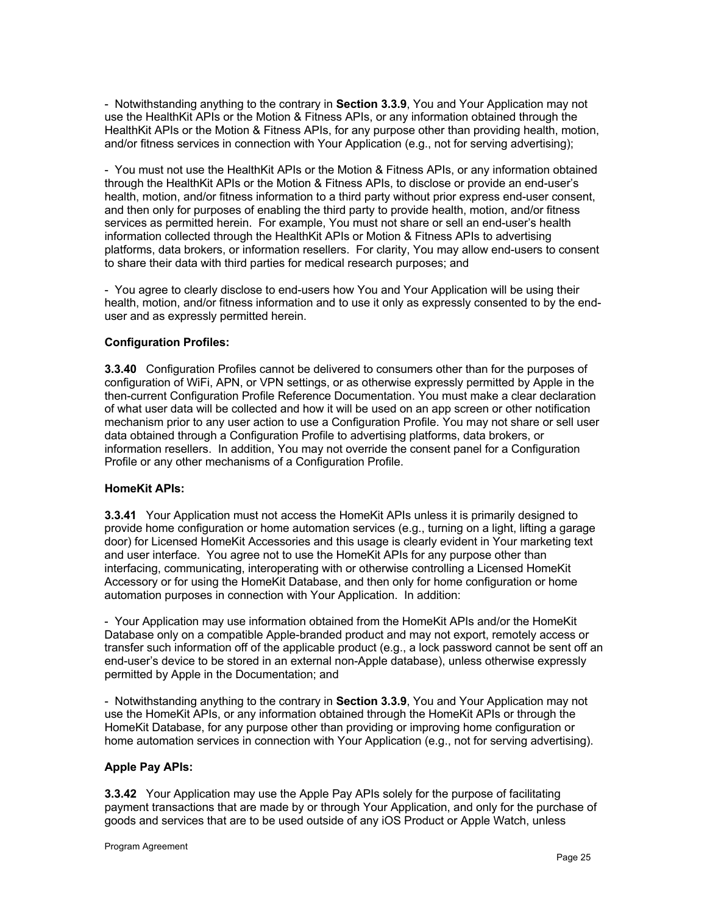- Notwithstanding anything to the contrary in **Section 3.3.9**, You and Your Application may not use the HealthKit APIs or the Motion & Fitness APIs, or any information obtained through the HealthKit APIs or the Motion & Fitness APIs, for any purpose other than providing health, motion, and/or fitness services in connection with Your Application (e.g., not for serving advertising);

- You must not use the HealthKit APIs or the Motion & Fitness APIs, or any information obtained through the HealthKit APIs or the Motion & Fitness APIs, to disclose or provide an end-user's health, motion, and/or fitness information to a third party without prior express end-user consent, and then only for purposes of enabling the third party to provide health, motion, and/or fitness services as permitted herein. For example, You must not share or sell an end-user's health information collected through the HealthKit APIs or Motion & Fitness APIs to advertising platforms, data brokers, or information resellers. For clarity, You may allow end-users to consent to share their data with third parties for medical research purposes; and

- You agree to clearly disclose to end-users how You and Your Application will be using their health, motion, and/or fitness information and to use it only as expressly consented to by the enduser and as expressly permitted herein.

## **Configuration Profiles:**

**3.3.40** Configuration Profiles cannot be delivered to consumers other than for the purposes of configuration of WiFi, APN, or VPN settings, or as otherwise expressly permitted by Apple in the then-current Configuration Profile Reference Documentation. You must make a clear declaration of what user data will be collected and how it will be used on an app screen or other notification mechanism prior to any user action to use a Configuration Profile. You may not share or sell user data obtained through a Configuration Profile to advertising platforms, data brokers, or information resellers. In addition, You may not override the consent panel for a Configuration Profile or any other mechanisms of a Configuration Profile.

#### **HomeKit APIs:**

**3.3.41** Your Application must not access the HomeKit APIs unless it is primarily designed to provide home configuration or home automation services (e.g., turning on a light, lifting a garage door) for Licensed HomeKit Accessories and this usage is clearly evident in Your marketing text and user interface. You agree not to use the HomeKit APIs for any purpose other than interfacing, communicating, interoperating with or otherwise controlling a Licensed HomeKit Accessory or for using the HomeKit Database, and then only for home configuration or home automation purposes in connection with Your Application. In addition:

- Your Application may use information obtained from the HomeKit APIs and/or the HomeKit Database only on a compatible Apple-branded product and may not export, remotely access or transfer such information off of the applicable product (e.g., a lock password cannot be sent off an end-user's device to be stored in an external non-Apple database), unless otherwise expressly permitted by Apple in the Documentation; and

- Notwithstanding anything to the contrary in **Section 3.3.9**, You and Your Application may not use the HomeKit APIs, or any information obtained through the HomeKit APIs or through the HomeKit Database, for any purpose other than providing or improving home configuration or home automation services in connection with Your Application (e.g., not for serving advertising).

#### **Apple Pay APIs:**

**3.3.42** Your Application may use the Apple Pay APIs solely for the purpose of facilitating payment transactions that are made by or through Your Application, and only for the purchase of goods and services that are to be used outside of any iOS Product or Apple Watch, unless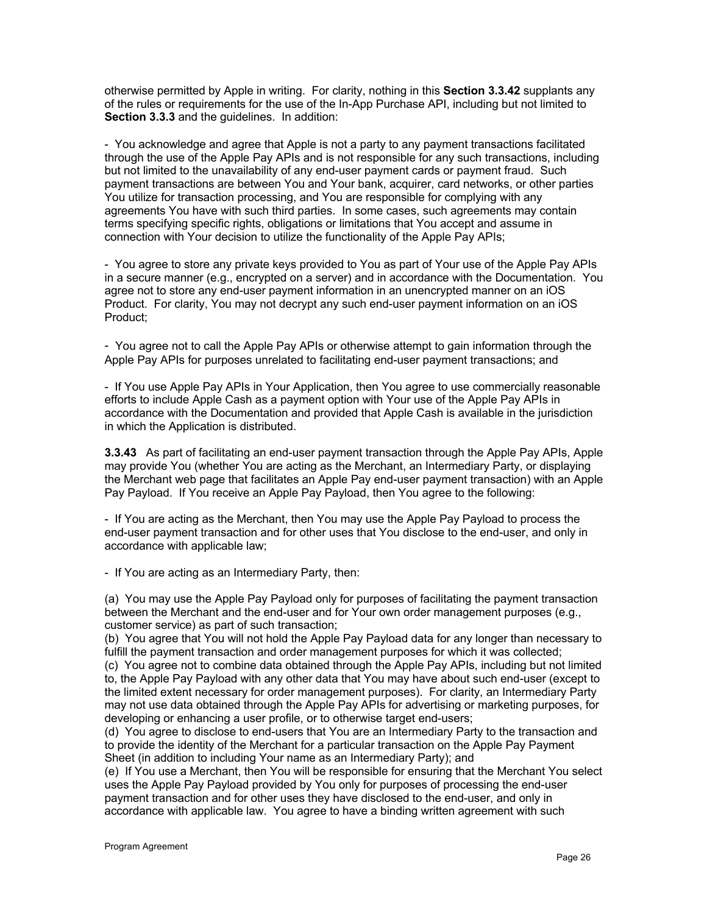otherwise permitted by Apple in writing. For clarity, nothing in this **Section 3.3.42** supplants any of the rules or requirements for the use of the In-App Purchase API, including but not limited to **Section 3.3.3** and the guidelines. In addition:

- You acknowledge and agree that Apple is not a party to any payment transactions facilitated through the use of the Apple Pay APIs and is not responsible for any such transactions, including but not limited to the unavailability of any end-user payment cards or payment fraud. Such payment transactions are between You and Your bank, acquirer, card networks, or other parties You utilize for transaction processing, and You are responsible for complying with any agreements You have with such third parties. In some cases, such agreements may contain terms specifying specific rights, obligations or limitations that You accept and assume in connection with Your decision to utilize the functionality of the Apple Pay APIs;

- You agree to store any private keys provided to You as part of Your use of the Apple Pay APIs in a secure manner (e.g., encrypted on a server) and in accordance with the Documentation. You agree not to store any end-user payment information in an unencrypted manner on an iOS Product. For clarity, You may not decrypt any such end-user payment information on an iOS Product;

- You agree not to call the Apple Pay APIs or otherwise attempt to gain information through the Apple Pay APIs for purposes unrelated to facilitating end-user payment transactions; and

- If You use Apple Pay APIs in Your Application, then You agree to use commercially reasonable efforts to include Apple Cash as a payment option with Your use of the Apple Pay APIs in accordance with the Documentation and provided that Apple Cash is available in the jurisdiction in which the Application is distributed.

**3.3.43** As part of facilitating an end-user payment transaction through the Apple Pay APIs, Apple may provide You (whether You are acting as the Merchant, an Intermediary Party, or displaying the Merchant web page that facilitates an Apple Pay end-user payment transaction) with an Apple Pay Payload. If You receive an Apple Pay Payload, then You agree to the following:

- If You are acting as the Merchant, then You may use the Apple Pay Payload to process the end-user payment transaction and for other uses that You disclose to the end-user, and only in accordance with applicable law;

- If You are acting as an Intermediary Party, then:

(a) You may use the Apple Pay Payload only for purposes of facilitating the payment transaction between the Merchant and the end-user and for Your own order management purposes (e.g., customer service) as part of such transaction;

(b) You agree that You will not hold the Apple Pay Payload data for any longer than necessary to fulfill the payment transaction and order management purposes for which it was collected;

(c) You agree not to combine data obtained through the Apple Pay APIs, including but not limited to, the Apple Pay Payload with any other data that You may have about such end-user (except to the limited extent necessary for order management purposes). For clarity, an Intermediary Party may not use data obtained through the Apple Pay APIs for advertising or marketing purposes, for developing or enhancing a user profile, or to otherwise target end-users;

(d) You agree to disclose to end-users that You are an Intermediary Party to the transaction and to provide the identity of the Merchant for a particular transaction on the Apple Pay Payment Sheet (in addition to including Your name as an Intermediary Party); and

(e) If You use a Merchant, then You will be responsible for ensuring that the Merchant You select uses the Apple Pay Payload provided by You only for purposes of processing the end-user payment transaction and for other uses they have disclosed to the end-user, and only in accordance with applicable law. You agree to have a binding written agreement with such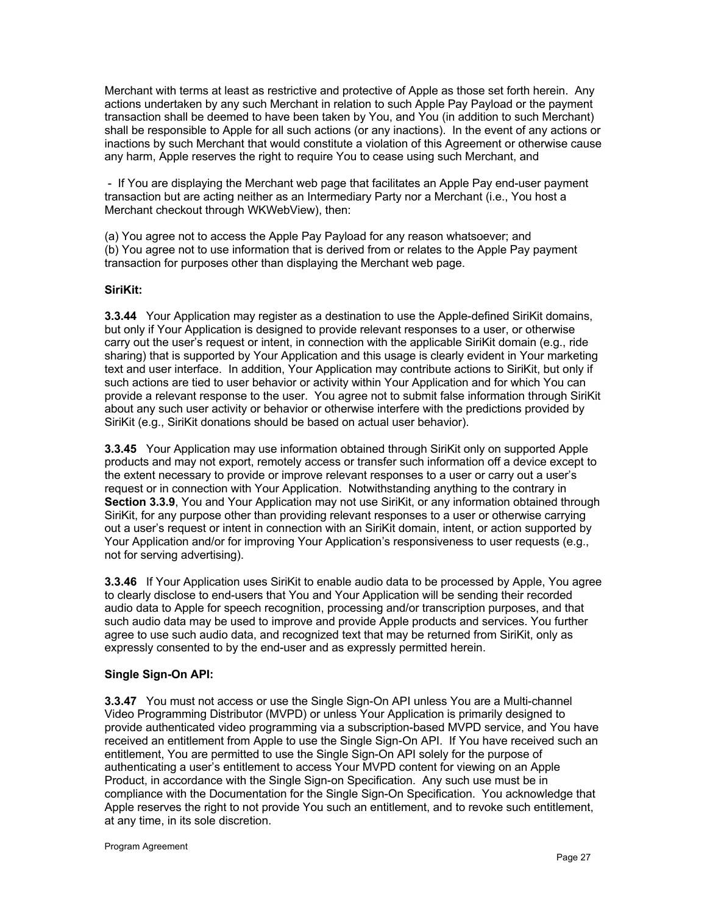Merchant with terms at least as restrictive and protective of Apple as those set forth herein. Any actions undertaken by any such Merchant in relation to such Apple Pay Payload or the payment transaction shall be deemed to have been taken by You, and You (in addition to such Merchant) shall be responsible to Apple for all such actions (or any inactions). In the event of any actions or inactions by such Merchant that would constitute a violation of this Agreement or otherwise cause any harm, Apple reserves the right to require You to cease using such Merchant, and

- If You are displaying the Merchant web page that facilitates an Apple Pay end-user payment transaction but are acting neither as an Intermediary Party nor a Merchant (i.e., You host a Merchant checkout through WKWebView), then:

(a) You agree not to access the Apple Pay Payload for any reason whatsoever; and (b) You agree not to use information that is derived from or relates to the Apple Pay payment transaction for purposes other than displaying the Merchant web page.

## **SiriKit:**

**3.3.44** Your Application may register as a destination to use the Apple-defined SiriKit domains, but only if Your Application is designed to provide relevant responses to a user, or otherwise carry out the user's request or intent, in connection with the applicable SiriKit domain (e.g., ride sharing) that is supported by Your Application and this usage is clearly evident in Your marketing text and user interface. In addition, Your Application may contribute actions to SiriKit, but only if such actions are tied to user behavior or activity within Your Application and for which You can provide a relevant response to the user. You agree not to submit false information through SiriKit about any such user activity or behavior or otherwise interfere with the predictions provided by SiriKit (e.g., SiriKit donations should be based on actual user behavior).

**3.3.45** Your Application may use information obtained through SiriKit only on supported Apple products and may not export, remotely access or transfer such information off a device except to the extent necessary to provide or improve relevant responses to a user or carry out a user's request or in connection with Your Application. Notwithstanding anything to the contrary in **Section 3.3.9**, You and Your Application may not use SiriKit, or any information obtained through SiriKit, for any purpose other than providing relevant responses to a user or otherwise carrying out a user's request or intent in connection with an SiriKit domain, intent, or action supported by Your Application and/or for improving Your Application's responsiveness to user requests (e.g., not for serving advertising).

**3.3.46** If Your Application uses SiriKit to enable audio data to be processed by Apple, You agree to clearly disclose to end-users that You and Your Application will be sending their recorded audio data to Apple for speech recognition, processing and/or transcription purposes, and that such audio data may be used to improve and provide Apple products and services. You further agree to use such audio data, and recognized text that may be returned from SiriKit, only as expressly consented to by the end-user and as expressly permitted herein.

#### **Single Sign-On API:**

**3.3.47** You must not access or use the Single Sign-On API unless You are a Multi-channel Video Programming Distributor (MVPD) or unless Your Application is primarily designed to provide authenticated video programming via a subscription-based MVPD service, and You have received an entitlement from Apple to use the Single Sign-On API. If You have received such an entitlement, You are permitted to use the Single Sign-On API solely for the purpose of authenticating a user's entitlement to access Your MVPD content for viewing on an Apple Product, in accordance with the Single Sign-on Specification. Any such use must be in compliance with the Documentation for the Single Sign-On Specification. You acknowledge that Apple reserves the right to not provide You such an entitlement, and to revoke such entitlement, at any time, in its sole discretion.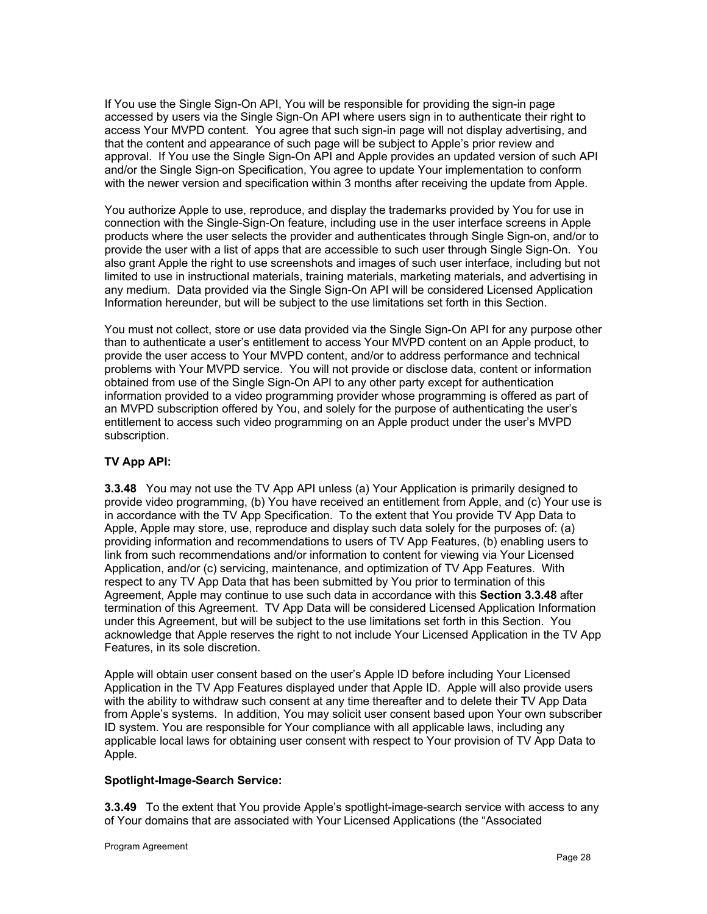If You use the Single Sign-On API, You will be responsible for providing the sign-in page accessed by users via the Single Sign-On API where users sign in to authenticate their right to access Your MVPD content. You agree that such sign-in page will not display advertising, and that the content and appearance of such page will be subject to Apple's prior review and approval. If You use the Single Sign-On API and Apple provides an updated version of such API and/or the Single Sign-on Specification, You agree to update Your implementation to conform with the newer version and specification within 3 months after receiving the update from Apple.

You authorize Apple to use, reproduce, and display the trademarks provided by You for use in connection with the Single-Sign-On feature, including use in the user interface screens in Apple products where the user selects the provider and authenticates through Single Sign-on, and/or to provide the user with a list of apps that are accessible to such user through Single Sign-On. You also grant Apple the right to use screenshots and images of such user interface, including but not limited to use in instructional materials, training materials, marketing materials, and advertising in any medium. Data provided via the Single Sign-On API will be considered Licensed Application Information hereunder, but will be subject to the use limitations set forth in this Section.

You must not collect, store or use data provided via the Single Sign-On API for any purpose other than to authenticate a user's entitlement to access Your MVPD content on an Apple product, to provide the user access to Your MVPD content, and/or to address performance and technical problems with Your MVPD service. You will not provide or disclose data, content or information obtained from use of the Single Sign-On API to any other party except for authentication information provided to a video programming provider whose programming is offered as part of an MVPD subscription offered by You, and solely for the purpose of authenticating the user's entitlement to access such video programming on an Apple product under the user's MVPD subscription.

#### **TV App API:**

**3.3.48** You may not use the TV App API unless (a) Your Application is primarily designed to provide video programming, (b) You have received an entitlement from Apple, and (c) Your use is in accordance with the TV App Specification. To the extent that You provide TV App Data to Apple, Apple may store, use, reproduce and display such data solely for the purposes of: (a) providing information and recommendations to users of TV App Features, (b) enabling users to link from such recommendations and/or information to content for viewing via Your Licensed Application, and/or (c) servicing, maintenance, and optimization of TV App Features. With respect to any TV App Data that has been submitted by You prior to termination of this Agreement, Apple may continue to use such data in accordance with this **Section 3.3.48** after termination of this Agreement. TV App Data will be considered Licensed Application Information under this Agreement, but will be subject to the use limitations set forth in this Section. You acknowledge that Apple reserves the right to not include Your Licensed Application in the TV App Features, in its sole discretion.

Apple will obtain user consent based on the user's Apple ID before including Your Licensed Application in the TV App Features displayed under that Apple ID. Apple will also provide users with the ability to withdraw such consent at any time thereafter and to delete their TV App Data from Apple's systems. In addition, You may solicit user consent based upon Your own subscriber ID system. You are responsible for Your compliance with all applicable laws, including any applicable local laws for obtaining user consent with respect to Your provision of TV App Data to Apple.

#### **Spotlight-Image-Search Service:**

**3.3.49** To the extent that You provide Apple's spotlight-image-search service with access to any of Your domains that are associated with Your Licensed Applications (the "Associated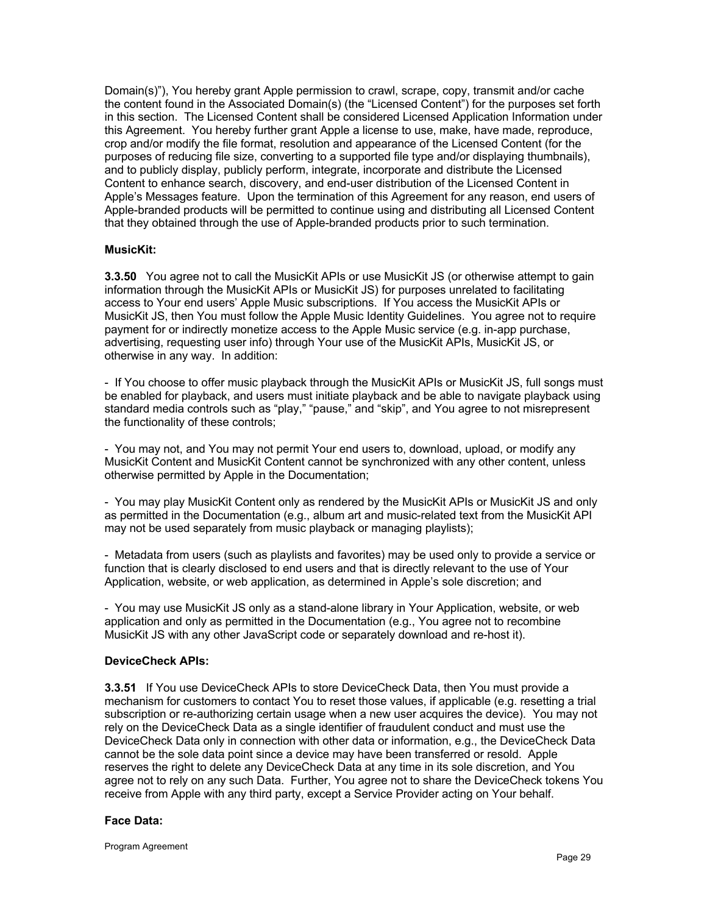Domain(s)"), You hereby grant Apple permission to crawl, scrape, copy, transmit and/or cache the content found in the Associated Domain(s) (the "Licensed Content") for the purposes set forth in this section. The Licensed Content shall be considered Licensed Application Information under this Agreement. You hereby further grant Apple a license to use, make, have made, reproduce, crop and/or modify the file format, resolution and appearance of the Licensed Content (for the purposes of reducing file size, converting to a supported file type and/or displaying thumbnails), and to publicly display, publicly perform, integrate, incorporate and distribute the Licensed Content to enhance search, discovery, and end-user distribution of the Licensed Content in Apple's Messages feature. Upon the termination of this Agreement for any reason, end users of Apple-branded products will be permitted to continue using and distributing all Licensed Content that they obtained through the use of Apple-branded products prior to such termination.

#### **MusicKit:**

**3.3.50** You agree not to call the MusicKit APIs or use MusicKit JS (or otherwise attempt to gain information through the MusicKit APIs or MusicKit JS) for purposes unrelated to facilitating access to Your end users' Apple Music subscriptions. If You access the MusicKit APIs or MusicKit JS, then You must follow the Apple Music Identity Guidelines. You agree not to require payment for or indirectly monetize access to the Apple Music service (e.g. in-app purchase, advertising, requesting user info) through Your use of the MusicKit APIs, MusicKit JS, or otherwise in any way. In addition:

- If You choose to offer music playback through the MusicKit APIs or MusicKit JS, full songs must be enabled for playback, and users must initiate playback and be able to navigate playback using standard media controls such as "play," "pause," and "skip", and You agree to not misrepresent the functionality of these controls;

- You may not, and You may not permit Your end users to, download, upload, or modify any MusicKit Content and MusicKit Content cannot be synchronized with any other content, unless otherwise permitted by Apple in the Documentation;

- You may play MusicKit Content only as rendered by the MusicKit APIs or MusicKit JS and only as permitted in the Documentation (e.g., album art and music-related text from the MusicKit API may not be used separately from music playback or managing playlists);

- Metadata from users (such as playlists and favorites) may be used only to provide a service or function that is clearly disclosed to end users and that is directly relevant to the use of Your Application, website, or web application, as determined in Apple's sole discretion; and

- You may use MusicKit JS only as a stand-alone library in Your Application, website, or web application and only as permitted in the Documentation (e.g., You agree not to recombine MusicKit JS with any other JavaScript code or separately download and re-host it).

#### **DeviceCheck APIs:**

**3.3.51** If You use DeviceCheck APIs to store DeviceCheck Data, then You must provide a mechanism for customers to contact You to reset those values, if applicable (e.g. resetting a trial subscription or re-authorizing certain usage when a new user acquires the device). You may not rely on the DeviceCheck Data as a single identifier of fraudulent conduct and must use the DeviceCheck Data only in connection with other data or information, e.g., the DeviceCheck Data cannot be the sole data point since a device may have been transferred or resold. Apple reserves the right to delete any DeviceCheck Data at any time in its sole discretion, and You agree not to rely on any such Data. Further, You agree not to share the DeviceCheck tokens You receive from Apple with any third party, except a Service Provider acting on Your behalf.

#### **Face Data:**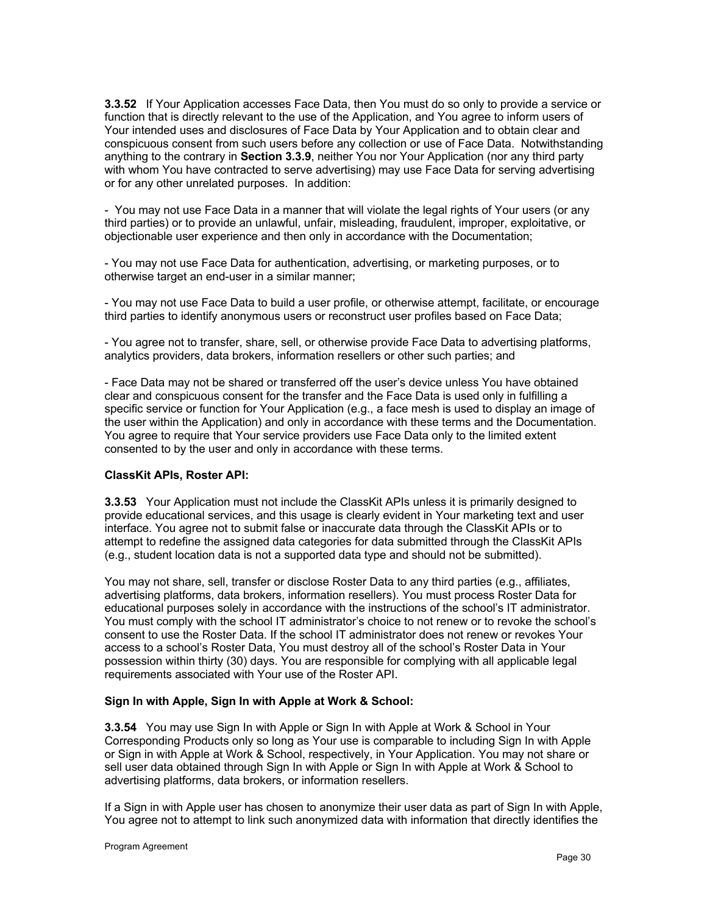**3.3.52** If Your Application accesses Face Data, then You must do so only to provide a service or function that is directly relevant to the use of the Application, and You agree to inform users of Your intended uses and disclosures of Face Data by Your Application and to obtain clear and conspicuous consent from such users before any collection or use of Face Data. Notwithstanding anything to the contrary in **Section 3.3.9**, neither You nor Your Application (nor any third party with whom You have contracted to serve advertising) may use Face Data for serving advertising or for any other unrelated purposes. In addition:

- You may not use Face Data in a manner that will violate the legal rights of Your users (or any third parties) or to provide an unlawful, unfair, misleading, fraudulent, improper, exploitative, or objectionable user experience and then only in accordance with the Documentation;

- You may not use Face Data for authentication, advertising, or marketing purposes, or to otherwise target an end-user in a similar manner;

- You may not use Face Data to build a user profile, or otherwise attempt, facilitate, or encourage third parties to identify anonymous users or reconstruct user profiles based on Face Data;

- You agree not to transfer, share, sell, or otherwise provide Face Data to advertising platforms, analytics providers, data brokers, information resellers or other such parties; and

- Face Data may not be shared or transferred off the user's device unless You have obtained clear and conspicuous consent for the transfer and the Face Data is used only in fulfilling a specific service or function for Your Application (e.g., a face mesh is used to display an image of the user within the Application) and only in accordance with these terms and the Documentation. You agree to require that Your service providers use Face Data only to the limited extent consented to by the user and only in accordance with these terms.

#### **ClassKit APIs, Roster API:**

**3.3.53** Your Application must not include the ClassKit APIs unless it is primarily designed to provide educational services, and this usage is clearly evident in Your marketing text and user interface. You agree not to submit false or inaccurate data through the ClassKit APIs or to attempt to redefine the assigned data categories for data submitted through the ClassKit APIs (e.g., student location data is not a supported data type and should not be submitted).

You may not share, sell, transfer or disclose Roster Data to any third parties (e.g., affiliates, advertising platforms, data brokers, information resellers). You must process Roster Data for educational purposes solely in accordance with the instructions of the school's IT administrator. You must comply with the school IT administrator's choice to not renew or to revoke the school's consent to use the Roster Data. If the school IT administrator does not renew or revokes Your access to a school's Roster Data, You must destroy all of the school's Roster Data in Your possession within thirty (30) days. You are responsible for complying with all applicable legal requirements associated with Your use of the Roster API.

#### **Sign In with Apple, Sign In with Apple at Work & School:**

**3.3.54** You may use Sign In with Apple or Sign In with Apple at Work & School in Your Corresponding Products only so long as Your use is comparable to including Sign In with Apple or Sign in with Apple at Work & School, respectively, in Your Application. You may not share or sell user data obtained through Sign In with Apple or Sign In with Apple at Work & School to advertising platforms, data brokers, or information resellers.

If a Sign in with Apple user has chosen to anonymize their user data as part of Sign In with Apple, You agree not to attempt to link such anonymized data with information that directly identifies the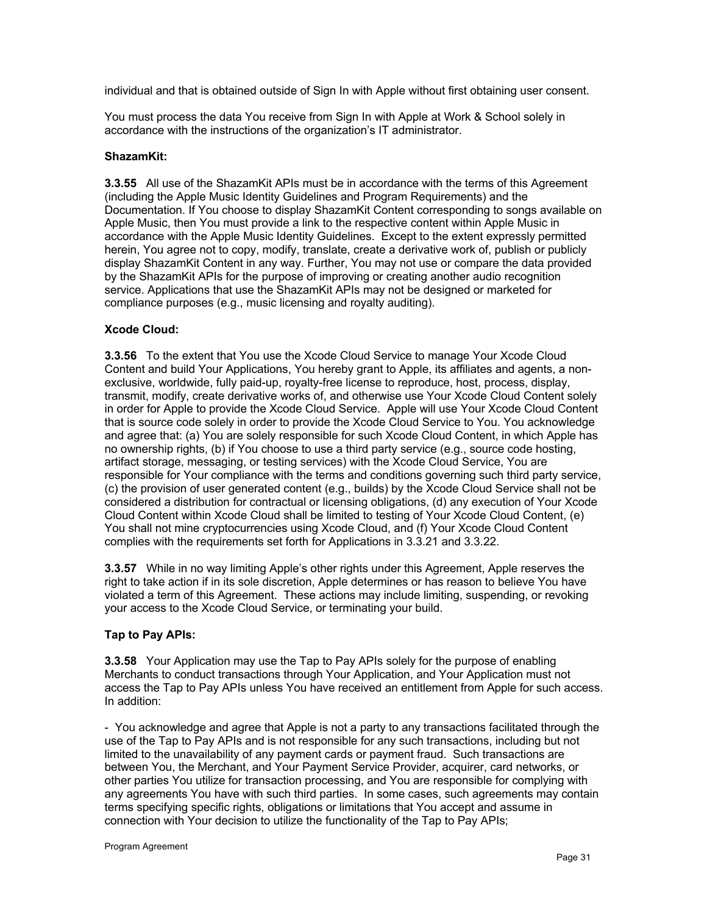individual and that is obtained outside of Sign In with Apple without first obtaining user consent.

You must process the data You receive from Sign In with Apple at Work & School solely in accordance with the instructions of the organization's IT administrator.

#### **ShazamKit:**

**3.3.55** All use of the ShazamKit APIs must be in accordance with the terms of this Agreement (including the Apple Music Identity Guidelines and Program Requirements) and the Documentation. If You choose to display ShazamKit Content corresponding to songs available on Apple Music, then You must provide a link to the respective content within Apple Music in accordance with the Apple Music Identity Guidelines. Except to the extent expressly permitted herein, You agree not to copy, modify, translate, create a derivative work of, publish or publicly display ShazamKit Content in any way. Further, You may not use or compare the data provided by the ShazamKit APIs for the purpose of improving or creating another audio recognition service. Applications that use the ShazamKit APIs may not be designed or marketed for compliance purposes (e.g., music licensing and royalty auditing).

#### **Xcode Cloud:**

**3.3.56** To the extent that You use the Xcode Cloud Service to manage Your Xcode Cloud Content and build Your Applications, You hereby grant to Apple, its affiliates and agents, a nonexclusive, worldwide, fully paid-up, royalty-free license to reproduce, host, process, display, transmit, modify, create derivative works of, and otherwise use Your Xcode Cloud Content solely in order for Apple to provide the Xcode Cloud Service. Apple will use Your Xcode Cloud Content that is source code solely in order to provide the Xcode Cloud Service to You. You acknowledge and agree that: (a) You are solely responsible for such Xcode Cloud Content, in which Apple has no ownership rights, (b) if You choose to use a third party service (e.g., source code hosting, artifact storage, messaging, or testing services) with the Xcode Cloud Service, You are responsible for Your compliance with the terms and conditions governing such third party service, (c) the provision of user generated content (e.g., builds) by the Xcode Cloud Service shall not be considered a distribution for contractual or licensing obligations, (d) any execution of Your Xcode Cloud Content within Xcode Cloud shall be limited to testing of Your Xcode Cloud Content, (e) You shall not mine cryptocurrencies using Xcode Cloud, and (f) Your Xcode Cloud Content complies with the requirements set forth for Applications in 3.3.21 and 3.3.22.

**3.3.57** While in no way limiting Apple's other rights under this Agreement, Apple reserves the right to take action if in its sole discretion, Apple determines or has reason to believe You have violated a term of this Agreement. These actions may include limiting, suspending, or revoking your access to the Xcode Cloud Service, or terminating your build.

#### **Tap to Pay APIs:**

**3.3.58** Your Application may use the Tap to Pay APIs solely for the purpose of enabling Merchants to conduct transactions through Your Application, and Your Application must not access the Tap to Pay APIs unless You have received an entitlement from Apple for such access. In addition:

- You acknowledge and agree that Apple is not a party to any transactions facilitated through the use of the Tap to Pay APIs and is not responsible for any such transactions, including but not limited to the unavailability of any payment cards or payment fraud. Such transactions are between You, the Merchant, and Your Payment Service Provider, acquirer, card networks, or other parties You utilize for transaction processing, and You are responsible for complying with any agreements You have with such third parties. In some cases, such agreements may contain terms specifying specific rights, obligations or limitations that You accept and assume in connection with Your decision to utilize the functionality of the Tap to Pay APIs;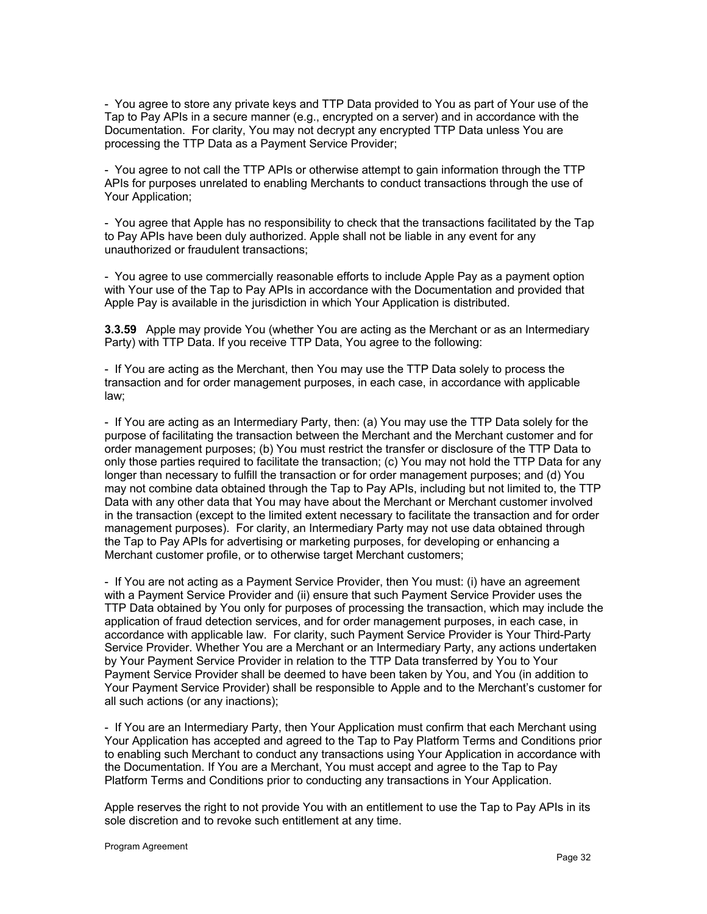- You agree to store any private keys and TTP Data provided to You as part of Your use of the Tap to Pay APIs in a secure manner (e.g., encrypted on a server) and in accordance with the Documentation. For clarity, You may not decrypt any encrypted TTP Data unless You are processing the TTP Data as a Payment Service Provider;

- You agree to not call the TTP APIs or otherwise attempt to gain information through the TTP APIs for purposes unrelated to enabling Merchants to conduct transactions through the use of Your Application;

- You agree that Apple has no responsibility to check that the transactions facilitated by the Tap to Pay APIs have been duly authorized. Apple shall not be liable in any event for any unauthorized or fraudulent transactions;

- You agree to use commercially reasonable efforts to include Apple Pay as a payment option with Your use of the Tap to Pay APIs in accordance with the Documentation and provided that Apple Pay is available in the jurisdiction in which Your Application is distributed.

**3.3.59** Apple may provide You (whether You are acting as the Merchant or as an Intermediary Party) with TTP Data. If you receive TTP Data, You agree to the following:

- If You are acting as the Merchant, then You may use the TTP Data solely to process the transaction and for order management purposes, in each case, in accordance with applicable law;

- If You are acting as an Intermediary Party, then: (a) You may use the TTP Data solely for the purpose of facilitating the transaction between the Merchant and the Merchant customer and for order management purposes; (b) You must restrict the transfer or disclosure of the TTP Data to only those parties required to facilitate the transaction; (c) You may not hold the TTP Data for any longer than necessary to fulfill the transaction or for order management purposes; and (d) You may not combine data obtained through the Tap to Pay APIs, including but not limited to, the TTP Data with any other data that You may have about the Merchant or Merchant customer involved in the transaction (except to the limited extent necessary to facilitate the transaction and for order management purposes). For clarity, an Intermediary Party may not use data obtained through the Tap to Pay APIs for advertising or marketing purposes, for developing or enhancing a Merchant customer profile, or to otherwise target Merchant customers;

- If You are not acting as a Payment Service Provider, then You must: (i) have an agreement with a Payment Service Provider and (ii) ensure that such Payment Service Provider uses the TTP Data obtained by You only for purposes of processing the transaction, which may include the application of fraud detection services, and for order management purposes, in each case, in accordance with applicable law. For clarity, such Payment Service Provider is Your Third-Party Service Provider. Whether You are a Merchant or an Intermediary Party, any actions undertaken by Your Payment Service Provider in relation to the TTP Data transferred by You to Your Payment Service Provider shall be deemed to have been taken by You, and You (in addition to Your Payment Service Provider) shall be responsible to Apple and to the Merchant's customer for all such actions (or any inactions);

- If You are an Intermediary Party, then Your Application must confirm that each Merchant using Your Application has accepted and agreed to the Tap to Pay Platform Terms and Conditions prior to enabling such Merchant to conduct any transactions using Your Application in accordance with the Documentation. If You are a Merchant, You must accept and agree to the Tap to Pay Platform Terms and Conditions prior to conducting any transactions in Your Application.

Apple reserves the right to not provide You with an entitlement to use the Tap to Pay APIs in its sole discretion and to revoke such entitlement at any time.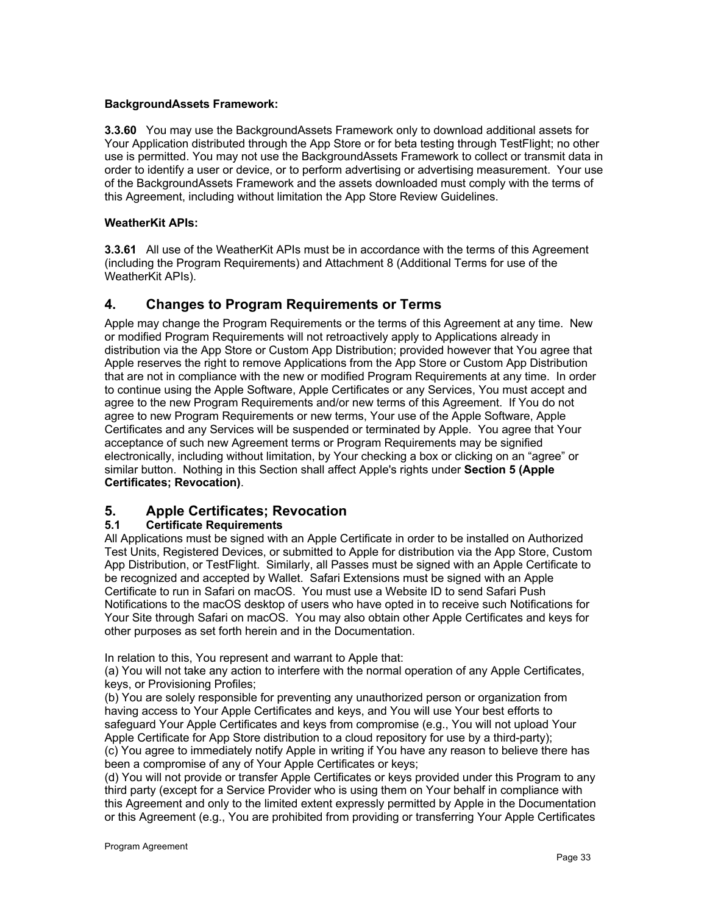## **BackgroundAssets Framework:**

**3.3.60** You may use the BackgroundAssets Framework only to download additional assets for Your Application distributed through the App Store or for beta testing through TestFlight; no other use is permitted. You may not use the BackgroundAssets Framework to collect or transmit data in order to identify a user or device, or to perform advertising or advertising measurement. Your use of the BackgroundAssets Framework and the assets downloaded must comply with the terms of this Agreement, including without limitation the App Store Review Guidelines.

## **WeatherKit APIs:**

**3.3.61** All use of the WeatherKit APIs must be in accordance with the terms of this Agreement (including the Program Requirements) and Attachment 8 (Additional Terms for use of the WeatherKit APIs).

# **4. Changes to Program Requirements or Terms**

Apple may change the Program Requirements or the terms of this Agreement at any time. New or modified Program Requirements will not retroactively apply to Applications already in distribution via the App Store or Custom App Distribution; provided however that You agree that Apple reserves the right to remove Applications from the App Store or Custom App Distribution that are not in compliance with the new or modified Program Requirements at any time. In order to continue using the Apple Software, Apple Certificates or any Services, You must accept and agree to the new Program Requirements and/or new terms of this Agreement. If You do not agree to new Program Requirements or new terms, Your use of the Apple Software, Apple Certificates and any Services will be suspended or terminated by Apple. You agree that Your acceptance of such new Agreement terms or Program Requirements may be signified electronically, including without limitation, by Your checking a box or clicking on an "agree" or similar button. Nothing in this Section shall affect Apple's rights under **Section 5 (Apple Certificates; Revocation)**.

# **5. Apple Certificates; Revocation**

## **5.1 Certificate Requirements**

All Applications must be signed with an Apple Certificate in order to be installed on Authorized Test Units, Registered Devices, or submitted to Apple for distribution via the App Store, Custom App Distribution, or TestFlight. Similarly, all Passes must be signed with an Apple Certificate to be recognized and accepted by Wallet. Safari Extensions must be signed with an Apple Certificate to run in Safari on macOS. You must use a Website ID to send Safari Push Notifications to the macOS desktop of users who have opted in to receive such Notifications for Your Site through Safari on macOS. You may also obtain other Apple Certificates and keys for other purposes as set forth herein and in the Documentation.

In relation to this, You represent and warrant to Apple that:

(a) You will not take any action to interfere with the normal operation of any Apple Certificates, keys, or Provisioning Profiles;

(b) You are solely responsible for preventing any unauthorized person or organization from having access to Your Apple Certificates and keys, and You will use Your best efforts to safeguard Your Apple Certificates and keys from compromise (e.g., You will not upload Your Apple Certificate for App Store distribution to a cloud repository for use by a third-party); (c) You agree to immediately notify Apple in writing if You have any reason to believe there has been a compromise of any of Your Apple Certificates or keys;

(d) You will not provide or transfer Apple Certificates or keys provided under this Program to any third party (except for a Service Provider who is using them on Your behalf in compliance with this Agreement and only to the limited extent expressly permitted by Apple in the Documentation or this Agreement (e.g., You are prohibited from providing or transferring Your Apple Certificates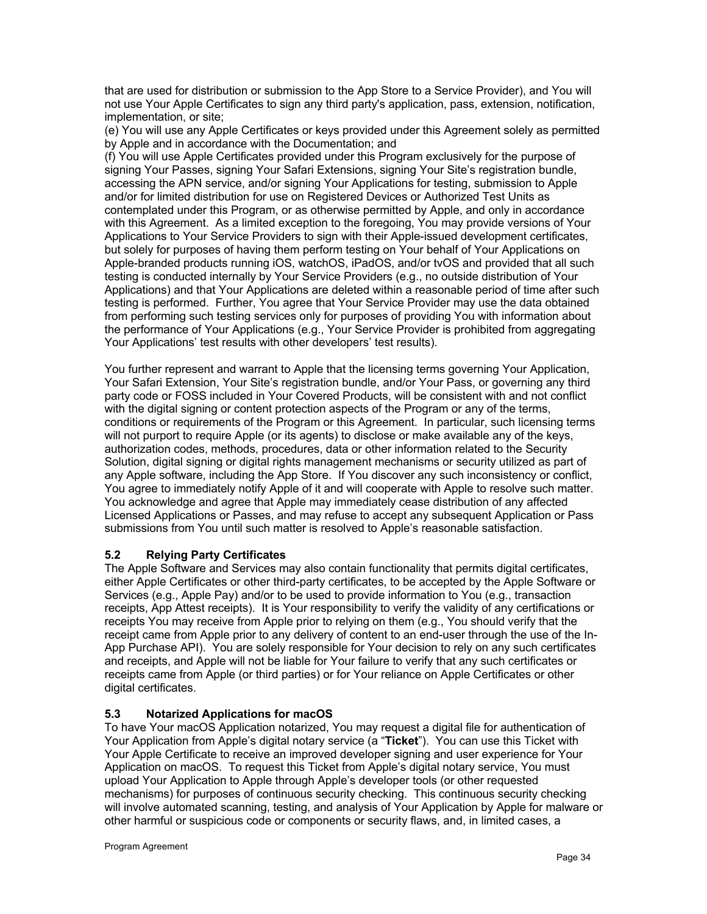that are used for distribution or submission to the App Store to a Service Provider), and You will not use Your Apple Certificates to sign any third party's application, pass, extension, notification, implementation, or site;

(e) You will use any Apple Certificates or keys provided under this Agreement solely as permitted by Apple and in accordance with the Documentation; and

(f) You will use Apple Certificates provided under this Program exclusively for the purpose of signing Your Passes, signing Your Safari Extensions, signing Your Site's registration bundle, accessing the APN service, and/or signing Your Applications for testing, submission to Apple and/or for limited distribution for use on Registered Devices or Authorized Test Units as contemplated under this Program, or as otherwise permitted by Apple, and only in accordance with this Agreement. As a limited exception to the foregoing, You may provide versions of Your Applications to Your Service Providers to sign with their Apple-issued development certificates, but solely for purposes of having them perform testing on Your behalf of Your Applications on Apple-branded products running iOS, watchOS, iPadOS, and/or tvOS and provided that all such testing is conducted internally by Your Service Providers (e.g., no outside distribution of Your Applications) and that Your Applications are deleted within a reasonable period of time after such testing is performed. Further, You agree that Your Service Provider may use the data obtained from performing such testing services only for purposes of providing You with information about the performance of Your Applications (e.g., Your Service Provider is prohibited from aggregating Your Applications' test results with other developers' test results).

You further represent and warrant to Apple that the licensing terms governing Your Application, Your Safari Extension, Your Site's registration bundle, and/or Your Pass, or governing any third party code or FOSS included in Your Covered Products, will be consistent with and not conflict with the digital signing or content protection aspects of the Program or any of the terms, conditions or requirements of the Program or this Agreement. In particular, such licensing terms will not purport to require Apple (or its agents) to disclose or make available any of the keys, authorization codes, methods, procedures, data or other information related to the Security Solution, digital signing or digital rights management mechanisms or security utilized as part of any Apple software, including the App Store. If You discover any such inconsistency or conflict, You agree to immediately notify Apple of it and will cooperate with Apple to resolve such matter. You acknowledge and agree that Apple may immediately cease distribution of any affected Licensed Applications or Passes, and may refuse to accept any subsequent Application or Pass submissions from You until such matter is resolved to Apple's reasonable satisfaction.

## **5.2 Relying Party Certificates**

The Apple Software and Services may also contain functionality that permits digital certificates, either Apple Certificates or other third-party certificates, to be accepted by the Apple Software or Services (e.g., Apple Pay) and/or to be used to provide information to You (e.g., transaction receipts, App Attest receipts). It is Your responsibility to verify the validity of any certifications or receipts You may receive from Apple prior to relying on them (e.g., You should verify that the receipt came from Apple prior to any delivery of content to an end-user through the use of the In-App Purchase API). You are solely responsible for Your decision to rely on any such certificates and receipts, and Apple will not be liable for Your failure to verify that any such certificates or receipts came from Apple (or third parties) or for Your reliance on Apple Certificates or other digital certificates.

## **5.3 Notarized Applications for macOS**

To have Your macOS Application notarized, You may request a digital file for authentication of Your Application from Apple's digital notary service (a "**Ticket**"). You can use this Ticket with Your Apple Certificate to receive an improved developer signing and user experience for Your Application on macOS. To request this Ticket from Apple's digital notary service, You must upload Your Application to Apple through Apple's developer tools (or other requested mechanisms) for purposes of continuous security checking. This continuous security checking will involve automated scanning, testing, and analysis of Your Application by Apple for malware or other harmful or suspicious code or components or security flaws, and, in limited cases, a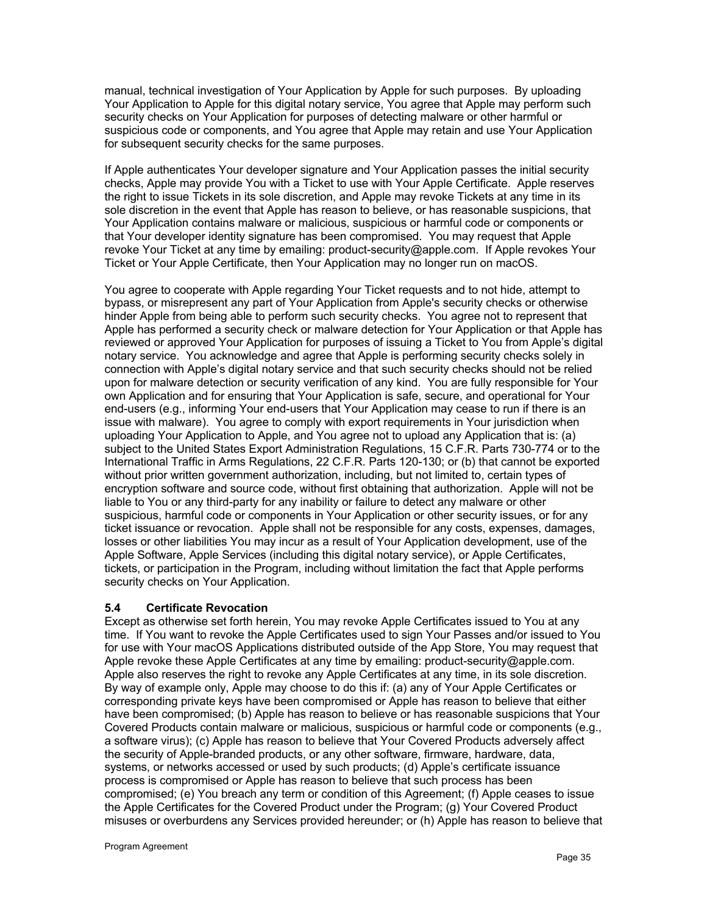manual, technical investigation of Your Application by Apple for such purposes. By uploading Your Application to Apple for this digital notary service, You agree that Apple may perform such security checks on Your Application for purposes of detecting malware or other harmful or suspicious code or components, and You agree that Apple may retain and use Your Application for subsequent security checks for the same purposes.

If Apple authenticates Your developer signature and Your Application passes the initial security checks, Apple may provide You with a Ticket to use with Your Apple Certificate. Apple reserves the right to issue Tickets in its sole discretion, and Apple may revoke Tickets at any time in its sole discretion in the event that Apple has reason to believe, or has reasonable suspicions, that Your Application contains malware or malicious, suspicious or harmful code or components or that Your developer identity signature has been compromised. You may request that Apple revoke Your Ticket at any time by emailing: product-security@apple.com. If Apple revokes Your Ticket or Your Apple Certificate, then Your Application may no longer run on macOS.

You agree to cooperate with Apple regarding Your Ticket requests and to not hide, attempt to bypass, or misrepresent any part of Your Application from Apple's security checks or otherwise hinder Apple from being able to perform such security checks. You agree not to represent that Apple has performed a security check or malware detection for Your Application or that Apple has reviewed or approved Your Application for purposes of issuing a Ticket to You from Apple's digital notary service. You acknowledge and agree that Apple is performing security checks solely in connection with Apple's digital notary service and that such security checks should not be relied upon for malware detection or security verification of any kind. You are fully responsible for Your own Application and for ensuring that Your Application is safe, secure, and operational for Your end-users (e.g., informing Your end-users that Your Application may cease to run if there is an issue with malware). You agree to comply with export requirements in Your jurisdiction when uploading Your Application to Apple, and You agree not to upload any Application that is: (a) subject to the United States Export Administration Regulations, 15 C.F.R. Parts 730-774 or to the International Traffic in Arms Regulations, 22 C.F.R. Parts 120-130; or (b) that cannot be exported without prior written government authorization, including, but not limited to, certain types of encryption software and source code, without first obtaining that authorization. Apple will not be liable to You or any third-party for any inability or failure to detect any malware or other suspicious, harmful code or components in Your Application or other security issues, or for any ticket issuance or revocation. Apple shall not be responsible for any costs, expenses, damages, losses or other liabilities You may incur as a result of Your Application development, use of the Apple Software, Apple Services (including this digital notary service), or Apple Certificates, tickets, or participation in the Program, including without limitation the fact that Apple performs security checks on Your Application.

#### **5.4 Certificate Revocation**

Except as otherwise set forth herein, You may revoke Apple Certificates issued to You at any time. If You want to revoke the Apple Certificates used to sign Your Passes and/or issued to You for use with Your macOS Applications distributed outside of the App Store, You may request that Apple revoke these Apple Certificates at any time by emailing: product-security@apple.com. Apple also reserves the right to revoke any Apple Certificates at any time, in its sole discretion. By way of example only, Apple may choose to do this if: (a) any of Your Apple Certificates or corresponding private keys have been compromised or Apple has reason to believe that either have been compromised; (b) Apple has reason to believe or has reasonable suspicions that Your Covered Products contain malware or malicious, suspicious or harmful code or components (e.g., a software virus); (c) Apple has reason to believe that Your Covered Products adversely affect the security of Apple-branded products, or any other software, firmware, hardware, data, systems, or networks accessed or used by such products; (d) Apple's certificate issuance process is compromised or Apple has reason to believe that such process has been compromised; (e) You breach any term or condition of this Agreement; (f) Apple ceases to issue the Apple Certificates for the Covered Product under the Program; (g) Your Covered Product misuses or overburdens any Services provided hereunder; or (h) Apple has reason to believe that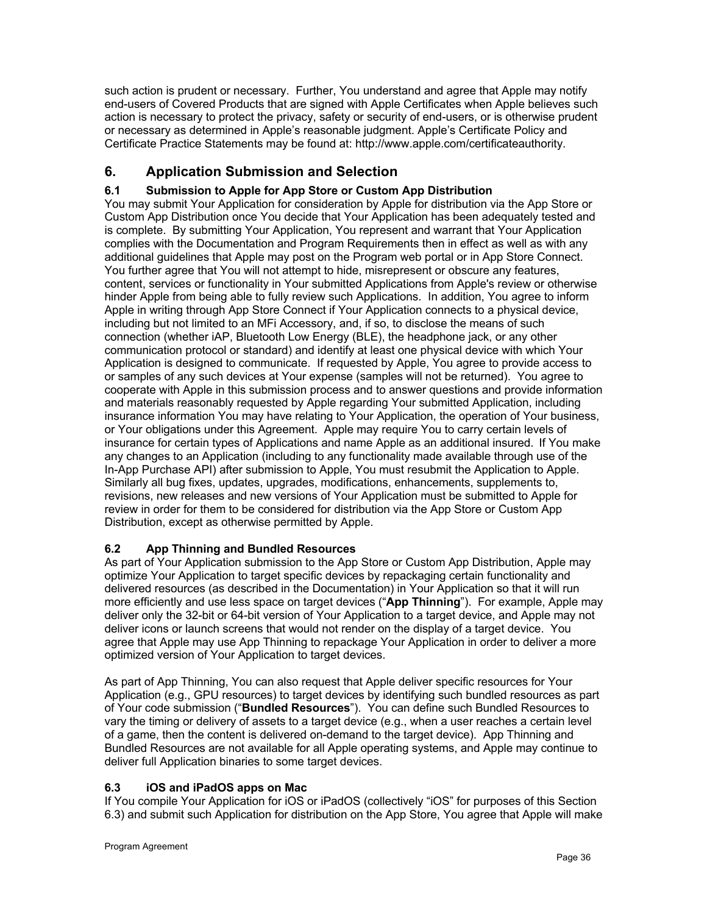such action is prudent or necessary. Further, You understand and agree that Apple may notify end-users of Covered Products that are signed with Apple Certificates when Apple believes such action is necessary to protect the privacy, safety or security of end-users, or is otherwise prudent or necessary as determined in Apple's reasonable judgment. Apple's Certificate Policy and Certificate Practice Statements may be found at: http://www.apple.com/certificateauthority.

# **6. Application Submission and Selection**

# **6.1 Submission to Apple for App Store or Custom App Distribution**

You may submit Your Application for consideration by Apple for distribution via the App Store or Custom App Distribution once You decide that Your Application has been adequately tested and is complete. By submitting Your Application, You represent and warrant that Your Application complies with the Documentation and Program Requirements then in effect as well as with any additional guidelines that Apple may post on the Program web portal or in App Store Connect. You further agree that You will not attempt to hide, misrepresent or obscure any features, content, services or functionality in Your submitted Applications from Apple's review or otherwise hinder Apple from being able to fully review such Applications. In addition, You agree to inform Apple in writing through App Store Connect if Your Application connects to a physical device, including but not limited to an MFi Accessory, and, if so, to disclose the means of such connection (whether iAP, Bluetooth Low Energy (BLE), the headphone jack, or any other communication protocol or standard) and identify at least one physical device with which Your Application is designed to communicate. If requested by Apple, You agree to provide access to or samples of any such devices at Your expense (samples will not be returned). You agree to cooperate with Apple in this submission process and to answer questions and provide information and materials reasonably requested by Apple regarding Your submitted Application, including insurance information You may have relating to Your Application, the operation of Your business, or Your obligations under this Agreement. Apple may require You to carry certain levels of insurance for certain types of Applications and name Apple as an additional insured. If You make any changes to an Application (including to any functionality made available through use of the In-App Purchase API) after submission to Apple, You must resubmit the Application to Apple. Similarly all bug fixes, updates, upgrades, modifications, enhancements, supplements to, revisions, new releases and new versions of Your Application must be submitted to Apple for review in order for them to be considered for distribution via the App Store or Custom App Distribution, except as otherwise permitted by Apple.

# **6.2 App Thinning and Bundled Resources**

As part of Your Application submission to the App Store or Custom App Distribution, Apple may optimize Your Application to target specific devices by repackaging certain functionality and delivered resources (as described in the Documentation) in Your Application so that it will run more efficiently and use less space on target devices ("**App Thinning**"). For example, Apple may deliver only the 32-bit or 64-bit version of Your Application to a target device, and Apple may not deliver icons or launch screens that would not render on the display of a target device. You agree that Apple may use App Thinning to repackage Your Application in order to deliver a more optimized version of Your Application to target devices.

As part of App Thinning, You can also request that Apple deliver specific resources for Your Application (e.g., GPU resources) to target devices by identifying such bundled resources as part of Your code submission ("**Bundled Resources**"). You can define such Bundled Resources to vary the timing or delivery of assets to a target device (e.g., when a user reaches a certain level of a game, then the content is delivered on-demand to the target device). App Thinning and Bundled Resources are not available for all Apple operating systems, and Apple may continue to deliver full Application binaries to some target devices.

## **6.3 iOS and iPadOS apps on Mac**

If You compile Your Application for iOS or iPadOS (collectively "iOS" for purposes of this Section 6.3) and submit such Application for distribution on the App Store, You agree that Apple will make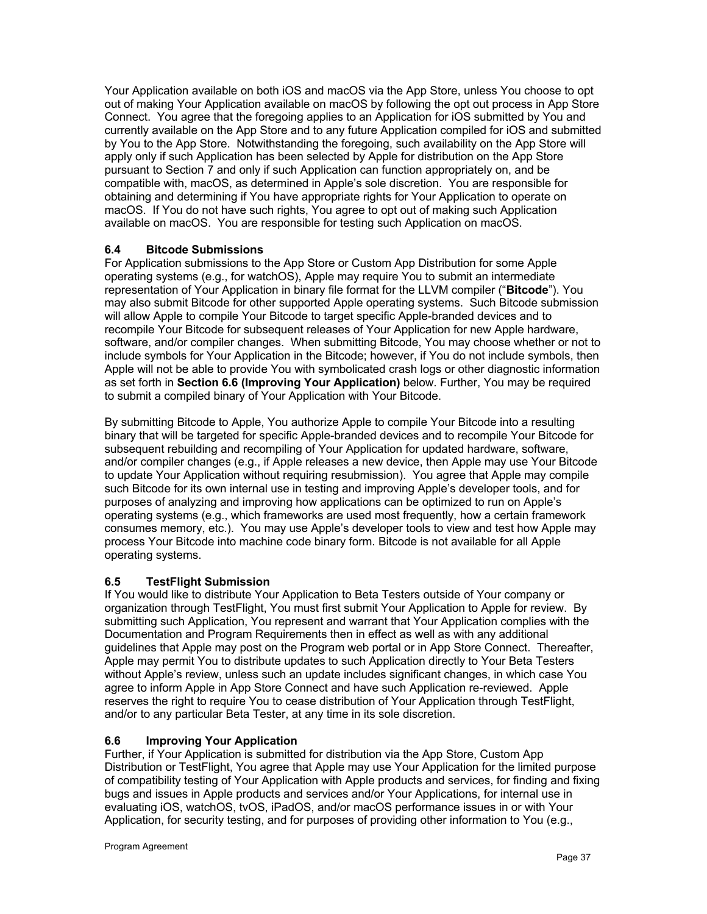Your Application available on both iOS and macOS via the App Store, unless You choose to opt out of making Your Application available on macOS by following the opt out process in App Store Connect. You agree that the foregoing applies to an Application for iOS submitted by You and currently available on the App Store and to any future Application compiled for iOS and submitted by You to the App Store. Notwithstanding the foregoing, such availability on the App Store will apply only if such Application has been selected by Apple for distribution on the App Store pursuant to Section 7 and only if such Application can function appropriately on, and be compatible with, macOS, as determined in Apple's sole discretion. You are responsible for obtaining and determining if You have appropriate rights for Your Application to operate on macOS. If You do not have such rights, You agree to opt out of making such Application available on macOS. You are responsible for testing such Application on macOS.

# **6.4 Bitcode Submissions**

For Application submissions to the App Store or Custom App Distribution for some Apple operating systems (e.g., for watchOS), Apple may require You to submit an intermediate representation of Your Application in binary file format for the LLVM compiler ("**Bitcode**"). You may also submit Bitcode for other supported Apple operating systems. Such Bitcode submission will allow Apple to compile Your Bitcode to target specific Apple-branded devices and to recompile Your Bitcode for subsequent releases of Your Application for new Apple hardware, software, and/or compiler changes. When submitting Bitcode, You may choose whether or not to include symbols for Your Application in the Bitcode; however, if You do not include symbols, then Apple will not be able to provide You with symbolicated crash logs or other diagnostic information as set forth in **Section 6.6 (Improving Your Application)** below. Further, You may be required to submit a compiled binary of Your Application with Your Bitcode.

By submitting Bitcode to Apple, You authorize Apple to compile Your Bitcode into a resulting binary that will be targeted for specific Apple-branded devices and to recompile Your Bitcode for subsequent rebuilding and recompiling of Your Application for updated hardware, software, and/or compiler changes (e.g., if Apple releases a new device, then Apple may use Your Bitcode to update Your Application without requiring resubmission). You agree that Apple may compile such Bitcode for its own internal use in testing and improving Apple's developer tools, and for purposes of analyzing and improving how applications can be optimized to run on Apple's operating systems (e.g., which frameworks are used most frequently, how a certain framework consumes memory, etc.). You may use Apple's developer tools to view and test how Apple may process Your Bitcode into machine code binary form. Bitcode is not available for all Apple operating systems.

# **6.5 TestFlight Submission**

If You would like to distribute Your Application to Beta Testers outside of Your company or organization through TestFlight, You must first submit Your Application to Apple for review. By submitting such Application, You represent and warrant that Your Application complies with the Documentation and Program Requirements then in effect as well as with any additional guidelines that Apple may post on the Program web portal or in App Store Connect. Thereafter, Apple may permit You to distribute updates to such Application directly to Your Beta Testers without Apple's review, unless such an update includes significant changes, in which case You agree to inform Apple in App Store Connect and have such Application re-reviewed. Apple reserves the right to require You to cease distribution of Your Application through TestFlight, and/or to any particular Beta Tester, at any time in its sole discretion.

# **6.6 Improving Your Application**

Further, if Your Application is submitted for distribution via the App Store, Custom App Distribution or TestFlight, You agree that Apple may use Your Application for the limited purpose of compatibility testing of Your Application with Apple products and services, for finding and fixing bugs and issues in Apple products and services and/or Your Applications, for internal use in evaluating iOS, watchOS, tvOS, iPadOS, and/or macOS performance issues in or with Your Application, for security testing, and for purposes of providing other information to You (e.g.,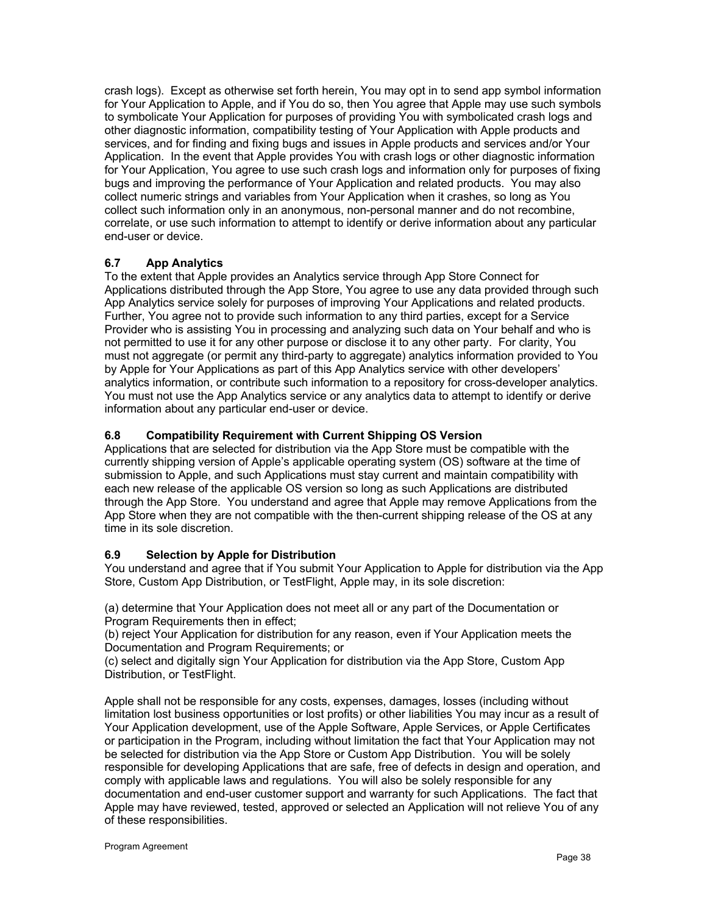crash logs). Except as otherwise set forth herein, You may opt in to send app symbol information for Your Application to Apple, and if You do so, then You agree that Apple may use such symbols to symbolicate Your Application for purposes of providing You with symbolicated crash logs and other diagnostic information, compatibility testing of Your Application with Apple products and services, and for finding and fixing bugs and issues in Apple products and services and/or Your Application. In the event that Apple provides You with crash logs or other diagnostic information for Your Application, You agree to use such crash logs and information only for purposes of fixing bugs and improving the performance of Your Application and related products. You may also collect numeric strings and variables from Your Application when it crashes, so long as You collect such information only in an anonymous, non-personal manner and do not recombine, correlate, or use such information to attempt to identify or derive information about any particular end-user or device.

# **6.7 App Analytics**

To the extent that Apple provides an Analytics service through App Store Connect for Applications distributed through the App Store, You agree to use any data provided through such App Analytics service solely for purposes of improving Your Applications and related products. Further, You agree not to provide such information to any third parties, except for a Service Provider who is assisting You in processing and analyzing such data on Your behalf and who is not permitted to use it for any other purpose or disclose it to any other party. For clarity, You must not aggregate (or permit any third-party to aggregate) analytics information provided to You by Apple for Your Applications as part of this App Analytics service with other developers' analytics information, or contribute such information to a repository for cross-developer analytics. You must not use the App Analytics service or any analytics data to attempt to identify or derive information about any particular end-user or device.

# **6.8 Compatibility Requirement with Current Shipping OS Version**

Applications that are selected for distribution via the App Store must be compatible with the currently shipping version of Apple's applicable operating system (OS) software at the time of submission to Apple, and such Applications must stay current and maintain compatibility with each new release of the applicable OS version so long as such Applications are distributed through the App Store. You understand and agree that Apple may remove Applications from the App Store when they are not compatible with the then-current shipping release of the OS at any time in its sole discretion.

# **6.9 Selection by Apple for Distribution**

You understand and agree that if You submit Your Application to Apple for distribution via the App Store, Custom App Distribution, or TestFlight, Apple may, in its sole discretion:

(a) determine that Your Application does not meet all or any part of the Documentation or Program Requirements then in effect;

(b) reject Your Application for distribution for any reason, even if Your Application meets the Documentation and Program Requirements; or

(c) select and digitally sign Your Application for distribution via the App Store, Custom App Distribution, or TestFlight.

Apple shall not be responsible for any costs, expenses, damages, losses (including without limitation lost business opportunities or lost profits) or other liabilities You may incur as a result of Your Application development, use of the Apple Software, Apple Services, or Apple Certificates or participation in the Program, including without limitation the fact that Your Application may not be selected for distribution via the App Store or Custom App Distribution. You will be solely responsible for developing Applications that are safe, free of defects in design and operation, and comply with applicable laws and regulations. You will also be solely responsible for any documentation and end-user customer support and warranty for such Applications. The fact that Apple may have reviewed, tested, approved or selected an Application will not relieve You of any of these responsibilities.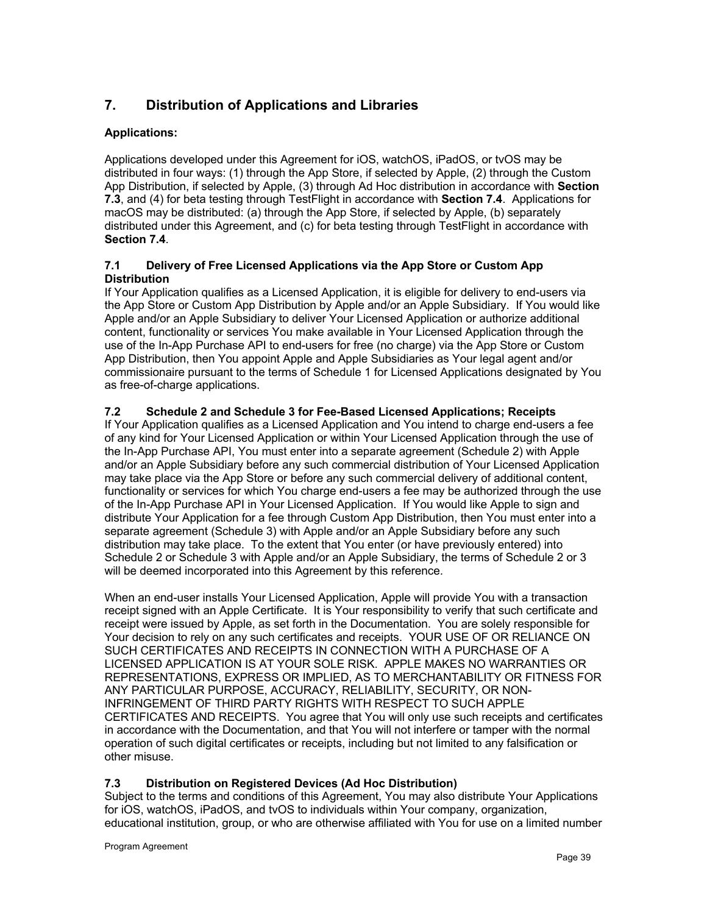# **7. Distribution of Applications and Libraries**

# **Applications:**

Applications developed under this Agreement for iOS, watchOS, iPadOS, or tvOS may be distributed in four ways: (1) through the App Store, if selected by Apple, (2) through the Custom App Distribution, if selected by Apple, (3) through Ad Hoc distribution in accordance with **Section 7.3**, and (4) for beta testing through TestFlight in accordance with **Section 7.4**. Applications for macOS may be distributed: (a) through the App Store, if selected by Apple, (b) separately distributed under this Agreement, and (c) for beta testing through TestFlight in accordance with **Section 7.4**.

## **7.1 Delivery of Free Licensed Applications via the App Store or Custom App Distribution**

If Your Application qualifies as a Licensed Application, it is eligible for delivery to end-users via the App Store or Custom App Distribution by Apple and/or an Apple Subsidiary. If You would like Apple and/or an Apple Subsidiary to deliver Your Licensed Application or authorize additional content, functionality or services You make available in Your Licensed Application through the use of the In-App Purchase API to end-users for free (no charge) via the App Store or Custom App Distribution, then You appoint Apple and Apple Subsidiaries as Your legal agent and/or commissionaire pursuant to the terms of Schedule 1 for Licensed Applications designated by You as free-of-charge applications.

# **7.2 Schedule 2 and Schedule 3 for Fee-Based Licensed Applications; Receipts**

If Your Application qualifies as a Licensed Application and You intend to charge end-users a fee of any kind for Your Licensed Application or within Your Licensed Application through the use of the In-App Purchase API, You must enter into a separate agreement (Schedule 2) with Apple and/or an Apple Subsidiary before any such commercial distribution of Your Licensed Application may take place via the App Store or before any such commercial delivery of additional content, functionality or services for which You charge end-users a fee may be authorized through the use of the In-App Purchase API in Your Licensed Application. If You would like Apple to sign and distribute Your Application for a fee through Custom App Distribution, then You must enter into a separate agreement (Schedule 3) with Apple and/or an Apple Subsidiary before any such distribution may take place. To the extent that You enter (or have previously entered) into Schedule 2 or Schedule 3 with Apple and/or an Apple Subsidiary, the terms of Schedule 2 or 3 will be deemed incorporated into this Agreement by this reference.

When an end-user installs Your Licensed Application, Apple will provide You with a transaction receipt signed with an Apple Certificate. It is Your responsibility to verify that such certificate and receipt were issued by Apple, as set forth in the Documentation. You are solely responsible for Your decision to rely on any such certificates and receipts. YOUR USE OF OR RELIANCE ON SUCH CERTIFICATES AND RECEIPTS IN CONNECTION WITH A PURCHASE OF A LICENSED APPLICATION IS AT YOUR SOLE RISK. APPLE MAKES NO WARRANTIES OR REPRESENTATIONS, EXPRESS OR IMPLIED, AS TO MERCHANTABILITY OR FITNESS FOR ANY PARTICULAR PURPOSE, ACCURACY, RELIABILITY, SECURITY, OR NON-INFRINGEMENT OF THIRD PARTY RIGHTS WITH RESPECT TO SUCH APPLE CERTIFICATES AND RECEIPTS. You agree that You will only use such receipts and certificates in accordance with the Documentation, and that You will not interfere or tamper with the normal operation of such digital certificates or receipts, including but not limited to any falsification or other misuse.

# **7.3 Distribution on Registered Devices (Ad Hoc Distribution)**

Subject to the terms and conditions of this Agreement, You may also distribute Your Applications for iOS, watchOS, iPadOS, and tvOS to individuals within Your company, organization, educational institution, group, or who are otherwise affiliated with You for use on a limited number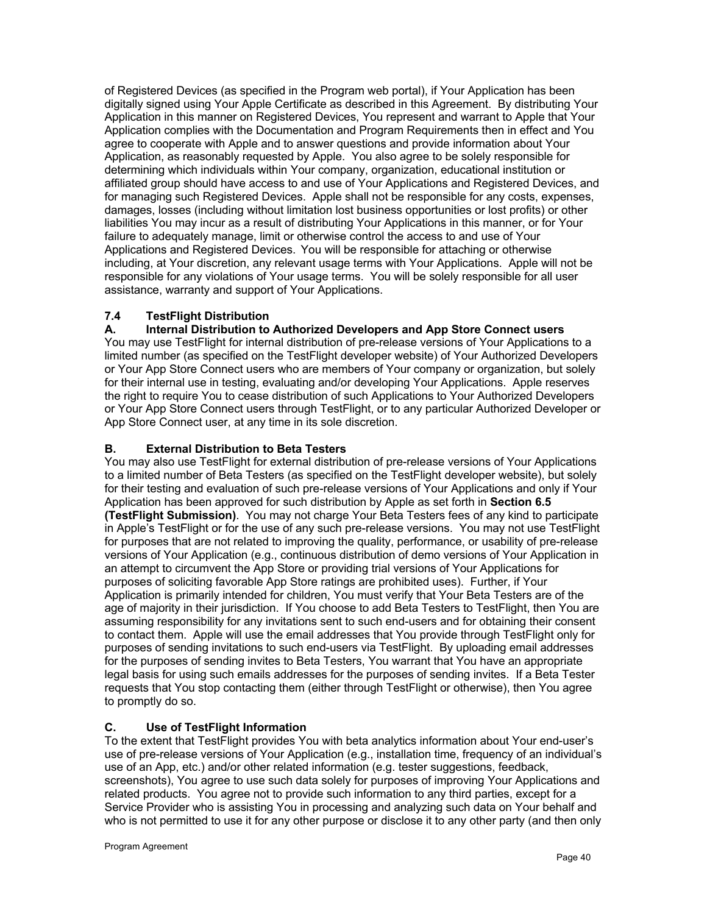of Registered Devices (as specified in the Program web portal), if Your Application has been digitally signed using Your Apple Certificate as described in this Agreement. By distributing Your Application in this manner on Registered Devices, You represent and warrant to Apple that Your Application complies with the Documentation and Program Requirements then in effect and You agree to cooperate with Apple and to answer questions and provide information about Your Application, as reasonably requested by Apple. You also agree to be solely responsible for determining which individuals within Your company, organization, educational institution or affiliated group should have access to and use of Your Applications and Registered Devices, and for managing such Registered Devices. Apple shall not be responsible for any costs, expenses, damages, losses (including without limitation lost business opportunities or lost profits) or other liabilities You may incur as a result of distributing Your Applications in this manner, or for Your failure to adequately manage, limit or otherwise control the access to and use of Your Applications and Registered Devices. You will be responsible for attaching or otherwise including, at Your discretion, any relevant usage terms with Your Applications. Apple will not be responsible for any violations of Your usage terms. You will be solely responsible for all user assistance, warranty and support of Your Applications.

# **7.4 TestFlight Distribution**

**A. Internal Distribution to Authorized Developers and App Store Connect users** You may use TestFlight for internal distribution of pre-release versions of Your Applications to a limited number (as specified on the TestFlight developer website) of Your Authorized Developers or Your App Store Connect users who are members of Your company or organization, but solely for their internal use in testing, evaluating and/or developing Your Applications. Apple reserves the right to require You to cease distribution of such Applications to Your Authorized Developers or Your App Store Connect users through TestFlight, or to any particular Authorized Developer or App Store Connect user, at any time in its sole discretion.

# **B. External Distribution to Beta Testers**

You may also use TestFlight for external distribution of pre-release versions of Your Applications to a limited number of Beta Testers (as specified on the TestFlight developer website), but solely for their testing and evaluation of such pre-release versions of Your Applications and only if Your Application has been approved for such distribution by Apple as set forth in **Section 6.5 (TestFlight Submission)**. You may not charge Your Beta Testers fees of any kind to participate in Apple's TestFlight or for the use of any such pre-release versions. You may not use TestFlight for purposes that are not related to improving the quality, performance, or usability of pre-release versions of Your Application (e.g., continuous distribution of demo versions of Your Application in an attempt to circumvent the App Store or providing trial versions of Your Applications for purposes of soliciting favorable App Store ratings are prohibited uses). Further, if Your Application is primarily intended for children, You must verify that Your Beta Testers are of the age of majority in their jurisdiction. If You choose to add Beta Testers to TestFlight, then You are assuming responsibility for any invitations sent to such end-users and for obtaining their consent to contact them. Apple will use the email addresses that You provide through TestFlight only for purposes of sending invitations to such end-users via TestFlight. By uploading email addresses for the purposes of sending invites to Beta Testers, You warrant that You have an appropriate legal basis for using such emails addresses for the purposes of sending invites. If a Beta Tester requests that You stop contacting them (either through TestFlight or otherwise), then You agree to promptly do so.

# **C. Use of TestFlight Information**

To the extent that TestFlight provides You with beta analytics information about Your end-user's use of pre-release versions of Your Application (e.g., installation time, frequency of an individual's use of an App, etc.) and/or other related information (e.g. tester suggestions, feedback, screenshots), You agree to use such data solely for purposes of improving Your Applications and related products. You agree not to provide such information to any third parties, except for a Service Provider who is assisting You in processing and analyzing such data on Your behalf and who is not permitted to use it for any other purpose or disclose it to any other party (and then only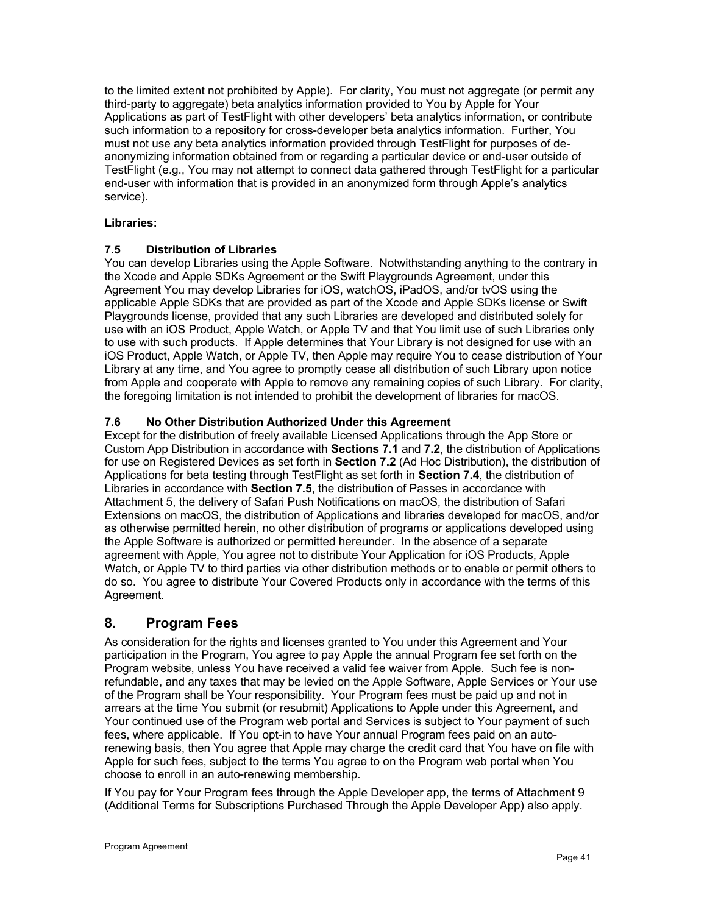to the limited extent not prohibited by Apple). For clarity, You must not aggregate (or permit any third-party to aggregate) beta analytics information provided to You by Apple for Your Applications as part of TestFlight with other developers' beta analytics information, or contribute such information to a repository for cross-developer beta analytics information. Further, You must not use any beta analytics information provided through TestFlight for purposes of deanonymizing information obtained from or regarding a particular device or end-user outside of TestFlight (e.g., You may not attempt to connect data gathered through TestFlight for a particular end-user with information that is provided in an anonymized form through Apple's analytics service).

## **Libraries:**

# **7.5 Distribution of Libraries**

You can develop Libraries using the Apple Software. Notwithstanding anything to the contrary in the Xcode and Apple SDKs Agreement or the Swift Playgrounds Agreement, under this Agreement You may develop Libraries for iOS, watchOS, iPadOS, and/or tvOS using the applicable Apple SDKs that are provided as part of the Xcode and Apple SDKs license or Swift Playgrounds license, provided that any such Libraries are developed and distributed solely for use with an iOS Product, Apple Watch, or Apple TV and that You limit use of such Libraries only to use with such products. If Apple determines that Your Library is not designed for use with an iOS Product, Apple Watch, or Apple TV, then Apple may require You to cease distribution of Your Library at any time, and You agree to promptly cease all distribution of such Library upon notice from Apple and cooperate with Apple to remove any remaining copies of such Library. For clarity, the foregoing limitation is not intended to prohibit the development of libraries for macOS.

# **7.6 No Other Distribution Authorized Under this Agreement**

Except for the distribution of freely available Licensed Applications through the App Store or Custom App Distribution in accordance with **Sections 7.1** and **7.2**, the distribution of Applications for use on Registered Devices as set forth in **Section 7.2** (Ad Hoc Distribution), the distribution of Applications for beta testing through TestFlight as set forth in **Section 7.4**, the distribution of Libraries in accordance with **Section 7.5**, the distribution of Passes in accordance with Attachment 5, the delivery of Safari Push Notifications on macOS, the distribution of Safari Extensions on macOS, the distribution of Applications and libraries developed for macOS, and/or as otherwise permitted herein, no other distribution of programs or applications developed using the Apple Software is authorized or permitted hereunder. In the absence of a separate agreement with Apple, You agree not to distribute Your Application for iOS Products, Apple Watch, or Apple TV to third parties via other distribution methods or to enable or permit others to do so. You agree to distribute Your Covered Products only in accordance with the terms of this Agreement.

# **8. Program Fees**

As consideration for the rights and licenses granted to You under this Agreement and Your participation in the Program, You agree to pay Apple the annual Program fee set forth on the Program website, unless You have received a valid fee waiver from Apple. Such fee is nonrefundable, and any taxes that may be levied on the Apple Software, Apple Services or Your use of the Program shall be Your responsibility. Your Program fees must be paid up and not in arrears at the time You submit (or resubmit) Applications to Apple under this Agreement, and Your continued use of the Program web portal and Services is subject to Your payment of such fees, where applicable. If You opt-in to have Your annual Program fees paid on an autorenewing basis, then You agree that Apple may charge the credit card that You have on file with Apple for such fees, subject to the terms You agree to on the Program web portal when You choose to enroll in an auto-renewing membership.

If You pay for Your Program fees through the Apple Developer app, the terms of Attachment 9 (Additional Terms for Subscriptions Purchased Through the Apple Developer App) also apply.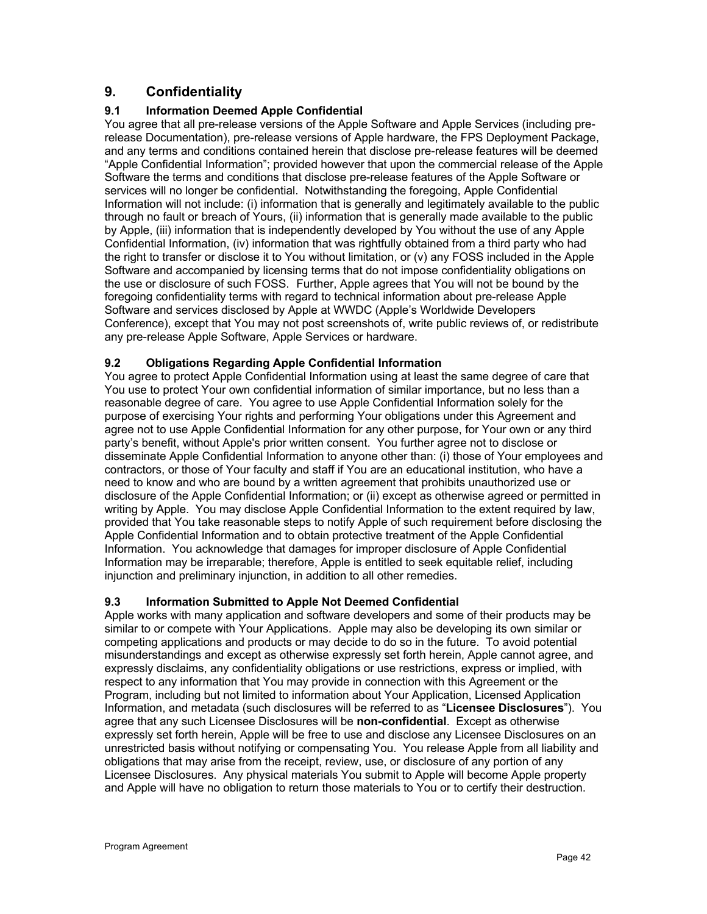# **9. Confidentiality**

# **9.1 Information Deemed Apple Confidential**

You agree that all pre-release versions of the Apple Software and Apple Services (including prerelease Documentation), pre-release versions of Apple hardware, the FPS Deployment Package, and any terms and conditions contained herein that disclose pre-release features will be deemed "Apple Confidential Information"; provided however that upon the commercial release of the Apple Software the terms and conditions that disclose pre-release features of the Apple Software or services will no longer be confidential. Notwithstanding the foregoing, Apple Confidential Information will not include: (i) information that is generally and legitimately available to the public through no fault or breach of Yours, (ii) information that is generally made available to the public by Apple, (iii) information that is independently developed by You without the use of any Apple Confidential Information, (iv) information that was rightfully obtained from a third party who had the right to transfer or disclose it to You without limitation, or (v) any FOSS included in the Apple Software and accompanied by licensing terms that do not impose confidentiality obligations on the use or disclosure of such FOSS. Further, Apple agrees that You will not be bound by the foregoing confidentiality terms with regard to technical information about pre-release Apple Software and services disclosed by Apple at WWDC (Apple's Worldwide Developers Conference), except that You may not post screenshots of, write public reviews of, or redistribute any pre-release Apple Software, Apple Services or hardware.

# **9.2 Obligations Regarding Apple Confidential Information**

You agree to protect Apple Confidential Information using at least the same degree of care that You use to protect Your own confidential information of similar importance, but no less than a reasonable degree of care. You agree to use Apple Confidential Information solely for the purpose of exercising Your rights and performing Your obligations under this Agreement and agree not to use Apple Confidential Information for any other purpose, for Your own or any third party's benefit, without Apple's prior written consent. You further agree not to disclose or disseminate Apple Confidential Information to anyone other than: (i) those of Your employees and contractors, or those of Your faculty and staff if You are an educational institution, who have a need to know and who are bound by a written agreement that prohibits unauthorized use or disclosure of the Apple Confidential Information; or (ii) except as otherwise agreed or permitted in writing by Apple. You may disclose Apple Confidential Information to the extent required by law, provided that You take reasonable steps to notify Apple of such requirement before disclosing the Apple Confidential Information and to obtain protective treatment of the Apple Confidential Information. You acknowledge that damages for improper disclosure of Apple Confidential Information may be irreparable; therefore, Apple is entitled to seek equitable relief, including injunction and preliminary injunction, in addition to all other remedies.

# **9.3 Information Submitted to Apple Not Deemed Confidential**

Apple works with many application and software developers and some of their products may be similar to or compete with Your Applications. Apple may also be developing its own similar or competing applications and products or may decide to do so in the future. To avoid potential misunderstandings and except as otherwise expressly set forth herein, Apple cannot agree, and expressly disclaims, any confidentiality obligations or use restrictions, express or implied, with respect to any information that You may provide in connection with this Agreement or the Program, including but not limited to information about Your Application, Licensed Application Information, and metadata (such disclosures will be referred to as "**Licensee Disclosures**"). You agree that any such Licensee Disclosures will be **non-confidential**. Except as otherwise expressly set forth herein, Apple will be free to use and disclose any Licensee Disclosures on an unrestricted basis without notifying or compensating You. You release Apple from all liability and obligations that may arise from the receipt, review, use, or disclosure of any portion of any Licensee Disclosures. Any physical materials You submit to Apple will become Apple property and Apple will have no obligation to return those materials to You or to certify their destruction.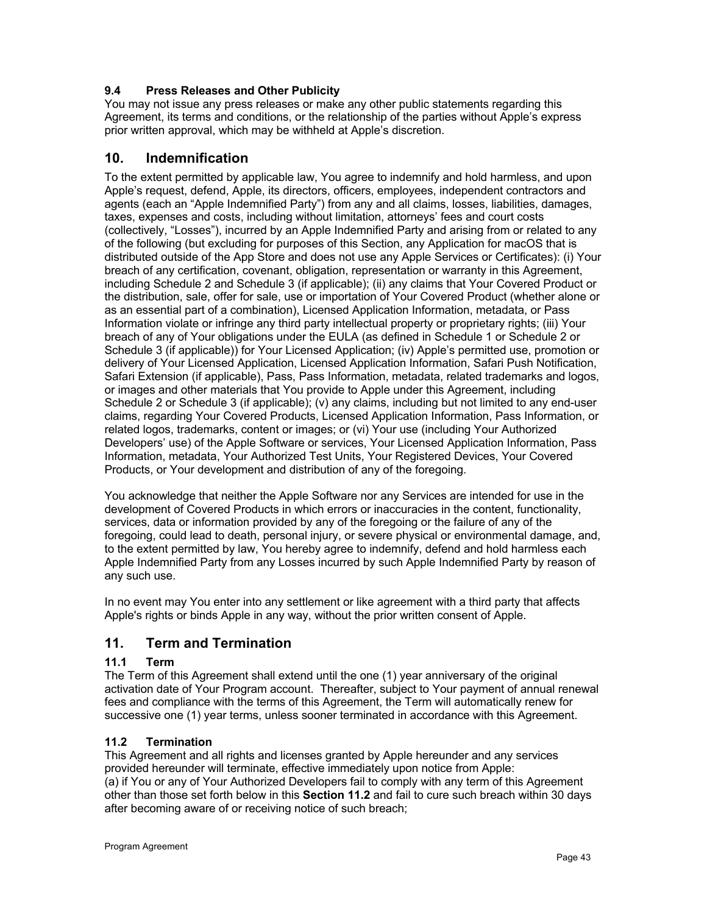# **9.4 Press Releases and Other Publicity**

You may not issue any press releases or make any other public statements regarding this Agreement, its terms and conditions, or the relationship of the parties without Apple's express prior written approval, which may be withheld at Apple's discretion.

# **10. Indemnification**

To the extent permitted by applicable law, You agree to indemnify and hold harmless, and upon Apple's request, defend, Apple, its directors, officers, employees, independent contractors and agents (each an "Apple Indemnified Party") from any and all claims, losses, liabilities, damages, taxes, expenses and costs, including without limitation, attorneys' fees and court costs (collectively, "Losses"), incurred by an Apple Indemnified Party and arising from or related to any of the following (but excluding for purposes of this Section, any Application for macOS that is distributed outside of the App Store and does not use any Apple Services or Certificates): (i) Your breach of any certification, covenant, obligation, representation or warranty in this Agreement, including Schedule 2 and Schedule 3 (if applicable); (ii) any claims that Your Covered Product or the distribution, sale, offer for sale, use or importation of Your Covered Product (whether alone or as an essential part of a combination), Licensed Application Information, metadata, or Pass Information violate or infringe any third party intellectual property or proprietary rights; (iii) Your breach of any of Your obligations under the EULA (as defined in Schedule 1 or Schedule 2 or Schedule 3 (if applicable)) for Your Licensed Application; (iv) Apple's permitted use, promotion or delivery of Your Licensed Application, Licensed Application Information, Safari Push Notification, Safari Extension (if applicable), Pass, Pass Information, metadata, related trademarks and logos, or images and other materials that You provide to Apple under this Agreement, including Schedule 2 or Schedule 3 (if applicable); (v) any claims, including but not limited to any end-user claims, regarding Your Covered Products, Licensed Application Information, Pass Information, or related logos, trademarks, content or images; or (vi) Your use (including Your Authorized Developers' use) of the Apple Software or services, Your Licensed Application Information, Pass Information, metadata, Your Authorized Test Units, Your Registered Devices, Your Covered Products, or Your development and distribution of any of the foregoing.

You acknowledge that neither the Apple Software nor any Services are intended for use in the development of Covered Products in which errors or inaccuracies in the content, functionality, services, data or information provided by any of the foregoing or the failure of any of the foregoing, could lead to death, personal injury, or severe physical or environmental damage, and, to the extent permitted by law, You hereby agree to indemnify, defend and hold harmless each Apple Indemnified Party from any Losses incurred by such Apple Indemnified Party by reason of any such use.

In no event may You enter into any settlement or like agreement with a third party that affects Apple's rights or binds Apple in any way, without the prior written consent of Apple.

# **11. Term and Termination**

# **11.1 Term**

The Term of this Agreement shall extend until the one (1) year anniversary of the original activation date of Your Program account. Thereafter, subject to Your payment of annual renewal fees and compliance with the terms of this Agreement, the Term will automatically renew for successive one (1) year terms, unless sooner terminated in accordance with this Agreement.

# **11.2 Termination**

This Agreement and all rights and licenses granted by Apple hereunder and any services provided hereunder will terminate, effective immediately upon notice from Apple: (a) if You or any of Your Authorized Developers fail to comply with any term of this Agreement other than those set forth below in this **Section 11.2** and fail to cure such breach within 30 days after becoming aware of or receiving notice of such breach;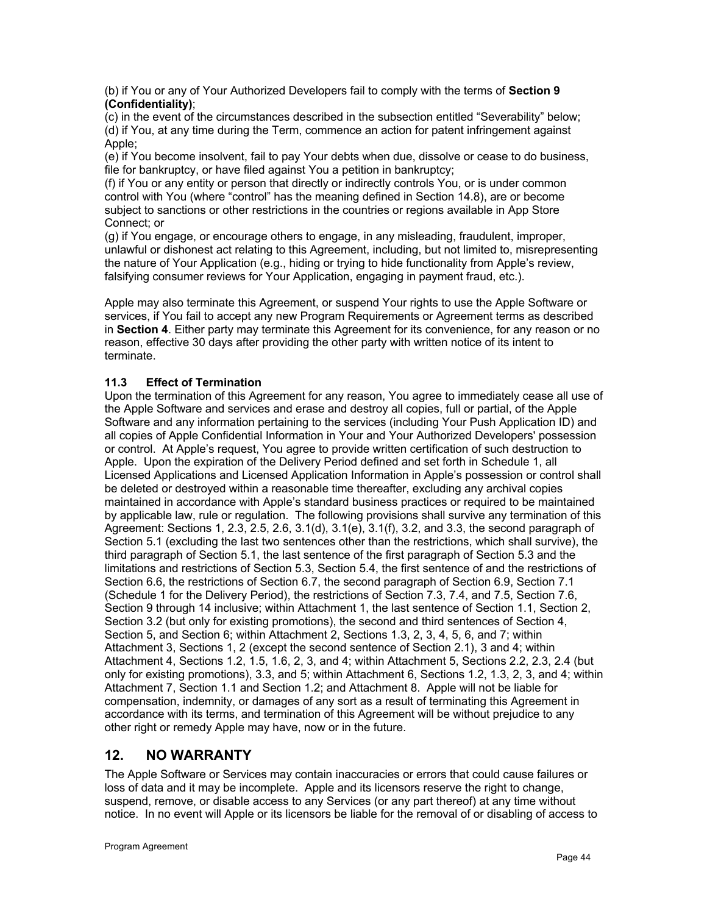(b) if You or any of Your Authorized Developers fail to comply with the terms of **Section 9 (Confidentiality)**;

(c) in the event of the circumstances described in the subsection entitled "Severability" below; (d) if You, at any time during the Term, commence an action for patent infringement against Apple;

(e) if You become insolvent, fail to pay Your debts when due, dissolve or cease to do business, file for bankruptcy, or have filed against You a petition in bankruptcy;

(f) if You or any entity or person that directly or indirectly controls You, or is under common control with You (where "control" has the meaning defined in Section 14.8), are or become subject to sanctions or other restrictions in the countries or regions available in App Store Connect; or

(g) if You engage, or encourage others to engage, in any misleading, fraudulent, improper, unlawful or dishonest act relating to this Agreement, including, but not limited to, misrepresenting the nature of Your Application (e.g., hiding or trying to hide functionality from Apple's review, falsifying consumer reviews for Your Application, engaging in payment fraud, etc.).

Apple may also terminate this Agreement, or suspend Your rights to use the Apple Software or services, if You fail to accept any new Program Requirements or Agreement terms as described in **Section 4**. Either party may terminate this Agreement for its convenience, for any reason or no reason, effective 30 days after providing the other party with written notice of its intent to terminate.

# **11.3 Effect of Termination**

Upon the termination of this Agreement for any reason, You agree to immediately cease all use of the Apple Software and services and erase and destroy all copies, full or partial, of the Apple Software and any information pertaining to the services (including Your Push Application ID) and all copies of Apple Confidential Information in Your and Your Authorized Developers' possession or control. At Apple's request, You agree to provide written certification of such destruction to Apple. Upon the expiration of the Delivery Period defined and set forth in Schedule 1, all Licensed Applications and Licensed Application Information in Apple's possession or control shall be deleted or destroyed within a reasonable time thereafter, excluding any archival copies maintained in accordance with Apple's standard business practices or required to be maintained by applicable law, rule or regulation. The following provisions shall survive any termination of this Agreement: Sections 1, 2.3, 2.5, 2.6, 3.1(d), 3.1(e), 3.1(f), 3.2, and 3.3, the second paragraph of Section 5.1 (excluding the last two sentences other than the restrictions, which shall survive), the third paragraph of Section 5.1, the last sentence of the first paragraph of Section 5.3 and the limitations and restrictions of Section 5.3, Section 5.4, the first sentence of and the restrictions of Section 6.6, the restrictions of Section 6.7, the second paragraph of Section 6.9, Section 7.1 (Schedule 1 for the Delivery Period), the restrictions of Section 7.3, 7.4, and 7.5, Section 7.6, Section 9 through 14 inclusive; within Attachment 1, the last sentence of Section 1.1, Section 2, Section 3.2 (but only for existing promotions), the second and third sentences of Section 4, Section 5, and Section 6; within Attachment 2, Sections 1.3, 2, 3, 4, 5, 6, and 7; within Attachment 3, Sections 1, 2 (except the second sentence of Section 2.1), 3 and 4; within Attachment 4, Sections 1.2, 1.5, 1.6, 2, 3, and 4; within Attachment 5, Sections 2.2, 2.3, 2.4 (but only for existing promotions), 3.3, and 5; within Attachment 6, Sections 1.2, 1.3, 2, 3, and 4; within Attachment 7, Section 1.1 and Section 1.2; and Attachment 8. Apple will not be liable for compensation, indemnity, or damages of any sort as a result of terminating this Agreement in accordance with its terms, and termination of this Agreement will be without prejudice to any other right or remedy Apple may have, now or in the future.

# **12. NO WARRANTY**

The Apple Software or Services may contain inaccuracies or errors that could cause failures or loss of data and it may be incomplete. Apple and its licensors reserve the right to change, suspend, remove, or disable access to any Services (or any part thereof) at any time without notice. In no event will Apple or its licensors be liable for the removal of or disabling of access to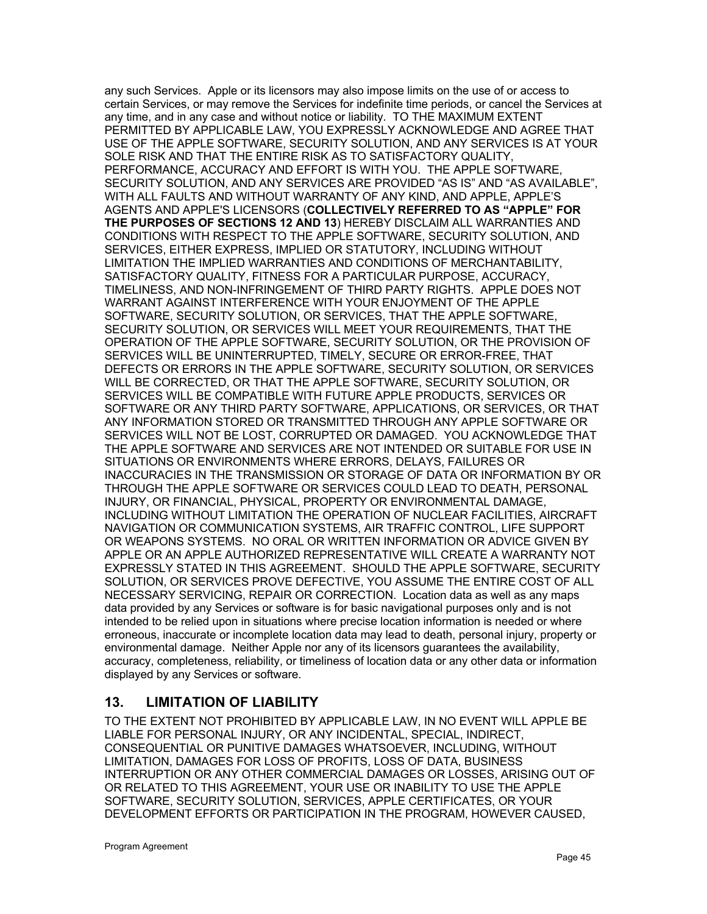any such Services. Apple or its licensors may also impose limits on the use of or access to certain Services, or may remove the Services for indefinite time periods, or cancel the Services at any time, and in any case and without notice or liability. TO THE MAXIMUM EXTENT PERMITTED BY APPLICABLE LAW, YOU EXPRESSLY ACKNOWLEDGE AND AGREE THAT USE OF THE APPLE SOFTWARE, SECURITY SOLUTION, AND ANY SERVICES IS AT YOUR SOLE RISK AND THAT THE ENTIRE RISK AS TO SATISFACTORY QUALITY, PERFORMANCE, ACCURACY AND EFFORT IS WITH YOU. THE APPLE SOFTWARE, SECURITY SOLUTION, AND ANY SERVICES ARE PROVIDED "AS IS" AND "AS AVAILABLE", WITH ALL FAULTS AND WITHOUT WARRANTY OF ANY KIND, AND APPLE, APPLE'S AGENTS AND APPLE'S LICENSORS (**COLLECTIVELY REFERRED TO AS "APPLE" FOR THE PURPOSES OF SECTIONS 12 AND 13**) HEREBY DISCLAIM ALL WARRANTIES AND CONDITIONS WITH RESPECT TO THE APPLE SOFTWARE, SECURITY SOLUTION, AND SERVICES, EITHER EXPRESS, IMPLIED OR STATUTORY, INCLUDING WITHOUT LIMITATION THE IMPLIED WARRANTIES AND CONDITIONS OF MERCHANTABILITY, SATISFACTORY QUALITY, FITNESS FOR A PARTICULAR PURPOSE, ACCURACY, TIMELINESS, AND NON-INFRINGEMENT OF THIRD PARTY RIGHTS. APPLE DOES NOT WARRANT AGAINST INTERFERENCE WITH YOUR ENJOYMENT OF THE APPLE SOFTWARE, SECURITY SOLUTION, OR SERVICES, THAT THE APPLE SOFTWARE, SECURITY SOLUTION, OR SERVICES WILL MEET YOUR REQUIREMENTS, THAT THE OPERATION OF THE APPLE SOFTWARE, SECURITY SOLUTION, OR THE PROVISION OF SERVICES WILL BE UNINTERRUPTED, TIMELY, SECURE OR ERROR-FREE, THAT DEFECTS OR ERRORS IN THE APPLE SOFTWARE, SECURITY SOLUTION, OR SERVICES WILL BE CORRECTED, OR THAT THE APPLE SOFTWARE, SECURITY SOLUTION, OR SERVICES WILL BE COMPATIBLE WITH FUTURE APPLE PRODUCTS, SERVICES OR SOFTWARE OR ANY THIRD PARTY SOFTWARE, APPLICATIONS, OR SERVICES, OR THAT ANY INFORMATION STORED OR TRANSMITTED THROUGH ANY APPLE SOFTWARE OR SERVICES WILL NOT BE LOST, CORRUPTED OR DAMAGED. YOU ACKNOWLEDGE THAT THE APPLE SOFTWARE AND SERVICES ARE NOT INTENDED OR SUITABLE FOR USE IN SITUATIONS OR ENVIRONMENTS WHERE ERRORS, DELAYS, FAILURES OR INACCURACIES IN THE TRANSMISSION OR STORAGE OF DATA OR INFORMATION BY OR THROUGH THE APPLE SOFTWARE OR SERVICES COULD LEAD TO DEATH, PERSONAL INJURY, OR FINANCIAL, PHYSICAL, PROPERTY OR ENVIRONMENTAL DAMAGE, INCLUDING WITHOUT LIMITATION THE OPERATION OF NUCLEAR FACILITIES, AIRCRAFT NAVIGATION OR COMMUNICATION SYSTEMS, AIR TRAFFIC CONTROL, LIFE SUPPORT OR WEAPONS SYSTEMS. NO ORAL OR WRITTEN INFORMATION OR ADVICE GIVEN BY APPLE OR AN APPLE AUTHORIZED REPRESENTATIVE WILL CREATE A WARRANTY NOT EXPRESSLY STATED IN THIS AGREEMENT. SHOULD THE APPLE SOFTWARE, SECURITY SOLUTION, OR SERVICES PROVE DEFECTIVE, YOU ASSUME THE ENTIRE COST OF ALL NECESSARY SERVICING, REPAIR OR CORRECTION. Location data as well as any maps data provided by any Services or software is for basic navigational purposes only and is not intended to be relied upon in situations where precise location information is needed or where erroneous, inaccurate or incomplete location data may lead to death, personal injury, property or environmental damage. Neither Apple nor any of its licensors guarantees the availability, accuracy, completeness, reliability, or timeliness of location data or any other data or information displayed by any Services or software.

# **13. LIMITATION OF LIABILITY**

TO THE EXTENT NOT PROHIBITED BY APPLICABLE LAW, IN NO EVENT WILL APPLE BE LIABLE FOR PERSONAL INJURY, OR ANY INCIDENTAL, SPECIAL, INDIRECT, CONSEQUENTIAL OR PUNITIVE DAMAGES WHATSOEVER, INCLUDING, WITHOUT LIMITATION, DAMAGES FOR LOSS OF PROFITS, LOSS OF DATA, BUSINESS INTERRUPTION OR ANY OTHER COMMERCIAL DAMAGES OR LOSSES, ARISING OUT OF OR RELATED TO THIS AGREEMENT, YOUR USE OR INABILITY TO USE THE APPLE SOFTWARE, SECURITY SOLUTION, SERVICES, APPLE CERTIFICATES, OR YOUR DEVELOPMENT EFFORTS OR PARTICIPATION IN THE PROGRAM, HOWEVER CAUSED,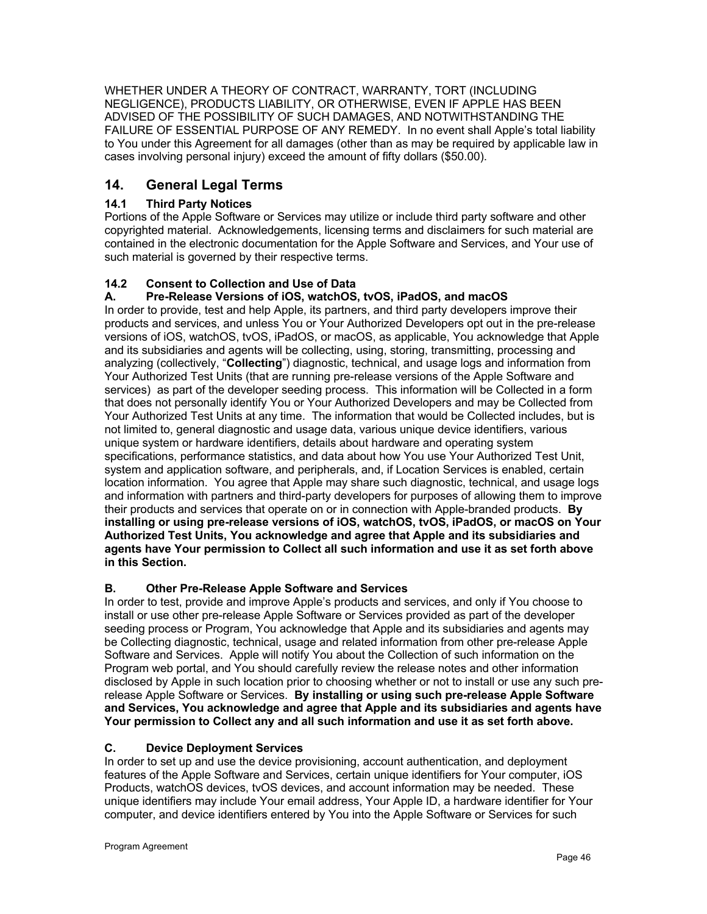WHETHER UNDER A THEORY OF CONTRACT, WARRANTY, TORT (INCLUDING NEGLIGENCE), PRODUCTS LIABILITY, OR OTHERWISE, EVEN IF APPLE HAS BEEN ADVISED OF THE POSSIBILITY OF SUCH DAMAGES, AND NOTWITHSTANDING THE FAILURE OF ESSENTIAL PURPOSE OF ANY REMEDY. In no event shall Apple's total liability to You under this Agreement for all damages (other than as may be required by applicable law in cases involving personal injury) exceed the amount of fifty dollars (\$50.00).

# **14. General Legal Terms**

# **14.1 Third Party Notices**

Portions of the Apple Software or Services may utilize or include third party software and other copyrighted material. Acknowledgements, licensing terms and disclaimers for such material are contained in the electronic documentation for the Apple Software and Services, and Your use of such material is governed by their respective terms.

# **14.2 Consent to Collection and Use of Data**

# **A. Pre-Release Versions of iOS, watchOS, tvOS, iPadOS, and macOS**

In order to provide, test and help Apple, its partners, and third party developers improve their products and services, and unless You or Your Authorized Developers opt out in the pre-release versions of iOS, watchOS, tvOS, iPadOS, or macOS, as applicable, You acknowledge that Apple and its subsidiaries and agents will be collecting, using, storing, transmitting, processing and analyzing (collectively, "**Collecting**") diagnostic, technical, and usage logs and information from Your Authorized Test Units (that are running pre-release versions of the Apple Software and services) as part of the developer seeding process. This information will be Collected in a form that does not personally identify You or Your Authorized Developers and may be Collected from Your Authorized Test Units at any time. The information that would be Collected includes, but is not limited to, general diagnostic and usage data, various unique device identifiers, various unique system or hardware identifiers, details about hardware and operating system specifications, performance statistics, and data about how You use Your Authorized Test Unit, system and application software, and peripherals, and, if Location Services is enabled, certain location information. You agree that Apple may share such diagnostic, technical, and usage logs and information with partners and third-party developers for purposes of allowing them to improve their products and services that operate on or in connection with Apple-branded products. **By installing or using pre-release versions of iOS, watchOS, tvOS, iPadOS, or macOS on Your Authorized Test Units, You acknowledge and agree that Apple and its subsidiaries and agents have Your permission to Collect all such information and use it as set forth above in this Section.**

# **B. Other Pre-Release Apple Software and Services**

In order to test, provide and improve Apple's products and services, and only if You choose to install or use other pre-release Apple Software or Services provided as part of the developer seeding process or Program, You acknowledge that Apple and its subsidiaries and agents may be Collecting diagnostic, technical, usage and related information from other pre-release Apple Software and Services. Apple will notify You about the Collection of such information on the Program web portal, and You should carefully review the release notes and other information disclosed by Apple in such location prior to choosing whether or not to install or use any such prerelease Apple Software or Services. **By installing or using such pre-release Apple Software and Services, You acknowledge and agree that Apple and its subsidiaries and agents have Your permission to Collect any and all such information and use it as set forth above.**

# **C. Device Deployment Services**

In order to set up and use the device provisioning, account authentication, and deployment features of the Apple Software and Services, certain unique identifiers for Your computer, iOS Products, watchOS devices, tvOS devices, and account information may be needed. These unique identifiers may include Your email address, Your Apple ID, a hardware identifier for Your computer, and device identifiers entered by You into the Apple Software or Services for such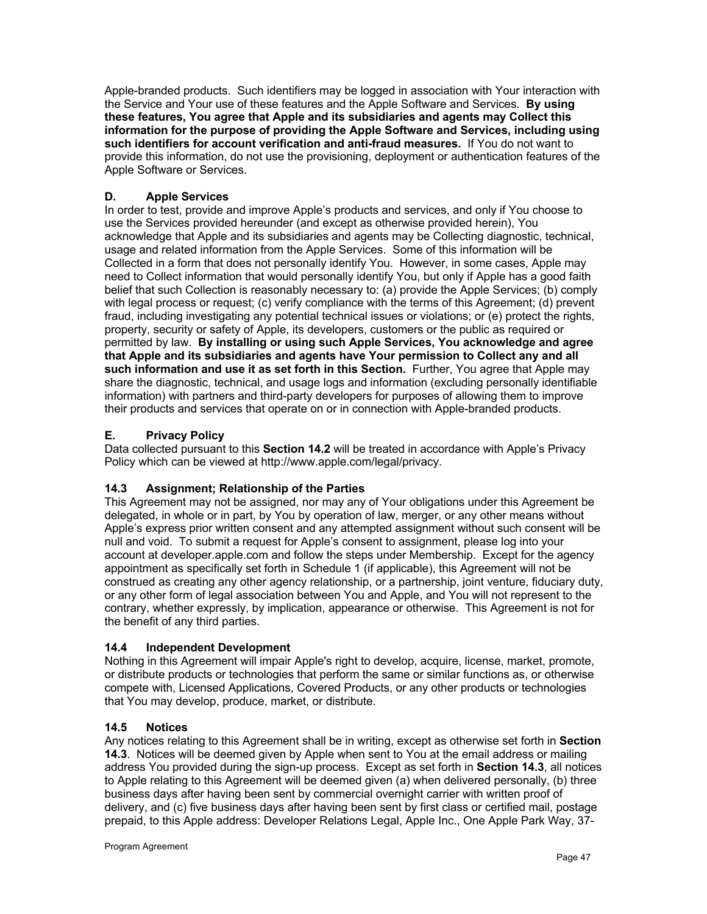Apple-branded products. Such identifiers may be logged in association with Your interaction with the Service and Your use of these features and the Apple Software and Services. **By using these features, You agree that Apple and its subsidiaries and agents may Collect this information for the purpose of providing the Apple Software and Services, including using such identifiers for account verification and anti-fraud measures.** If You do not want to provide this information, do not use the provisioning, deployment or authentication features of the Apple Software or Services.

# **D. Apple Services**

In order to test, provide and improve Apple's products and services, and only if You choose to use the Services provided hereunder (and except as otherwise provided herein), You acknowledge that Apple and its subsidiaries and agents may be Collecting diagnostic, technical, usage and related information from the Apple Services. Some of this information will be Collected in a form that does not personally identify You. However, in some cases, Apple may need to Collect information that would personally identify You, but only if Apple has a good faith belief that such Collection is reasonably necessary to: (a) provide the Apple Services; (b) comply with legal process or request; (c) verify compliance with the terms of this Agreement; (d) prevent fraud, including investigating any potential technical issues or violations; or (e) protect the rights, property, security or safety of Apple, its developers, customers or the public as required or permitted by law. **By installing or using such Apple Services, You acknowledge and agree that Apple and its subsidiaries and agents have Your permission to Collect any and all such information and use it as set forth in this Section.** Further, You agree that Apple may share the diagnostic, technical, and usage logs and information (excluding personally identifiable information) with partners and third-party developers for purposes of allowing them to improve their products and services that operate on or in connection with Apple-branded products.

# **E. Privacy Policy**

Data collected pursuant to this **Section 14.2** will be treated in accordance with Apple's Privacy Policy which can be viewed at http://www.apple.com/legal/privacy.

# **14.3 Assignment; Relationship of the Parties**

This Agreement may not be assigned, nor may any of Your obligations under this Agreement be delegated, in whole or in part, by You by operation of law, merger, or any other means without Apple's express prior written consent and any attempted assignment without such consent will be null and void. To submit a request for Apple's consent to assignment, please log into your account at developer.apple.com and follow the steps under Membership. Except for the agency appointment as specifically set forth in Schedule 1 (if applicable), this Agreement will not be construed as creating any other agency relationship, or a partnership, joint venture, fiduciary duty, or any other form of legal association between You and Apple, and You will not represent to the contrary, whether expressly, by implication, appearance or otherwise. This Agreement is not for the benefit of any third parties.

# **14.4 Independent Development**

Nothing in this Agreement will impair Apple's right to develop, acquire, license, market, promote, or distribute products or technologies that perform the same or similar functions as, or otherwise compete with, Licensed Applications, Covered Products, or any other products or technologies that You may develop, produce, market, or distribute.

# **14.5 Notices**

Any notices relating to this Agreement shall be in writing, except as otherwise set forth in **Section 14.3**. Notices will be deemed given by Apple when sent to You at the email address or mailing address You provided during the sign-up process. Except as set forth in **Section 14.3**, all notices to Apple relating to this Agreement will be deemed given (a) when delivered personally, (b) three business days after having been sent by commercial overnight carrier with written proof of delivery, and (c) five business days after having been sent by first class or certified mail, postage prepaid, to this Apple address: Developer Relations Legal, Apple Inc., One Apple Park Way, 37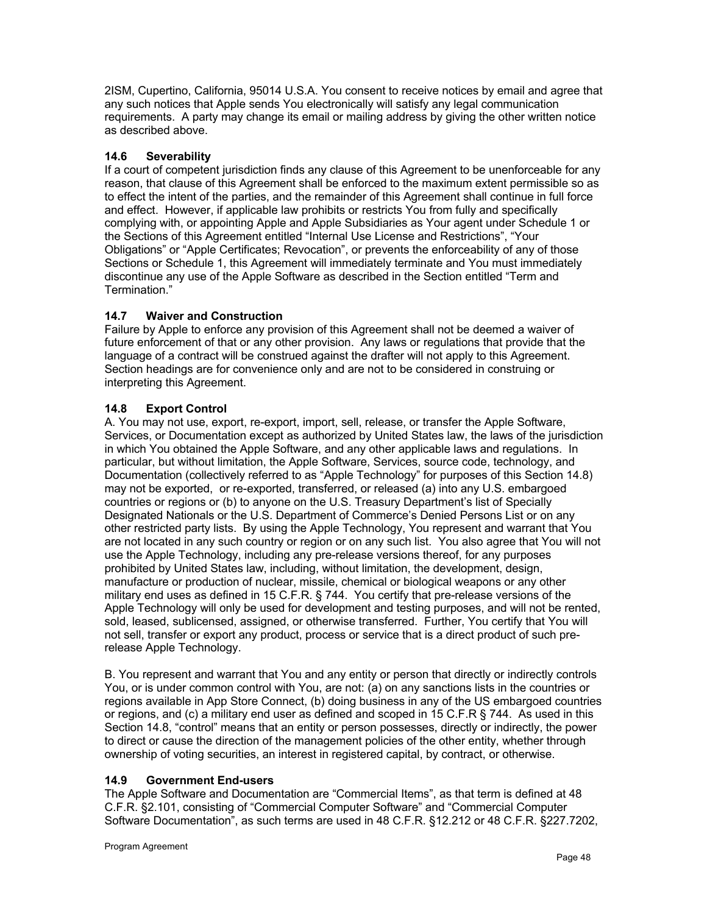2ISM, Cupertino, California, 95014 U.S.A. You consent to receive notices by email and agree that any such notices that Apple sends You electronically will satisfy any legal communication requirements. A party may change its email or mailing address by giving the other written notice as described above.

# **14.6 Severability**

If a court of competent jurisdiction finds any clause of this Agreement to be unenforceable for any reason, that clause of this Agreement shall be enforced to the maximum extent permissible so as to effect the intent of the parties, and the remainder of this Agreement shall continue in full force and effect. However, if applicable law prohibits or restricts You from fully and specifically complying with, or appointing Apple and Apple Subsidiaries as Your agent under Schedule 1 or the Sections of this Agreement entitled "Internal Use License and Restrictions", "Your Obligations" or "Apple Certificates; Revocation", or prevents the enforceability of any of those Sections or Schedule 1, this Agreement will immediately terminate and You must immediately discontinue any use of the Apple Software as described in the Section entitled "Term and Termination."

# **14.7 Waiver and Construction**

Failure by Apple to enforce any provision of this Agreement shall not be deemed a waiver of future enforcement of that or any other provision. Any laws or regulations that provide that the language of a contract will be construed against the drafter will not apply to this Agreement. Section headings are for convenience only and are not to be considered in construing or interpreting this Agreement.

#### **14.8 Export Control**

A. You may not use, export, re-export, import, sell, release, or transfer the Apple Software, Services, or Documentation except as authorized by United States law, the laws of the jurisdiction in which You obtained the Apple Software, and any other applicable laws and regulations. In particular, but without limitation, the Apple Software, Services, source code, technology, and Documentation (collectively referred to as "Apple Technology" for purposes of this Section 14.8) may not be exported, or re-exported, transferred, or released (a) into any U.S. embargoed countries or regions or (b) to anyone on the U.S. Treasury Department's list of Specially Designated Nationals or the U.S. Department of Commerce's Denied Persons List or on any other restricted party lists. By using the Apple Technology, You represent and warrant that You are not located in any such country or region or on any such list. You also agree that You will not use the Apple Technology, including any pre-release versions thereof, for any purposes prohibited by United States law, including, without limitation, the development, design, manufacture or production of nuclear, missile, chemical or biological weapons or any other military end uses as defined in 15 C.F.R. § 744. You certify that pre-release versions of the Apple Technology will only be used for development and testing purposes, and will not be rented, sold, leased, sublicensed, assigned, or otherwise transferred. Further, You certify that You will not sell, transfer or export any product, process or service that is a direct product of such prerelease Apple Technology.

B. You represent and warrant that You and any entity or person that directly or indirectly controls You, or is under common control with You, are not: (a) on any sanctions lists in the countries or regions available in App Store Connect, (b) doing business in any of the US embargoed countries or regions, and (c) a military end user as defined and scoped in 15 C.F.R § 744. As used in this Section 14.8, "control" means that an entity or person possesses, directly or indirectly, the power to direct or cause the direction of the management policies of the other entity, whether through ownership of voting securities, an interest in registered capital, by contract, or otherwise.

#### **14.9 Government End-users**

The Apple Software and Documentation are "Commercial Items", as that term is defined at 48 C.F.R. §2.101, consisting of "Commercial Computer Software" and "Commercial Computer Software Documentation", as such terms are used in 48 C.F.R. §12.212 or 48 C.F.R. §227.7202,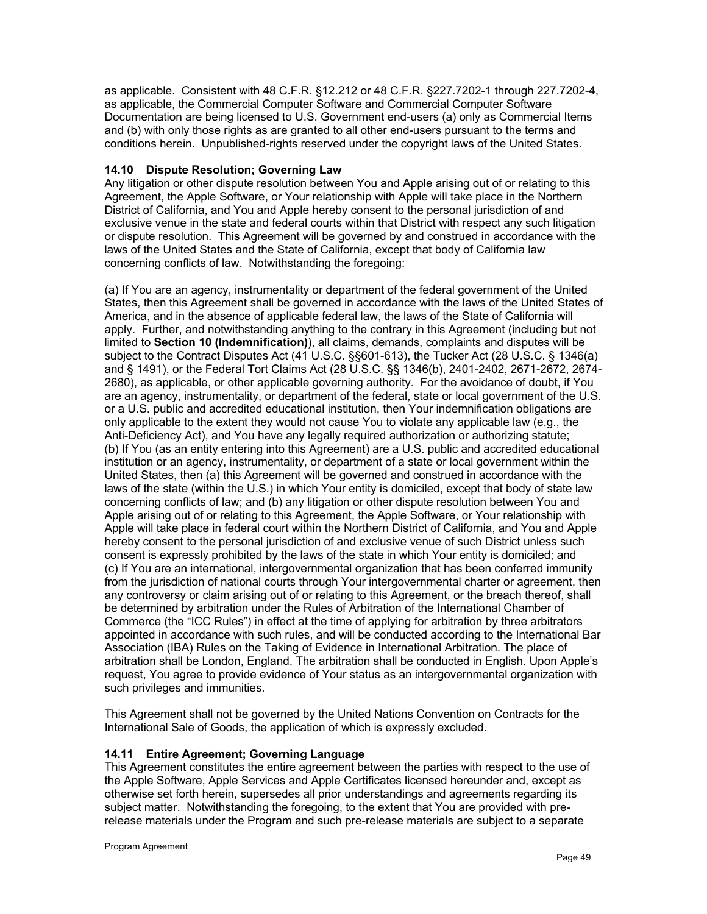as applicable. Consistent with 48 C.F.R. §12.212 or 48 C.F.R. §227.7202-1 through 227.7202-4, as applicable, the Commercial Computer Software and Commercial Computer Software Documentation are being licensed to U.S. Government end-users (a) only as Commercial Items and (b) with only those rights as are granted to all other end-users pursuant to the terms and conditions herein. Unpublished-rights reserved under the copyright laws of the United States.

#### **14.10 Dispute Resolution; Governing Law**

Any litigation or other dispute resolution between You and Apple arising out of or relating to this Agreement, the Apple Software, or Your relationship with Apple will take place in the Northern District of California, and You and Apple hereby consent to the personal jurisdiction of and exclusive venue in the state and federal courts within that District with respect any such litigation or dispute resolution. This Agreement will be governed by and construed in accordance with the laws of the United States and the State of California, except that body of California law concerning conflicts of law. Notwithstanding the foregoing:

(a) If You are an agency, instrumentality or department of the federal government of the United States, then this Agreement shall be governed in accordance with the laws of the United States of America, and in the absence of applicable federal law, the laws of the State of California will apply. Further, and notwithstanding anything to the contrary in this Agreement (including but not limited to **Section 10 (Indemnification)**), all claims, demands, complaints and disputes will be subject to the Contract Disputes Act (41 U.S.C. §§601-613), the Tucker Act (28 U.S.C. § 1346(a) and § 1491), or the Federal Tort Claims Act (28 U.S.C. §§ 1346(b), 2401-2402, 2671-2672, 2674- 2680), as applicable, or other applicable governing authority. For the avoidance of doubt, if You are an agency, instrumentality, or department of the federal, state or local government of the U.S. or a U.S. public and accredited educational institution, then Your indemnification obligations are only applicable to the extent they would not cause You to violate any applicable law (e.g., the Anti-Deficiency Act), and You have any legally required authorization or authorizing statute; (b) If You (as an entity entering into this Agreement) are a U.S. public and accredited educational institution or an agency, instrumentality, or department of a state or local government within the United States, then (a) this Agreement will be governed and construed in accordance with the laws of the state (within the U.S.) in which Your entity is domiciled, except that body of state law concerning conflicts of law; and (b) any litigation or other dispute resolution between You and Apple arising out of or relating to this Agreement, the Apple Software, or Your relationship with Apple will take place in federal court within the Northern District of California, and You and Apple hereby consent to the personal jurisdiction of and exclusive venue of such District unless such consent is expressly prohibited by the laws of the state in which Your entity is domiciled; and (c) If You are an international, intergovernmental organization that has been conferred immunity from the jurisdiction of national courts through Your intergovernmental charter or agreement, then any controversy or claim arising out of or relating to this Agreement, or the breach thereof, shall be determined by arbitration under the Rules of Arbitration of the International Chamber of Commerce (the "ICC Rules") in effect at the time of applying for arbitration by three arbitrators appointed in accordance with such rules, and will be conducted according to the International Bar Association (IBA) Rules on the Taking of Evidence in International Arbitration. The place of arbitration shall be London, England. The arbitration shall be conducted in English. Upon Apple's request, You agree to provide evidence of Your status as an intergovernmental organization with such privileges and immunities.

This Agreement shall not be governed by the United Nations Convention on Contracts for the International Sale of Goods, the application of which is expressly excluded.

#### **14.11 Entire Agreement; Governing Language**

This Agreement constitutes the entire agreement between the parties with respect to the use of the Apple Software, Apple Services and Apple Certificates licensed hereunder and, except as otherwise set forth herein, supersedes all prior understandings and agreements regarding its subject matter. Notwithstanding the foregoing, to the extent that You are provided with prerelease materials under the Program and such pre-release materials are subject to a separate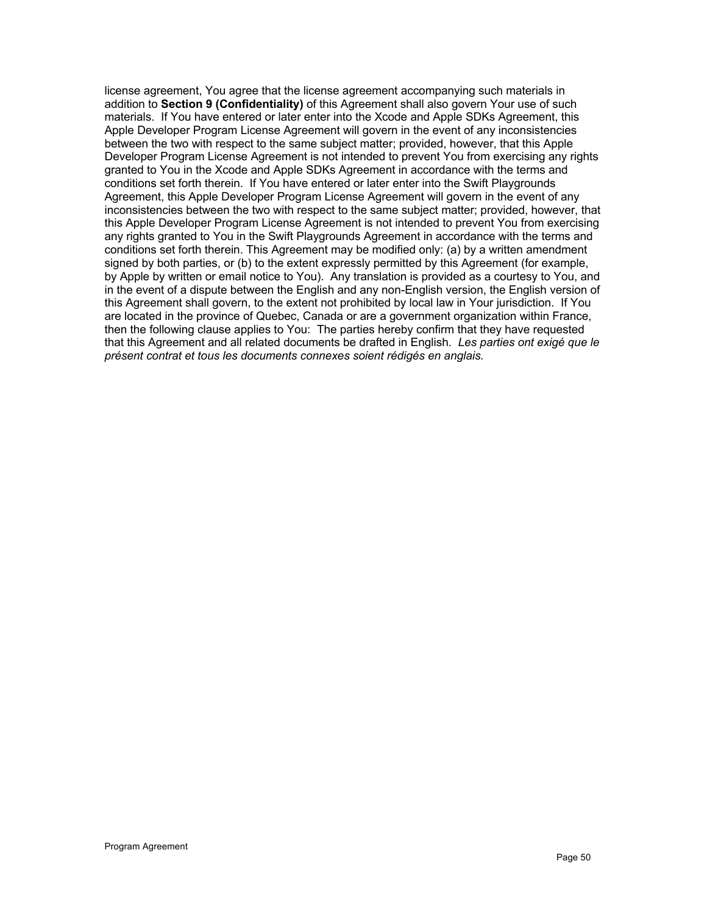license agreement, You agree that the license agreement accompanying such materials in addition to **Section 9 (Confidentiality)** of this Agreement shall also govern Your use of such materials. If You have entered or later enter into the Xcode and Apple SDKs Agreement, this Apple Developer Program License Agreement will govern in the event of any inconsistencies between the two with respect to the same subject matter; provided, however, that this Apple Developer Program License Agreement is not intended to prevent You from exercising any rights granted to You in the Xcode and Apple SDKs Agreement in accordance with the terms and conditions set forth therein. If You have entered or later enter into the Swift Playgrounds Agreement, this Apple Developer Program License Agreement will govern in the event of any inconsistencies between the two with respect to the same subject matter; provided, however, that this Apple Developer Program License Agreement is not intended to prevent You from exercising any rights granted to You in the Swift Playgrounds Agreement in accordance with the terms and conditions set forth therein. This Agreement may be modified only: (a) by a written amendment signed by both parties, or (b) to the extent expressly permitted by this Agreement (for example, by Apple by written or email notice to You). Any translation is provided as a courtesy to You, and in the event of a dispute between the English and any non-English version, the English version of this Agreement shall govern, to the extent not prohibited by local law in Your jurisdiction. If You are located in the province of Quebec, Canada or are a government organization within France, then the following clause applies to You: The parties hereby confirm that they have requested that this Agreement and all related documents be drafted in English. *Les parties ont exigé que le présent contrat et tous les documents connexes soient rédigés en anglais.*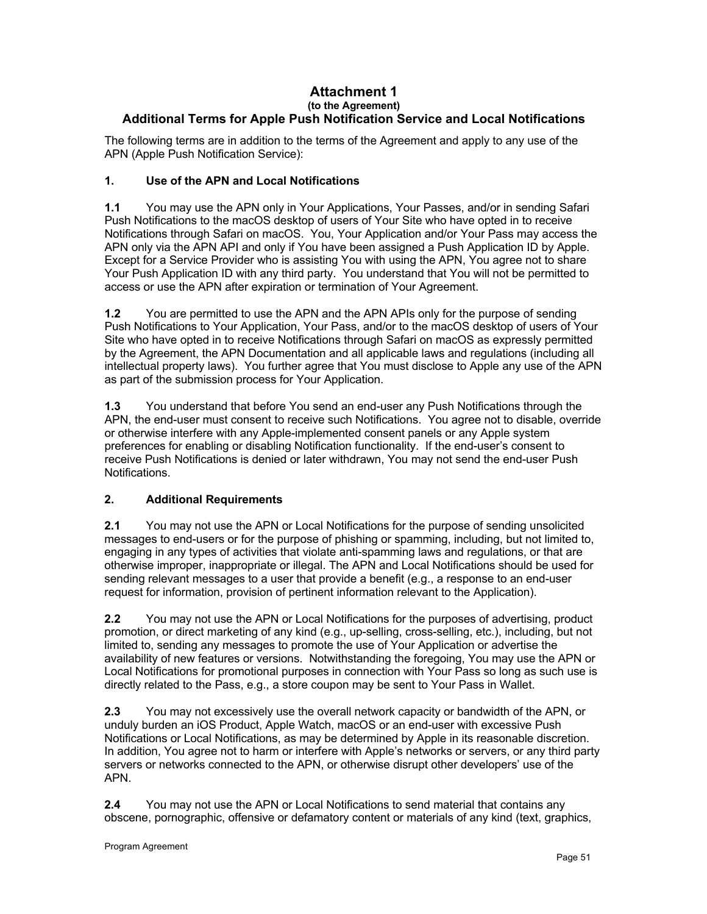#### **Attachment 1 (to the Agreement) Additional Terms for Apple Push Notification Service and Local Notifications**

The following terms are in addition to the terms of the Agreement and apply to any use of the APN (Apple Push Notification Service):

# **1. Use of the APN and Local Notifications**

**1.1** You may use the APN only in Your Applications, Your Passes, and/or in sending Safari Push Notifications to the macOS desktop of users of Your Site who have opted in to receive Notifications through Safari on macOS. You, Your Application and/or Your Pass may access the APN only via the APN API and only if You have been assigned a Push Application ID by Apple. Except for a Service Provider who is assisting You with using the APN, You agree not to share Your Push Application ID with any third party. You understand that You will not be permitted to access or use the APN after expiration or termination of Your Agreement.

**1.2** You are permitted to use the APN and the APN APIs only for the purpose of sending Push Notifications to Your Application, Your Pass, and/or to the macOS desktop of users of Your Site who have opted in to receive Notifications through Safari on macOS as expressly permitted by the Agreement, the APN Documentation and all applicable laws and regulations (including all intellectual property laws). You further agree that You must disclose to Apple any use of the APN as part of the submission process for Your Application.

**1.3** You understand that before You send an end-user any Push Notifications through the APN, the end-user must consent to receive such Notifications. You agree not to disable, override or otherwise interfere with any Apple-implemented consent panels or any Apple system preferences for enabling or disabling Notification functionality. If the end-user's consent to receive Push Notifications is denied or later withdrawn, You may not send the end-user Push Notifications.

# **2. Additional Requirements**

**2.1** You may not use the APN or Local Notifications for the purpose of sending unsolicited messages to end-users or for the purpose of phishing or spamming, including, but not limited to, engaging in any types of activities that violate anti-spamming laws and regulations, or that are otherwise improper, inappropriate or illegal. The APN and Local Notifications should be used for sending relevant messages to a user that provide a benefit (e.g., a response to an end-user request for information, provision of pertinent information relevant to the Application).

**2.2** You may not use the APN or Local Notifications for the purposes of advertising, product promotion, or direct marketing of any kind (e.g., up-selling, cross-selling, etc.), including, but not limited to, sending any messages to promote the use of Your Application or advertise the availability of new features or versions. Notwithstanding the foregoing, You may use the APN or Local Notifications for promotional purposes in connection with Your Pass so long as such use is directly related to the Pass, e.g., a store coupon may be sent to Your Pass in Wallet.

**2.3** You may not excessively use the overall network capacity or bandwidth of the APN, or unduly burden an iOS Product, Apple Watch, macOS or an end-user with excessive Push Notifications or Local Notifications, as may be determined by Apple in its reasonable discretion. In addition, You agree not to harm or interfere with Apple's networks or servers, or any third party servers or networks connected to the APN, or otherwise disrupt other developers' use of the APN.

**2.4** You may not use the APN or Local Notifications to send material that contains any obscene, pornographic, offensive or defamatory content or materials of any kind (text, graphics,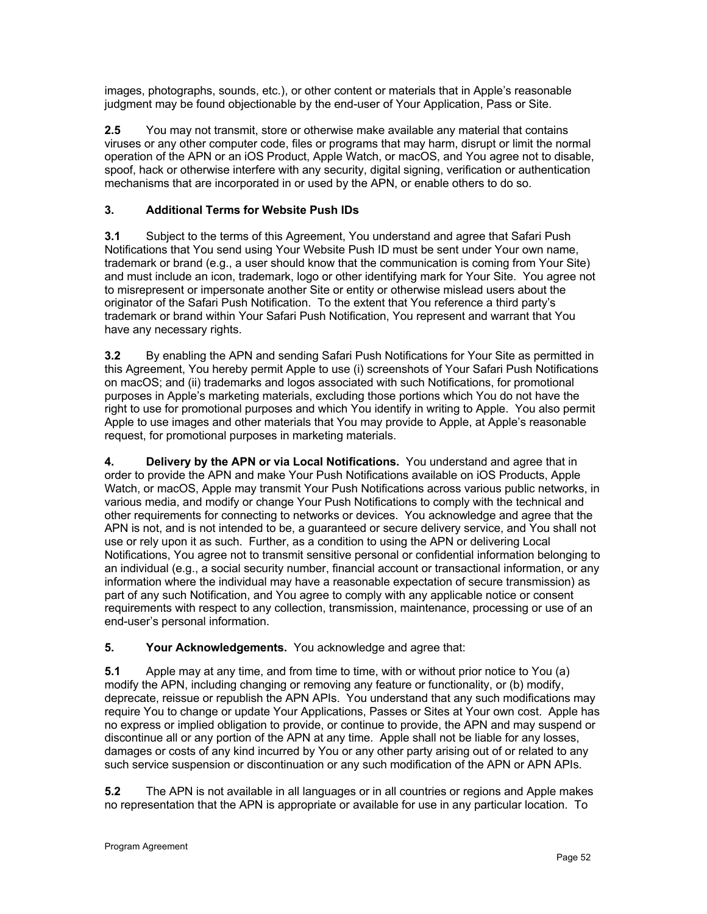images, photographs, sounds, etc.), or other content or materials that in Apple's reasonable judgment may be found objectionable by the end-user of Your Application, Pass or Site.

**2.5** You may not transmit, store or otherwise make available any material that contains viruses or any other computer code, files or programs that may harm, disrupt or limit the normal operation of the APN or an iOS Product, Apple Watch, or macOS, and You agree not to disable, spoof, hack or otherwise interfere with any security, digital signing, verification or authentication mechanisms that are incorporated in or used by the APN, or enable others to do so.

# **3. Additional Terms for Website Push IDs**

**3.1** Subject to the terms of this Agreement, You understand and agree that Safari Push Notifications that You send using Your Website Push ID must be sent under Your own name, trademark or brand (e.g., a user should know that the communication is coming from Your Site) and must include an icon, trademark, logo or other identifying mark for Your Site. You agree not to misrepresent or impersonate another Site or entity or otherwise mislead users about the originator of the Safari Push Notification. To the extent that You reference a third party's trademark or brand within Your Safari Push Notification, You represent and warrant that You have any necessary rights.

**3.2** By enabling the APN and sending Safari Push Notifications for Your Site as permitted in this Agreement, You hereby permit Apple to use (i) screenshots of Your Safari Push Notifications on macOS; and (ii) trademarks and logos associated with such Notifications, for promotional purposes in Apple's marketing materials, excluding those portions which You do not have the right to use for promotional purposes and which You identify in writing to Apple. You also permit Apple to use images and other materials that You may provide to Apple, at Apple's reasonable request, for promotional purposes in marketing materials.

**4. Delivery by the APN or via Local Notifications.** You understand and agree that in order to provide the APN and make Your Push Notifications available on iOS Products, Apple Watch, or macOS, Apple may transmit Your Push Notifications across various public networks, in various media, and modify or change Your Push Notifications to comply with the technical and other requirements for connecting to networks or devices. You acknowledge and agree that the APN is not, and is not intended to be, a guaranteed or secure delivery service, and You shall not use or rely upon it as such. Further, as a condition to using the APN or delivering Local Notifications, You agree not to transmit sensitive personal or confidential information belonging to an individual (e.g., a social security number, financial account or transactional information, or any information where the individual may have a reasonable expectation of secure transmission) as part of any such Notification, and You agree to comply with any applicable notice or consent requirements with respect to any collection, transmission, maintenance, processing or use of an end-user's personal information.

# **5. Your Acknowledgements.** You acknowledge and agree that:

**5.1** Apple may at any time, and from time to time, with or without prior notice to You (a) modify the APN, including changing or removing any feature or functionality, or (b) modify, deprecate, reissue or republish the APN APIs. You understand that any such modifications may require You to change or update Your Applications, Passes or Sites at Your own cost. Apple has no express or implied obligation to provide, or continue to provide, the APN and may suspend or discontinue all or any portion of the APN at any time. Apple shall not be liable for any losses, damages or costs of any kind incurred by You or any other party arising out of or related to any such service suspension or discontinuation or any such modification of the APN or APN APIs.

**5.2** The APN is not available in all languages or in all countries or regions and Apple makes no representation that the APN is appropriate or available for use in any particular location. To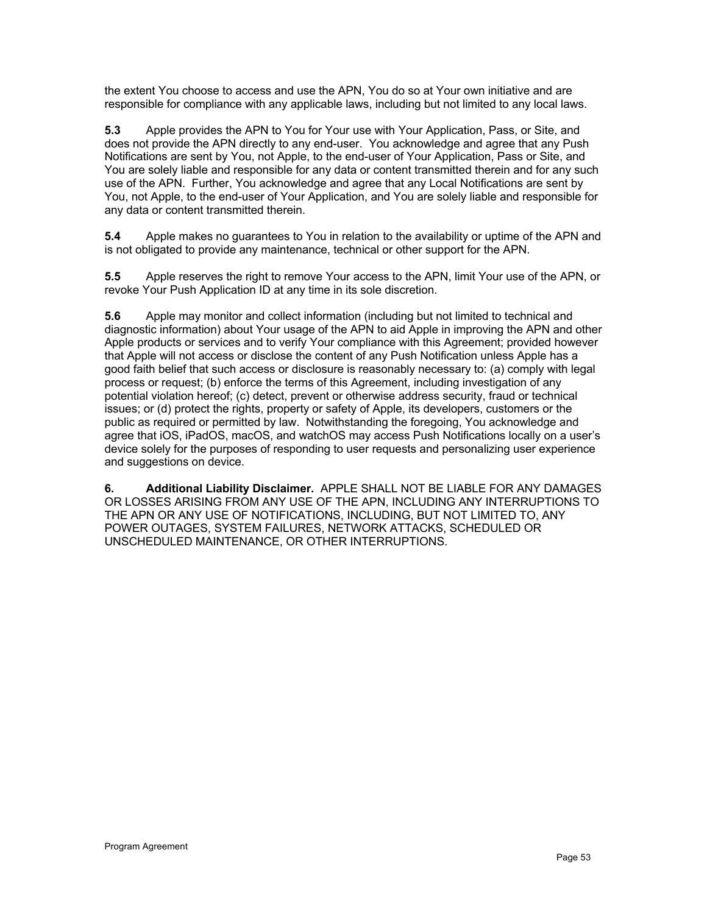the extent You choose to access and use the APN, You do so at Your own initiative and are responsible for compliance with any applicable laws, including but not limited to any local laws.

**5.3** Apple provides the APN to You for Your use with Your Application, Pass, or Site, and does not provide the APN directly to any end-user. You acknowledge and agree that any Push Notifications are sent by You, not Apple, to the end-user of Your Application, Pass or Site, and You are solely liable and responsible for any data or content transmitted therein and for any such use of the APN. Further, You acknowledge and agree that any Local Notifications are sent by You, not Apple, to the end-user of Your Application, and You are solely liable and responsible for any data or content transmitted therein.

**5.4** Apple makes no guarantees to You in relation to the availability or uptime of the APN and is not obligated to provide any maintenance, technical or other support for the APN.

**5.5** Apple reserves the right to remove Your access to the APN, limit Your use of the APN, or revoke Your Push Application ID at any time in its sole discretion.

**5.6** Apple may monitor and collect information (including but not limited to technical and diagnostic information) about Your usage of the APN to aid Apple in improving the APN and other Apple products or services and to verify Your compliance with this Agreement; provided however that Apple will not access or disclose the content of any Push Notification unless Apple has a good faith belief that such access or disclosure is reasonably necessary to: (a) comply with legal process or request; (b) enforce the terms of this Agreement, including investigation of any potential violation hereof; (c) detect, prevent or otherwise address security, fraud or technical issues; or (d) protect the rights, property or safety of Apple, its developers, customers or the public as required or permitted by law. Notwithstanding the foregoing, You acknowledge and agree that iOS, iPadOS, macOS, and watchOS may access Push Notifications locally on a user's device solely for the purposes of responding to user requests and personalizing user experience and suggestions on device.

**6. Additional Liability Disclaimer.** APPLE SHALL NOT BE LIABLE FOR ANY DAMAGES OR LOSSES ARISING FROM ANY USE OF THE APN, INCLUDING ANY INTERRUPTIONS TO THE APN OR ANY USE OF NOTIFICATIONS, INCLUDING, BUT NOT LIMITED TO, ANY POWER OUTAGES, SYSTEM FAILURES, NETWORK ATTACKS, SCHEDULED OR UNSCHEDULED MAINTENANCE, OR OTHER INTERRUPTIONS.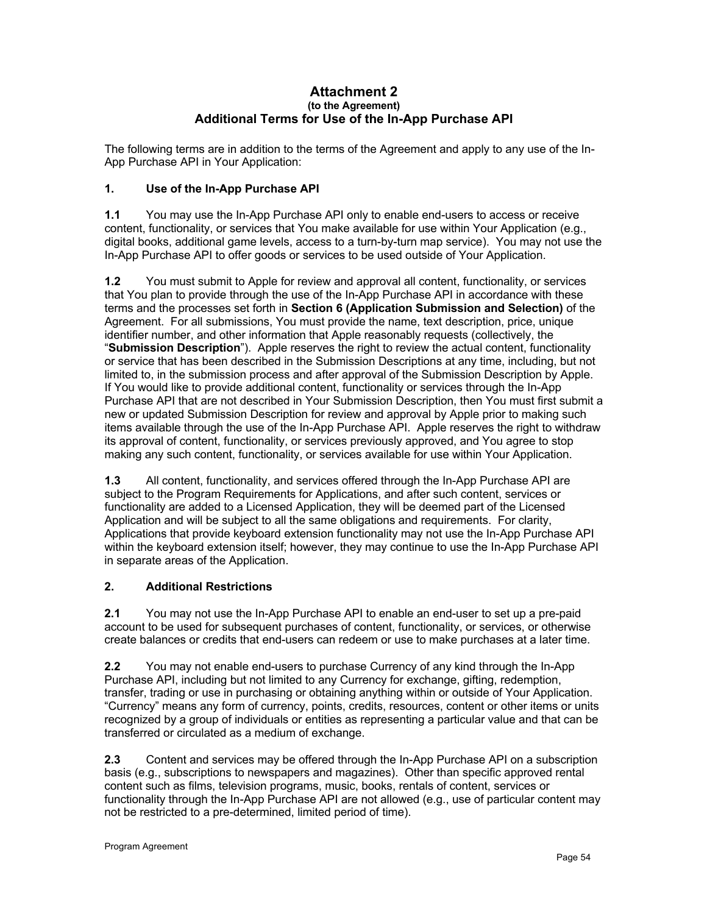#### **Attachment 2 (to the Agreement) Additional Terms for Use of the In-App Purchase API**

The following terms are in addition to the terms of the Agreement and apply to any use of the In-App Purchase API in Your Application:

# **1. Use of the In-App Purchase API**

**1.1** You may use the In-App Purchase API only to enable end-users to access or receive content, functionality, or services that You make available for use within Your Application (e.g., digital books, additional game levels, access to a turn-by-turn map service). You may not use the In-App Purchase API to offer goods or services to be used outside of Your Application.

**1.2** You must submit to Apple for review and approval all content, functionality, or services that You plan to provide through the use of the In-App Purchase API in accordance with these terms and the processes set forth in **Section 6 (Application Submission and Selection)** of the Agreement. For all submissions, You must provide the name, text description, price, unique identifier number, and other information that Apple reasonably requests (collectively, the "**Submission Description**"). Apple reserves the right to review the actual content, functionality or service that has been described in the Submission Descriptions at any time, including, but not limited to, in the submission process and after approval of the Submission Description by Apple. If You would like to provide additional content, functionality or services through the In-App Purchase API that are not described in Your Submission Description, then You must first submit a new or updated Submission Description for review and approval by Apple prior to making such items available through the use of the In-App Purchase API. Apple reserves the right to withdraw its approval of content, functionality, or services previously approved, and You agree to stop making any such content, functionality, or services available for use within Your Application.

**1.3** All content, functionality, and services offered through the In-App Purchase API are subject to the Program Requirements for Applications, and after such content, services or functionality are added to a Licensed Application, they will be deemed part of the Licensed Application and will be subject to all the same obligations and requirements. For clarity, Applications that provide keyboard extension functionality may not use the In-App Purchase API within the keyboard extension itself; however, they may continue to use the In-App Purchase API in separate areas of the Application.

# **2. Additional Restrictions**

**2.1** You may not use the In-App Purchase API to enable an end-user to set up a pre-paid account to be used for subsequent purchases of content, functionality, or services, or otherwise create balances or credits that end-users can redeem or use to make purchases at a later time.

**2.2** You may not enable end-users to purchase Currency of any kind through the In-App Purchase API, including but not limited to any Currency for exchange, gifting, redemption, transfer, trading or use in purchasing or obtaining anything within or outside of Your Application. "Currency" means any form of currency, points, credits, resources, content or other items or units recognized by a group of individuals or entities as representing a particular value and that can be transferred or circulated as a medium of exchange.

**2.3** Content and services may be offered through the In-App Purchase API on a subscription basis (e.g., subscriptions to newspapers and magazines). Other than specific approved rental content such as films, television programs, music, books, rentals of content, services or functionality through the In-App Purchase API are not allowed (e.g., use of particular content may not be restricted to a pre-determined, limited period of time).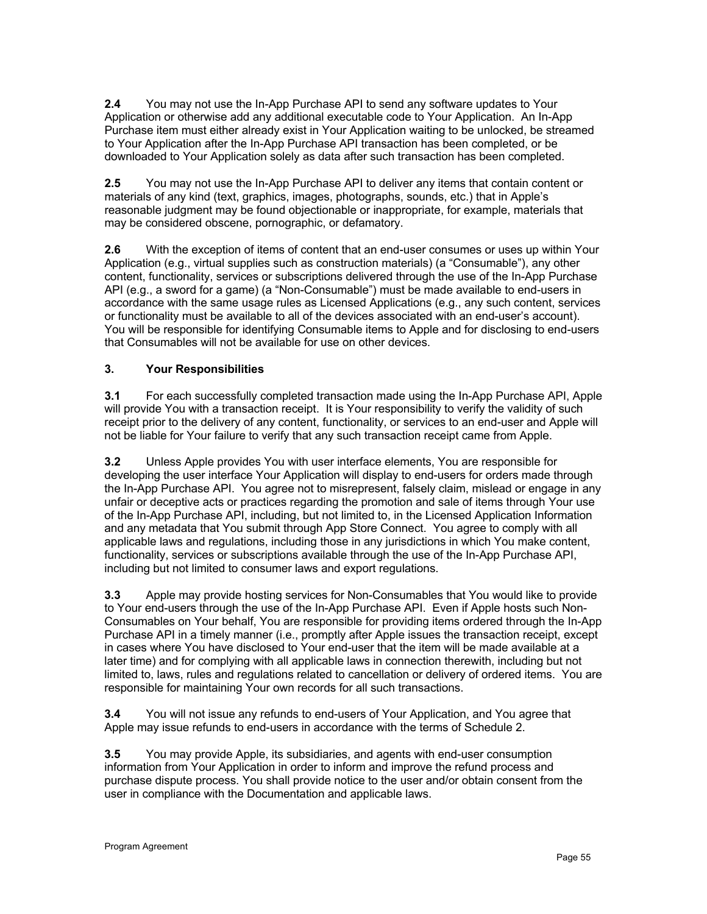**2.4** You may not use the In-App Purchase API to send any software updates to Your Application or otherwise add any additional executable code to Your Application. An In-App Purchase item must either already exist in Your Application waiting to be unlocked, be streamed to Your Application after the In-App Purchase API transaction has been completed, or be downloaded to Your Application solely as data after such transaction has been completed.

**2.5** You may not use the In-App Purchase API to deliver any items that contain content or materials of any kind (text, graphics, images, photographs, sounds, etc.) that in Apple's reasonable judgment may be found objectionable or inappropriate, for example, materials that may be considered obscene, pornographic, or defamatory.

**2.6** With the exception of items of content that an end-user consumes or uses up within Your Application (e.g., virtual supplies such as construction materials) (a "Consumable"), any other content, functionality, services or subscriptions delivered through the use of the In-App Purchase API (e.g., a sword for a game) (a "Non-Consumable") must be made available to end-users in accordance with the same usage rules as Licensed Applications (e.g., any such content, services or functionality must be available to all of the devices associated with an end-user's account). You will be responsible for identifying Consumable items to Apple and for disclosing to end-users that Consumables will not be available for use on other devices.

# **3. Your Responsibilities**

**3.1** For each successfully completed transaction made using the In-App Purchase API, Apple will provide You with a transaction receipt. It is Your responsibility to verify the validity of such receipt prior to the delivery of any content, functionality, or services to an end-user and Apple will not be liable for Your failure to verify that any such transaction receipt came from Apple.

**3.2** Unless Apple provides You with user interface elements, You are responsible for developing the user interface Your Application will display to end-users for orders made through the In-App Purchase API. You agree not to misrepresent, falsely claim, mislead or engage in any unfair or deceptive acts or practices regarding the promotion and sale of items through Your use of the In-App Purchase API, including, but not limited to, in the Licensed Application Information and any metadata that You submit through App Store Connect. You agree to comply with all applicable laws and regulations, including those in any jurisdictions in which You make content, functionality, services or subscriptions available through the use of the In-App Purchase API, including but not limited to consumer laws and export regulations.

**3.3** Apple may provide hosting services for Non-Consumables that You would like to provide to Your end-users through the use of the In-App Purchase API. Even if Apple hosts such Non-Consumables on Your behalf, You are responsible for providing items ordered through the In-App Purchase API in a timely manner (i.e., promptly after Apple issues the transaction receipt, except in cases where You have disclosed to Your end-user that the item will be made available at a later time) and for complying with all applicable laws in connection therewith, including but not limited to, laws, rules and regulations related to cancellation or delivery of ordered items. You are responsible for maintaining Your own records for all such transactions.

**3.4** You will not issue any refunds to end-users of Your Application, and You agree that Apple may issue refunds to end-users in accordance with the terms of Schedule 2.

**3.5** You may provide Apple, its subsidiaries, and agents with end-user consumption information from Your Application in order to inform and improve the refund process and purchase dispute process. You shall provide notice to the user and/or obtain consent from the user in compliance with the Documentation and applicable laws.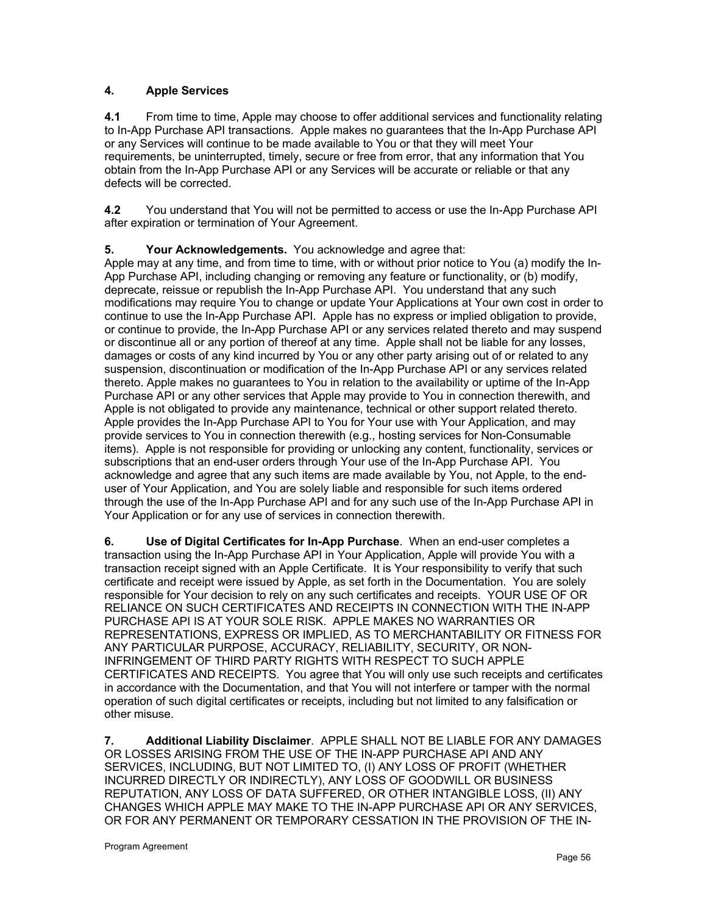# **4. Apple Services**

**4.1** From time to time, Apple may choose to offer additional services and functionality relating to In-App Purchase API transactions. Apple makes no guarantees that the In-App Purchase API or any Services will continue to be made available to You or that they will meet Your requirements, be uninterrupted, timely, secure or free from error, that any information that You obtain from the In-App Purchase API or any Services will be accurate or reliable or that any defects will be corrected.

**4.2** You understand that You will not be permitted to access or use the In-App Purchase API after expiration or termination of Your Agreement.

# **5. Your Acknowledgements.** You acknowledge and agree that:

Apple may at any time, and from time to time, with or without prior notice to You (a) modify the In-App Purchase API, including changing or removing any feature or functionality, or (b) modify, deprecate, reissue or republish the In-App Purchase API. You understand that any such modifications may require You to change or update Your Applications at Your own cost in order to continue to use the In-App Purchase API. Apple has no express or implied obligation to provide, or continue to provide, the In-App Purchase API or any services related thereto and may suspend or discontinue all or any portion of thereof at any time. Apple shall not be liable for any losses, damages or costs of any kind incurred by You or any other party arising out of or related to any suspension, discontinuation or modification of the In-App Purchase API or any services related thereto. Apple makes no guarantees to You in relation to the availability or uptime of the In-App Purchase API or any other services that Apple may provide to You in connection therewith, and Apple is not obligated to provide any maintenance, technical or other support related thereto. Apple provides the In-App Purchase API to You for Your use with Your Application, and may provide services to You in connection therewith (e.g., hosting services for Non-Consumable items). Apple is not responsible for providing or unlocking any content, functionality, services or subscriptions that an end-user orders through Your use of the In-App Purchase API. You acknowledge and agree that any such items are made available by You, not Apple, to the enduser of Your Application, and You are solely liable and responsible for such items ordered through the use of the In-App Purchase API and for any such use of the In-App Purchase API in Your Application or for any use of services in connection therewith.

**6. Use of Digital Certificates for In-App Purchase**. When an end-user completes a transaction using the In-App Purchase API in Your Application, Apple will provide You with a transaction receipt signed with an Apple Certificate. It is Your responsibility to verify that such certificate and receipt were issued by Apple, as set forth in the Documentation. You are solely responsible for Your decision to rely on any such certificates and receipts. YOUR USE OF OR RELIANCE ON SUCH CERTIFICATES AND RECEIPTS IN CONNECTION WITH THE IN-APP PURCHASE API IS AT YOUR SOLE RISK. APPLE MAKES NO WARRANTIES OR REPRESENTATIONS, EXPRESS OR IMPLIED, AS TO MERCHANTABILITY OR FITNESS FOR ANY PARTICULAR PURPOSE, ACCURACY, RELIABILITY, SECURITY, OR NON-INFRINGEMENT OF THIRD PARTY RIGHTS WITH RESPECT TO SUCH APPLE CERTIFICATES AND RECEIPTS. You agree that You will only use such receipts and certificates in accordance with the Documentation, and that You will not interfere or tamper with the normal operation of such digital certificates or receipts, including but not limited to any falsification or other misuse.

**7. Additional Liability Disclaimer**. APPLE SHALL NOT BE LIABLE FOR ANY DAMAGES OR LOSSES ARISING FROM THE USE OF THE IN-APP PURCHASE API AND ANY SERVICES, INCLUDING, BUT NOT LIMITED TO, (I) ANY LOSS OF PROFIT (WHETHER INCURRED DIRECTLY OR INDIRECTLY), ANY LOSS OF GOODWILL OR BUSINESS REPUTATION, ANY LOSS OF DATA SUFFERED, OR OTHER INTANGIBLE LOSS, (II) ANY CHANGES WHICH APPLE MAY MAKE TO THE IN-APP PURCHASE API OR ANY SERVICES, OR FOR ANY PERMANENT OR TEMPORARY CESSATION IN THE PROVISION OF THE IN-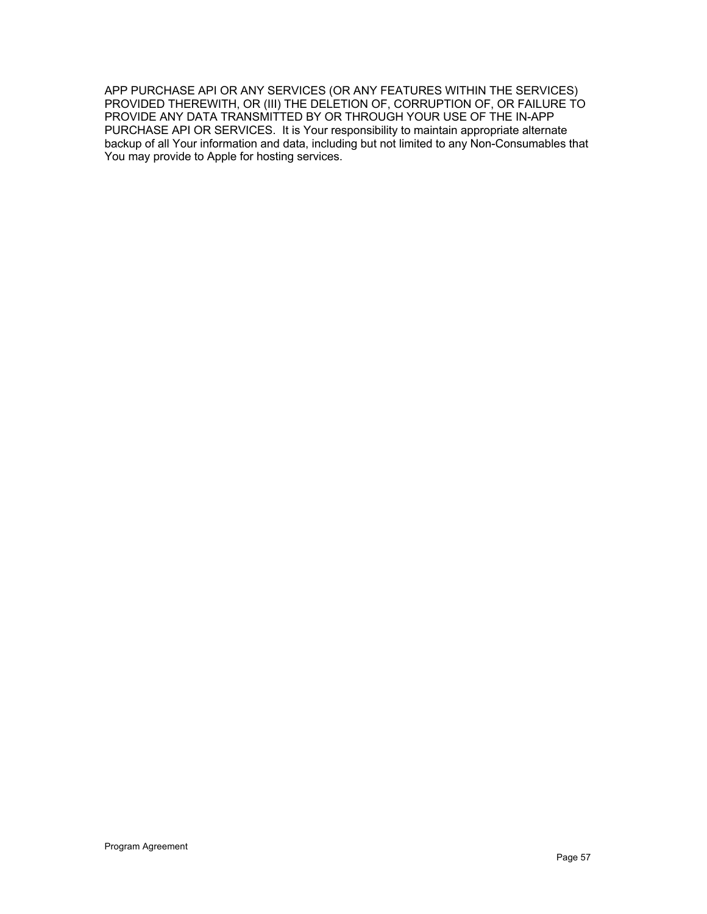APP PURCHASE API OR ANY SERVICES (OR ANY FEATURES WITHIN THE SERVICES) PROVIDED THEREWITH, OR (III) THE DELETION OF, CORRUPTION OF, OR FAILURE TO PROVIDE ANY DATA TRANSMITTED BY OR THROUGH YOUR USE OF THE IN-APP PURCHASE API OR SERVICES. It is Your responsibility to maintain appropriate alternate backup of all Your information and data, including but not limited to any Non-Consumables that You may provide to Apple for hosting services.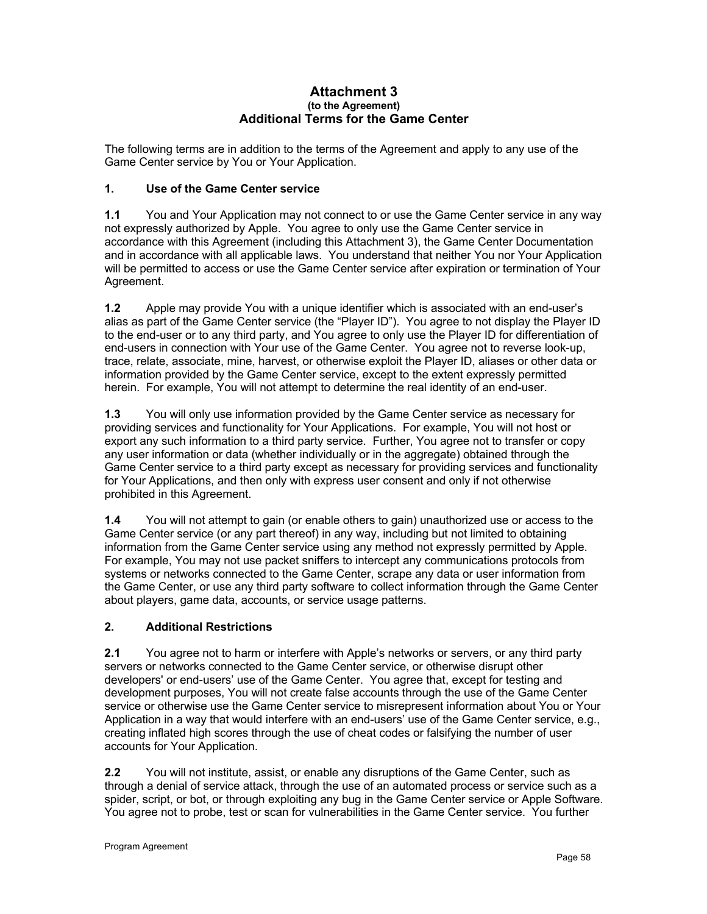#### **Attachment 3 (to the Agreement) Additional Terms for the Game Center**

The following terms are in addition to the terms of the Agreement and apply to any use of the Game Center service by You or Your Application.

# **1. Use of the Game Center service**

**1.1** You and Your Application may not connect to or use the Game Center service in any way not expressly authorized by Apple. You agree to only use the Game Center service in accordance with this Agreement (including this Attachment 3), the Game Center Documentation and in accordance with all applicable laws. You understand that neither You nor Your Application will be permitted to access or use the Game Center service after expiration or termination of Your Agreement.

**1.2** Apple may provide You with a unique identifier which is associated with an end-user's alias as part of the Game Center service (the "Player ID"). You agree to not display the Player ID to the end-user or to any third party, and You agree to only use the Player ID for differentiation of end-users in connection with Your use of the Game Center. You agree not to reverse look-up, trace, relate, associate, mine, harvest, or otherwise exploit the Player ID, aliases or other data or information provided by the Game Center service, except to the extent expressly permitted herein. For example, You will not attempt to determine the real identity of an end-user.

**1.3** You will only use information provided by the Game Center service as necessary for providing services and functionality for Your Applications. For example, You will not host or export any such information to a third party service. Further, You agree not to transfer or copy any user information or data (whether individually or in the aggregate) obtained through the Game Center service to a third party except as necessary for providing services and functionality for Your Applications, and then only with express user consent and only if not otherwise prohibited in this Agreement.

**1.4** You will not attempt to gain (or enable others to gain) unauthorized use or access to the Game Center service (or any part thereof) in any way, including but not limited to obtaining information from the Game Center service using any method not expressly permitted by Apple. For example, You may not use packet sniffers to intercept any communications protocols from systems or networks connected to the Game Center, scrape any data or user information from the Game Center, or use any third party software to collect information through the Game Center about players, game data, accounts, or service usage patterns.

# **2. Additional Restrictions**

**2.1** You agree not to harm or interfere with Apple's networks or servers, or any third party servers or networks connected to the Game Center service, or otherwise disrupt other developers' or end-users' use of the Game Center. You agree that, except for testing and development purposes, You will not create false accounts through the use of the Game Center service or otherwise use the Game Center service to misrepresent information about You or Your Application in a way that would interfere with an end-users' use of the Game Center service, e.g., creating inflated high scores through the use of cheat codes or falsifying the number of user accounts for Your Application.

**2.2** You will not institute, assist, or enable any disruptions of the Game Center, such as through a denial of service attack, through the use of an automated process or service such as a spider, script, or bot, or through exploiting any bug in the Game Center service or Apple Software. You agree not to probe, test or scan for vulnerabilities in the Game Center service. You further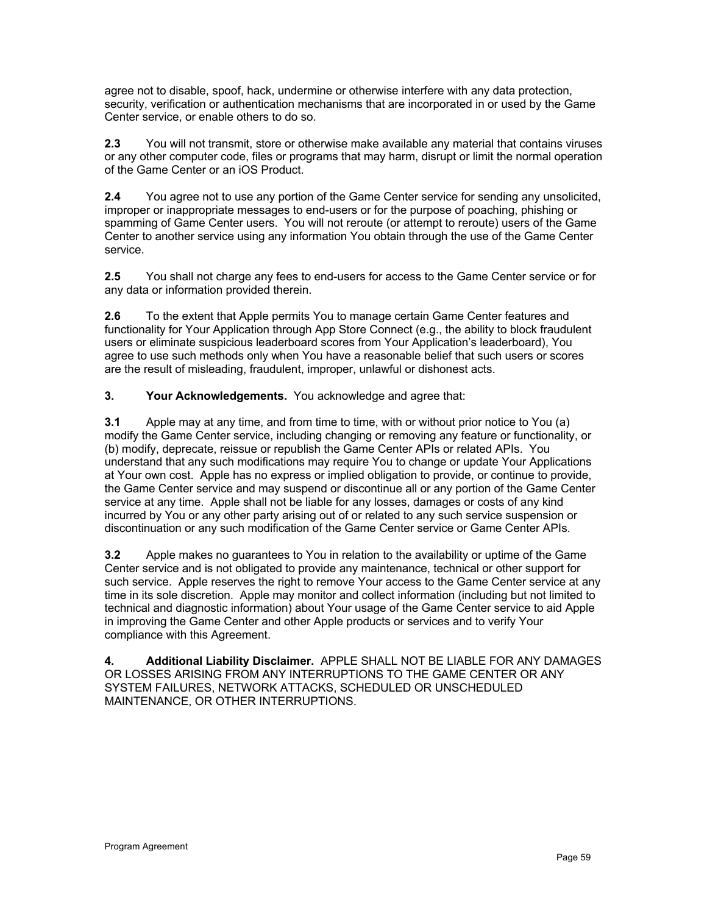agree not to disable, spoof, hack, undermine or otherwise interfere with any data protection, security, verification or authentication mechanisms that are incorporated in or used by the Game Center service, or enable others to do so.

**2.3** You will not transmit, store or otherwise make available any material that contains viruses or any other computer code, files or programs that may harm, disrupt or limit the normal operation of the Game Center or an iOS Product.

**2.4** You agree not to use any portion of the Game Center service for sending any unsolicited, improper or inappropriate messages to end-users or for the purpose of poaching, phishing or spamming of Game Center users. You will not reroute (or attempt to reroute) users of the Game Center to another service using any information You obtain through the use of the Game Center service.

**2.5** You shall not charge any fees to end-users for access to the Game Center service or for any data or information provided therein.

**2.6** To the extent that Apple permits You to manage certain Game Center features and functionality for Your Application through App Store Connect (e.g., the ability to block fraudulent users or eliminate suspicious leaderboard scores from Your Application's leaderboard), You agree to use such methods only when You have a reasonable belief that such users or scores are the result of misleading, fraudulent, improper, unlawful or dishonest acts.

**3. Your Acknowledgements.** You acknowledge and agree that:

**3.1** Apple may at any time, and from time to time, with or without prior notice to You (a) modify the Game Center service, including changing or removing any feature or functionality, or (b) modify, deprecate, reissue or republish the Game Center APIs or related APIs. You understand that any such modifications may require You to change or update Your Applications at Your own cost. Apple has no express or implied obligation to provide, or continue to provide, the Game Center service and may suspend or discontinue all or any portion of the Game Center service at any time. Apple shall not be liable for any losses, damages or costs of any kind incurred by You or any other party arising out of or related to any such service suspension or discontinuation or any such modification of the Game Center service or Game Center APIs.

**3.2** Apple makes no guarantees to You in relation to the availability or uptime of the Game Center service and is not obligated to provide any maintenance, technical or other support for such service. Apple reserves the right to remove Your access to the Game Center service at any time in its sole discretion. Apple may monitor and collect information (including but not limited to technical and diagnostic information) about Your usage of the Game Center service to aid Apple in improving the Game Center and other Apple products or services and to verify Your compliance with this Agreement.

**4. Additional Liability Disclaimer.** APPLE SHALL NOT BE LIABLE FOR ANY DAMAGES OR LOSSES ARISING FROM ANY INTERRUPTIONS TO THE GAME CENTER OR ANY SYSTEM FAILURES, NETWORK ATTACKS, SCHEDULED OR UNSCHEDULED MAINTENANCE, OR OTHER INTERRUPTIONS.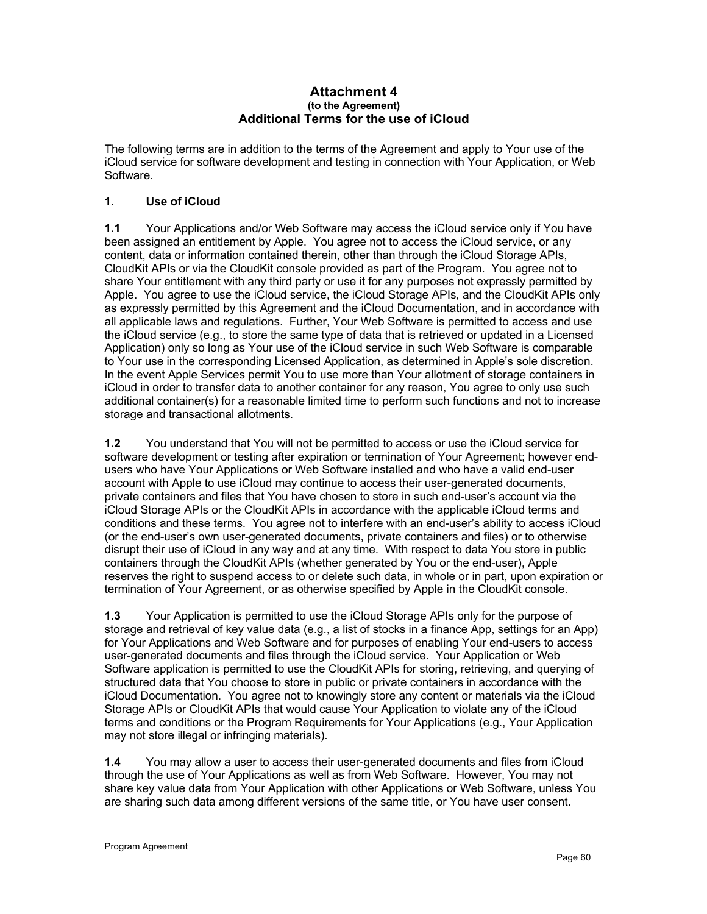#### **Attachment 4 (to the Agreement) Additional Terms for the use of iCloud**

The following terms are in addition to the terms of the Agreement and apply to Your use of the iCloud service for software development and testing in connection with Your Application, or Web Software.

# **1. Use of iCloud**

**1.1** Your Applications and/or Web Software may access the iCloud service only if You have been assigned an entitlement by Apple. You agree not to access the iCloud service, or any content, data or information contained therein, other than through the iCloud Storage APIs, CloudKit APIs or via the CloudKit console provided as part of the Program. You agree not to share Your entitlement with any third party or use it for any purposes not expressly permitted by Apple. You agree to use the iCloud service, the iCloud Storage APIs, and the CloudKit APIs only as expressly permitted by this Agreement and the iCloud Documentation, and in accordance with all applicable laws and regulations. Further, Your Web Software is permitted to access and use the iCloud service (e.g., to store the same type of data that is retrieved or updated in a Licensed Application) only so long as Your use of the iCloud service in such Web Software is comparable to Your use in the corresponding Licensed Application, as determined in Apple's sole discretion. In the event Apple Services permit You to use more than Your allotment of storage containers in iCloud in order to transfer data to another container for any reason, You agree to only use such additional container(s) for a reasonable limited time to perform such functions and not to increase storage and transactional allotments.

**1.2** You understand that You will not be permitted to access or use the iCloud service for software development or testing after expiration or termination of Your Agreement; however endusers who have Your Applications or Web Software installed and who have a valid end-user account with Apple to use iCloud may continue to access their user-generated documents, private containers and files that You have chosen to store in such end-user's account via the iCloud Storage APIs or the CloudKit APIs in accordance with the applicable iCloud terms and conditions and these terms. You agree not to interfere with an end-user's ability to access iCloud (or the end-user's own user-generated documents, private containers and files) or to otherwise disrupt their use of iCloud in any way and at any time. With respect to data You store in public containers through the CloudKit APIs (whether generated by You or the end-user), Apple reserves the right to suspend access to or delete such data, in whole or in part, upon expiration or termination of Your Agreement, or as otherwise specified by Apple in the CloudKit console.

**1.3** Your Application is permitted to use the iCloud Storage APIs only for the purpose of storage and retrieval of key value data (e.g., a list of stocks in a finance App, settings for an App) for Your Applications and Web Software and for purposes of enabling Your end-users to access user-generated documents and files through the iCloud service. Your Application or Web Software application is permitted to use the CloudKit APIs for storing, retrieving, and querying of structured data that You choose to store in public or private containers in accordance with the iCloud Documentation. You agree not to knowingly store any content or materials via the iCloud Storage APIs or CloudKit APIs that would cause Your Application to violate any of the iCloud terms and conditions or the Program Requirements for Your Applications (e.g., Your Application may not store illegal or infringing materials).

**1.4** You may allow a user to access their user-generated documents and files from iCloud through the use of Your Applications as well as from Web Software. However, You may not share key value data from Your Application with other Applications or Web Software, unless You are sharing such data among different versions of the same title, or You have user consent.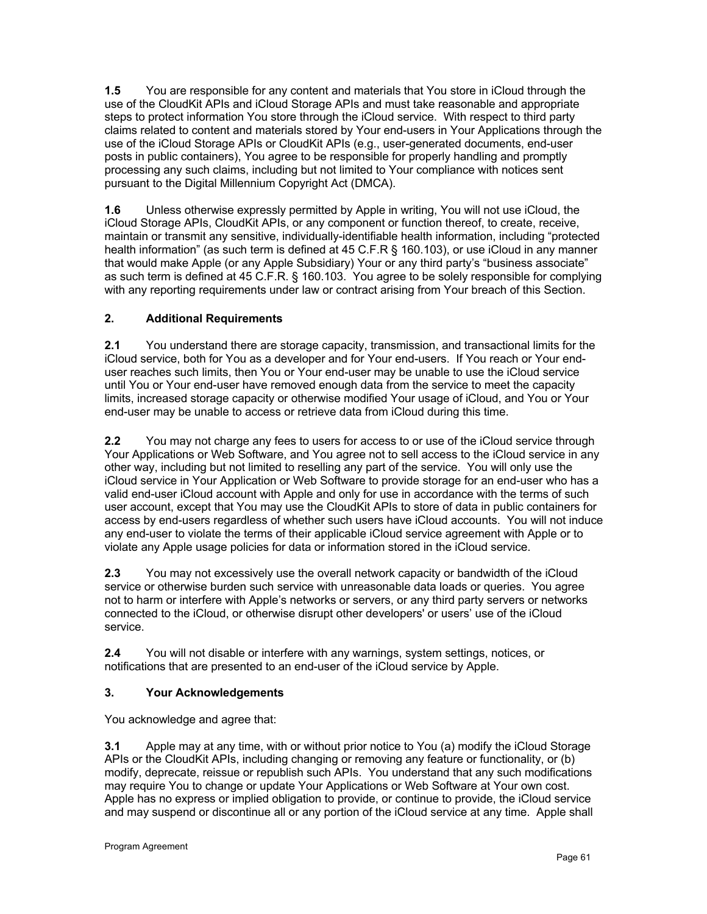**1.5** You are responsible for any content and materials that You store in iCloud through the use of the CloudKit APIs and iCloud Storage APIs and must take reasonable and appropriate steps to protect information You store through the iCloud service. With respect to third party claims related to content and materials stored by Your end-users in Your Applications through the use of the iCloud Storage APIs or CloudKit APIs (e.g., user-generated documents, end-user posts in public containers), You agree to be responsible for properly handling and promptly processing any such claims, including but not limited to Your compliance with notices sent pursuant to the Digital Millennium Copyright Act (DMCA).

**1.6** Unless otherwise expressly permitted by Apple in writing, You will not use iCloud, the iCloud Storage APIs, CloudKit APIs, or any component or function thereof, to create, receive, maintain or transmit any sensitive, individually-identifiable health information, including "protected health information" (as such term is defined at 45 C.F.R § 160.103), or use iCloud in any manner that would make Apple (or any Apple Subsidiary) Your or any third party's "business associate" as such term is defined at 45 C.F.R. § 160.103. You agree to be solely responsible for complying with any reporting requirements under law or contract arising from Your breach of this Section.

# **2. Additional Requirements**

**2.1** You understand there are storage capacity, transmission, and transactional limits for the iCloud service, both for You as a developer and for Your end-users. If You reach or Your enduser reaches such limits, then You or Your end-user may be unable to use the iCloud service until You or Your end-user have removed enough data from the service to meet the capacity limits, increased storage capacity or otherwise modified Your usage of iCloud, and You or Your end-user may be unable to access or retrieve data from iCloud during this time.

**2.2** You may not charge any fees to users for access to or use of the iCloud service through Your Applications or Web Software, and You agree not to sell access to the iCloud service in any other way, including but not limited to reselling any part of the service. You will only use the iCloud service in Your Application or Web Software to provide storage for an end-user who has a valid end-user iCloud account with Apple and only for use in accordance with the terms of such user account, except that You may use the CloudKit APIs to store of data in public containers for access by end-users regardless of whether such users have iCloud accounts. You will not induce any end-user to violate the terms of their applicable iCloud service agreement with Apple or to violate any Apple usage policies for data or information stored in the iCloud service.

**2.3** You may not excessively use the overall network capacity or bandwidth of the iCloud service or otherwise burden such service with unreasonable data loads or queries. You agree not to harm or interfere with Apple's networks or servers, or any third party servers or networks connected to the iCloud, or otherwise disrupt other developers' or users' use of the iCloud service.

**2.4** You will not disable or interfere with any warnings, system settings, notices, or notifications that are presented to an end-user of the iCloud service by Apple.

# **3. Your Acknowledgements**

You acknowledge and agree that:

**3.1** Apple may at any time, with or without prior notice to You (a) modify the iCloud Storage APIs or the CloudKit APIs, including changing or removing any feature or functionality, or (b) modify, deprecate, reissue or republish such APIs. You understand that any such modifications may require You to change or update Your Applications or Web Software at Your own cost. Apple has no express or implied obligation to provide, or continue to provide, the iCloud service and may suspend or discontinue all or any portion of the iCloud service at any time. Apple shall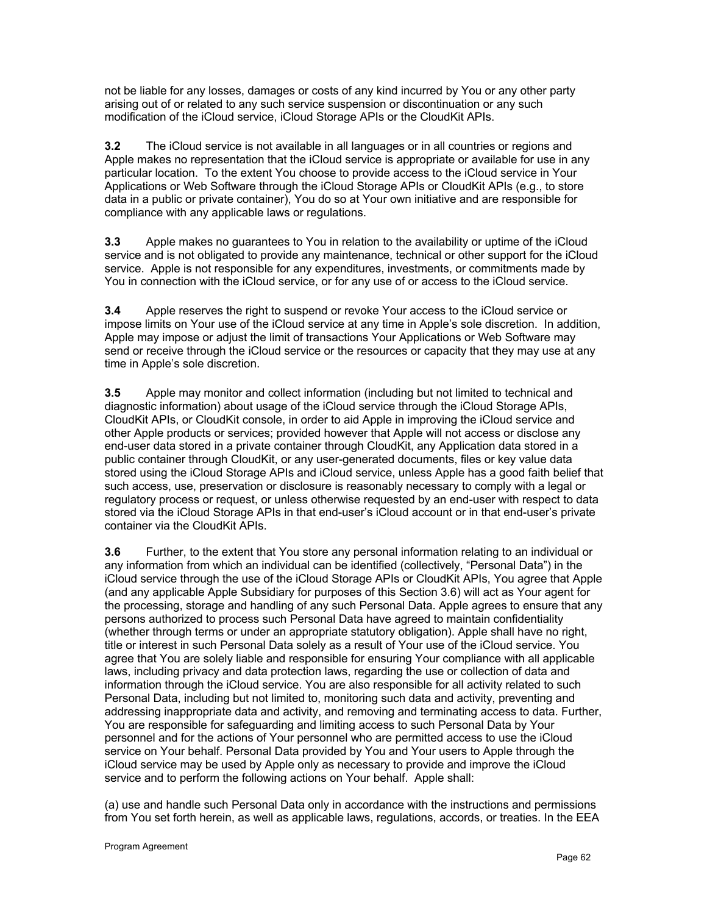not be liable for any losses, damages or costs of any kind incurred by You or any other party arising out of or related to any such service suspension or discontinuation or any such modification of the iCloud service, iCloud Storage APIs or the CloudKit APIs.

**3.2** The iCloud service is not available in all languages or in all countries or regions and Apple makes no representation that the iCloud service is appropriate or available for use in any particular location. To the extent You choose to provide access to the iCloud service in Your Applications or Web Software through the iCloud Storage APIs or CloudKit APIs (e.g., to store data in a public or private container), You do so at Your own initiative and are responsible for compliance with any applicable laws or regulations.

**3.3** Apple makes no guarantees to You in relation to the availability or uptime of the iCloud service and is not obligated to provide any maintenance, technical or other support for the iCloud service. Apple is not responsible for any expenditures, investments, or commitments made by You in connection with the iCloud service, or for any use of or access to the iCloud service.

**3.4** Apple reserves the right to suspend or revoke Your access to the iCloud service or impose limits on Your use of the iCloud service at any time in Apple's sole discretion. In addition, Apple may impose or adjust the limit of transactions Your Applications or Web Software may send or receive through the iCloud service or the resources or capacity that they may use at any time in Apple's sole discretion.

**3.5** Apple may monitor and collect information (including but not limited to technical and diagnostic information) about usage of the iCloud service through the iCloud Storage APIs, CloudKit APIs, or CloudKit console, in order to aid Apple in improving the iCloud service and other Apple products or services; provided however that Apple will not access or disclose any end-user data stored in a private container through CloudKit, any Application data stored in a public container through CloudKit, or any user-generated documents, files or key value data stored using the iCloud Storage APIs and iCloud service, unless Apple has a good faith belief that such access, use, preservation or disclosure is reasonably necessary to comply with a legal or regulatory process or request, or unless otherwise requested by an end-user with respect to data stored via the iCloud Storage APIs in that end-user's iCloud account or in that end-user's private container via the CloudKit APIs.

**3.6** Further, to the extent that You store any personal information relating to an individual or any information from which an individual can be identified (collectively, "Personal Data") in the iCloud service through the use of the iCloud Storage APIs or CloudKit APIs, You agree that Apple (and any applicable Apple Subsidiary for purposes of this Section 3.6) will act as Your agent for the processing, storage and handling of any such Personal Data. Apple agrees to ensure that any persons authorized to process such Personal Data have agreed to maintain confidentiality (whether through terms or under an appropriate statutory obligation). Apple shall have no right, title or interest in such Personal Data solely as a result of Your use of the iCloud service. You agree that You are solely liable and responsible for ensuring Your compliance with all applicable laws, including privacy and data protection laws, regarding the use or collection of data and information through the iCloud service. You are also responsible for all activity related to such Personal Data, including but not limited to, monitoring such data and activity, preventing and addressing inappropriate data and activity, and removing and terminating access to data. Further, You are responsible for safeguarding and limiting access to such Personal Data by Your personnel and for the actions of Your personnel who are permitted access to use the iCloud service on Your behalf. Personal Data provided by You and Your users to Apple through the iCloud service may be used by Apple only as necessary to provide and improve the iCloud service and to perform the following actions on Your behalf. Apple shall:

(a) use and handle such Personal Data only in accordance with the instructions and permissions from You set forth herein, as well as applicable laws, regulations, accords, or treaties. In the EEA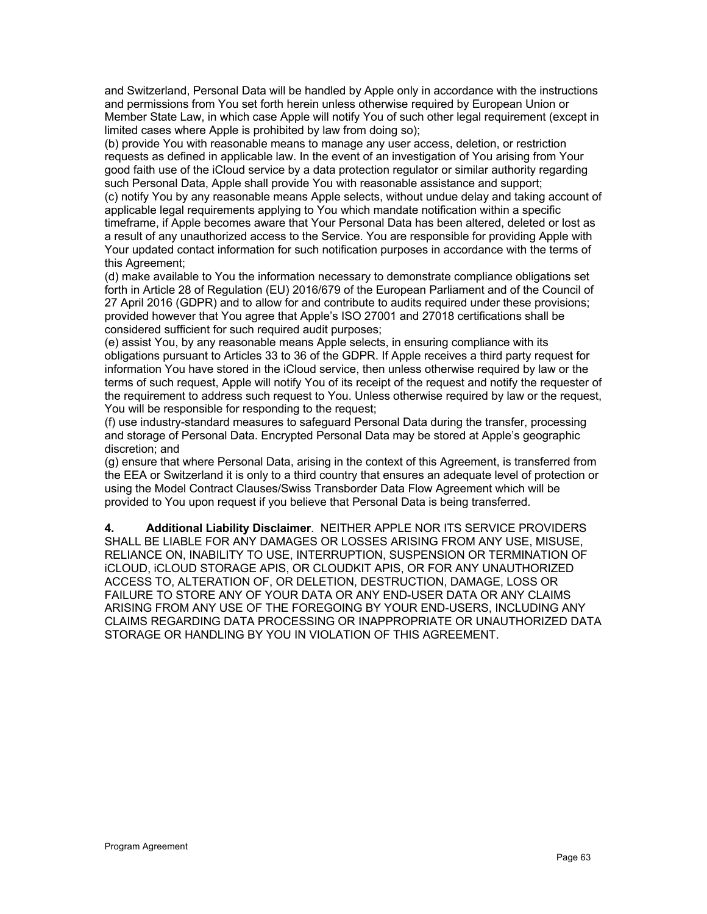and Switzerland, Personal Data will be handled by Apple only in accordance with the instructions and permissions from You set forth herein unless otherwise required by European Union or Member State Law, in which case Apple will notify You of such other legal requirement (except in limited cases where Apple is prohibited by law from doing so);

(b) provide You with reasonable means to manage any user access, deletion, or restriction requests as defined in applicable law. In the event of an investigation of You arising from Your good faith use of the iCloud service by a data protection regulator or similar authority regarding such Personal Data, Apple shall provide You with reasonable assistance and support;

(c) notify You by any reasonable means Apple selects, without undue delay and taking account of applicable legal requirements applying to You which mandate notification within a specific timeframe, if Apple becomes aware that Your Personal Data has been altered, deleted or lost as a result of any unauthorized access to the Service. You are responsible for providing Apple with Your updated contact information for such notification purposes in accordance with the terms of this Agreement;

(d) make available to You the information necessary to demonstrate compliance obligations set forth in Article 28 of Regulation (EU) 2016/679 of the European Parliament and of the Council of 27 April 2016 (GDPR) and to allow for and contribute to audits required under these provisions; provided however that You agree that Apple's ISO 27001 and 27018 certifications shall be considered sufficient for such required audit purposes;

(e) assist You, by any reasonable means Apple selects, in ensuring compliance with its obligations pursuant to Articles 33 to 36 of the GDPR. If Apple receives a third party request for information You have stored in the iCloud service, then unless otherwise required by law or the terms of such request, Apple will notify You of its receipt of the request and notify the requester of the requirement to address such request to You. Unless otherwise required by law or the request, You will be responsible for responding to the request;

(f) use industry-standard measures to safeguard Personal Data during the transfer, processing and storage of Personal Data. Encrypted Personal Data may be stored at Apple's geographic discretion; and

(g) ensure that where Personal Data, arising in the context of this Agreement, is transferred from the EEA or Switzerland it is only to a third country that ensures an adequate level of protection or using the Model Contract Clauses/Swiss Transborder Data Flow Agreement which will be provided to You upon request if you believe that Personal Data is being transferred.

**4. Additional Liability Disclaimer**. NEITHER APPLE NOR ITS SERVICE PROVIDERS SHALL BE LIABLE FOR ANY DAMAGES OR LOSSES ARISING FROM ANY USE, MISUSE, RELIANCE ON, INABILITY TO USE, INTERRUPTION, SUSPENSION OR TERMINATION OF iCLOUD, iCLOUD STORAGE APIS, OR CLOUDKIT APIS, OR FOR ANY UNAUTHORIZED ACCESS TO, ALTERATION OF, OR DELETION, DESTRUCTION, DAMAGE, LOSS OR FAILURE TO STORE ANY OF YOUR DATA OR ANY END-USER DATA OR ANY CLAIMS ARISING FROM ANY USE OF THE FOREGOING BY YOUR END-USERS, INCLUDING ANY CLAIMS REGARDING DATA PROCESSING OR INAPPROPRIATE OR UNAUTHORIZED DATA STORAGE OR HANDLING BY YOU IN VIOLATION OF THIS AGREEMENT.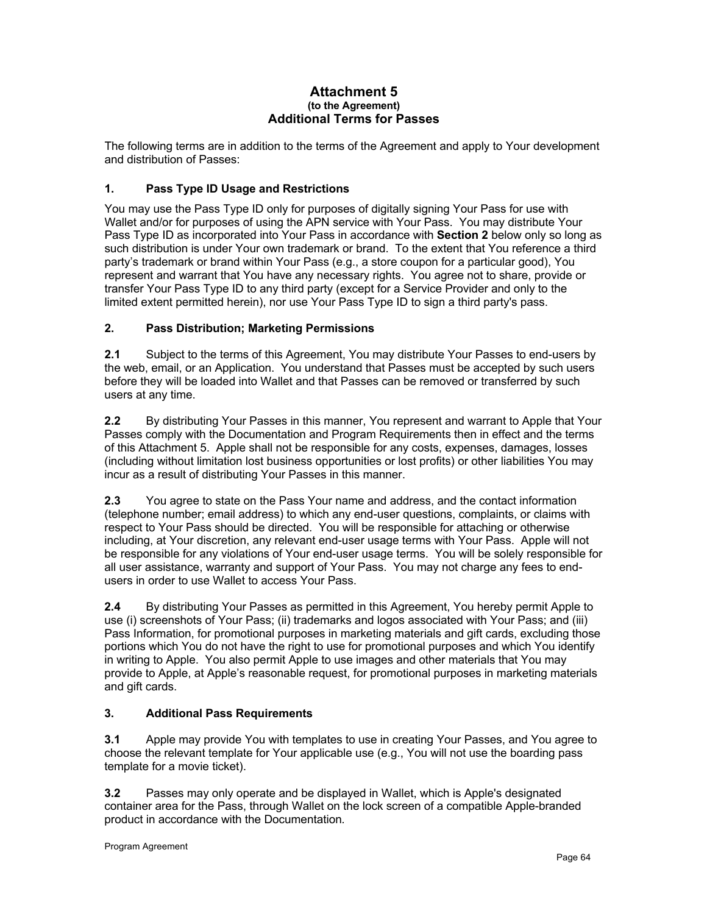## **Attachment 5 (to the Agreement) Additional Terms for Passes**

The following terms are in addition to the terms of the Agreement and apply to Your development and distribution of Passes:

# **1. Pass Type ID Usage and Restrictions**

You may use the Pass Type ID only for purposes of digitally signing Your Pass for use with Wallet and/or for purposes of using the APN service with Your Pass. You may distribute Your Pass Type ID as incorporated into Your Pass in accordance with **Section 2** below only so long as such distribution is under Your own trademark or brand.To the extent that You reference a third party's trademark or brand within Your Pass (e.g., a store coupon for a particular good), You represent and warrant that You have any necessary rights. You agree not to share, provide or transfer Your Pass Type ID to any third party (except for a Service Provider and only to the limited extent permitted herein), nor use Your Pass Type ID to sign a third party's pass.

# **2. Pass Distribution; Marketing Permissions**

**2.1** Subject to the terms of this Agreement, You may distribute Your Passes to end-users by the web, email, or an Application. You understand that Passes must be accepted by such users before they will be loaded into Wallet and that Passes can be removed or transferred by such users at any time.

**2.2** By distributing Your Passes in this manner, You represent and warrant to Apple that Your Passes comply with the Documentation and Program Requirements then in effect and the terms of this Attachment 5. Apple shall not be responsible for any costs, expenses, damages, losses (including without limitation lost business opportunities or lost profits) or other liabilities You may incur as a result of distributing Your Passes in this manner.

**2.3** You agree to state on the Pass Your name and address, and the contact information (telephone number; email address) to which any end-user questions, complaints, or claims with respect to Your Pass should be directed. You will be responsible for attaching or otherwise including, at Your discretion, any relevant end-user usage terms with Your Pass. Apple will not be responsible for any violations of Your end-user usage terms. You will be solely responsible for all user assistance, warranty and support of Your Pass. You may not charge any fees to endusers in order to use Wallet to access Your Pass.

**2.4** By distributing Your Passes as permitted in this Agreement, You hereby permit Apple to use (i) screenshots of Your Pass; (ii) trademarks and logos associated with Your Pass; and (iii) Pass Information, for promotional purposes in marketing materials and gift cards, excluding those portions which You do not have the right to use for promotional purposes and which You identify in writing to Apple. You also permit Apple to use images and other materials that You may provide to Apple, at Apple's reasonable request, for promotional purposes in marketing materials and gift cards.

# **3. Additional Pass Requirements**

**3.1** Apple may provide You with templates to use in creating Your Passes, and You agree to choose the relevant template for Your applicable use (e.g., You will not use the boarding pass template for a movie ticket).

**3.2** Passes may only operate and be displayed in Wallet, which is Apple's designated container area for the Pass, through Wallet on the lock screen of a compatible Apple-branded product in accordance with the Documentation*.*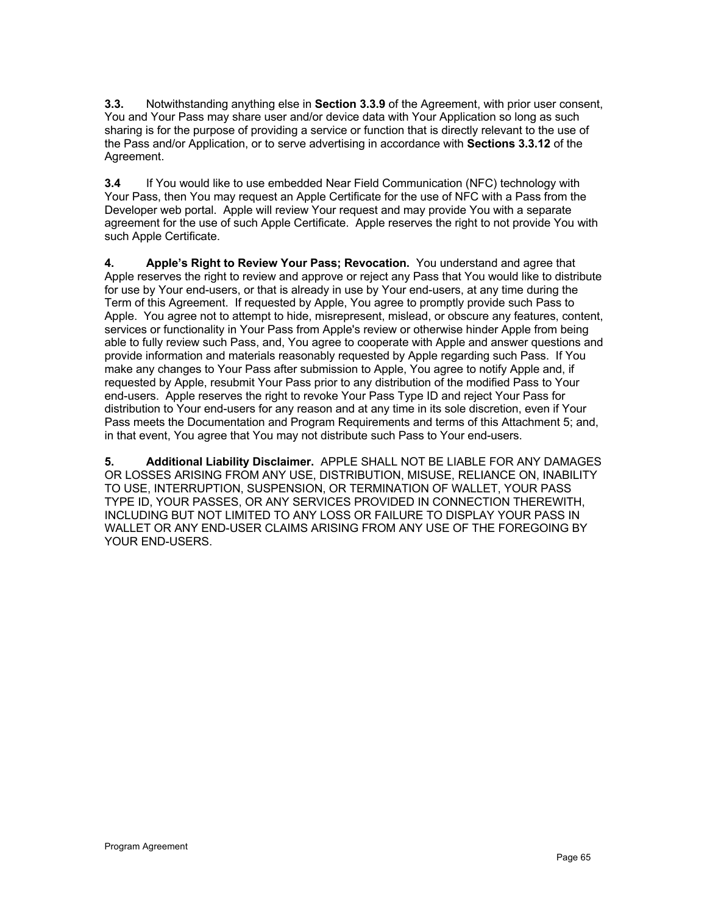**3.3.** Notwithstanding anything else in **Section 3.3.9** of the Agreement, with prior user consent, You and Your Pass may share user and/or device data with Your Application so long as such sharing is for the purpose of providing a service or function that is directly relevant to the use of the Pass and/or Application, or to serve advertising in accordance with **Sections 3.3.12** of the Agreement.

**3.4** If You would like to use embedded Near Field Communication (NFC) technology with Your Pass, then You may request an Apple Certificate for the use of NFC with a Pass from the Developer web portal. Apple will review Your request and may provide You with a separate agreement for the use of such Apple Certificate. Apple reserves the right to not provide You with such Apple Certificate.

**4. Apple's Right to Review Your Pass; Revocation.** You understand and agree that Apple reserves the right to review and approve or reject any Pass that You would like to distribute for use by Your end-users, or that is already in use by Your end-users, at any time during the Term of this Agreement. If requested by Apple, You agree to promptly provide such Pass to Apple. You agree not to attempt to hide, misrepresent, mislead, or obscure any features, content, services or functionality in Your Pass from Apple's review or otherwise hinder Apple from being able to fully review such Pass, and, You agree to cooperate with Apple and answer questions and provide information and materials reasonably requested by Apple regarding such Pass. If You make any changes to Your Pass after submission to Apple, You agree to notify Apple and, if requested by Apple, resubmit Your Pass prior to any distribution of the modified Pass to Your end-users. Apple reserves the right to revoke Your Pass Type ID and reject Your Pass for distribution to Your end-users for any reason and at any time in its sole discretion, even if Your Pass meets the Documentation and Program Requirements and terms of this Attachment 5; and, in that event, You agree that You may not distribute such Pass to Your end-users.

**5. Additional Liability Disclaimer.** APPLE SHALL NOT BE LIABLE FOR ANY DAMAGES OR LOSSES ARISING FROM ANY USE, DISTRIBUTION, MISUSE, RELIANCE ON, INABILITY TO USE, INTERRUPTION, SUSPENSION, OR TERMINATION OF WALLET, YOUR PASS TYPE ID, YOUR PASSES, OR ANY SERVICES PROVIDED IN CONNECTION THEREWITH, INCLUDING BUT NOT LIMITED TO ANY LOSS OR FAILURE TO DISPLAY YOUR PASS IN WALLET OR ANY END-USER CLAIMS ARISING FROM ANY USE OF THE FOREGOING BY YOUR END-USERS.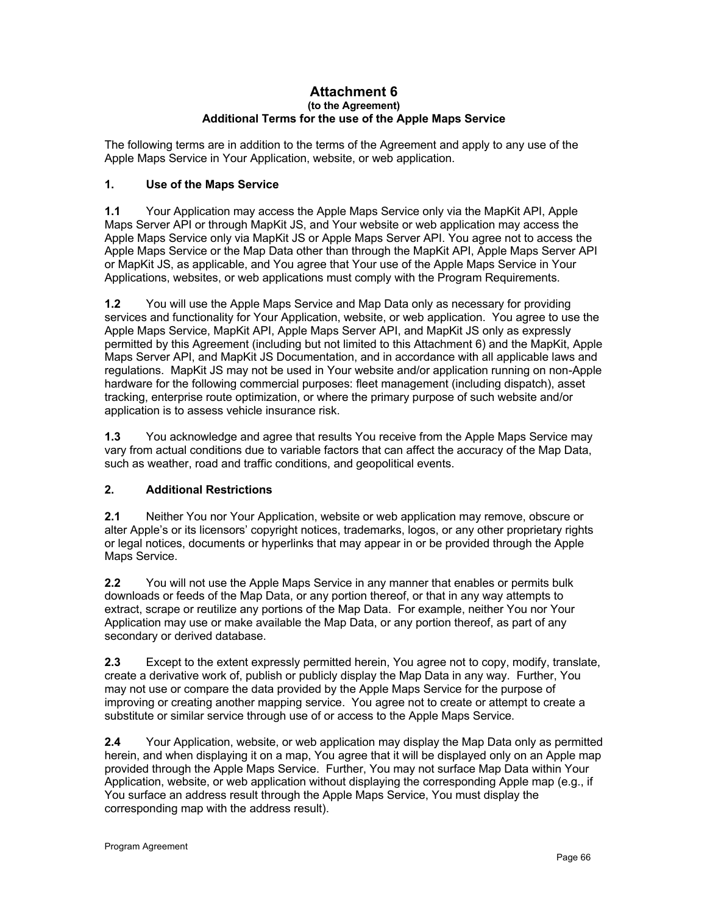#### **Attachment 6 (to the Agreement) Additional Terms for the use of the Apple Maps Service**

The following terms are in addition to the terms of the Agreement and apply to any use of the Apple Maps Service in Your Application, website, or web application.

## **1. Use of the Maps Service**

**1.1** Your Application may access the Apple Maps Service only via the MapKit API, Apple Maps Server API or through MapKit JS, and Your website or web application may access the Apple Maps Service only via MapKit JS or Apple Maps Server API. You agree not to access the Apple Maps Service or the Map Data other than through the MapKit API, Apple Maps Server API or MapKit JS, as applicable, and You agree that Your use of the Apple Maps Service in Your Applications, websites, or web applications must comply with the Program Requirements.

**1.2** You will use the Apple Maps Service and Map Data only as necessary for providing services and functionality for Your Application, website, or web application. You agree to use the Apple Maps Service, MapKit API, Apple Maps Server API, and MapKit JS only as expressly permitted by this Agreement (including but not limited to this Attachment 6) and the MapKit, Apple Maps Server API, and MapKit JS Documentation, and in accordance with all applicable laws and regulations. MapKit JS may not be used in Your website and/or application running on non-Apple hardware for the following commercial purposes: fleet management (including dispatch), asset tracking, enterprise route optimization, or where the primary purpose of such website and/or application is to assess vehicle insurance risk.

**1.3** You acknowledge and agree that results You receive from the Apple Maps Service may vary from actual conditions due to variable factors that can affect the accuracy of the Map Data, such as weather, road and traffic conditions, and geopolitical events.

# **2. Additional Restrictions**

**2.1** Neither You nor Your Application, website or web application may remove, obscure or alter Apple's or its licensors' copyright notices, trademarks, logos, or any other proprietary rights or legal notices, documents or hyperlinks that may appear in or be provided through the Apple Maps Service.

**2.2** You will not use the Apple Maps Service in any manner that enables or permits bulk downloads or feeds of the Map Data, or any portion thereof, or that in any way attempts to extract, scrape or reutilize any portions of the Map Data. For example, neither You nor Your Application may use or make available the Map Data, or any portion thereof, as part of any secondary or derived database.

**2.3** Except to the extent expressly permitted herein, You agree not to copy, modify, translate, create a derivative work of, publish or publicly display the Map Data in any way. Further, You may not use or compare the data provided by the Apple Maps Service for the purpose of improving or creating another mapping service. You agree not to create or attempt to create a substitute or similar service through use of or access to the Apple Maps Service.

**2.4** Your Application, website, or web application may display the Map Data only as permitted herein, and when displaying it on a map, You agree that it will be displayed only on an Apple map provided through the Apple Maps Service. Further, You may not surface Map Data within Your Application, website, or web application without displaying the corresponding Apple map (e.g., if You surface an address result through the Apple Maps Service, You must display the corresponding map with the address result).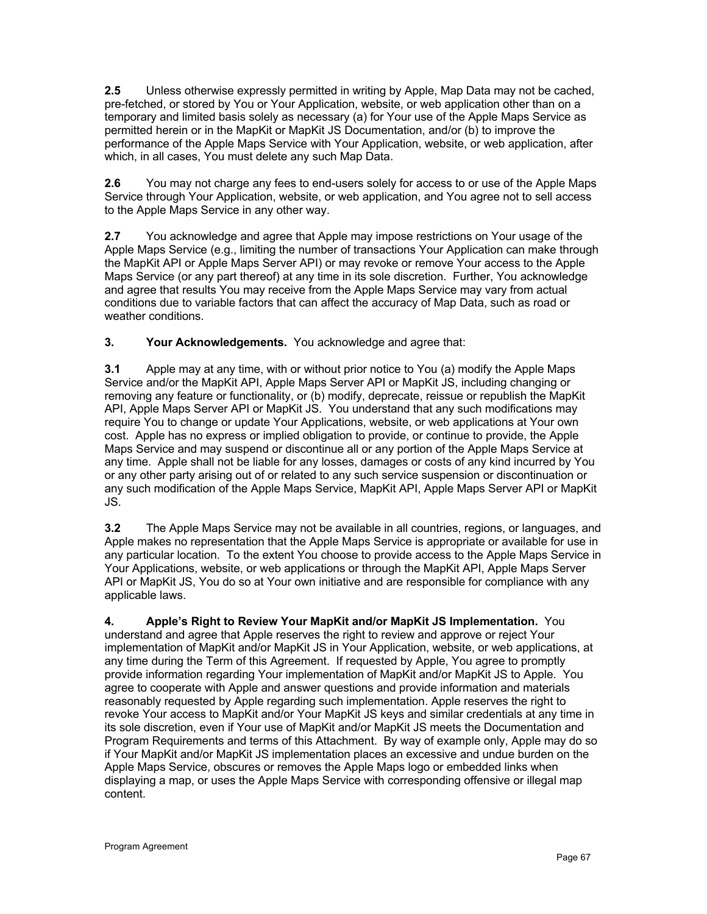**2.5** Unless otherwise expressly permitted in writing by Apple, Map Data may not be cached, pre-fetched, or stored by You or Your Application, website, or web application other than on a temporary and limited basis solely as necessary (a) for Your use of the Apple Maps Service as permitted herein or in the MapKit or MapKit JS Documentation, and/or (b) to improve the performance of the Apple Maps Service with Your Application, website, or web application, after which, in all cases, You must delete any such Map Data.

**2.6** You may not charge any fees to end-users solely for access to or use of the Apple Maps Service through Your Application, website, or web application, and You agree not to sell access to the Apple Maps Service in any other way.

**2.7** You acknowledge and agree that Apple may impose restrictions on Your usage of the Apple Maps Service (e.g., limiting the number of transactions Your Application can make through the MapKit API or Apple Maps Server API) or may revoke or remove Your access to the Apple Maps Service (or any part thereof) at any time in its sole discretion. Further, You acknowledge and agree that results You may receive from the Apple Maps Service may vary from actual conditions due to variable factors that can affect the accuracy of Map Data, such as road or weather conditions.

**3. Your Acknowledgements.** You acknowledge and agree that:

**3.1** Apple may at any time, with or without prior notice to You (a) modify the Apple Maps Service and/or the MapKit API, Apple Maps Server API or MapKit JS, including changing or removing any feature or functionality, or (b) modify, deprecate, reissue or republish the MapKit API, Apple Maps Server API or MapKit JS. You understand that any such modifications may require You to change or update Your Applications, website, or web applications at Your own cost. Apple has no express or implied obligation to provide, or continue to provide, the Apple Maps Service and may suspend or discontinue all or any portion of the Apple Maps Service at any time. Apple shall not be liable for any losses, damages or costs of any kind incurred by You or any other party arising out of or related to any such service suspension or discontinuation or any such modification of the Apple Maps Service, MapKit API, Apple Maps Server API or MapKit JS.

**3.2** The Apple Maps Service may not be available in all countries, regions, or languages, and Apple makes no representation that the Apple Maps Service is appropriate or available for use in any particular location. To the extent You choose to provide access to the Apple Maps Service in Your Applications, website, or web applications or through the MapKit API, Apple Maps Server API or MapKit JS, You do so at Your own initiative and are responsible for compliance with any applicable laws.

**4. Apple's Right to Review Your MapKit and/or MapKit JS Implementation.** You understand and agree that Apple reserves the right to review and approve or reject Your implementation of MapKit and/or MapKit JS in Your Application, website, or web applications, at any time during the Term of this Agreement. If requested by Apple, You agree to promptly provide information regarding Your implementation of MapKit and/or MapKit JS to Apple. You agree to cooperate with Apple and answer questions and provide information and materials reasonably requested by Apple regarding such implementation. Apple reserves the right to revoke Your access to MapKit and/or Your MapKit JS keys and similar credentials at any time in its sole discretion, even if Your use of MapKit and/or MapKit JS meets the Documentation and Program Requirements and terms of this Attachment. By way of example only, Apple may do so if Your MapKit and/or MapKit JS implementation places an excessive and undue burden on the Apple Maps Service, obscures or removes the Apple Maps logo or embedded links when displaying a map, or uses the Apple Maps Service with corresponding offensive or illegal map content.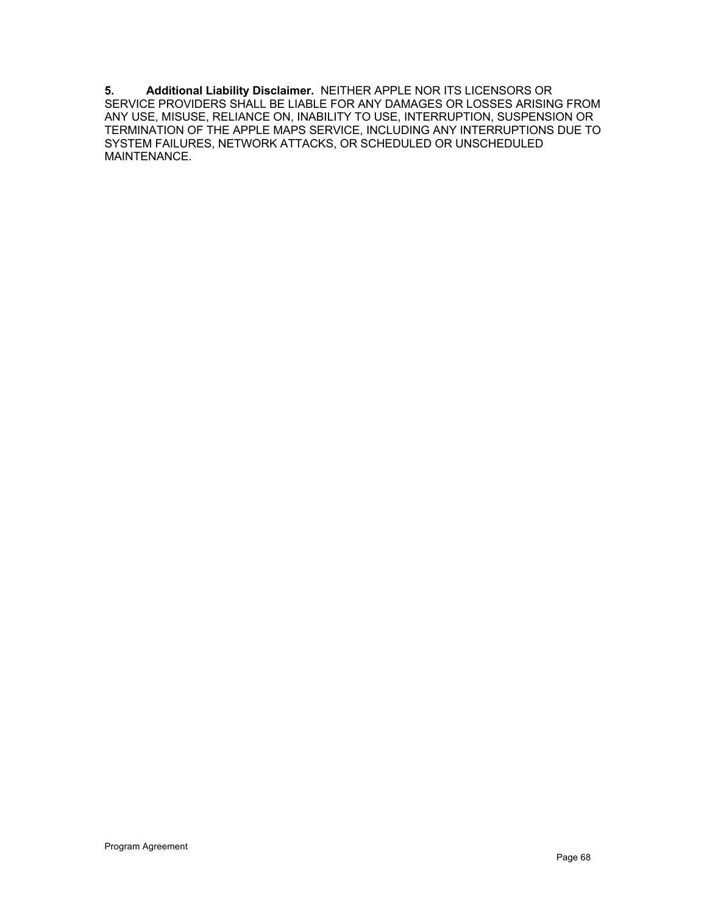**5. Additional Liability Disclaimer.** NEITHER APPLE NOR ITS LICENSORS OR SERVICE PROVIDERS SHALL BE LIABLE FOR ANY DAMAGES OR LOSSES ARISING FROM ANY USE, MISUSE, RELIANCE ON, INABILITY TO USE, INTERRUPTION, SUSPENSION OR TERMINATION OF THE APPLE MAPS SERVICE, INCLUDING ANY INTERRUPTIONS DUE TO SYSTEM FAILURES, NETWORK ATTACKS, OR SCHEDULED OR UNSCHEDULED MAINTENANCE.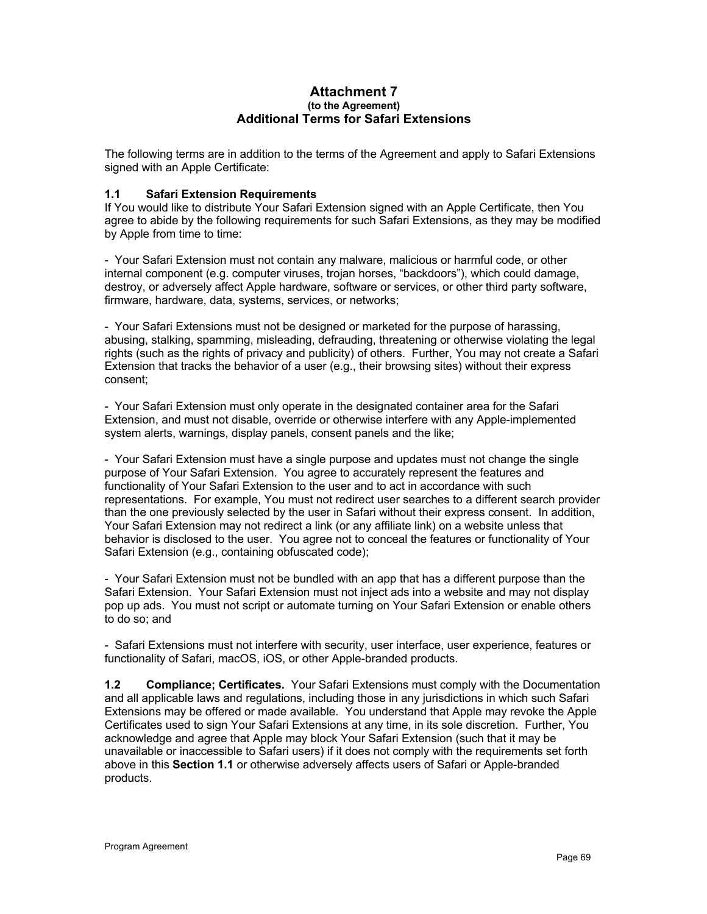#### **Attachment 7 (to the Agreement) Additional Terms for Safari Extensions**

The following terms are in addition to the terms of the Agreement and apply to Safari Extensions signed with an Apple Certificate:

## **1.1 Safari Extension Requirements**

If You would like to distribute Your Safari Extension signed with an Apple Certificate, then You agree to abide by the following requirements for such Safari Extensions, as they may be modified by Apple from time to time:

- Your Safari Extension must not contain any malware, malicious or harmful code, or other internal component (e.g. computer viruses, trojan horses, "backdoors"), which could damage, destroy, or adversely affect Apple hardware, software or services, or other third party software, firmware, hardware, data, systems, services, or networks;

- Your Safari Extensions must not be designed or marketed for the purpose of harassing, abusing, stalking, spamming, misleading, defrauding, threatening or otherwise violating the legal rights (such as the rights of privacy and publicity) of others. Further, You may not create a Safari Extension that tracks the behavior of a user (e.g., their browsing sites) without their express consent;

- Your Safari Extension must only operate in the designated container area for the Safari Extension, and must not disable, override or otherwise interfere with any Apple-implemented system alerts, warnings, display panels, consent panels and the like;

- Your Safari Extension must have a single purpose and updates must not change the single purpose of Your Safari Extension. You agree to accurately represent the features and functionality of Your Safari Extension to the user and to act in accordance with such representations. For example, You must not redirect user searches to a different search provider than the one previously selected by the user in Safari without their express consent. In addition, Your Safari Extension may not redirect a link (or any affiliate link) on a website unless that behavior is disclosed to the user. You agree not to conceal the features or functionality of Your Safari Extension (e.g., containing obfuscated code);

- Your Safari Extension must not be bundled with an app that has a different purpose than the Safari Extension.Your Safari Extension must not inject ads into a website and may not display pop up ads. You must not script or automate turning on Your Safari Extension or enable others to do so; and

- Safari Extensions must not interfere with security, user interface, user experience, features or functionality of Safari, macOS, iOS, or other Apple-branded products.

**1.2 Compliance; Certificates.** Your Safari Extensions must comply with the Documentation and all applicable laws and regulations, including those in any jurisdictions in which such Safari Extensions may be offered or made available. You understand that Apple may revoke the Apple Certificates used to sign Your Safari Extensions at any time, in its sole discretion. Further, You acknowledge and agree that Apple may block Your Safari Extension (such that it may be unavailable or inaccessible to Safari users) if it does not comply with the requirements set forth above in this **Section 1.1** or otherwise adversely affects users of Safari or Apple-branded products.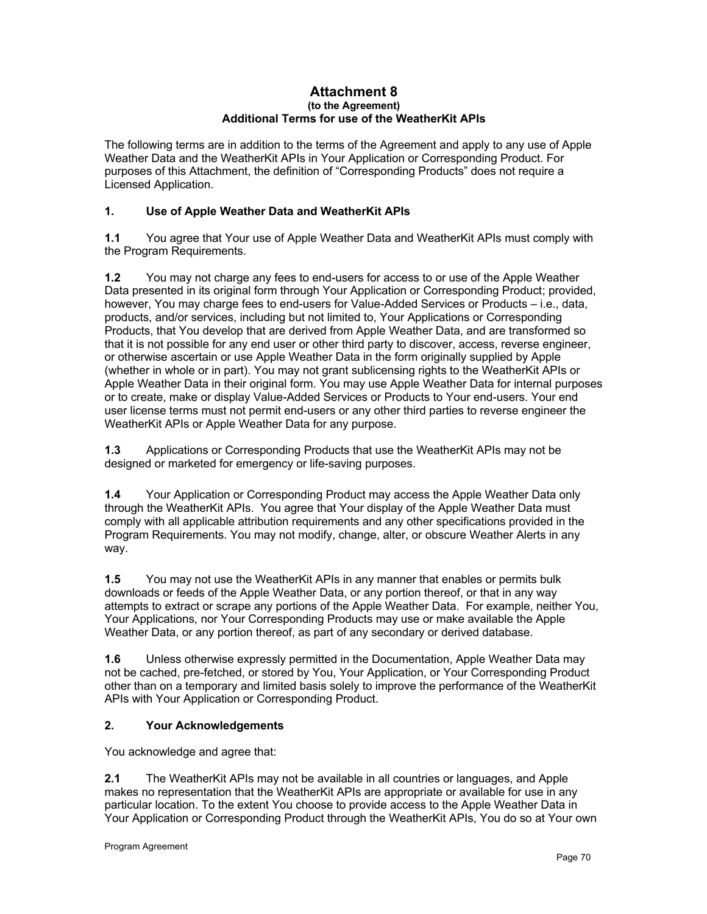#### **Attachment 8 (to the Agreement) Additional Terms for use of the WeatherKit APIs**

The following terms are in addition to the terms of the Agreement and apply to any use of Apple Weather Data and the WeatherKit APIs in Your Application or Corresponding Product. For purposes of this Attachment, the definition of "Corresponding Products" does not require a Licensed Application.

# **1. Use of Apple Weather Data and WeatherKit APIs**

**1.1** You agree that Your use of Apple Weather Data and WeatherKit APIs must comply with the Program Requirements.

**1.2** You may not charge any fees to end-users for access to or use of the Apple Weather Data presented in its original form through Your Application or Corresponding Product; provided, however, You may charge fees to end-users for Value-Added Services or Products – i.e., data, products, and/or services, including but not limited to, Your Applications or Corresponding Products, that You develop that are derived from Apple Weather Data, and are transformed so that it is not possible for any end user or other third party to discover, access, reverse engineer, or otherwise ascertain or use Apple Weather Data in the form originally supplied by Apple (whether in whole or in part). You may not grant sublicensing rights to the WeatherKit APIs or Apple Weather Data in their original form. You may use Apple Weather Data for internal purposes or to create, make or display Value-Added Services or Products to Your end-users. Your end user license terms must not permit end-users or any other third parties to reverse engineer the WeatherKit APIs or Apple Weather Data for any purpose.

**1.3** Applications or Corresponding Products that use the WeatherKit APIs may not be designed or marketed for emergency or life-saving purposes.

**1.4** Your Application or Corresponding Product may access the Apple Weather Data only through the WeatherKit APIs. You agree that Your display of the Apple Weather Data must comply with all applicable attribution requirements and any other specifications provided in the Program Requirements. You may not modify, change, alter, or obscure Weather Alerts in any way.

**1.5** You may not use the WeatherKit APIs in any manner that enables or permits bulk downloads or feeds of the Apple Weather Data, or any portion thereof, or that in any way attempts to extract or scrape any portions of the Apple Weather Data. For example, neither You, Your Applications, nor Your Corresponding Products may use or make available the Apple Weather Data, or any portion thereof, as part of any secondary or derived database.

**1.6** Unless otherwise expressly permitted in the Documentation, Apple Weather Data may not be cached, pre-fetched, or stored by You, Your Application, or Your Corresponding Product other than on a temporary and limited basis solely to improve the performance of the WeatherKit APIs with Your Application or Corresponding Product.

# **2. Your Acknowledgements**

You acknowledge and agree that:

**2.1** The WeatherKit APIs may not be available in all countries or languages, and Apple makes no representation that the WeatherKit APIs are appropriate or available for use in any particular location. To the extent You choose to provide access to the Apple Weather Data in Your Application or Corresponding Product through the WeatherKit APIs, You do so at Your own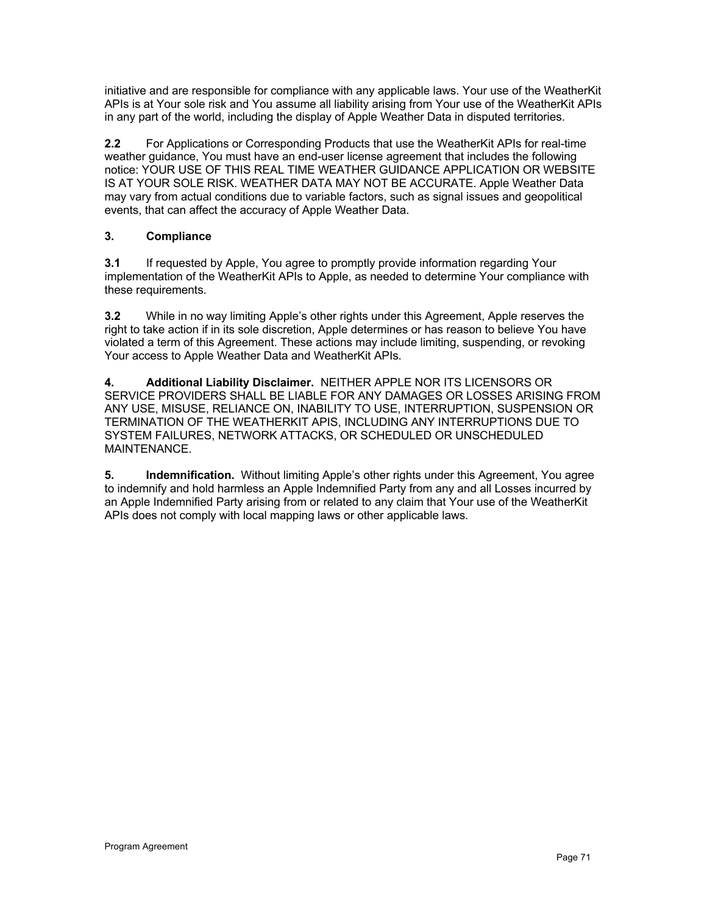initiative and are responsible for compliance with any applicable laws. Your use of the WeatherKit APIs is at Your sole risk and You assume all liability arising from Your use of the WeatherKit APIs in any part of the world, including the display of Apple Weather Data in disputed territories.

**2.2** For Applications or Corresponding Products that use the WeatherKit APIs for real-time weather guidance, You must have an end-user license agreement that includes the following notice: YOUR USE OF THIS REAL TIME WEATHER GUIDANCE APPLICATION OR WEBSITE IS AT YOUR SOLE RISK. WEATHER DATA MAY NOT BE ACCURATE. Apple Weather Data may vary from actual conditions due to variable factors, such as signal issues and geopolitical events, that can affect the accuracy of Apple Weather Data.

# **3. Compliance**

**3.1** If requested by Apple, You agree to promptly provide information regarding Your implementation of the WeatherKit APIs to Apple, as needed to determine Your compliance with these requirements.

**3.2** While in no way limiting Apple's other rights under this Agreement, Apple reserves the right to take action if in its sole discretion, Apple determines or has reason to believe You have violated a term of this Agreement. These actions may include limiting, suspending, or revoking Your access to Apple Weather Data and WeatherKit APIs.

**4. Additional Liability Disclaimer.** NEITHER APPLE NOR ITS LICENSORS OR SERVICE PROVIDERS SHALL BE LIABLE FOR ANY DAMAGES OR LOSSES ARISING FROM ANY USE, MISUSE, RELIANCE ON, INABILITY TO USE, INTERRUPTION, SUSPENSION OR TERMINATION OF THE WEATHERKIT APIS, INCLUDING ANY INTERRUPTIONS DUE TO SYSTEM FAILURES, NETWORK ATTACKS, OR SCHEDULED OR UNSCHEDULED MAINTENANCE.

**5. Indemnification.** Without limiting Apple's other rights under this Agreement, You agree to indemnify and hold harmless an Apple Indemnified Party from any and all Losses incurred by an Apple Indemnified Party arising from or related to any claim that Your use of the WeatherKit APIs does not comply with local mapping laws or other applicable laws.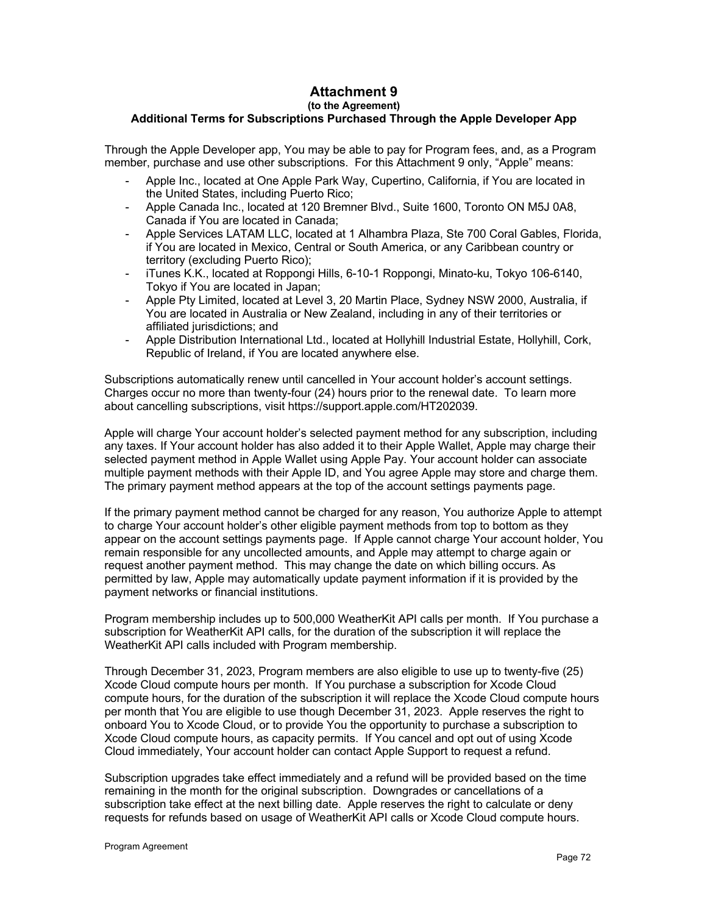# **Attachment 9 (to the Agreement)**

## **Additional Terms for Subscriptions Purchased Through the Apple Developer App**

Through the Apple Developer app, You may be able to pay for Program fees, and, as a Program member, purchase and use other subscriptions. For this Attachment 9 only, "Apple" means:

- Apple Inc., located at One Apple Park Way, Cupertino, California, if You are located in the United States, including Puerto Rico;
- Apple Canada Inc., located at 120 Bremner Blvd., Suite 1600, Toronto ON M5J 0A8, Canada if You are located in Canada;
- Apple Services LATAM LLC, located at 1 Alhambra Plaza, Ste 700 Coral Gables, Florida, if You are located in Mexico, Central or South America, or any Caribbean country or territory (excluding Puerto Rico);
- iTunes K.K., located at Roppongi Hills, 6-10-1 Roppongi, Minato-ku, Tokyo 106-6140, Tokyo if You are located in Japan;
- Apple Pty Limited, located at Level 3, 20 Martin Place, Sydney NSW 2000, Australia, if You are located in Australia or New Zealand, including in any of their territories or affiliated jurisdictions; and
- Apple Distribution International Ltd., located at Hollyhill Industrial Estate, Hollyhill, Cork, Republic of Ireland, if You are located anywhere else.

Subscriptions automatically renew until cancelled in Your account holder's account settings. Charges occur no more than twenty-four (24) hours prior to the renewal date. To learn more about cancelling subscriptions, visit https://support.apple.com/HT202039.

Apple will charge Your account holder's selected payment method for any subscription, including any taxes. If Your account holder has also added it to their Apple Wallet, Apple may charge their selected payment method in Apple Wallet using Apple Pay. Your account holder can associate multiple payment methods with their Apple ID, and You agree Apple may store and charge them. The primary payment method appears at the top of the account settings payments page.

If the primary payment method cannot be charged for any reason, You authorize Apple to attempt to charge Your account holder's other eligible payment methods from top to bottom as they appear on the account settings payments page. If Apple cannot charge Your account holder, You remain responsible for any uncollected amounts, and Apple may attempt to charge again or request another payment method. This may change the date on which billing occurs. As permitted by law, Apple may automatically update payment information if it is provided by the payment networks or financial institutions.

Program membership includes up to 500,000 WeatherKit API calls per month. If You purchase a subscription for WeatherKit API calls, for the duration of the subscription it will replace the WeatherKit API calls included with Program membership.

Through December 31, 2023, Program members are also eligible to use up to twenty-five (25) Xcode Cloud compute hours per month. If You purchase a subscription for Xcode Cloud compute hours, for the duration of the subscription it will replace the Xcode Cloud compute hours per month that You are eligible to use though December 31, 2023. Apple reserves the right to onboard You to Xcode Cloud, or to provide You the opportunity to purchase a subscription to Xcode Cloud compute hours, as capacity permits. If You cancel and opt out of using Xcode Cloud immediately, Your account holder can contact Apple Support to request a refund.

Subscription upgrades take effect immediately and a refund will be provided based on the time remaining in the month for the original subscription. Downgrades or cancellations of a subscription take effect at the next billing date. Apple reserves the right to calculate or deny requests for refunds based on usage of WeatherKit API calls or Xcode Cloud compute hours.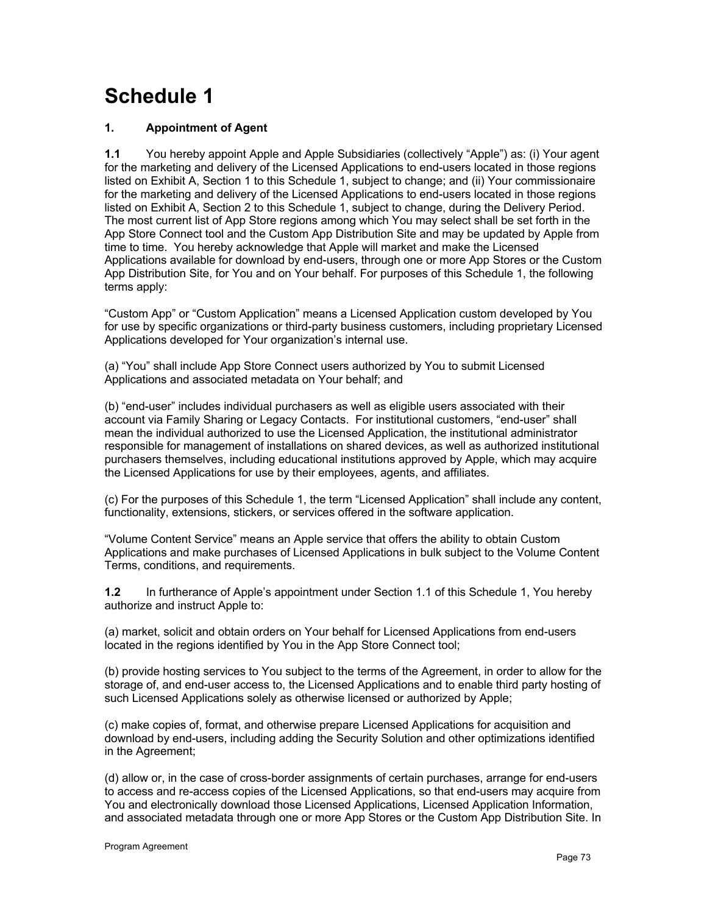# **Schedule 1**

# **1. Appointment of Agent**

**1.1** You hereby appoint Apple and Apple Subsidiaries (collectively "Apple") as: (i) Your agent for the marketing and delivery of the Licensed Applications to end-users located in those regions listed on Exhibit A, Section 1 to this Schedule 1, subject to change; and (ii) Your commissionaire for the marketing and delivery of the Licensed Applications to end-users located in those regions listed on Exhibit A, Section 2 to this Schedule 1, subject to change, during the Delivery Period. The most current list of App Store regions among which You may select shall be set forth in the App Store Connect tool and the Custom App Distribution Site and may be updated by Apple from time to time. You hereby acknowledge that Apple will market and make the Licensed Applications available for download by end-users, through one or more App Stores or the Custom App Distribution Site, for You and on Your behalf. For purposes of this Schedule 1, the following terms apply:

"Custom App" or "Custom Application" means a Licensed Application custom developed by You for use by specific organizations or third-party business customers, including proprietary Licensed Applications developed for Your organization's internal use.

(a) "You" shall include App Store Connect users authorized by You to submit Licensed Applications and associated metadata on Your behalf; and

(b) "end-user" includes individual purchasers as well as eligible users associated with their account via Family Sharing or Legacy Contacts. For institutional customers, "end-user" shall mean the individual authorized to use the Licensed Application, the institutional administrator responsible for management of installations on shared devices, as well as authorized institutional purchasers themselves, including educational institutions approved by Apple, which may acquire the Licensed Applications for use by their employees, agents, and affiliates.

(c) For the purposes of this Schedule 1, the term "Licensed Application" shall include any content, functionality, extensions, stickers, or services offered in the software application.

"Volume Content Service" means an Apple service that offers the ability to obtain Custom Applications and make purchases of Licensed Applications in bulk subject to the Volume Content Terms, conditions, and requirements.

**1.2** In furtherance of Apple's appointment under Section 1.1 of this Schedule 1, You hereby authorize and instruct Apple to:

(a) market, solicit and obtain orders on Your behalf for Licensed Applications from end-users located in the regions identified by You in the App Store Connect tool;

(b) provide hosting services to You subject to the terms of the Agreement, in order to allow for the storage of, and end-user access to, the Licensed Applications and to enable third party hosting of such Licensed Applications solely as otherwise licensed or authorized by Apple;

(c) make copies of, format, and otherwise prepare Licensed Applications for acquisition and download by end-users, including adding the Security Solution and other optimizations identified in the Agreement;

(d) allow or, in the case of cross-border assignments of certain purchases, arrange for end-users to access and re-access copies of the Licensed Applications, so that end-users may acquire from You and electronically download those Licensed Applications, Licensed Application Information, and associated metadata through one or more App Stores or the Custom App Distribution Site. In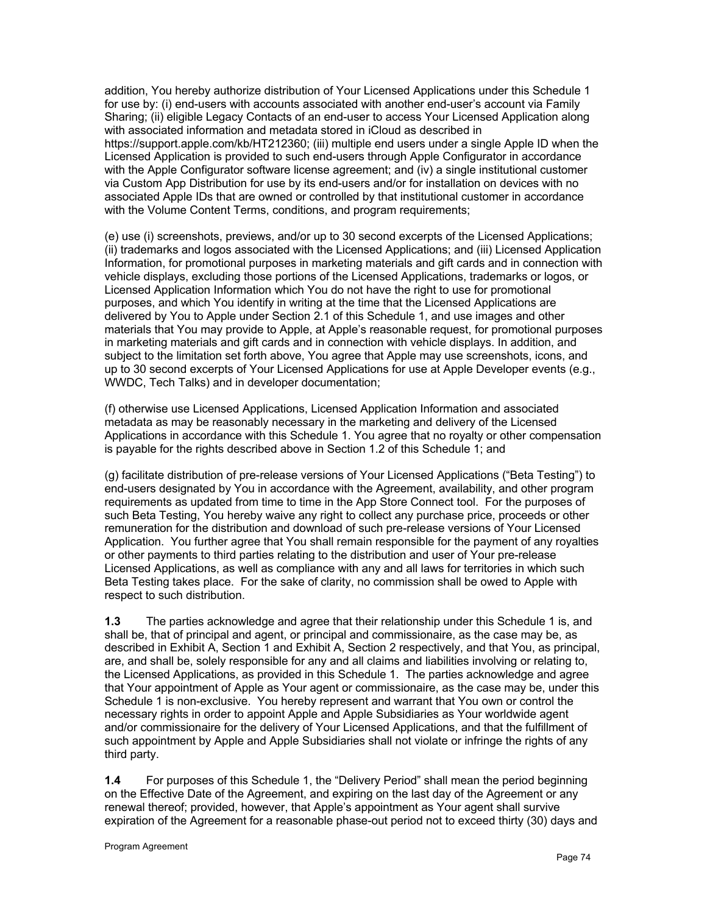addition, You hereby authorize distribution of Your Licensed Applications under this Schedule 1 for use by: (i) end-users with accounts associated with another end-user's account via Family Sharing; (ii) eligible Legacy Contacts of an end-user to access Your Licensed Application along with associated information and metadata stored in iCloud as described in https://support.apple.com/kb/HT212360; (iii) multiple end users under a single Apple ID when the Licensed Application is provided to such end-users through Apple Configurator in accordance with the Apple Configurator software license agreement; and (iv) a single institutional customer via Custom App Distribution for use by its end-users and/or for installation on devices with no associated Apple IDs that are owned or controlled by that institutional customer in accordance with the Volume Content Terms, conditions, and program requirements;

(e) use (i) screenshots, previews, and/or up to 30 second excerpts of the Licensed Applications; (ii) trademarks and logos associated with the Licensed Applications; and (iii) Licensed Application Information, for promotional purposes in marketing materials and gift cards and in connection with vehicle displays, excluding those portions of the Licensed Applications, trademarks or logos, or Licensed Application Information which You do not have the right to use for promotional purposes, and which You identify in writing at the time that the Licensed Applications are delivered by You to Apple under Section 2.1 of this Schedule 1, and use images and other materials that You may provide to Apple, at Apple's reasonable request, for promotional purposes in marketing materials and gift cards and in connection with vehicle displays. In addition, and subject to the limitation set forth above, You agree that Apple may use screenshots, icons, and up to 30 second excerpts of Your Licensed Applications for use at Apple Developer events (e.g., WWDC, Tech Talks) and in developer documentation;

(f) otherwise use Licensed Applications, Licensed Application Information and associated metadata as may be reasonably necessary in the marketing and delivery of the Licensed Applications in accordance with this Schedule 1. You agree that no royalty or other compensation is payable for the rights described above in Section 1.2 of this Schedule 1; and

(g) facilitate distribution of pre-release versions of Your Licensed Applications ("Beta Testing") to end-users designated by You in accordance with the Agreement, availability, and other program requirements as updated from time to time in the App Store Connect tool. For the purposes of such Beta Testing, You hereby waive any right to collect any purchase price, proceeds or other remuneration for the distribution and download of such pre-release versions of Your Licensed Application. You further agree that You shall remain responsible for the payment of any royalties or other payments to third parties relating to the distribution and user of Your pre-release Licensed Applications, as well as compliance with any and all laws for territories in which such Beta Testing takes place. For the sake of clarity, no commission shall be owed to Apple with respect to such distribution.

**1.3** The parties acknowledge and agree that their relationship under this Schedule 1 is, and shall be, that of principal and agent, or principal and commissionaire, as the case may be, as described in Exhibit A, Section 1 and Exhibit A, Section 2 respectively, and that You, as principal, are, and shall be, solely responsible for any and all claims and liabilities involving or relating to, the Licensed Applications, as provided in this Schedule 1. The parties acknowledge and agree that Your appointment of Apple as Your agent or commissionaire, as the case may be, under this Schedule 1 is non-exclusive. You hereby represent and warrant that You own or control the necessary rights in order to appoint Apple and Apple Subsidiaries as Your worldwide agent and/or commissionaire for the delivery of Your Licensed Applications, and that the fulfillment of such appointment by Apple and Apple Subsidiaries shall not violate or infringe the rights of any third party.

**1.4** For purposes of this Schedule 1, the "Delivery Period" shall mean the period beginning on the Effective Date of the Agreement, and expiring on the last day of the Agreement or any renewal thereof; provided, however, that Apple's appointment as Your agent shall survive expiration of the Agreement for a reasonable phase-out period not to exceed thirty (30) days and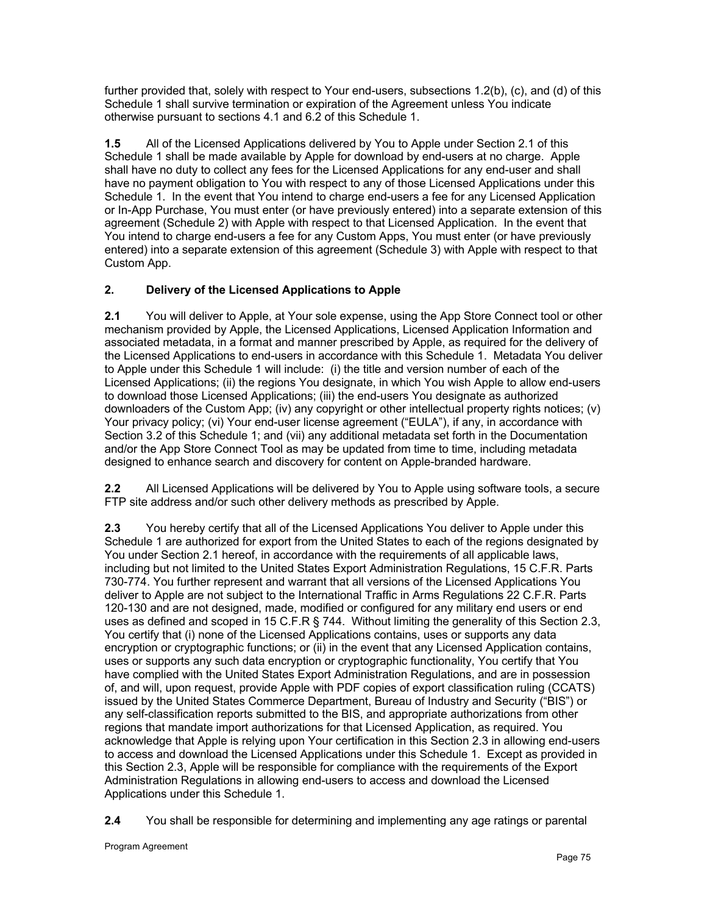further provided that, solely with respect to Your end-users, subsections 1.2(b), (c), and (d) of this Schedule 1 shall survive termination or expiration of the Agreement unless You indicate otherwise pursuant to sections 4.1 and 6.2 of this Schedule 1.

**1.5** All of the Licensed Applications delivered by You to Apple under Section 2.1 of this Schedule 1 shall be made available by Apple for download by end-users at no charge. Apple shall have no duty to collect any fees for the Licensed Applications for any end-user and shall have no payment obligation to You with respect to any of those Licensed Applications under this Schedule 1. In the event that You intend to charge end-users a fee for any Licensed Application or In-App Purchase, You must enter (or have previously entered) into a separate extension of this agreement (Schedule 2) with Apple with respect to that Licensed Application. In the event that You intend to charge end-users a fee for any Custom Apps, You must enter (or have previously entered) into a separate extension of this agreement (Schedule 3) with Apple with respect to that Custom App.

# **2. Delivery of the Licensed Applications to Apple**

**2.1** You will deliver to Apple, at Your sole expense, using the App Store Connect tool or other mechanism provided by Apple, the Licensed Applications, Licensed Application Information and associated metadata, in a format and manner prescribed by Apple, as required for the delivery of the Licensed Applications to end-users in accordance with this Schedule 1. Metadata You deliver to Apple under this Schedule 1 will include: (i) the title and version number of each of the Licensed Applications; (ii) the regions You designate, in which You wish Apple to allow end-users to download those Licensed Applications; (iii) the end-users You designate as authorized downloaders of the Custom App; (iv) any copyright or other intellectual property rights notices; (v) Your privacy policy; (vi) Your end-user license agreement ("EULA"), if any, in accordance with Section 3.2 of this Schedule 1; and (vii) any additional metadata set forth in the Documentation and/or the App Store Connect Tool as may be updated from time to time, including metadata designed to enhance search and discovery for content on Apple-branded hardware.

**2.2** All Licensed Applications will be delivered by You to Apple using software tools, a secure FTP site address and/or such other delivery methods as prescribed by Apple.

**2.3** You hereby certify that all of the Licensed Applications You deliver to Apple under this Schedule 1 are authorized for export from the United States to each of the regions designated by You under Section 2.1 hereof, in accordance with the requirements of all applicable laws, including but not limited to the United States Export Administration Regulations, 15 C.F.R. Parts 730-774. You further represent and warrant that all versions of the Licensed Applications You deliver to Apple are not subject to the International Traffic in Arms Regulations 22 C.F.R. Parts 120-130 and are not designed, made, modified or configured for any military end users or end uses as defined and scoped in 15 C.F.R § 744. Without limiting the generality of this Section 2.3, You certify that (i) none of the Licensed Applications contains, uses or supports any data encryption or cryptographic functions; or (ii) in the event that any Licensed Application contains, uses or supports any such data encryption or cryptographic functionality, You certify that You have complied with the United States Export Administration Regulations, and are in possession of, and will, upon request, provide Apple with PDF copies of export classification ruling (CCATS) issued by the United States Commerce Department, Bureau of Industry and Security ("BIS") or any self-classification reports submitted to the BIS, and appropriate authorizations from other regions that mandate import authorizations for that Licensed Application, as required. You acknowledge that Apple is relying upon Your certification in this Section 2.3 in allowing end-users to access and download the Licensed Applications under this Schedule 1. Except as provided in this Section 2.3, Apple will be responsible for compliance with the requirements of the Export Administration Regulations in allowing end-users to access and download the Licensed Applications under this Schedule 1.

**2.4** You shall be responsible for determining and implementing any age ratings or parental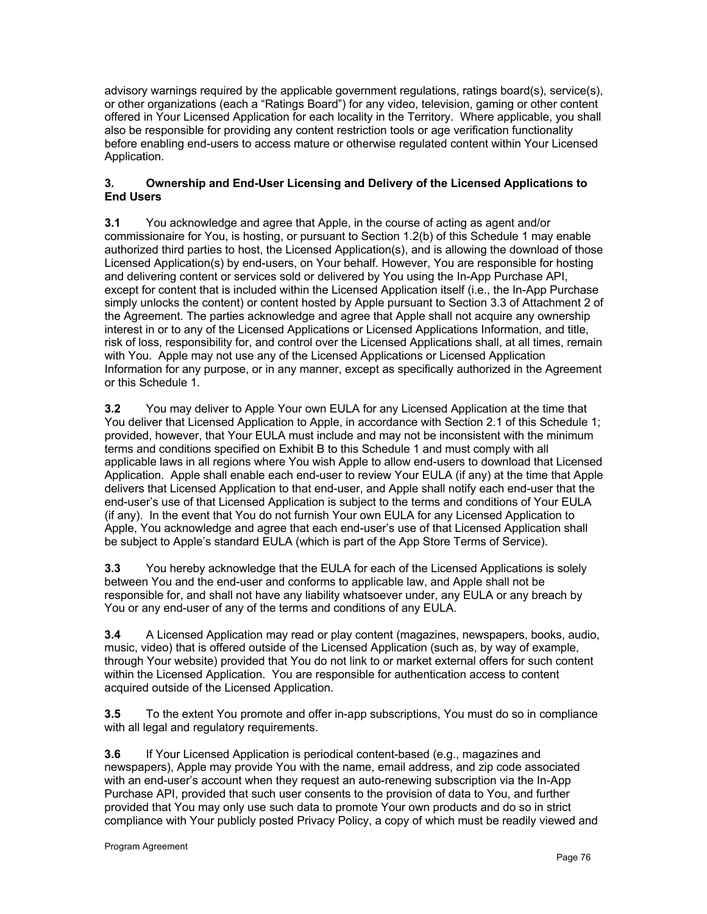advisory warnings required by the applicable government regulations, ratings board(s), service(s), or other organizations (each a "Ratings Board") for any video, television, gaming or other content offered in Your Licensed Application for each locality in the Territory. Where applicable, you shall also be responsible for providing any content restriction tools or age verification functionality before enabling end-users to access mature or otherwise regulated content within Your Licensed Application.

# **3. Ownership and End-User Licensing and Delivery of the Licensed Applications to End Users**

**3.1** You acknowledge and agree that Apple, in the course of acting as agent and/or commissionaire for You, is hosting, or pursuant to Section 1.2(b) of this Schedule 1 may enable authorized third parties to host, the Licensed Application(s), and is allowing the download of those Licensed Application(s) by end-users, on Your behalf. However, You are responsible for hosting and delivering content or services sold or delivered by You using the In-App Purchase API, except for content that is included within the Licensed Application itself (i.e., the In-App Purchase simply unlocks the content) or content hosted by Apple pursuant to Section 3.3 of Attachment 2 of the Agreement. The parties acknowledge and agree that Apple shall not acquire any ownership interest in or to any of the Licensed Applications or Licensed Applications Information, and title, risk of loss, responsibility for, and control over the Licensed Applications shall, at all times, remain with You. Apple may not use any of the Licensed Applications or Licensed Application Information for any purpose, or in any manner, except as specifically authorized in the Agreement or this Schedule 1.

**3.2** You may deliver to Apple Your own EULA for any Licensed Application at the time that You deliver that Licensed Application to Apple, in accordance with Section 2.1 of this Schedule 1; provided, however, that Your EULA must include and may not be inconsistent with the minimum terms and conditions specified on Exhibit B to this Schedule 1 and must comply with all applicable laws in all regions where You wish Apple to allow end-users to download that Licensed Application. Apple shall enable each end-user to review Your EULA (if any) at the time that Apple delivers that Licensed Application to that end-user, and Apple shall notify each end-user that the end-user's use of that Licensed Application is subject to the terms and conditions of Your EULA (if any). In the event that You do not furnish Your own EULA for any Licensed Application to Apple, You acknowledge and agree that each end-user's use of that Licensed Application shall be subject to Apple's standard EULA (which is part of the App Store Terms of Service).

**3.3** You hereby acknowledge that the EULA for each of the Licensed Applications is solely between You and the end-user and conforms to applicable law, and Apple shall not be responsible for, and shall not have any liability whatsoever under, any EULA or any breach by You or any end-user of any of the terms and conditions of any EULA.

**3.4** A Licensed Application may read or play content (magazines, newspapers, books, audio, music, video) that is offered outside of the Licensed Application (such as, by way of example, through Your website) provided that You do not link to or market external offers for such content within the Licensed Application. You are responsible for authentication access to content acquired outside of the Licensed Application.

**3.5** To the extent You promote and offer in-app subscriptions, You must do so in compliance with all legal and regulatory requirements.

**3.6** If Your Licensed Application is periodical content-based (e.g., magazines and newspapers), Apple may provide You with the name, email address, and zip code associated with an end-user's account when they request an auto-renewing subscription via the In-App Purchase API, provided that such user consents to the provision of data to You, and further provided that You may only use such data to promote Your own products and do so in strict compliance with Your publicly posted Privacy Policy, a copy of which must be readily viewed and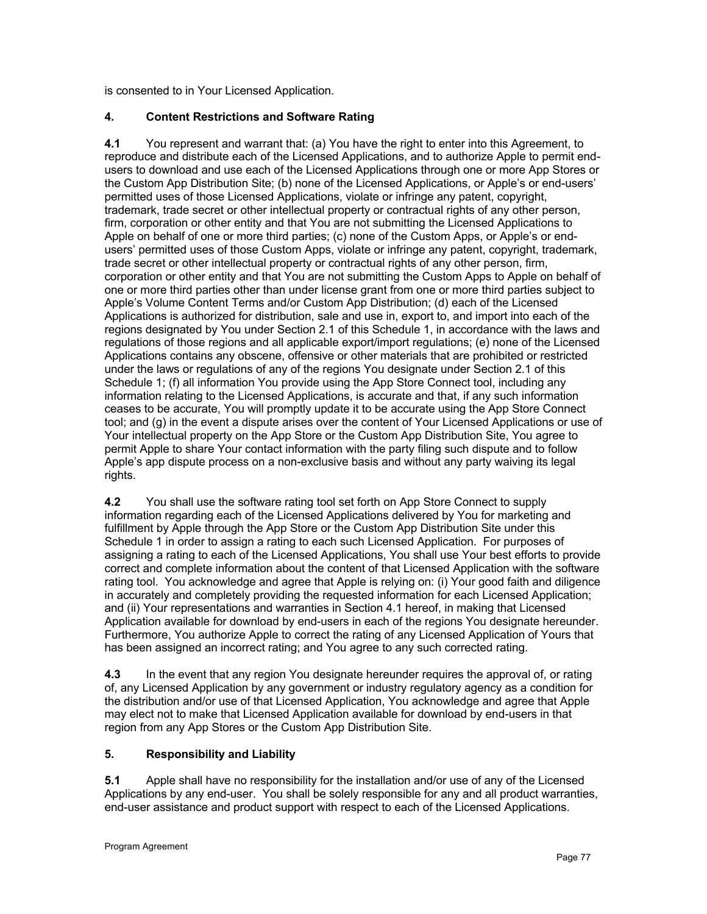is consented to in Your Licensed Application.

# **4. Content Restrictions and Software Rating**

**4.1** You represent and warrant that: (a) You have the right to enter into this Agreement, to reproduce and distribute each of the Licensed Applications, and to authorize Apple to permit endusers to download and use each of the Licensed Applications through one or more App Stores or the Custom App Distribution Site; (b) none of the Licensed Applications, or Apple's or end-users' permitted uses of those Licensed Applications, violate or infringe any patent, copyright, trademark, trade secret or other intellectual property or contractual rights of any other person, firm, corporation or other entity and that You are not submitting the Licensed Applications to Apple on behalf of one or more third parties; (c) none of the Custom Apps, or Apple's or endusers' permitted uses of those Custom Apps, violate or infringe any patent, copyright, trademark, trade secret or other intellectual property or contractual rights of any other person, firm, corporation or other entity and that You are not submitting the Custom Apps to Apple on behalf of one or more third parties other than under license grant from one or more third parties subject to Apple's Volume Content Terms and/or Custom App Distribution; (d) each of the Licensed Applications is authorized for distribution, sale and use in, export to, and import into each of the regions designated by You under Section 2.1 of this Schedule 1, in accordance with the laws and regulations of those regions and all applicable export/import regulations; (e) none of the Licensed Applications contains any obscene, offensive or other materials that are prohibited or restricted under the laws or regulations of any of the regions You designate under Section 2.1 of this Schedule 1; (f) all information You provide using the App Store Connect tool, including any information relating to the Licensed Applications, is accurate and that, if any such information ceases to be accurate, You will promptly update it to be accurate using the App Store Connect tool; and (g) in the event a dispute arises over the content of Your Licensed Applications or use of Your intellectual property on the App Store or the Custom App Distribution Site, You agree to permit Apple to share Your contact information with the party filing such dispute and to follow Apple's app dispute process on a non-exclusive basis and without any party waiving its legal rights.

**4.2** You shall use the software rating tool set forth on App Store Connect to supply information regarding each of the Licensed Applications delivered by You for marketing and fulfillment by Apple through the App Store or the Custom App Distribution Site under this Schedule 1 in order to assign a rating to each such Licensed Application. For purposes of assigning a rating to each of the Licensed Applications, You shall use Your best efforts to provide correct and complete information about the content of that Licensed Application with the software rating tool. You acknowledge and agree that Apple is relying on: (i) Your good faith and diligence in accurately and completely providing the requested information for each Licensed Application; and (ii) Your representations and warranties in Section 4.1 hereof, in making that Licensed Application available for download by end-users in each of the regions You designate hereunder. Furthermore, You authorize Apple to correct the rating of any Licensed Application of Yours that has been assigned an incorrect rating; and You agree to any such corrected rating.

**4.3** In the event that any region You designate hereunder requires the approval of, or rating of, any Licensed Application by any government or industry regulatory agency as a condition for the distribution and/or use of that Licensed Application, You acknowledge and agree that Apple may elect not to make that Licensed Application available for download by end-users in that region from any App Stores or the Custom App Distribution Site.

# **5. Responsibility and Liability**

**5.1** Apple shall have no responsibility for the installation and/or use of any of the Licensed Applications by any end-user. You shall be solely responsible for any and all product warranties, end-user assistance and product support with respect to each of the Licensed Applications.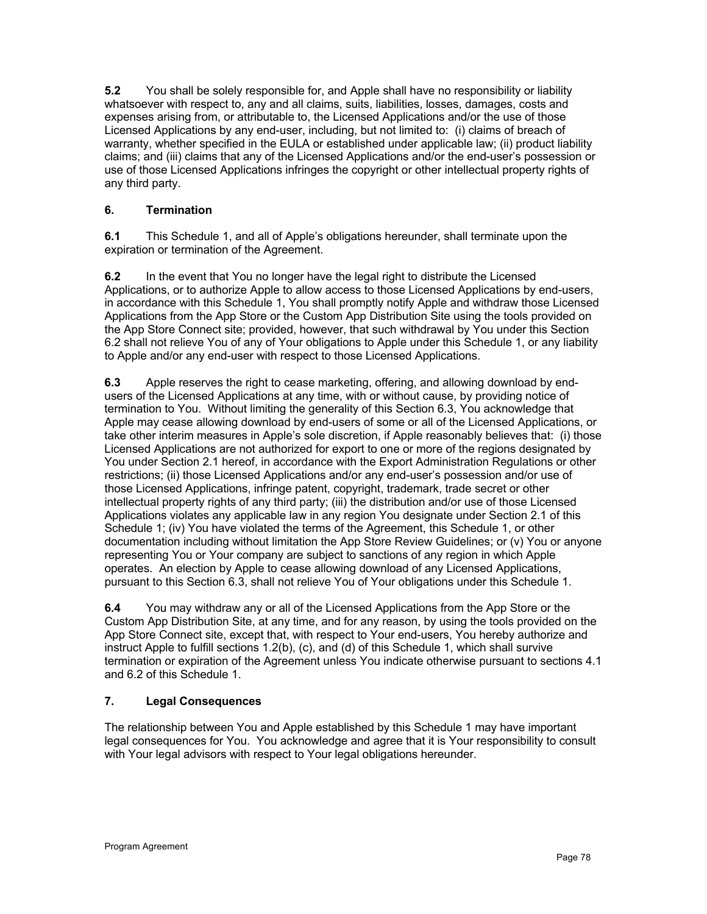**5.2** You shall be solely responsible for, and Apple shall have no responsibility or liability whatsoever with respect to, any and all claims, suits, liabilities, losses, damages, costs and expenses arising from, or attributable to, the Licensed Applications and/or the use of those Licensed Applications by any end-user, including, but not limited to: (i) claims of breach of warranty, whether specified in the EULA or established under applicable law; (ii) product liability claims; and (iii) claims that any of the Licensed Applications and/or the end-user's possession or use of those Licensed Applications infringes the copyright or other intellectual property rights of any third party.

# **6. Termination**

**6.1** This Schedule 1, and all of Apple's obligations hereunder, shall terminate upon the expiration or termination of the Agreement.

**6.2** In the event that You no longer have the legal right to distribute the Licensed Applications, or to authorize Apple to allow access to those Licensed Applications by end-users, in accordance with this Schedule 1, You shall promptly notify Apple and withdraw those Licensed Applications from the App Store or the Custom App Distribution Site using the tools provided on the App Store Connect site; provided, however, that such withdrawal by You under this Section 6.2 shall not relieve You of any of Your obligations to Apple under this Schedule 1, or any liability to Apple and/or any end-user with respect to those Licensed Applications.

**6.3** Apple reserves the right to cease marketing, offering, and allowing download by endusers of the Licensed Applications at any time, with or without cause, by providing notice of termination to You. Without limiting the generality of this Section 6.3, You acknowledge that Apple may cease allowing download by end-users of some or all of the Licensed Applications, or take other interim measures in Apple's sole discretion, if Apple reasonably believes that: (i) those Licensed Applications are not authorized for export to one or more of the regions designated by You under Section 2.1 hereof, in accordance with the Export Administration Regulations or other restrictions; (ii) those Licensed Applications and/or any end-user's possession and/or use of those Licensed Applications, infringe patent, copyright, trademark, trade secret or other intellectual property rights of any third party; (iii) the distribution and/or use of those Licensed Applications violates any applicable law in any region You designate under Section 2.1 of this Schedule 1; (iv) You have violated the terms of the Agreement, this Schedule 1, or other documentation including without limitation the App Store Review Guidelines; or (v) You or anyone representing You or Your company are subject to sanctions of any region in which Apple operates. An election by Apple to cease allowing download of any Licensed Applications, pursuant to this Section 6.3, shall not relieve You of Your obligations under this Schedule 1.

**6.4** You may withdraw any or all of the Licensed Applications from the App Store or the Custom App Distribution Site, at any time, and for any reason, by using the tools provided on the App Store Connect site, except that, with respect to Your end-users, You hereby authorize and instruct Apple to fulfill sections 1.2(b), (c), and (d) of this Schedule 1, which shall survive termination or expiration of the Agreement unless You indicate otherwise pursuant to sections 4.1 and 6.2 of this Schedule 1.

# **7. Legal Consequences**

The relationship between You and Apple established by this Schedule 1 may have important legal consequences for You. You acknowledge and agree that it is Your responsibility to consult with Your legal advisors with respect to Your legal obligations hereunder.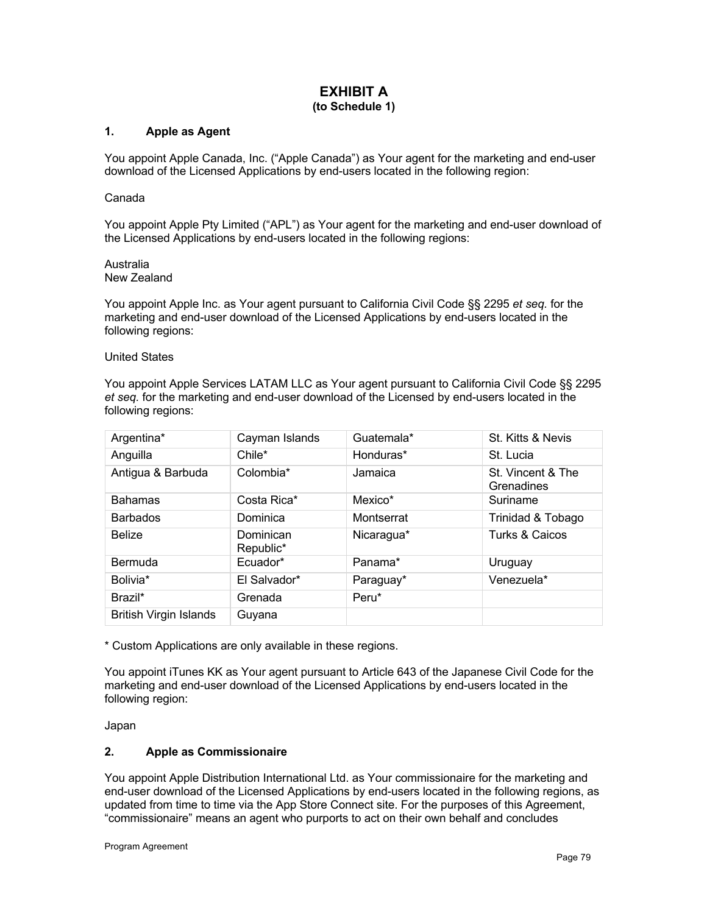## **EXHIBIT A (to Schedule 1)**

## **1. Apple as Agent**

You appoint Apple Canada, Inc. ("Apple Canada") as Your agent for the marketing and end-user download of the Licensed Applications by end-users located in the following region:

#### Canada

You appoint Apple Pty Limited ("APL") as Your agent for the marketing and end-user download of the Licensed Applications by end-users located in the following regions:

Australia New Zealand

You appoint Apple Inc. as Your agent pursuant to California Civil Code §§ 2295 *et seq.* for the marketing and end-user download of the Licensed Applications by end-users located in the following regions:

#### United States

You appoint Apple Services LATAM LLC as Your agent pursuant to California Civil Code §§ 2295 *et seq.* for the marketing and end-user download of the Licensed by end-users located in the following regions:

| Argentina*                    | Cayman Islands         | Guatemala* | St. Kitts & Nevis               |
|-------------------------------|------------------------|------------|---------------------------------|
| Anguilla                      | Chile*                 | Honduras*  | St. Lucia                       |
| Antigua & Barbuda             | Colombia*              | Jamaica    | St. Vincent & The<br>Grenadines |
| <b>Bahamas</b>                | Costa Rica*            | Mexico*    | Suriname                        |
| <b>Barbados</b>               | Dominica               | Montserrat | Trinidad & Tobago               |
| <b>Belize</b>                 | Dominican<br>Republic* | Nicaragua* | <b>Turks &amp; Caicos</b>       |
| Bermuda                       | Ecuador*               | Panama*    | Uruguay                         |
| Bolivia*                      | El Salvador*           | Paraguay*  | Venezuela*                      |
| Brazil*                       | Grenada                | Peru*      |                                 |
| <b>British Virgin Islands</b> | Guyana                 |            |                                 |

\* Custom Applications are only available in these regions.

You appoint iTunes KK as Your agent pursuant to Article 643 of the Japanese Civil Code for the marketing and end-user download of the Licensed Applications by end-users located in the following region:

Japan

#### **2. Apple as Commissionaire**

You appoint Apple Distribution International Ltd. as Your commissionaire for the marketing and end-user download of the Licensed Applications by end-users located in the following regions, as updated from time to time via the App Store Connect site. For the purposes of this Agreement, "commissionaire" means an agent who purports to act on their own behalf and concludes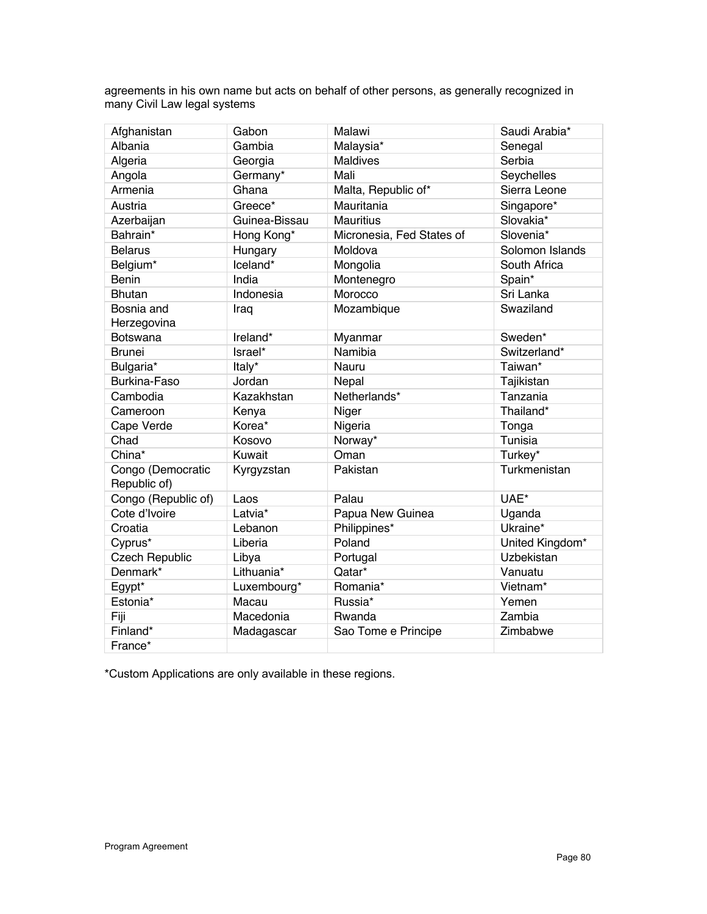agreements in his own name but acts on behalf of other persons, as generally recognized in many Civil Law legal systems

| Afghanistan                       | Gabon         | Malawi                    | Saudi Arabia*     |
|-----------------------------------|---------------|---------------------------|-------------------|
| Albania                           | Gambia        | Malaysia*                 | Senegal           |
| Algeria                           | Georgia       | <b>Maldives</b>           | Serbia            |
| Angola                            | Germany*      | Mali                      | Seychelles        |
| Armenia                           | Ghana         | Malta, Republic of*       | Sierra Leone      |
| Austria                           | Greece*       | Mauritania                | Singapore*        |
| Azerbaijan                        | Guinea-Bissau | <b>Mauritius</b>          | Slovakia*         |
| Bahrain*                          | Hong Kong*    | Micronesia, Fed States of | Slovenia*         |
| <b>Belarus</b>                    | Hungary       | Moldova                   | Solomon Islands   |
| Belgium*                          | Iceland*      | Mongolia                  | South Africa      |
| <b>Benin</b>                      | India         | Montenegro                | Spain*            |
| <b>Bhutan</b>                     | Indonesia     | Morocco                   | Sri Lanka         |
| Bosnia and<br>Herzegovina         | Iraq          | Mozambique                | Swaziland         |
| Botswana                          | Ireland*      | Myanmar                   | Sweden*           |
| <b>Brunei</b>                     | Israel*       | Namibia                   | Switzerland*      |
| Bulgaria*                         | Italy*        | Nauru                     | Taiwan*           |
| Burkina-Faso                      | Jordan        | Nepal                     | Tajikistan        |
| Cambodia                          | Kazakhstan    | Netherlands*              | Tanzania          |
| Cameroon                          | Kenya         | Niger                     | Thailand*         |
| Cape Verde                        | Korea*        | Nigeria                   | Tonga             |
| Chad                              | Kosovo        | Norway*                   | Tunisia           |
| China*                            | Kuwait        | Oman                      | Turkey*           |
| Congo (Democratic<br>Republic of) | Kyrgyzstan    | Pakistan                  | Turkmenistan      |
| Congo (Republic of)               | Laos          | Palau                     | UAE*              |
| Cote d'Ivoire                     | Latvia*       | Papua New Guinea          | Uganda            |
| Croatia                           | Lebanon       | Philippines*              | Ukraine*          |
| Cyprus*                           | Liberia       | Poland                    | United Kingdom*   |
| <b>Czech Republic</b>             | Libya         | Portugal                  | <b>Uzbekistan</b> |
| Denmark*                          | Lithuania*    | Qatar*                    | Vanuatu           |
| Egypt*                            | Luxembourg*   | Romania*                  | Vietnam*          |
| Estonia*                          | Macau         | Russia*                   | Yemen             |
| Fiji                              | Macedonia     | Rwanda                    | Zambia            |
| Finland*                          | Madagascar    | Sao Tome e Principe       | Zimbabwe          |
| France*                           |               |                           |                   |

\*Custom Applications are only available in these regions.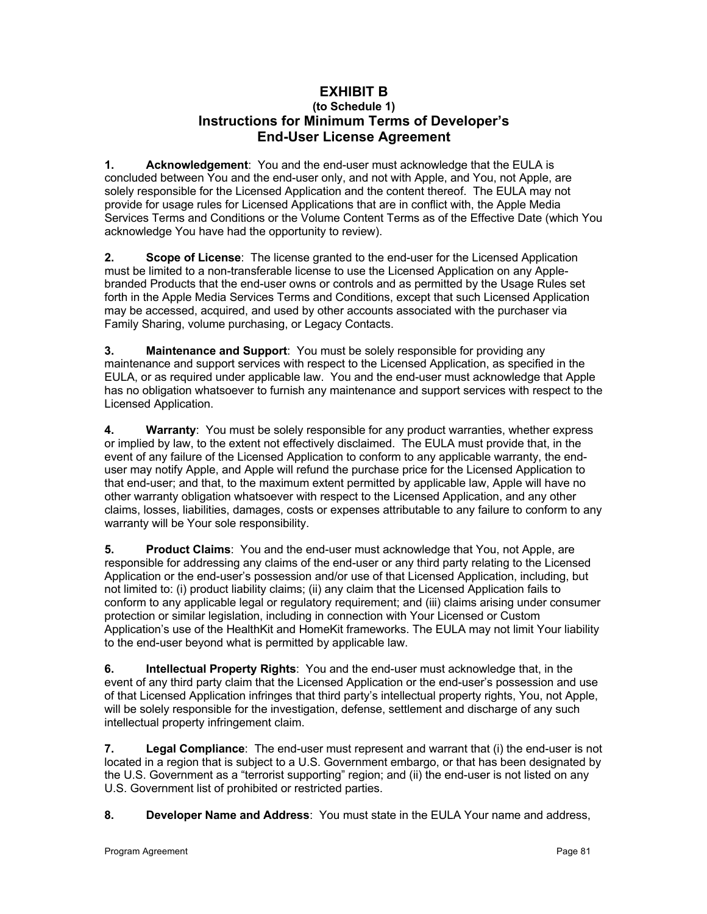# **EXHIBIT B (to Schedule 1) Instructions for Minimum Terms of Developer's End-User License Agreement**

**1. Acknowledgement**: You and the end-user must acknowledge that the EULA is concluded between You and the end-user only, and not with Apple, and You, not Apple, are solely responsible for the Licensed Application and the content thereof. The EULA may not provide for usage rules for Licensed Applications that are in conflict with, the Apple Media Services Terms and Conditions or the Volume Content Terms as of the Effective Date (which You acknowledge You have had the opportunity to review).

**2. Scope of License**: The license granted to the end-user for the Licensed Application must be limited to a non-transferable license to use the Licensed Application on any Applebranded Products that the end-user owns or controls and as permitted by the Usage Rules set forth in the Apple Media Services Terms and Conditions, except that such Licensed Application may be accessed, acquired, and used by other accounts associated with the purchaser via Family Sharing, volume purchasing, or Legacy Contacts.

**3. Maintenance and Support**: You must be solely responsible for providing any maintenance and support services with respect to the Licensed Application, as specified in the EULA, or as required under applicable law. You and the end-user must acknowledge that Apple has no obligation whatsoever to furnish any maintenance and support services with respect to the Licensed Application.

**4. Warranty**: You must be solely responsible for any product warranties, whether express or implied by law, to the extent not effectively disclaimed. The EULA must provide that, in the event of any failure of the Licensed Application to conform to any applicable warranty, the enduser may notify Apple, and Apple will refund the purchase price for the Licensed Application to that end-user; and that, to the maximum extent permitted by applicable law, Apple will have no other warranty obligation whatsoever with respect to the Licensed Application, and any other claims, losses, liabilities, damages, costs or expenses attributable to any failure to conform to any warranty will be Your sole responsibility.

**5. Product Claims**: You and the end-user must acknowledge that You, not Apple, are responsible for addressing any claims of the end-user or any third party relating to the Licensed Application or the end-user's possession and/or use of that Licensed Application, including, but not limited to: (i) product liability claims; (ii) any claim that the Licensed Application fails to conform to any applicable legal or regulatory requirement; and (iii) claims arising under consumer protection or similar legislation, including in connection with Your Licensed or Custom Application's use of the HealthKit and HomeKit frameworks. The EULA may not limit Your liability to the end-user beyond what is permitted by applicable law.

**6. Intellectual Property Rights**: You and the end-user must acknowledge that, in the event of any third party claim that the Licensed Application or the end-user's possession and use of that Licensed Application infringes that third party's intellectual property rights, You, not Apple, will be solely responsible for the investigation, defense, settlement and discharge of any such intellectual property infringement claim.

**7. Legal Compliance**: The end-user must represent and warrant that (i) the end-user is not located in a region that is subject to a U.S. Government embargo, or that has been designated by the U.S. Government as a "terrorist supporting" region; and (ii) the end-user is not listed on any U.S. Government list of prohibited or restricted parties.

**8. Developer Name and Address**: You must state in the EULA Your name and address,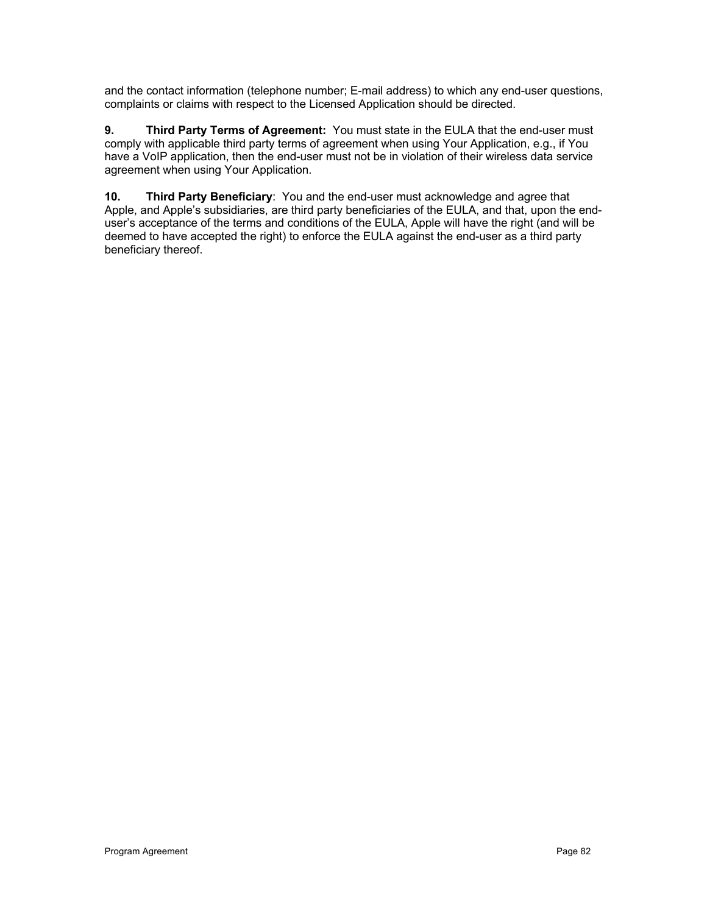and the contact information (telephone number; E-mail address) to which any end-user questions, complaints or claims with respect to the Licensed Application should be directed.

**9. Third Party Terms of Agreement:** You must state in the EULA that the end-user must comply with applicable third party terms of agreement when using Your Application, e.g., if You have a VoIP application, then the end-user must not be in violation of their wireless data service agreement when using Your Application.

**10. Third Party Beneficiary**: You and the end-user must acknowledge and agree that Apple, and Apple's subsidiaries, are third party beneficiaries of the EULA, and that, upon the enduser's acceptance of the terms and conditions of the EULA, Apple will have the right (and will be deemed to have accepted the right) to enforce the EULA against the end-user as a third party beneficiary thereof.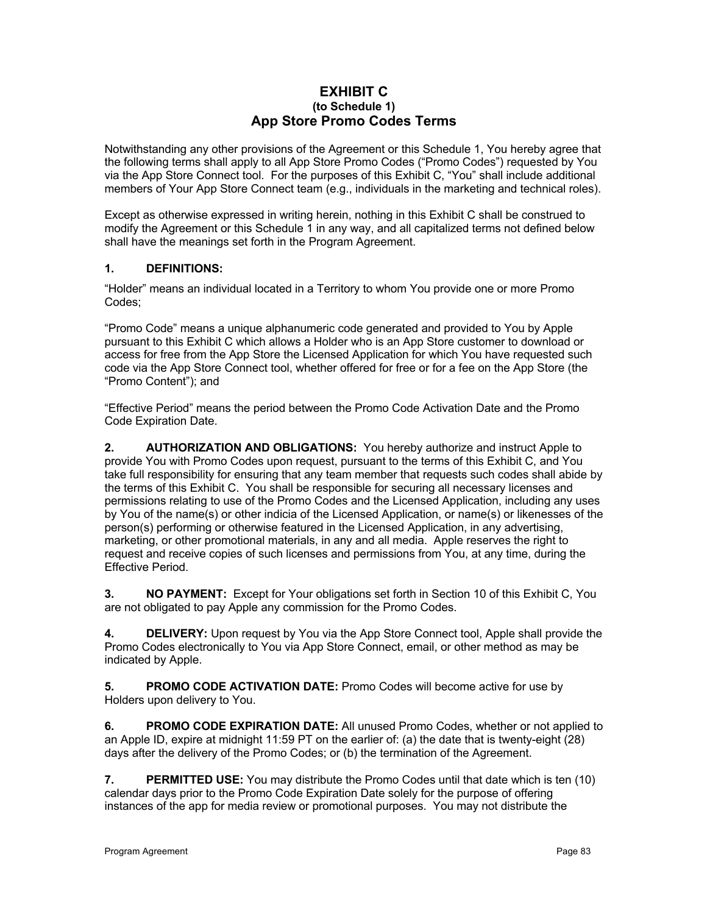## **EXHIBIT C (to Schedule 1) App Store Promo Codes Terms**

Notwithstanding any other provisions of the Agreement or this Schedule 1, You hereby agree that the following terms shall apply to all App Store Promo Codes ("Promo Codes") requested by You via the App Store Connect tool. For the purposes of this Exhibit C, "You" shall include additional members of Your App Store Connect team (e.g., individuals in the marketing and technical roles).

Except as otherwise expressed in writing herein, nothing in this Exhibit C shall be construed to modify the Agreement or this Schedule 1 in any way, and all capitalized terms not defined below shall have the meanings set forth in the Program Agreement.

# **1. DEFINITIONS:**

"Holder" means an individual located in a Territory to whom You provide one or more Promo Codes;

"Promo Code" means a unique alphanumeric code generated and provided to You by Apple pursuant to this Exhibit C which allows a Holder who is an App Store customer to download or access for free from the App Store the Licensed Application for which You have requested such code via the App Store Connect tool, whether offered for free or for a fee on the App Store (the "Promo Content"); and

"Effective Period" means the period between the Promo Code Activation Date and the Promo Code Expiration Date.

**2. AUTHORIZATION AND OBLIGATIONS:** You hereby authorize and instruct Apple to provide You with Promo Codes upon request, pursuant to the terms of this Exhibit C, and You take full responsibility for ensuring that any team member that requests such codes shall abide by the terms of this Exhibit C. You shall be responsible for securing all necessary licenses and permissions relating to use of the Promo Codes and the Licensed Application, including any uses by You of the name(s) or other indicia of the Licensed Application, or name(s) or likenesses of the person(s) performing or otherwise featured in the Licensed Application, in any advertising, marketing, or other promotional materials, in any and all media. Apple reserves the right to request and receive copies of such licenses and permissions from You, at any time, during the Effective Period.

**3. NO PAYMENT:** Except for Your obligations set forth in Section 10 of this Exhibit C, You are not obligated to pay Apple any commission for the Promo Codes.

**4. DELIVERY:** Upon request by You via the App Store Connect tool, Apple shall provide the Promo Codes electronically to You via App Store Connect, email, or other method as may be indicated by Apple.

**5. PROMO CODE ACTIVATION DATE:** Promo Codes will become active for use by Holders upon delivery to You.

**6. PROMO CODE EXPIRATION DATE:** All unused Promo Codes, whether or not applied to an Apple ID, expire at midnight 11:59 PT on the earlier of: (a) the date that is twenty-eight (28) days after the delivery of the Promo Codes; or (b) the termination of the Agreement.

**7. PERMITTED USE:** You may distribute the Promo Codes until that date which is ten (10) calendar days prior to the Promo Code Expiration Date solely for the purpose of offering instances of the app for media review or promotional purposes. You may not distribute the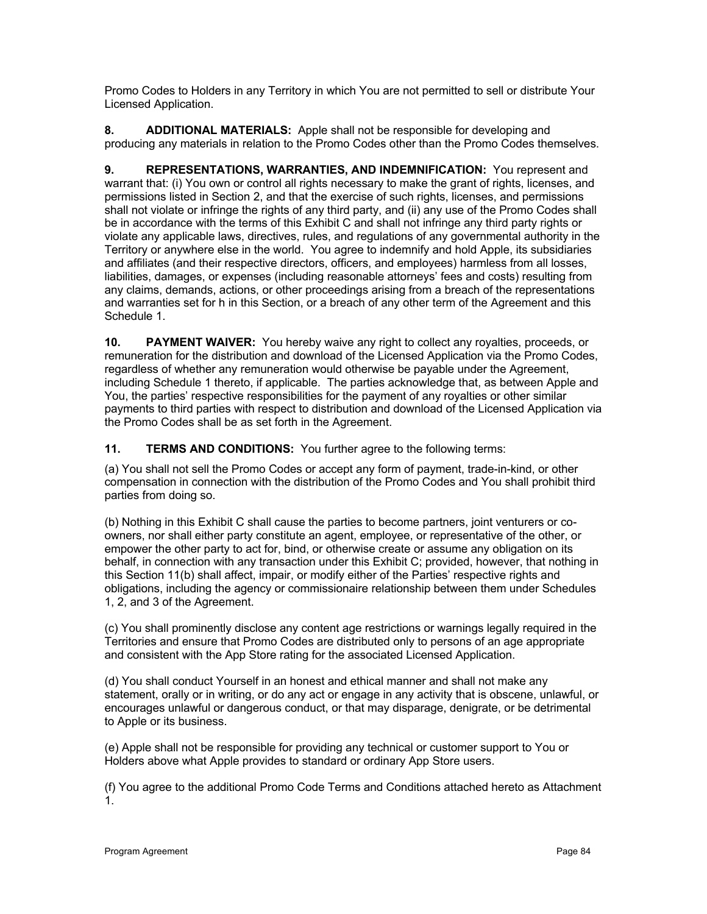Promo Codes to Holders in any Territory in which You are not permitted to sell or distribute Your Licensed Application.

**8. ADDITIONAL MATERIALS:** Apple shall not be responsible for developing and producing any materials in relation to the Promo Codes other than the Promo Codes themselves.

**9. REPRESENTATIONS, WARRANTIES, AND INDEMNIFICATION:** You represent and warrant that: (i) You own or control all rights necessary to make the grant of rights, licenses, and permissions listed in Section 2, and that the exercise of such rights, licenses, and permissions shall not violate or infringe the rights of any third party, and (ii) any use of the Promo Codes shall be in accordance with the terms of this Exhibit C and shall not infringe any third party rights or violate any applicable laws, directives, rules, and regulations of any governmental authority in the Territory or anywhere else in the world. You agree to indemnify and hold Apple, its subsidiaries and affiliates (and their respective directors, officers, and employees) harmless from all losses, liabilities, damages, or expenses (including reasonable attorneys' fees and costs) resulting from any claims, demands, actions, or other proceedings arising from a breach of the representations and warranties set for h in this Section, or a breach of any other term of the Agreement and this Schedule 1.

**10. PAYMENT WAIVER:** You hereby waive any right to collect any royalties, proceeds, or remuneration for the distribution and download of the Licensed Application via the Promo Codes, regardless of whether any remuneration would otherwise be payable under the Agreement, including Schedule 1 thereto, if applicable. The parties acknowledge that, as between Apple and You, the parties' respective responsibilities for the payment of any royalties or other similar payments to third parties with respect to distribution and download of the Licensed Application via the Promo Codes shall be as set forth in the Agreement.

**11. TERMS AND CONDITIONS:** You further agree to the following terms:

(a) You shall not sell the Promo Codes or accept any form of payment, trade-in-kind, or other compensation in connection with the distribution of the Promo Codes and You shall prohibit third parties from doing so.

(b) Nothing in this Exhibit C shall cause the parties to become partners, joint venturers or coowners, nor shall either party constitute an agent, employee, or representative of the other, or empower the other party to act for, bind, or otherwise create or assume any obligation on its behalf, in connection with any transaction under this Exhibit C; provided, however, that nothing in this Section 11(b) shall affect, impair, or modify either of the Parties' respective rights and obligations, including the agency or commissionaire relationship between them under Schedules 1, 2, and 3 of the Agreement.

(c) You shall prominently disclose any content age restrictions or warnings legally required in the Territories and ensure that Promo Codes are distributed only to persons of an age appropriate and consistent with the App Store rating for the associated Licensed Application.

(d) You shall conduct Yourself in an honest and ethical manner and shall not make any statement, orally or in writing, or do any act or engage in any activity that is obscene, unlawful, or encourages unlawful or dangerous conduct, or that may disparage, denigrate, or be detrimental to Apple or its business.

(e) Apple shall not be responsible for providing any technical or customer support to You or Holders above what Apple provides to standard or ordinary App Store users.

(f) You agree to the additional Promo Code Terms and Conditions attached hereto as Attachment 1.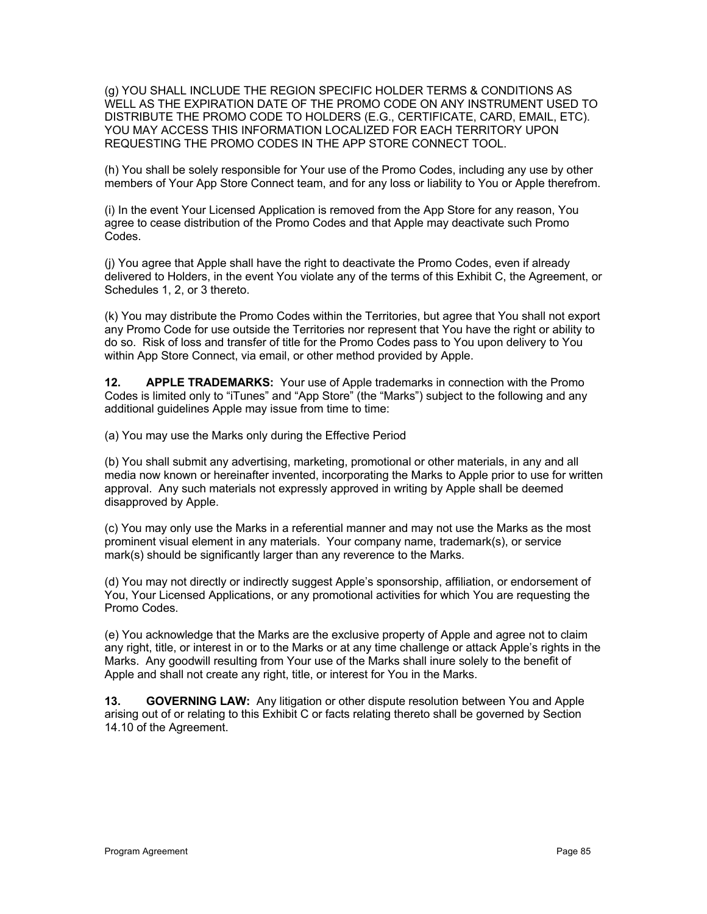(g) YOU SHALL INCLUDE THE REGION SPECIFIC HOLDER TERMS & CONDITIONS AS WELL AS THE EXPIRATION DATE OF THE PROMO CODE ON ANY INSTRUMENT USED TO DISTRIBUTE THE PROMO CODE TO HOLDERS (E.G., CERTIFICATE, CARD, EMAIL, ETC). YOU MAY ACCESS THIS INFORMATION LOCALIZED FOR EACH TERRITORY UPON REQUESTING THE PROMO CODES IN THE APP STORE CONNECT TOOL.

(h) You shall be solely responsible for Your use of the Promo Codes, including any use by other members of Your App Store Connect team, and for any loss or liability to You or Apple therefrom.

(i) In the event Your Licensed Application is removed from the App Store for any reason, You agree to cease distribution of the Promo Codes and that Apple may deactivate such Promo Codes.

(j) You agree that Apple shall have the right to deactivate the Promo Codes, even if already delivered to Holders, in the event You violate any of the terms of this Exhibit C, the Agreement, or Schedules 1, 2, or 3 thereto.

(k) You may distribute the Promo Codes within the Territories, but agree that You shall not export any Promo Code for use outside the Territories nor represent that You have the right or ability to do so. Risk of loss and transfer of title for the Promo Codes pass to You upon delivery to You within App Store Connect, via email, or other method provided by Apple.

**12. APPLE TRADEMARKS:** Your use of Apple trademarks in connection with the Promo Codes is limited only to "iTunes" and "App Store" (the "Marks") subject to the following and any additional guidelines Apple may issue from time to time:

(a) You may use the Marks only during the Effective Period

(b) You shall submit any advertising, marketing, promotional or other materials, in any and all media now known or hereinafter invented, incorporating the Marks to Apple prior to use for written approval. Any such materials not expressly approved in writing by Apple shall be deemed disapproved by Apple.

(c) You may only use the Marks in a referential manner and may not use the Marks as the most prominent visual element in any materials. Your company name, trademark(s), or service mark(s) should be significantly larger than any reverence to the Marks.

(d) You may not directly or indirectly suggest Apple's sponsorship, affiliation, or endorsement of You, Your Licensed Applications, or any promotional activities for which You are requesting the Promo Codes.

(e) You acknowledge that the Marks are the exclusive property of Apple and agree not to claim any right, title, or interest in or to the Marks or at any time challenge or attack Apple's rights in the Marks. Any goodwill resulting from Your use of the Marks shall inure solely to the benefit of Apple and shall not create any right, title, or interest for You in the Marks.

**13. GOVERNING LAW:** Any litigation or other dispute resolution between You and Apple arising out of or relating to this Exhibit C or facts relating thereto shall be governed by Section 14.10 of the Agreement.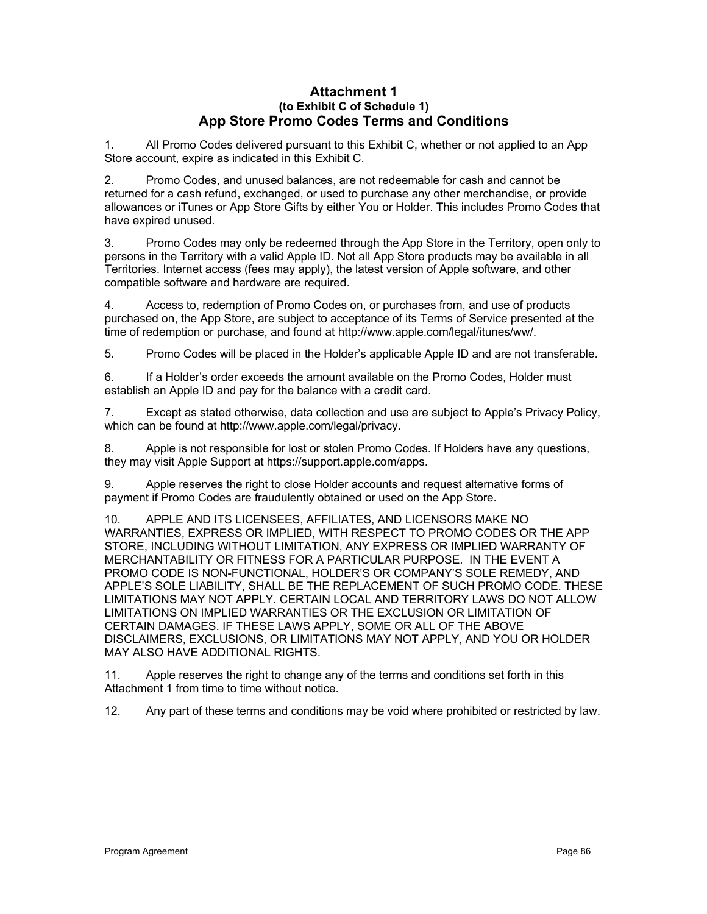## **Attachment 1 (to Exhibit C of Schedule 1) App Store Promo Codes Terms and Conditions**

1. All Promo Codes delivered pursuant to this Exhibit C, whether or not applied to an App Store account, expire as indicated in this Exhibit C.

2. Promo Codes, and unused balances, are not redeemable for cash and cannot be returned for a cash refund, exchanged, or used to purchase any other merchandise, or provide allowances or iTunes or App Store Gifts by either You or Holder. This includes Promo Codes that have expired unused.

3. Promo Codes may only be redeemed through the App Store in the Territory, open only to persons in the Territory with a valid Apple ID. Not all App Store products may be available in all Territories. Internet access (fees may apply), the latest version of Apple software, and other compatible software and hardware are required.

4. Access to, redemption of Promo Codes on, or purchases from, and use of products purchased on, the App Store, are subject to acceptance of its Terms of Service presented at the time of redemption or purchase, and found at http://www.apple.com/legal/itunes/ww/.

5. Promo Codes will be placed in the Holder's applicable Apple ID and are not transferable.

6. If a Holder's order exceeds the amount available on the Promo Codes, Holder must establish an Apple ID and pay for the balance with a credit card.

7. Except as stated otherwise, data collection and use are subject to Apple's Privacy Policy, which can be found at http://www.apple.com/legal/privacy.

8. Apple is not responsible for lost or stolen Promo Codes. If Holders have any questions, they may visit Apple Support at https://support.apple.com/apps.

9. Apple reserves the right to close Holder accounts and request alternative forms of payment if Promo Codes are fraudulently obtained or used on the App Store.

10. APPLE AND ITS LICENSEES, AFFILIATES, AND LICENSORS MAKE NO WARRANTIES, EXPRESS OR IMPLIED, WITH RESPECT TO PROMO CODES OR THE APP STORE, INCLUDING WITHOUT LIMITATION, ANY EXPRESS OR IMPLIED WARRANTY OF MERCHANTABILITY OR FITNESS FOR A PARTICULAR PURPOSE. IN THE EVENT A PROMO CODE IS NON-FUNCTIONAL, HOLDER'S OR COMPANY'S SOLE REMEDY, AND APPLE'S SOLE LIABILITY, SHALL BE THE REPLACEMENT OF SUCH PROMO CODE. THESE LIMITATIONS MAY NOT APPLY. CERTAIN LOCAL AND TERRITORY LAWS DO NOT ALLOW LIMITATIONS ON IMPLIED WARRANTIES OR THE EXCLUSION OR LIMITATION OF CERTAIN DAMAGES. IF THESE LAWS APPLY, SOME OR ALL OF THE ABOVE DISCLAIMERS, EXCLUSIONS, OR LIMITATIONS MAY NOT APPLY, AND YOU OR HOLDER MAY ALSO HAVE ADDITIONAL RIGHTS.

11. Apple reserves the right to change any of the terms and conditions set forth in this Attachment 1 from time to time without notice.

12. Any part of these terms and conditions may be void where prohibited or restricted by law.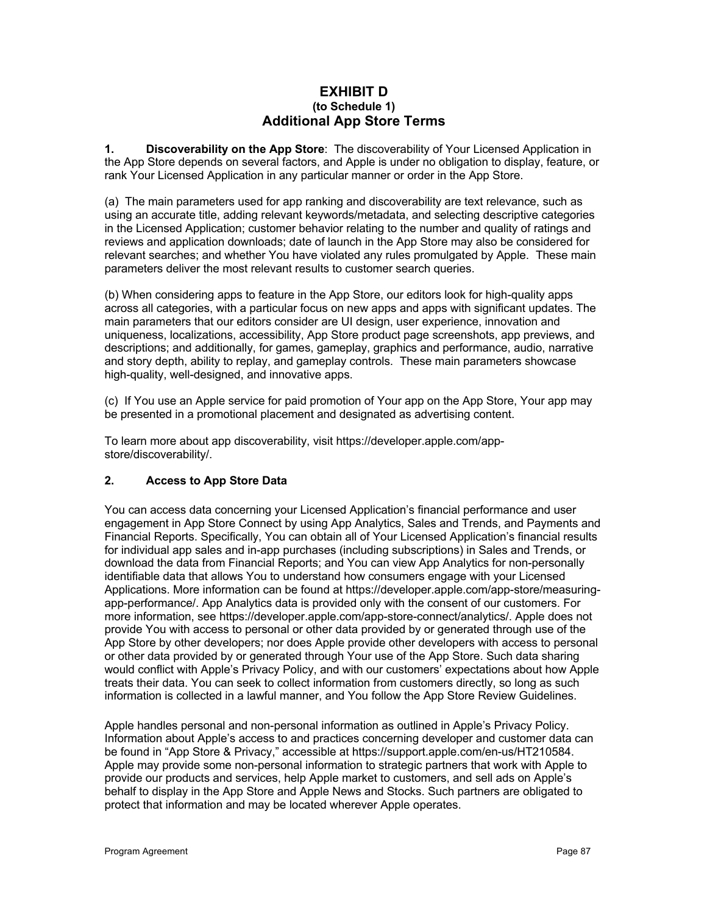# **EXHIBIT D (to Schedule 1) Additional App Store Terms**

**1. Discoverability on the App Store**: The discoverability of Your Licensed Application in the App Store depends on several factors, and Apple is under no obligation to display, feature, or rank Your Licensed Application in any particular manner or order in the App Store.

(a) The main parameters used for app ranking and discoverability are text relevance, such as using an accurate title, adding relevant keywords/metadata, and selecting descriptive categories in the Licensed Application; customer behavior relating to the number and quality of ratings and reviews and application downloads; date of launch in the App Store may also be considered for relevant searches; and whether You have violated any rules promulgated by Apple. These main parameters deliver the most relevant results to customer search queries.

(b) When considering apps to feature in the App Store, our editors look for high-quality apps across all categories, with a particular focus on new apps and apps with significant updates. The main parameters that our editors consider are UI design, user experience, innovation and uniqueness, localizations, accessibility, App Store product page screenshots, app previews, and descriptions; and additionally, for games, gameplay, graphics and performance, audio, narrative and story depth, ability to replay, and gameplay controls. These main parameters showcase high-quality, well-designed, and innovative apps.

(c) If You use an Apple service for paid promotion of Your app on the App Store, Your app may be presented in a promotional placement and designated as advertising content.

To learn more about app discoverability, visit https://developer.apple.com/appstore/discoverability/.

# **2. Access to App Store Data**

You can access data concerning your Licensed Application's financial performance and user engagement in App Store Connect by using App Analytics, Sales and Trends, and Payments and Financial Reports. Specifically, You can obtain all of Your Licensed Application's financial results for individual app sales and in-app purchases (including subscriptions) in Sales and Trends, or download the data from Financial Reports; and You can view App Analytics for non-personally identifiable data that allows You to understand how consumers engage with your Licensed Applications. More information can be found at https://developer.apple.com/app-store/measuringapp-performance/. App Analytics data is provided only with the consent of our customers. For more information, see https://developer.apple.com/app-store-connect/analytics/. Apple does not provide You with access to personal or other data provided by or generated through use of the App Store by other developers; nor does Apple provide other developers with access to personal or other data provided by or generated through Your use of the App Store. Such data sharing would conflict with Apple's Privacy Policy, and with our customers' expectations about how Apple treats their data. You can seek to collect information from customers directly, so long as such information is collected in a lawful manner, and You follow the App Store Review Guidelines.

Apple handles personal and non-personal information as outlined in Apple's Privacy Policy. Information about Apple's access to and practices concerning developer and customer data can be found in "App Store & Privacy," accessible at https://support.apple.com/en-us/HT210584. Apple may provide some non-personal information to strategic partners that work with Apple to provide our products and services, help Apple market to customers, and sell ads on Apple's behalf to display in the App Store and Apple News and Stocks. Such partners are obligated to protect that information and may be located wherever Apple operates.